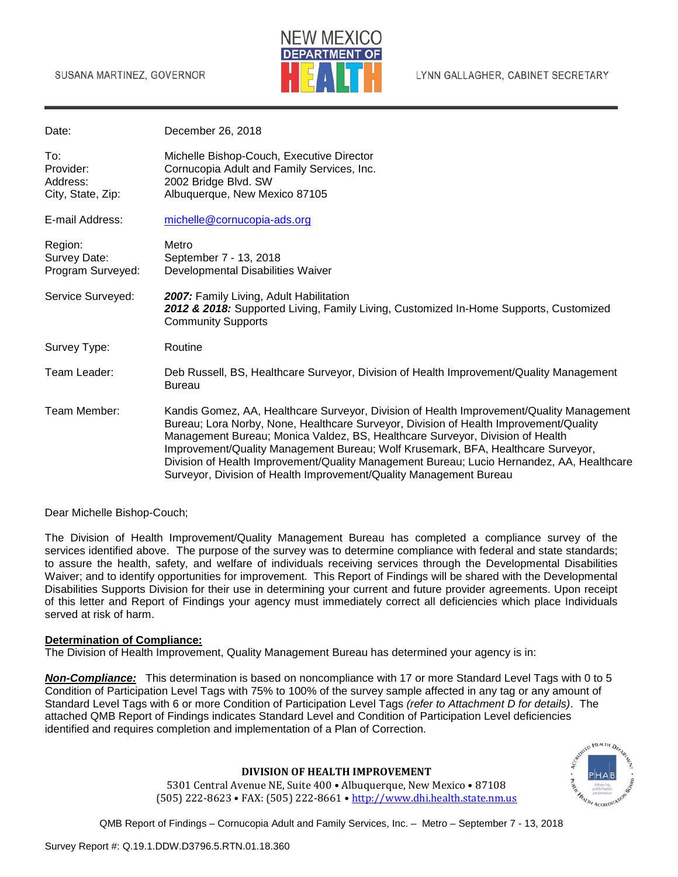

| Date:                                             | December 26, 2018                                                                                                                                                                                                                                                                                                                                                                                                                                                                                                         |
|---------------------------------------------------|---------------------------------------------------------------------------------------------------------------------------------------------------------------------------------------------------------------------------------------------------------------------------------------------------------------------------------------------------------------------------------------------------------------------------------------------------------------------------------------------------------------------------|
| To:<br>Provider:<br>Address:<br>City, State, Zip: | Michelle Bishop-Couch, Executive Director<br>Cornucopia Adult and Family Services, Inc.<br>2002 Bridge Blvd. SW<br>Albuquerque, New Mexico 87105                                                                                                                                                                                                                                                                                                                                                                          |
| E-mail Address:                                   | michelle@cornucopia-ads.org                                                                                                                                                                                                                                                                                                                                                                                                                                                                                               |
| Region:<br>Survey Date:<br>Program Surveyed:      | Metro<br>September 7 - 13, 2018<br>Developmental Disabilities Waiver                                                                                                                                                                                                                                                                                                                                                                                                                                                      |
| Service Surveyed:                                 | 2007: Family Living, Adult Habilitation<br>2012 & 2018: Supported Living, Family Living, Customized In-Home Supports, Customized<br><b>Community Supports</b>                                                                                                                                                                                                                                                                                                                                                             |
| Survey Type:                                      | Routine                                                                                                                                                                                                                                                                                                                                                                                                                                                                                                                   |
| Team Leader:                                      | Deb Russell, BS, Healthcare Surveyor, Division of Health Improvement/Quality Management<br><b>Bureau</b>                                                                                                                                                                                                                                                                                                                                                                                                                  |
| Team Member:                                      | Kandis Gomez, AA, Healthcare Surveyor, Division of Health Improvement/Quality Management<br>Bureau; Lora Norby, None, Healthcare Surveyor, Division of Health Improvement/Quality<br>Management Bureau; Monica Valdez, BS, Healthcare Surveyor, Division of Health<br>Improvement/Quality Management Bureau; Wolf Krusemark, BFA, Healthcare Surveyor,<br>Division of Health Improvement/Quality Management Bureau; Lucio Hernandez, AA, Healthcare<br>Surveyor, Division of Health Improvement/Quality Management Bureau |

Dear Michelle Bishop-Couch;

The Division of Health Improvement/Quality Management Bureau has completed a compliance survey of the services identified above. The purpose of the survey was to determine compliance with federal and state standards; to assure the health, safety, and welfare of individuals receiving services through the Developmental Disabilities Waiver; and to identify opportunities for improvement. This Report of Findings will be shared with the Developmental Disabilities Supports Division for their use in determining your current and future provider agreements. Upon receipt of this letter and Report of Findings your agency must immediately correct all deficiencies which place Individuals served at risk of harm.

### **Determination of Compliance:**

The Division of Health Improvement, Quality Management Bureau has determined your agency is in:

*Non-Compliance:* This determination is based on noncompliance with 17 or more Standard Level Tags with 0 to 5 Condition of Participation Level Tags with 75% to 100% of the survey sample affected in any tag or any amount of Standard Level Tags with 6 or more Condition of Participation Level Tags *(refer to Attachment D for details)*. The attached QMB Report of Findings indicates Standard Level and Condition of Participation Level deficiencies identified and requires completion and implementation of a Plan of Correction.



#### **DIVISION OF HEALTH IMPROVEMENT**

5301 Central Avenue NE, Suite 400 • Albuquerque, New Mexico • 87108 (505) 222-8623 • FAX: (505) 222-8661 • [http://www.dhi.health.state.nm.us](http://www.dhi.health.state.nm.us/)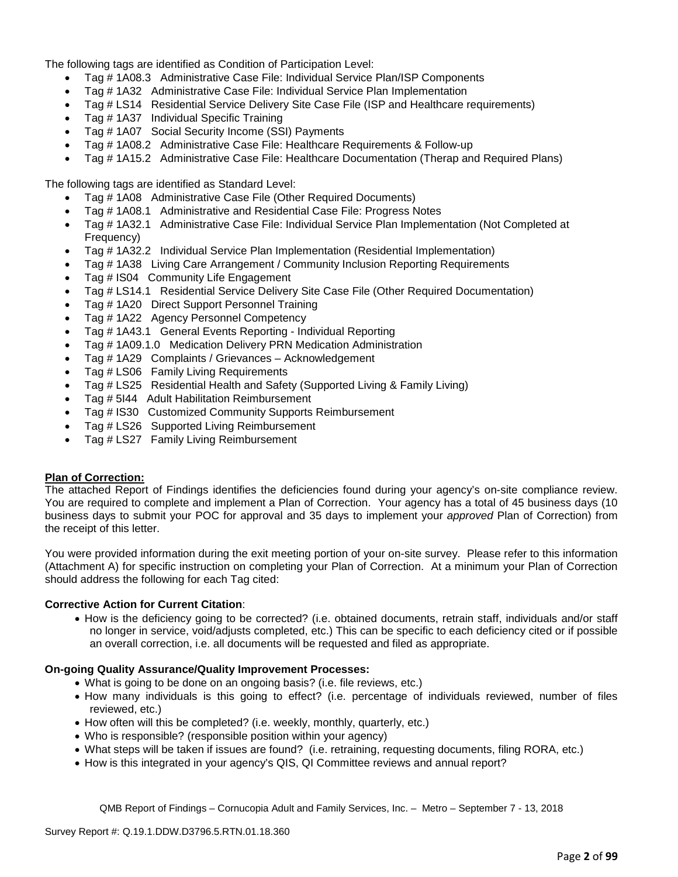The following tags are identified as Condition of Participation Level:

- Tag # 1A08.3 Administrative Case File: Individual Service Plan/ISP Components
- Tag # 1A32 Administrative Case File: Individual Service Plan Implementation
- Tag # LS14 Residential Service Delivery Site Case File (ISP and Healthcare requirements)
- Tag # 1A37 Individual Specific Training
- Tag # 1A07 Social Security Income (SSI) Payments
- Tag # 1A08.2 Administrative Case File: Healthcare Requirements & Follow-up
- Tag # 1A15.2 Administrative Case File: Healthcare Documentation (Therap and Required Plans)

The following tags are identified as Standard Level:

- Tag # 1A08 Administrative Case File (Other Required Documents)
- Tag # 1A08.1 Administrative and Residential Case File: Progress Notes
- Tag # 1A32.1 Administrative Case File: Individual Service Plan Implementation (Not Completed at Frequency)
- Tag # 1A32.2 Individual Service Plan Implementation (Residential Implementation)
- Tag # 1A38 Living Care Arrangement / Community Inclusion Reporting Requirements
- Tag # IS04 Community Life Engagement
- Tag # LS14.1 Residential Service Delivery Site Case File (Other Required Documentation)
- Tag # 1A20 Direct Support Personnel Training
- Tag # 1A22 Agency Personnel Competency
- Tag # 1A43.1 General Events Reporting Individual Reporting
- Tag # 1A09.1.0 Medication Delivery PRN Medication Administration
- Tag # 1A29 Complaints / Grievances Acknowledgement
- Tag # LS06 Family Living Requirements
- Tag # LS25 Residential Health and Safety (Supported Living & Family Living)
- Tag # 5I44 Adult Habilitation Reimbursement
- Tag # IS30 Customized Community Supports Reimbursement
- Tag # LS26 Supported Living Reimbursement
- Tag # LS27 Family Living Reimbursement

#### **Plan of Correction:**

The attached Report of Findings identifies the deficiencies found during your agency's on-site compliance review. You are required to complete and implement a Plan of Correction. Your agency has a total of 45 business days (10 business days to submit your POC for approval and 35 days to implement your *approved* Plan of Correction) from the receipt of this letter.

You were provided information during the exit meeting portion of your on-site survey. Please refer to this information (Attachment A) for specific instruction on completing your Plan of Correction. At a minimum your Plan of Correction should address the following for each Tag cited:

#### **Corrective Action for Current Citation**:

• How is the deficiency going to be corrected? (i.e. obtained documents, retrain staff, individuals and/or staff no longer in service, void/adjusts completed, etc.) This can be specific to each deficiency cited or if possible an overall correction, i.e. all documents will be requested and filed as appropriate.

#### **On-going Quality Assurance/Quality Improvement Processes:**

- What is going to be done on an ongoing basis? (i.e. file reviews, etc.)
- How many individuals is this going to effect? (i.e. percentage of individuals reviewed, number of files reviewed, etc.)
- How often will this be completed? (i.e. weekly, monthly, quarterly, etc.)
- Who is responsible? (responsible position within your agency)
- What steps will be taken if issues are found? (i.e. retraining, requesting documents, filing RORA, etc.)
- How is this integrated in your agency's QIS, QI Committee reviews and annual report?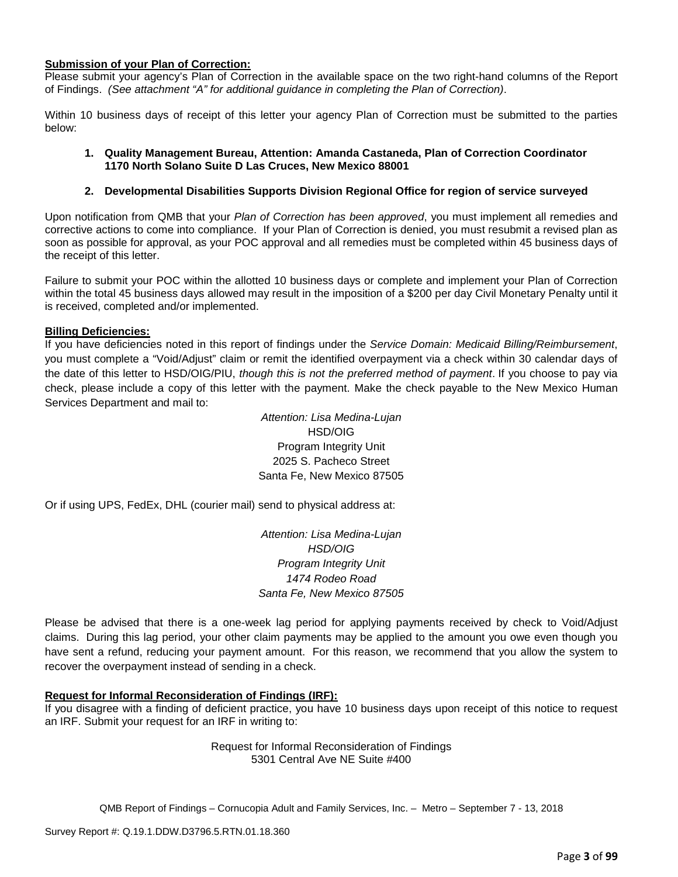#### **Submission of your Plan of Correction:**

Please submit your agency's Plan of Correction in the available space on the two right-hand columns of the Report of Findings. *(See attachment "A" for additional guidance in completing the Plan of Correction)*.

Within 10 business days of receipt of this letter your agency Plan of Correction must be submitted to the parties below:

### **1. Quality Management Bureau, Attention: Amanda Castaneda, Plan of Correction Coordinator 1170 North Solano Suite D Las Cruces, New Mexico 88001**

# **2. Developmental Disabilities Supports Division Regional Office for region of service surveyed**

Upon notification from QMB that your *Plan of Correction has been approved*, you must implement all remedies and corrective actions to come into compliance. If your Plan of Correction is denied, you must resubmit a revised plan as soon as possible for approval, as your POC approval and all remedies must be completed within 45 business days of the receipt of this letter.

Failure to submit your POC within the allotted 10 business days or complete and implement your Plan of Correction within the total 45 business days allowed may result in the imposition of a \$200 per day Civil Monetary Penalty until it is received, completed and/or implemented.

# **Billing Deficiencies:**

If you have deficiencies noted in this report of findings under the *Service Domain: Medicaid Billing/Reimbursement*, you must complete a "Void/Adjust" claim or remit the identified overpayment via a check within 30 calendar days of the date of this letter to HSD/OIG/PIU, *though this is not the preferred method of payment*. If you choose to pay via check, please include a copy of this letter with the payment. Make the check payable to the New Mexico Human Services Department and mail to:

> *Attention: Lisa Medina-Lujan* HSD/OIG Program Integrity Unit 2025 S. Pacheco Street Santa Fe, New Mexico 87505

Or if using UPS, FedEx, DHL (courier mail) send to physical address at:

*Attention: Lisa Medina-Lujan HSD/OIG Program Integrity Unit 1474 Rodeo Road Santa Fe, New Mexico 87505*

Please be advised that there is a one-week lag period for applying payments received by check to Void/Adjust claims. During this lag period, your other claim payments may be applied to the amount you owe even though you have sent a refund, reducing your payment amount. For this reason, we recommend that you allow the system to recover the overpayment instead of sending in a check.

#### **Request for Informal Reconsideration of Findings (IRF):**

If you disagree with a finding of deficient practice, you have 10 business days upon receipt of this notice to request an IRF. Submit your request for an IRF in writing to:

> Request for Informal Reconsideration of Findings 5301 Central Ave NE Suite #400

QMB Report of Findings – Cornucopia Adult and Family Services, Inc. – Metro – September 7 - 13, 2018

Survey Report #: Q.19.1.DDW.D3796.5.RTN.01.18.360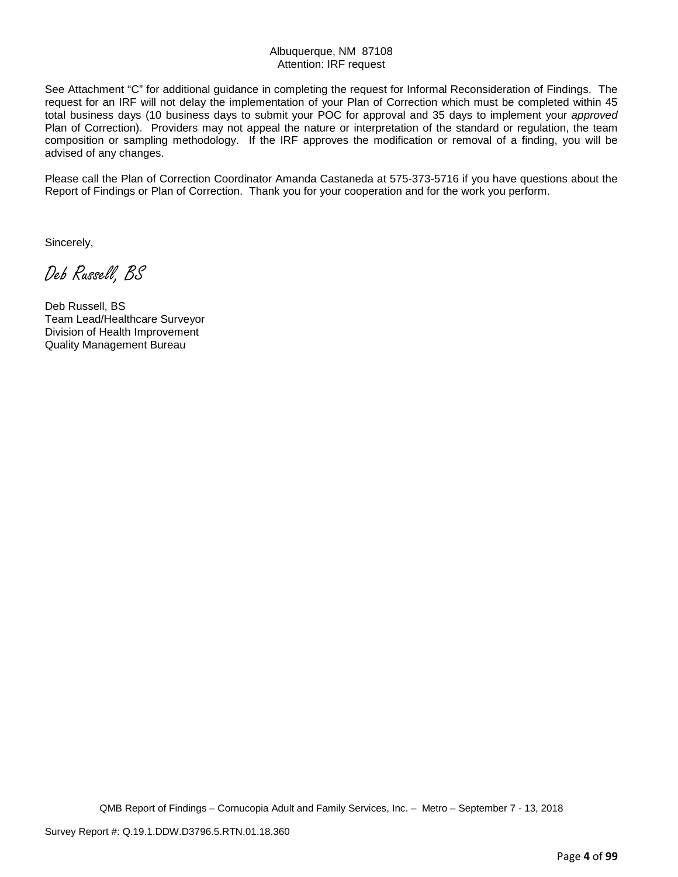# Albuquerque, NM 87108 Attention: IRF request

See Attachment "C" for additional guidance in completing the request for Informal Reconsideration of Findings. The request for an IRF will not delay the implementation of your Plan of Correction which must be completed within 45 total business days (10 business days to submit your POC for approval and 35 days to implement your *approved* Plan of Correction). Providers may not appeal the nature or interpretation of the standard or regulation, the team composition or sampling methodology. If the IRF approves the modification or removal of a finding, you will be advised of any changes.

Please call the Plan of Correction Coordinator Amanda Castaneda at 575-373-5716 if you have questions about the Report of Findings or Plan of Correction. Thank you for your cooperation and for the work you perform.

Sincerely,

Deb Russell, BS

Deb Russell, BS Team Lead/Healthcare Surveyor Division of Health Improvement Quality Management Bureau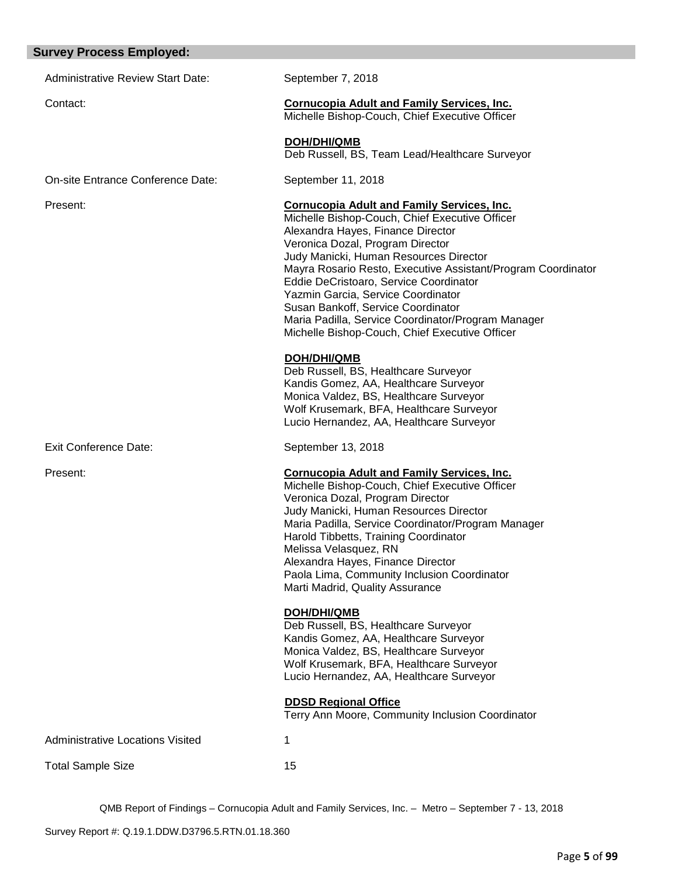# **Survey Process Employed:**

| urvey Process Employed:                  |                                                                                                                                                                                                                                                                                                                                                                                                                                                                                                                      |
|------------------------------------------|----------------------------------------------------------------------------------------------------------------------------------------------------------------------------------------------------------------------------------------------------------------------------------------------------------------------------------------------------------------------------------------------------------------------------------------------------------------------------------------------------------------------|
| <b>Administrative Review Start Date:</b> | September 7, 2018                                                                                                                                                                                                                                                                                                                                                                                                                                                                                                    |
| Contact:                                 | <b>Cornucopia Adult and Family Services, Inc.</b><br>Michelle Bishop-Couch, Chief Executive Officer                                                                                                                                                                                                                                                                                                                                                                                                                  |
|                                          | <b>DOH/DHI/QMB</b><br>Deb Russell, BS, Team Lead/Healthcare Surveyor                                                                                                                                                                                                                                                                                                                                                                                                                                                 |
| On-site Entrance Conference Date:        | September 11, 2018                                                                                                                                                                                                                                                                                                                                                                                                                                                                                                   |
| Present:                                 | <b>Cornucopia Adult and Family Services, Inc.</b><br>Michelle Bishop-Couch, Chief Executive Officer<br>Alexandra Hayes, Finance Director<br>Veronica Dozal, Program Director<br>Judy Manicki, Human Resources Director<br>Mayra Rosario Resto, Executive Assistant/Program Coordinator<br>Eddie DeCristoaro, Service Coordinator<br>Yazmin Garcia, Service Coordinator<br>Susan Bankoff, Service Coordinator<br>Maria Padilla, Service Coordinator/Program Manager<br>Michelle Bishop-Couch, Chief Executive Officer |
|                                          | <b>DOH/DHI/QMB</b><br>Deb Russell, BS, Healthcare Surveyor<br>Kandis Gomez, AA, Healthcare Surveyor<br>Monica Valdez, BS, Healthcare Surveyor<br>Wolf Krusemark, BFA, Healthcare Surveyor<br>Lucio Hernandez, AA, Healthcare Surveyor                                                                                                                                                                                                                                                                                |
| <b>Exit Conference Date:</b>             | September 13, 2018                                                                                                                                                                                                                                                                                                                                                                                                                                                                                                   |
| Present:                                 | <b>Cornucopia Adult and Family Services, Inc.</b><br>Michelle Bishop-Couch, Chief Executive Officer<br>Veronica Dozal, Program Director<br>Judy Manicki, Human Resources Director<br>Maria Padilla, Service Coordinator/Program Manager<br>Harold Tibbetts, Training Coordinator<br>Melissa Velasquez, RN<br>Alexandra Hayes, Finance Director<br>Paola Lima, Community Inclusion Coordinator<br>Marti Madrid, Quality Assurance                                                                                     |
|                                          | <b>DOH/DHI/QMB</b><br>Deb Russell, BS, Healthcare Surveyor<br>Kandis Gomez, AA, Healthcare Surveyor<br>Monica Valdez, BS, Healthcare Surveyor<br>Wolf Krusemark, BFA, Healthcare Surveyor<br>Lucio Hernandez, AA, Healthcare Surveyor                                                                                                                                                                                                                                                                                |
|                                          | <b>DDSD Regional Office</b><br>Terry Ann Moore, Community Inclusion Coordinator                                                                                                                                                                                                                                                                                                                                                                                                                                      |
| Administrative Locations Visited         | 1                                                                                                                                                                                                                                                                                                                                                                                                                                                                                                                    |
| <b>Total Sample Size</b>                 | 15                                                                                                                                                                                                                                                                                                                                                                                                                                                                                                                   |
|                                          |                                                                                                                                                                                                                                                                                                                                                                                                                                                                                                                      |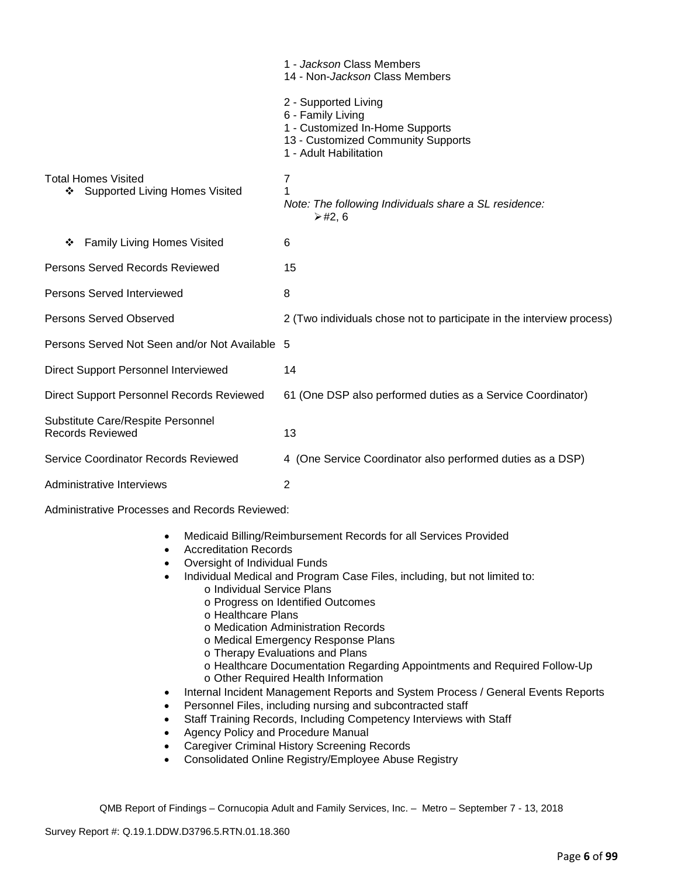|                                                                | 1 - Jackson Class Members<br>14 - Non-Jackson Class Members                                                                                  |
|----------------------------------------------------------------|----------------------------------------------------------------------------------------------------------------------------------------------|
|                                                                | 2 - Supported Living<br>6 - Family Living<br>1 - Customized In-Home Supports<br>13 - Customized Community Supports<br>1 - Adult Habilitation |
| <b>Total Homes Visited</b><br>❖ Supported Living Homes Visited | 7<br>Note: The following Individuals share a SL residence:<br>$≥$ #2, 6                                                                      |
| <b>Family Living Homes Visited</b><br>❖                        | 6                                                                                                                                            |
| Persons Served Records Reviewed                                | 15                                                                                                                                           |
| <b>Persons Served Interviewed</b>                              | 8                                                                                                                                            |
| <b>Persons Served Observed</b>                                 | 2 (Two individuals chose not to participate in the interview process)                                                                        |
| Persons Served Not Seen and/or Not Available 5                 |                                                                                                                                              |
| Direct Support Personnel Interviewed                           | 14                                                                                                                                           |
| Direct Support Personnel Records Reviewed                      | 61 (One DSP also performed duties as a Service Coordinator)                                                                                  |
| Substitute Care/Respite Personnel<br><b>Records Reviewed</b>   | 13                                                                                                                                           |
| Service Coordinator Records Reviewed                           | 4 (One Service Coordinator also performed duties as a DSP)                                                                                   |
| Administrative Interviews                                      | $\overline{2}$                                                                                                                               |

Administrative Processes and Records Reviewed:

- Medicaid Billing/Reimbursement Records for all Services Provided
- Accreditation Records
- Oversight of Individual Funds
- Individual Medical and Program Case Files, including, but not limited to:
	- o Individual Service Plans
		- o Progress on Identified Outcomes
		- o Healthcare Plans
		- o Medication Administration Records
		- o Medical Emergency Response Plans
		- o Therapy Evaluations and Plans
		- o Healthcare Documentation Regarding Appointments and Required Follow-Up
	- o Other Required Health Information
- Internal Incident Management Reports and System Process / General Events Reports
- Personnel Files, including nursing and subcontracted staff
- Staff Training Records, Including Competency Interviews with Staff
- Agency Policy and Procedure Manual
- Caregiver Criminal History Screening Records
- Consolidated Online Registry/Employee Abuse Registry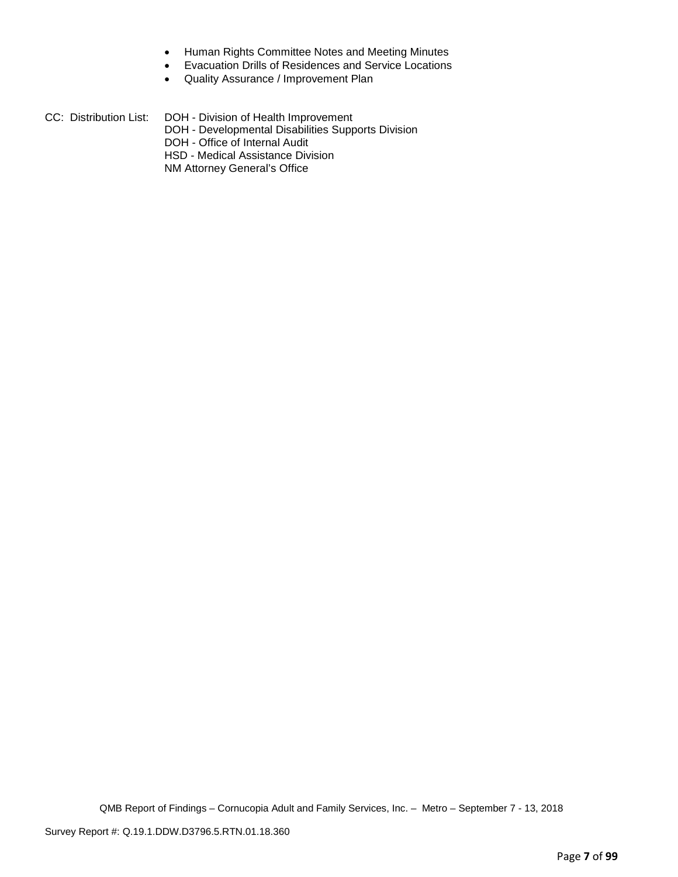- Human Rights Committee Notes and Meeting Minutes
- Evacuation Drills of Residences and Service Locations
- Quality Assurance / Improvement Plan

| CC: Distribution List: | DOH - Division of Health Improvement               |
|------------------------|----------------------------------------------------|
|                        | DOH - Developmental Disabilities Supports Division |
|                        | DOH - Office of Internal Audit                     |
|                        | HSD - Medical Assistance Division                  |
|                        | NM Attorney General's Office                       |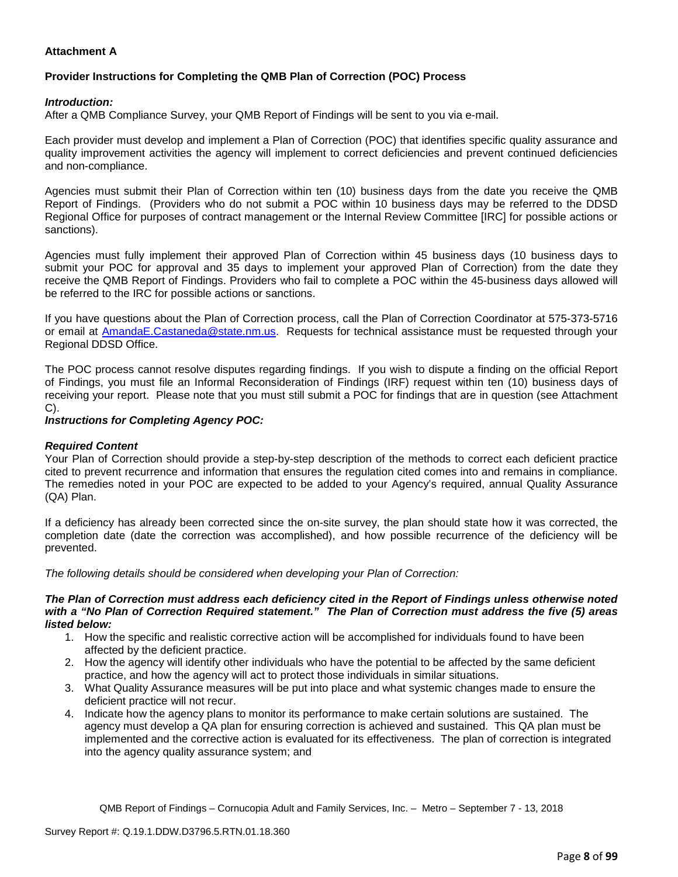# **Attachment A**

# **Provider Instructions for Completing the QMB Plan of Correction (POC) Process**

# *Introduction:*

After a QMB Compliance Survey, your QMB Report of Findings will be sent to you via e-mail.

Each provider must develop and implement a Plan of Correction (POC) that identifies specific quality assurance and quality improvement activities the agency will implement to correct deficiencies and prevent continued deficiencies and non-compliance.

Agencies must submit their Plan of Correction within ten (10) business days from the date you receive the QMB Report of Findings. (Providers who do not submit a POC within 10 business days may be referred to the DDSD Regional Office for purposes of contract management or the Internal Review Committee [IRC] for possible actions or sanctions).

Agencies must fully implement their approved Plan of Correction within 45 business days (10 business days to submit your POC for approval and 35 days to implement your approved Plan of Correction) from the date they receive the QMB Report of Findings. Providers who fail to complete a POC within the 45-business days allowed will be referred to the IRC for possible actions or sanctions.

If you have questions about the Plan of Correction process, call the Plan of Correction Coordinator at 575-373-5716 or email at AmandaE.Castaneda@state.nm.us. Requests for technical assistance must be requested through your Regional DDSD Office.

The POC process cannot resolve disputes regarding findings. If you wish to dispute a finding on the official Report of Findings, you must file an Informal Reconsideration of Findings (IRF) request within ten (10) business days of receiving your report. Please note that you must still submit a POC for findings that are in question (see Attachment C).

#### *Instructions for Completing Agency POC:*

#### *Required Content*

Your Plan of Correction should provide a step-by-step description of the methods to correct each deficient practice cited to prevent recurrence and information that ensures the regulation cited comes into and remains in compliance. The remedies noted in your POC are expected to be added to your Agency's required, annual Quality Assurance (QA) Plan.

If a deficiency has already been corrected since the on-site survey, the plan should state how it was corrected, the completion date (date the correction was accomplished), and how possible recurrence of the deficiency will be prevented.

*The following details should be considered when developing your Plan of Correction:*

#### *The Plan of Correction must address each deficiency cited in the Report of Findings unless otherwise noted with a "No Plan of Correction Required statement." The Plan of Correction must address the five (5) areas listed below:*

- 1. How the specific and realistic corrective action will be accomplished for individuals found to have been affected by the deficient practice.
- 2. How the agency will identify other individuals who have the potential to be affected by the same deficient practice, and how the agency will act to protect those individuals in similar situations.
- 3. What Quality Assurance measures will be put into place and what systemic changes made to ensure the deficient practice will not recur.
- 4. Indicate how the agency plans to monitor its performance to make certain solutions are sustained. The agency must develop a QA plan for ensuring correction is achieved and sustained. This QA plan must be implemented and the corrective action is evaluated for its effectiveness. The plan of correction is integrated into the agency quality assurance system; and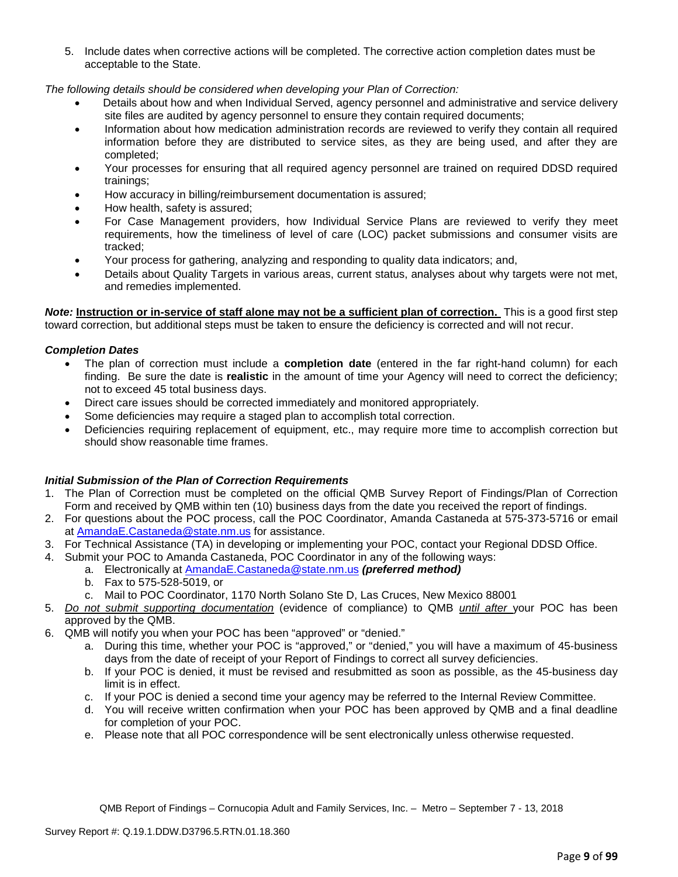5. Include dates when corrective actions will be completed. The corrective action completion dates must be acceptable to the State.

*The following details should be considered when developing your Plan of Correction:*

- Details about how and when Individual Served, agency personnel and administrative and service delivery site files are audited by agency personnel to ensure they contain required documents;
- Information about how medication administration records are reviewed to verify they contain all required information before they are distributed to service sites, as they are being used, and after they are completed;
- Your processes for ensuring that all required agency personnel are trained on required DDSD required trainings;
- How accuracy in billing/reimbursement documentation is assured;
- How health, safety is assured;
- For Case Management providers, how Individual Service Plans are reviewed to verify they meet requirements, how the timeliness of level of care (LOC) packet submissions and consumer visits are tracked;
- Your process for gathering, analyzing and responding to quality data indicators; and,
- Details about Quality Targets in various areas, current status, analyses about why targets were not met, and remedies implemented.

*Note:* **Instruction or in-service of staff alone may not be a sufficient plan of correction.** This is a good first step toward correction, but additional steps must be taken to ensure the deficiency is corrected and will not recur.

#### *Completion Dates*

- The plan of correction must include a **completion date** (entered in the far right-hand column) for each finding. Be sure the date is **realistic** in the amount of time your Agency will need to correct the deficiency; not to exceed 45 total business days.
- Direct care issues should be corrected immediately and monitored appropriately.
- Some deficiencies may require a staged plan to accomplish total correction.
- Deficiencies requiring replacement of equipment, etc., may require more time to accomplish correction but should show reasonable time frames.

# *Initial Submission of the Plan of Correction Requirements*

- 1. The Plan of Correction must be completed on the official QMB Survey Report of Findings/Plan of Correction Form and received by QMB within ten (10) business days from the date you received the report of findings.
- 2. For questions about the POC process, call the POC Coordinator, Amanda Castaneda at 575-373-5716 or email at AmandaE.Castaneda@state.nm.us for assistance.
- 3. For Technical Assistance (TA) in developing or implementing your POC, contact your Regional DDSD Office.
- 4. Submit your POC to Amanda Castaneda, POC Coordinator in any of the following ways:
	- a. Electronically at AmandaE.Castaneda@state.nm.us *(preferred method)*
	- b. Fax to 575-528-5019, or
	- c. Mail to POC Coordinator, 1170 North Solano Ste D, Las Cruces, New Mexico 88001
- 5. *Do not submit supporting documentation* (evidence of compliance) to QMB *until after* your POC has been approved by the QMB.
- 6. QMB will notify you when your POC has been "approved" or "denied."
	- a. During this time, whether your POC is "approved," or "denied," you will have a maximum of 45-business days from the date of receipt of your Report of Findings to correct all survey deficiencies.
	- b. If your POC is denied, it must be revised and resubmitted as soon as possible, as the 45-business day limit is in effect.
	- c. If your POC is denied a second time your agency may be referred to the Internal Review Committee.
	- d. You will receive written confirmation when your POC has been approved by QMB and a final deadline for completion of your POC.
	- e. Please note that all POC correspondence will be sent electronically unless otherwise requested.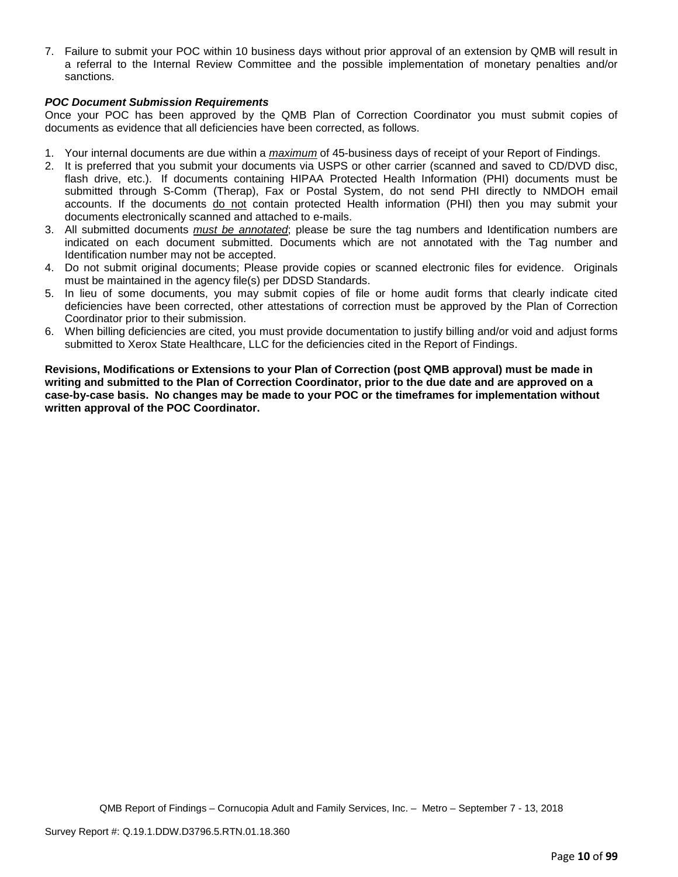7. Failure to submit your POC within 10 business days without prior approval of an extension by QMB will result in a referral to the Internal Review Committee and the possible implementation of monetary penalties and/or sanctions.

# *POC Document Submission Requirements*

Once your POC has been approved by the QMB Plan of Correction Coordinator you must submit copies of documents as evidence that all deficiencies have been corrected, as follows.

- 1. Your internal documents are due within a *maximum* of 45-business days of receipt of your Report of Findings.
- 2. It is preferred that you submit your documents via USPS or other carrier (scanned and saved to CD/DVD disc, flash drive, etc.). If documents containing HIPAA Protected Health Information (PHI) documents must be submitted through S-Comm (Therap), Fax or Postal System, do not send PHI directly to NMDOH email accounts. If the documents do not contain protected Health information (PHI) then you may submit your documents electronically scanned and attached to e-mails.
- 3. All submitted documents *must be annotated*; please be sure the tag numbers and Identification numbers are indicated on each document submitted. Documents which are not annotated with the Tag number and Identification number may not be accepted.
- 4. Do not submit original documents; Please provide copies or scanned electronic files for evidence. Originals must be maintained in the agency file(s) per DDSD Standards.
- 5. In lieu of some documents, you may submit copies of file or home audit forms that clearly indicate cited deficiencies have been corrected, other attestations of correction must be approved by the Plan of Correction Coordinator prior to their submission.
- 6. When billing deficiencies are cited, you must provide documentation to justify billing and/or void and adjust forms submitted to Xerox State Healthcare, LLC for the deficiencies cited in the Report of Findings.

**Revisions, Modifications or Extensions to your Plan of Correction (post QMB approval) must be made in writing and submitted to the Plan of Correction Coordinator, prior to the due date and are approved on a case-by-case basis. No changes may be made to your POC or the timeframes for implementation without written approval of the POC Coordinator.**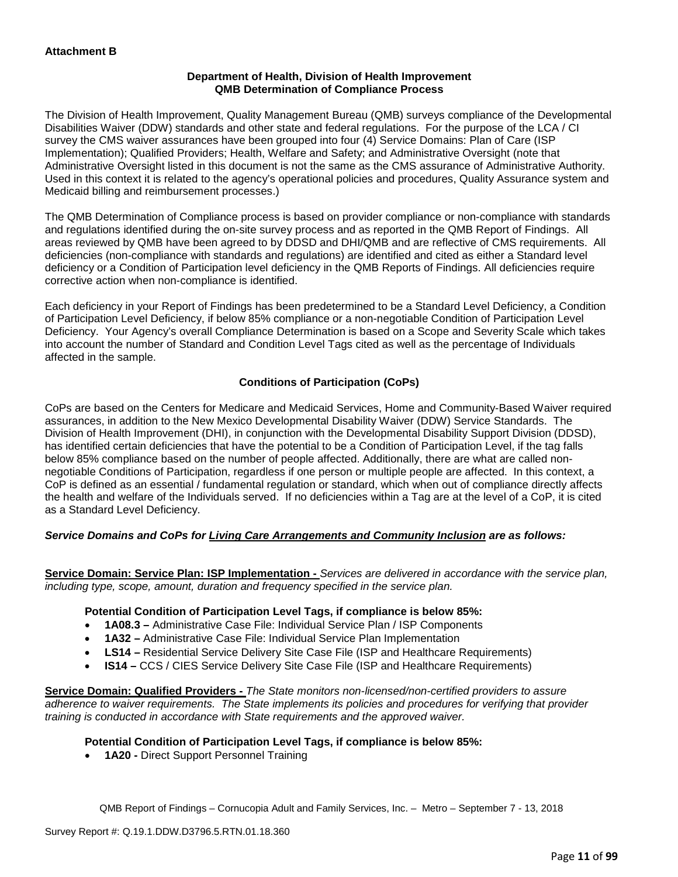## **Department of Health, Division of Health Improvement QMB Determination of Compliance Process**

The Division of Health Improvement, Quality Management Bureau (QMB) surveys compliance of the Developmental Disabilities Waiver (DDW) standards and other state and federal regulations. For the purpose of the LCA / CI survey the CMS waiver assurances have been grouped into four (4) Service Domains: Plan of Care (ISP Implementation); Qualified Providers; Health, Welfare and Safety; and Administrative Oversight (note that Administrative Oversight listed in this document is not the same as the CMS assurance of Administrative Authority. Used in this context it is related to the agency's operational policies and procedures, Quality Assurance system and Medicaid billing and reimbursement processes.)

The QMB Determination of Compliance process is based on provider compliance or non-compliance with standards and regulations identified during the on-site survey process and as reported in the QMB Report of Findings. All areas reviewed by QMB have been agreed to by DDSD and DHI/QMB and are reflective of CMS requirements. All deficiencies (non-compliance with standards and regulations) are identified and cited as either a Standard level deficiency or a Condition of Participation level deficiency in the QMB Reports of Findings. All deficiencies require corrective action when non-compliance is identified.

Each deficiency in your Report of Findings has been predetermined to be a Standard Level Deficiency, a Condition of Participation Level Deficiency, if below 85% compliance or a non-negotiable Condition of Participation Level Deficiency. Your Agency's overall Compliance Determination is based on a Scope and Severity Scale which takes into account the number of Standard and Condition Level Tags cited as well as the percentage of Individuals affected in the sample.

# **Conditions of Participation (CoPs)**

CoPs are based on the Centers for Medicare and Medicaid Services, Home and Community-Based Waiver required assurances, in addition to the New Mexico Developmental Disability Waiver (DDW) Service Standards. The Division of Health Improvement (DHI), in conjunction with the Developmental Disability Support Division (DDSD), has identified certain deficiencies that have the potential to be a Condition of Participation Level, if the tag falls below 85% compliance based on the number of people affected. Additionally, there are what are called nonnegotiable Conditions of Participation, regardless if one person or multiple people are affected. In this context, a CoP is defined as an essential / fundamental regulation or standard, which when out of compliance directly affects the health and welfare of the Individuals served. If no deficiencies within a Tag are at the level of a CoP, it is cited as a Standard Level Deficiency.

#### *Service Domains and CoPs for Living Care Arrangements and Community Inclusion are as follows:*

**Service Domain: Service Plan: ISP Implementation -** *Services are delivered in accordance with the service plan, including type, scope, amount, duration and frequency specified in the service plan.*

#### **Potential Condition of Participation Level Tags, if compliance is below 85%:**

- **1A08.3 –** Administrative Case File: Individual Service Plan / ISP Components
- **1A32 –** Administrative Case File: Individual Service Plan Implementation
- **LS14 –** Residential Service Delivery Site Case File (ISP and Healthcare Requirements)
- **IS14 –** CCS / CIES Service Delivery Site Case File (ISP and Healthcare Requirements)

**Service Domain: Qualified Providers -** *The State monitors non-licensed/non-certified providers to assure adherence to waiver requirements. The State implements its policies and procedures for verifying that provider training is conducted in accordance with State requirements and the approved waiver.*

#### **Potential Condition of Participation Level Tags, if compliance is below 85%:**

• **1A20 -** Direct Support Personnel Training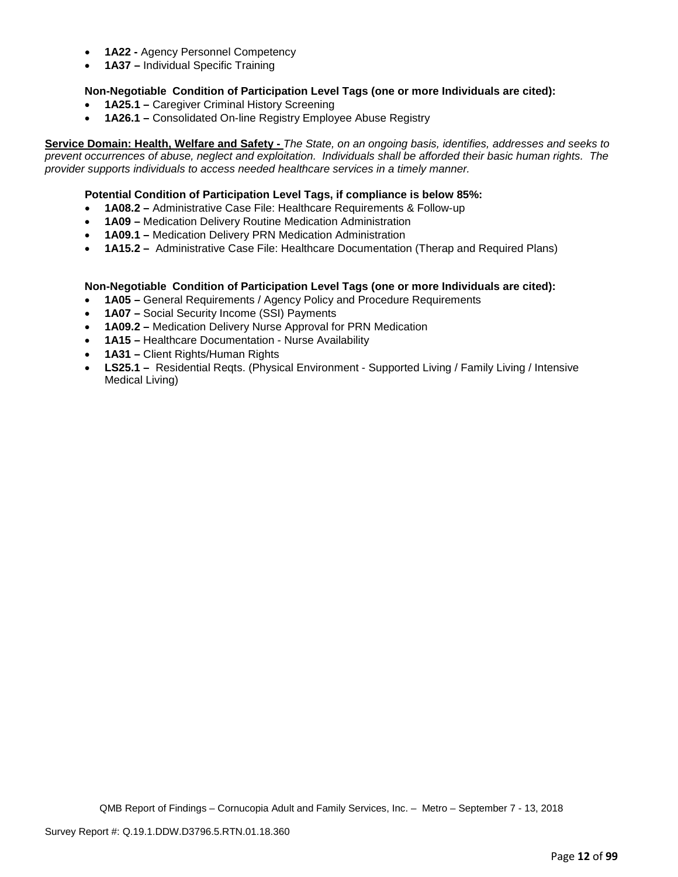- **1A22 -** Agency Personnel Competency
- **1A37 –** Individual Specific Training

# **Non-Negotiable Condition of Participation Level Tags (one or more Individuals are cited):**

- **1A25.1 –** Caregiver Criminal History Screening
- **1A26.1 –** Consolidated On-line Registry Employee Abuse Registry

**Service Domain: Health, Welfare and Safety -** *The State, on an ongoing basis, identifies, addresses and seeks to prevent occurrences of abuse, neglect and exploitation. Individuals shall be afforded their basic human rights. The provider supports individuals to access needed healthcare services in a timely manner.*

### **Potential Condition of Participation Level Tags, if compliance is below 85%:**

- **1A08.2 –** Administrative Case File: Healthcare Requirements & Follow-up
- **1A09 –** Medication Delivery Routine Medication Administration
- **1A09.1 –** Medication Delivery PRN Medication Administration
- **1A15.2 –** Administrative Case File: Healthcare Documentation (Therap and Required Plans)

#### **Non-Negotiable Condition of Participation Level Tags (one or more Individuals are cited):**

- **1A05 –** General Requirements / Agency Policy and Procedure Requirements
- **1A07 –** Social Security Income (SSI) Payments
- **1A09.2 –** Medication Delivery Nurse Approval for PRN Medication
- **1A15 –** Healthcare Documentation Nurse Availability
- **1A31 –** Client Rights/Human Rights
- **LS25.1 –** Residential Reqts. (Physical Environment Supported Living / Family Living / Intensive Medical Living)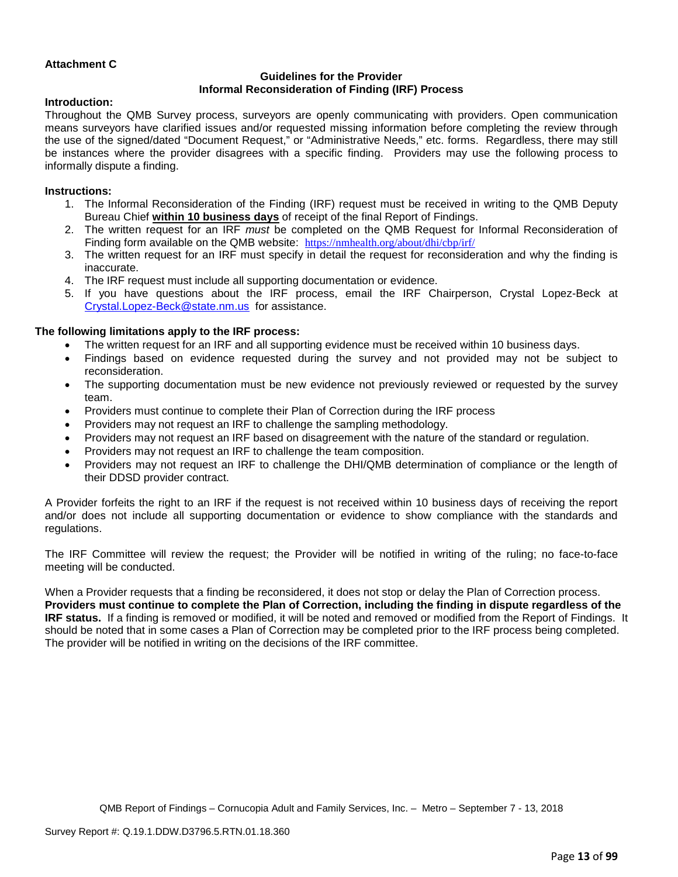# **Attachment C**

# **Guidelines for the Provider Informal Reconsideration of Finding (IRF) Process**

#### **Introduction:**

Throughout the QMB Survey process, surveyors are openly communicating with providers. Open communication means surveyors have clarified issues and/or requested missing information before completing the review through the use of the signed/dated "Document Request," or "Administrative Needs," etc. forms. Regardless, there may still be instances where the provider disagrees with a specific finding. Providers may use the following process to informally dispute a finding.

#### **Instructions:**

- 1. The Informal Reconsideration of the Finding (IRF) request must be received in writing to the QMB Deputy Bureau Chief **within 10 business days** of receipt of the final Report of Findings.
- 2. The written request for an IRF *must* be completed on the QMB Request for Informal Reconsideration of Finding form available on the QMB website: <https://nmhealth.org/about/dhi/cbp/irf/>
- 3. The written request for an IRF must specify in detail the request for reconsideration and why the finding is inaccurate.
- 4. The IRF request must include all supporting documentation or evidence.
- 5. If you have questions about the IRF process, email the IRF Chairperson, Crystal Lopez-Beck at [Crystal.Lopez-Beck@state.nm.us](mailto:Crystal.Lopez-Beck@state.nm.us) for assistance.

#### **The following limitations apply to the IRF process:**

- The written request for an IRF and all supporting evidence must be received within 10 business days.
- Findings based on evidence requested during the survey and not provided may not be subject to reconsideration.
- The supporting documentation must be new evidence not previously reviewed or requested by the survey team.
- Providers must continue to complete their Plan of Correction during the IRF process
- Providers may not request an IRF to challenge the sampling methodology.
- Providers may not request an IRF based on disagreement with the nature of the standard or regulation.
- Providers may not request an IRF to challenge the team composition.
- Providers may not request an IRF to challenge the DHI/QMB determination of compliance or the length of their DDSD provider contract.

A Provider forfeits the right to an IRF if the request is not received within 10 business days of receiving the report and/or does not include all supporting documentation or evidence to show compliance with the standards and regulations.

The IRF Committee will review the request; the Provider will be notified in writing of the ruling; no face-to-face meeting will be conducted.

When a Provider requests that a finding be reconsidered, it does not stop or delay the Plan of Correction process. **Providers must continue to complete the Plan of Correction, including the finding in dispute regardless of the IRF status.** If a finding is removed or modified, it will be noted and removed or modified from the Report of Findings. It should be noted that in some cases a Plan of Correction may be completed prior to the IRF process being completed. The provider will be notified in writing on the decisions of the IRF committee.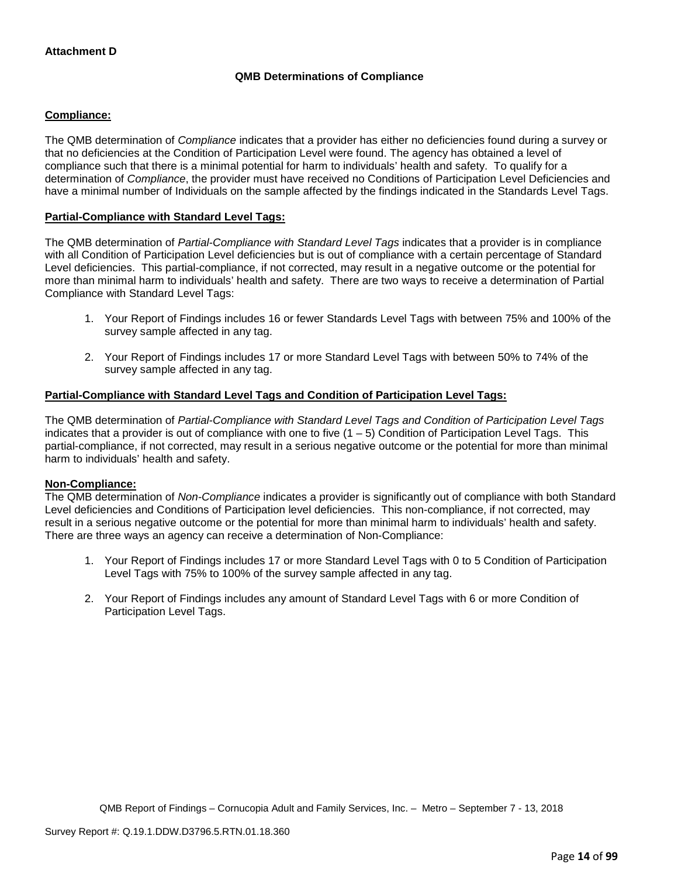# **QMB Determinations of Compliance**

# **Compliance:**

The QMB determination of *Compliance* indicates that a provider has either no deficiencies found during a survey or that no deficiencies at the Condition of Participation Level were found. The agency has obtained a level of compliance such that there is a minimal potential for harm to individuals' health and safety. To qualify for a determination of *Compliance*, the provider must have received no Conditions of Participation Level Deficiencies and have a minimal number of Individuals on the sample affected by the findings indicated in the Standards Level Tags.

# **Partial-Compliance with Standard Level Tags:**

The QMB determination of *Partial-Compliance with Standard Level Tags* indicates that a provider is in compliance with all Condition of Participation Level deficiencies but is out of compliance with a certain percentage of Standard Level deficiencies. This partial-compliance, if not corrected, may result in a negative outcome or the potential for more than minimal harm to individuals' health and safety. There are two ways to receive a determination of Partial Compliance with Standard Level Tags:

- 1. Your Report of Findings includes 16 or fewer Standards Level Tags with between 75% and 100% of the survey sample affected in any tag.
- 2. Your Report of Findings includes 17 or more Standard Level Tags with between 50% to 74% of the survey sample affected in any tag.

#### **Partial-Compliance with Standard Level Tags and Condition of Participation Level Tags:**

The QMB determination of *Partial-Compliance with Standard Level Tags and Condition of Participation Level Tags*  indicates that a provider is out of compliance with one to five  $(1 - 5)$  Condition of Participation Level Tags. This partial-compliance, if not corrected, may result in a serious negative outcome or the potential for more than minimal harm to individuals' health and safety.

#### **Non-Compliance:**

The QMB determination of *Non-Compliance* indicates a provider is significantly out of compliance with both Standard Level deficiencies and Conditions of Participation level deficiencies. This non-compliance, if not corrected, may result in a serious negative outcome or the potential for more than minimal harm to individuals' health and safety. There are three ways an agency can receive a determination of Non-Compliance:

- 1. Your Report of Findings includes 17 or more Standard Level Tags with 0 to 5 Condition of Participation Level Tags with 75% to 100% of the survey sample affected in any tag.
- 2. Your Report of Findings includes any amount of Standard Level Tags with 6 or more Condition of Participation Level Tags.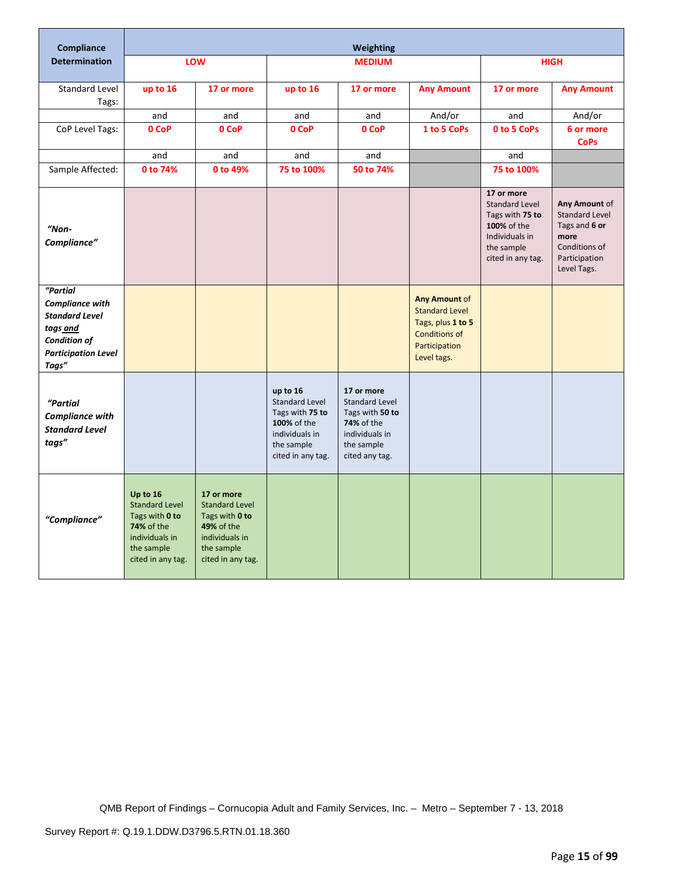| <b>Compliance</b>                                                                                                                     |                                                                                                                        |                                                                                                                                 |                                                                                                                                 | Weighting                                                                                                              |                                                                                                                     |                                                                                                                            |                                                                                                                  |
|---------------------------------------------------------------------------------------------------------------------------------------|------------------------------------------------------------------------------------------------------------------------|---------------------------------------------------------------------------------------------------------------------------------|---------------------------------------------------------------------------------------------------------------------------------|------------------------------------------------------------------------------------------------------------------------|---------------------------------------------------------------------------------------------------------------------|----------------------------------------------------------------------------------------------------------------------------|------------------------------------------------------------------------------------------------------------------|
| <b>Determination</b>                                                                                                                  |                                                                                                                        | LOW                                                                                                                             |                                                                                                                                 | <b>MEDIUM</b>                                                                                                          |                                                                                                                     |                                                                                                                            | <b>HIGH</b>                                                                                                      |
| Standard Level<br>Tags:                                                                                                               | up to 16                                                                                                               | 17 or more                                                                                                                      | up to 16                                                                                                                        | 17 or more                                                                                                             | <b>Any Amount</b>                                                                                                   | 17 or more                                                                                                                 | <b>Any Amount</b>                                                                                                |
|                                                                                                                                       | and                                                                                                                    | and                                                                                                                             | and                                                                                                                             | and                                                                                                                    | And/or                                                                                                              | and                                                                                                                        | And/or                                                                                                           |
| CoP Level Tags:                                                                                                                       | 0 CoP                                                                                                                  | 0 CoP                                                                                                                           | 0 CoP                                                                                                                           | 0 CoP                                                                                                                  | 1 to 5 CoPs                                                                                                         | 0 to 5 CoPs                                                                                                                | 6 or more<br><b>CoPs</b>                                                                                         |
|                                                                                                                                       | and                                                                                                                    | and                                                                                                                             | and                                                                                                                             | and                                                                                                                    |                                                                                                                     | and                                                                                                                        |                                                                                                                  |
| Sample Affected:                                                                                                                      | 0 to 74%                                                                                                               | 0 to 49%                                                                                                                        | 75 to 100%                                                                                                                      | 50 to 74%                                                                                                              |                                                                                                                     | 75 to 100%                                                                                                                 |                                                                                                                  |
| $"Non-$<br>Compliance"                                                                                                                |                                                                                                                        |                                                                                                                                 |                                                                                                                                 |                                                                                                                        |                                                                                                                     | 17 or more<br><b>Standard Level</b><br>Tags with 75 to<br>100% of the<br>Individuals in<br>the sample<br>cited in any tag. | Any Amount of<br><b>Standard Level</b><br>Tags and 6 or<br>more<br>Conditions of<br>Participation<br>Level Tags. |
| "Partial<br><b>Compliance with</b><br><b>Standard Level</b><br>tags and<br><b>Condition of</b><br><b>Participation Level</b><br>Tags" |                                                                                                                        |                                                                                                                                 |                                                                                                                                 |                                                                                                                        | Any Amount of<br><b>Standard Level</b><br>Tags, plus 1 to 5<br><b>Conditions of</b><br>Participation<br>Level tags. |                                                                                                                            |                                                                                                                  |
| "Partial<br><b>Compliance with</b><br><b>Standard Level</b><br>tags"                                                                  |                                                                                                                        |                                                                                                                                 | up to 16<br><b>Standard Level</b><br>Tags with 75 to<br><b>100% of the</b><br>individuals in<br>the sample<br>cited in any tag. | 17 or more<br>Standard Level<br>Tags with 50 to<br><b>74%</b> of the<br>individuals in<br>the sample<br>cited any tag. |                                                                                                                     |                                                                                                                            |                                                                                                                  |
| "Compliance"                                                                                                                          | Up to 16<br><b>Standard Level</b><br>Tags with 0 to<br>74% of the<br>individuals in<br>the sample<br>cited in any tag. | 17 or more<br><b>Standard Level</b><br>Tags with 0 to<br><b>49% of the</b><br>individuals in<br>the sample<br>cited in any tag. |                                                                                                                                 |                                                                                                                        |                                                                                                                     |                                                                                                                            |                                                                                                                  |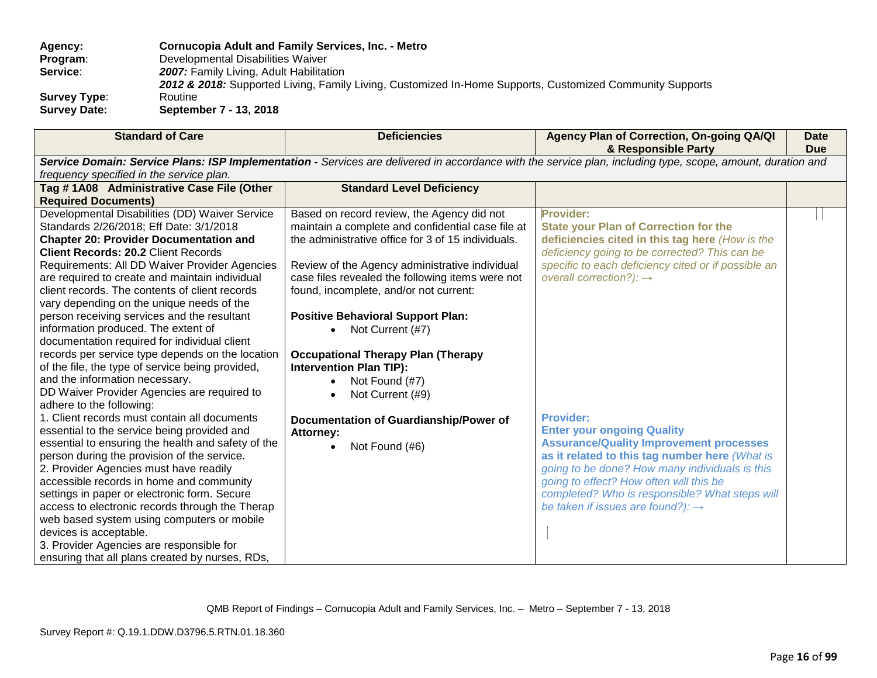# **Agency: Cornucopia Adult and Family Services, Inc. - Metro Program:** Developmental Disabilities Waiver<br>**Service: 2007:** Family Living. Adult Habilitat 2007: Family Living, Adult Habilitation 2012 & 2018: Supported Living, Family Living, Customized In-Home Supports, Customized Community Supports<br>Routine **Survey Type:<br>Survey Date: Survey Date: September 7 - 13, 2018**

| <b>Standard of Care</b>                            | <b>Deficiencies</b>                                | Agency Plan of Correction, On-going QA/QI<br>& Responsible Party                                                                                            | <b>Date</b><br><b>Due</b> |
|----------------------------------------------------|----------------------------------------------------|-------------------------------------------------------------------------------------------------------------------------------------------------------------|---------------------------|
|                                                    |                                                    | Service Domain: Service Plans: ISP Implementation - Services are delivered in accordance with the service plan, including type, scope, amount, duration and |                           |
| frequency specified in the service plan.           |                                                    |                                                                                                                                                             |                           |
| Tag #1A08 Administrative Case File (Other          | <b>Standard Level Deficiency</b>                   |                                                                                                                                                             |                           |
| <b>Required Documents)</b>                         |                                                    |                                                                                                                                                             |                           |
| Developmental Disabilities (DD) Waiver Service     | Based on record review, the Agency did not         | <b>Provider:</b>                                                                                                                                            |                           |
| Standards 2/26/2018; Eff Date: 3/1/2018            | maintain a complete and confidential case file at  | <b>State your Plan of Correction for the</b>                                                                                                                |                           |
| <b>Chapter 20: Provider Documentation and</b>      | the administrative office for 3 of 15 individuals. | deficiencies cited in this tag here (How is the                                                                                                             |                           |
| <b>Client Records: 20.2 Client Records</b>         |                                                    | deficiency going to be corrected? This can be                                                                                                               |                           |
| Requirements: All DD Waiver Provider Agencies      | Review of the Agency administrative individual     | specific to each deficiency cited or if possible an                                                                                                         |                           |
| are required to create and maintain individual     | case files revealed the following items were not   | overall correction?): $\rightarrow$                                                                                                                         |                           |
| client records. The contents of client records     | found, incomplete, and/or not current:             |                                                                                                                                                             |                           |
| vary depending on the unique needs of the          |                                                    |                                                                                                                                                             |                           |
| person receiving services and the resultant        | <b>Positive Behavioral Support Plan:</b>           |                                                                                                                                                             |                           |
| information produced. The extent of                | Not Current (#7)                                   |                                                                                                                                                             |                           |
| documentation required for individual client       |                                                    |                                                                                                                                                             |                           |
| records per service type depends on the location   | <b>Occupational Therapy Plan (Therapy</b>          |                                                                                                                                                             |                           |
| of the file, the type of service being provided,   | <b>Intervention Plan TIP):</b>                     |                                                                                                                                                             |                           |
| and the information necessary.                     | Not Found (#7)                                     |                                                                                                                                                             |                           |
| DD Waiver Provider Agencies are required to        | Not Current (#9)                                   |                                                                                                                                                             |                           |
| adhere to the following:                           |                                                    |                                                                                                                                                             |                           |
| 1. Client records must contain all documents       | Documentation of Guardianship/Power of             | <b>Provider:</b>                                                                                                                                            |                           |
| essential to the service being provided and        | <b>Attorney:</b>                                   | <b>Enter your ongoing Quality</b>                                                                                                                           |                           |
| essential to ensuring the health and safety of the | Not Found (#6)                                     | <b>Assurance/Quality Improvement processes</b>                                                                                                              |                           |
| person during the provision of the service.        |                                                    | as it related to this tag number here (What is                                                                                                              |                           |
| 2. Provider Agencies must have readily             |                                                    | going to be done? How many individuals is this                                                                                                              |                           |
| accessible records in home and community           |                                                    | going to effect? How often will this be                                                                                                                     |                           |
| settings in paper or electronic form. Secure       |                                                    | completed? Who is responsible? What steps will                                                                                                              |                           |
| access to electronic records through the Therap    |                                                    | be taken if issues are found?): $\rightarrow$                                                                                                               |                           |
| web based system using computers or mobile         |                                                    |                                                                                                                                                             |                           |
| devices is acceptable.                             |                                                    |                                                                                                                                                             |                           |
| 3. Provider Agencies are responsible for           |                                                    |                                                                                                                                                             |                           |
| ensuring that all plans created by nurses, RDs,    |                                                    |                                                                                                                                                             |                           |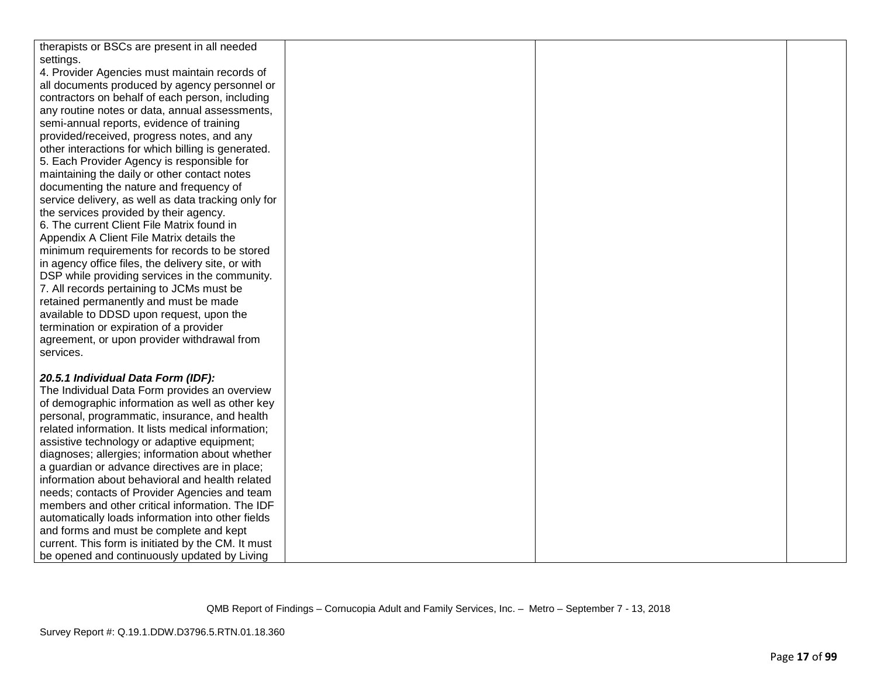| therapists or BSCs are present in all needed        |  |  |
|-----------------------------------------------------|--|--|
| settings.                                           |  |  |
| 4. Provider Agencies must maintain records of       |  |  |
| all documents produced by agency personnel or       |  |  |
| contractors on behalf of each person, including     |  |  |
| any routine notes or data, annual assessments,      |  |  |
| semi-annual reports, evidence of training           |  |  |
| provided/received, progress notes, and any          |  |  |
| other interactions for which billing is generated.  |  |  |
| 5. Each Provider Agency is responsible for          |  |  |
| maintaining the daily or other contact notes        |  |  |
| documenting the nature and frequency of             |  |  |
| service delivery, as well as data tracking only for |  |  |
| the services provided by their agency.              |  |  |
| 6. The current Client File Matrix found in          |  |  |
| Appendix A Client File Matrix details the           |  |  |
| minimum requirements for records to be stored       |  |  |
| in agency office files, the delivery site, or with  |  |  |
| DSP while providing services in the community.      |  |  |
| 7. All records pertaining to JCMs must be           |  |  |
| retained permanently and must be made               |  |  |
| available to DDSD upon request, upon the            |  |  |
| termination or expiration of a provider             |  |  |
| agreement, or upon provider withdrawal from         |  |  |
| services.                                           |  |  |
|                                                     |  |  |
| 20.5.1 Individual Data Form (IDF):                  |  |  |
| The Individual Data Form provides an overview       |  |  |
| of demographic information as well as other key     |  |  |
| personal, programmatic, insurance, and health       |  |  |
| related information. It lists medical information;  |  |  |
| assistive technology or adaptive equipment;         |  |  |
| diagnoses; allergies; information about whether     |  |  |
| a guardian or advance directives are in place;      |  |  |
| information about behavioral and health related     |  |  |
| needs; contacts of Provider Agencies and team       |  |  |
| members and other critical information. The IDF     |  |  |
| automatically loads information into other fields   |  |  |
| and forms and must be complete and kept             |  |  |
| current. This form is initiated by the CM. It must  |  |  |
| be opened and continuously updated by Living        |  |  |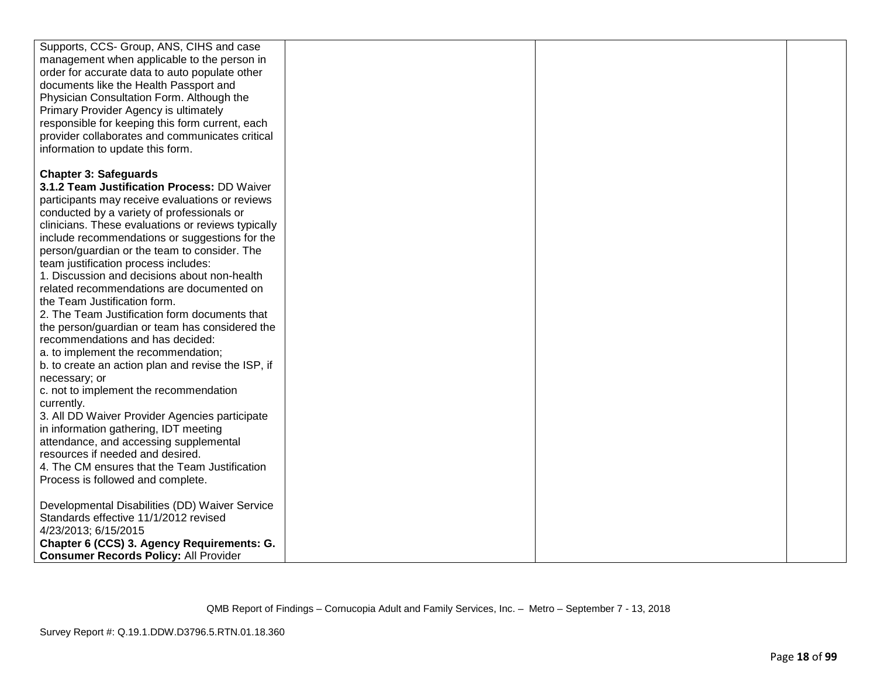| Supports, CCS- Group, ANS, CIHS and case           |  |  |
|----------------------------------------------------|--|--|
| management when applicable to the person in        |  |  |
| order for accurate data to auto populate other     |  |  |
| documents like the Health Passport and             |  |  |
| Physician Consultation Form. Although the          |  |  |
| Primary Provider Agency is ultimately              |  |  |
| responsible for keeping this form current, each    |  |  |
|                                                    |  |  |
| provider collaborates and communicates critical    |  |  |
| information to update this form.                   |  |  |
| <b>Chapter 3: Safeguards</b>                       |  |  |
| 3.1.2 Team Justification Process: DD Waiver        |  |  |
|                                                    |  |  |
| participants may receive evaluations or reviews    |  |  |
| conducted by a variety of professionals or         |  |  |
| clinicians. These evaluations or reviews typically |  |  |
| include recommendations or suggestions for the     |  |  |
| person/guardian or the team to consider. The       |  |  |
| team justification process includes:               |  |  |
| 1. Discussion and decisions about non-health       |  |  |
| related recommendations are documented on          |  |  |
| the Team Justification form.                       |  |  |
| 2. The Team Justification form documents that      |  |  |
| the person/guardian or team has considered the     |  |  |
| recommendations and has decided:                   |  |  |
| a. to implement the recommendation;                |  |  |
| b. to create an action plan and revise the ISP, if |  |  |
| necessary; or                                      |  |  |
| c. not to implement the recommendation             |  |  |
| currently.                                         |  |  |
| 3. All DD Waiver Provider Agencies participate     |  |  |
| in information gathering, IDT meeting              |  |  |
| attendance, and accessing supplemental             |  |  |
| resources if needed and desired.                   |  |  |
| 4. The CM ensures that the Team Justification      |  |  |
| Process is followed and complete.                  |  |  |
|                                                    |  |  |
| Developmental Disabilities (DD) Waiver Service     |  |  |
| Standards effective 11/1/2012 revised              |  |  |
| 4/23/2013; 6/15/2015                               |  |  |
| Chapter 6 (CCS) 3. Agency Requirements: G.         |  |  |
| <b>Consumer Records Policy: All Provider</b>       |  |  |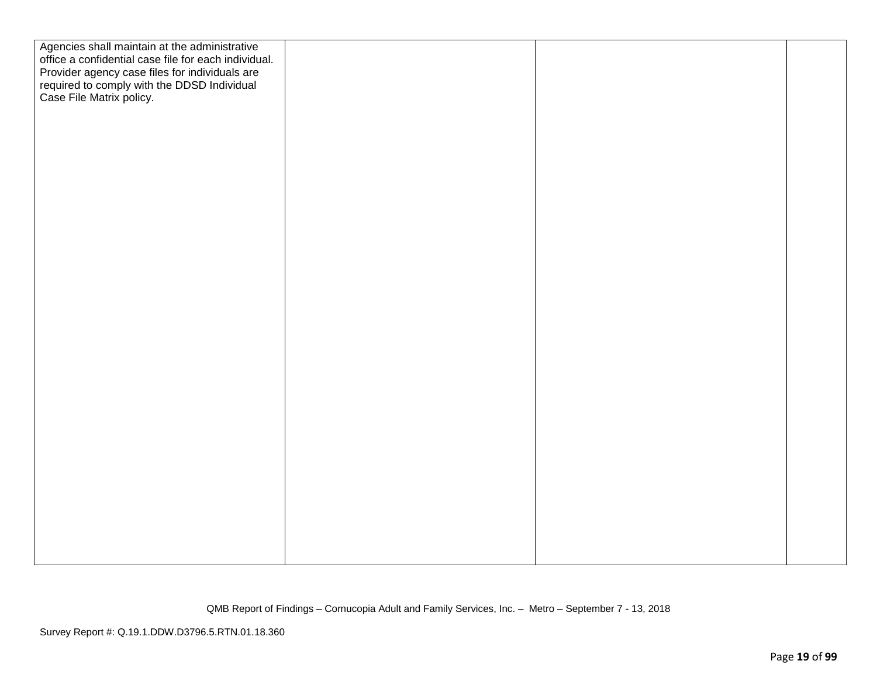| Agencies shall maintain at the administrative                                                 |  |  |
|-----------------------------------------------------------------------------------------------|--|--|
| office a confidential case file for each individual.                                          |  |  |
| Provider agency case files for individuals are<br>required to comply with the DDSD Individual |  |  |
|                                                                                               |  |  |
| Case File Matrix policy.                                                                      |  |  |
|                                                                                               |  |  |
|                                                                                               |  |  |
|                                                                                               |  |  |
|                                                                                               |  |  |
|                                                                                               |  |  |
|                                                                                               |  |  |
|                                                                                               |  |  |
|                                                                                               |  |  |
|                                                                                               |  |  |
|                                                                                               |  |  |
|                                                                                               |  |  |
|                                                                                               |  |  |
|                                                                                               |  |  |
|                                                                                               |  |  |
|                                                                                               |  |  |
|                                                                                               |  |  |
|                                                                                               |  |  |
|                                                                                               |  |  |
|                                                                                               |  |  |
|                                                                                               |  |  |
|                                                                                               |  |  |
|                                                                                               |  |  |
|                                                                                               |  |  |
|                                                                                               |  |  |
|                                                                                               |  |  |
|                                                                                               |  |  |
|                                                                                               |  |  |
|                                                                                               |  |  |
|                                                                                               |  |  |
|                                                                                               |  |  |
|                                                                                               |  |  |
|                                                                                               |  |  |
|                                                                                               |  |  |
|                                                                                               |  |  |
|                                                                                               |  |  |
|                                                                                               |  |  |
|                                                                                               |  |  |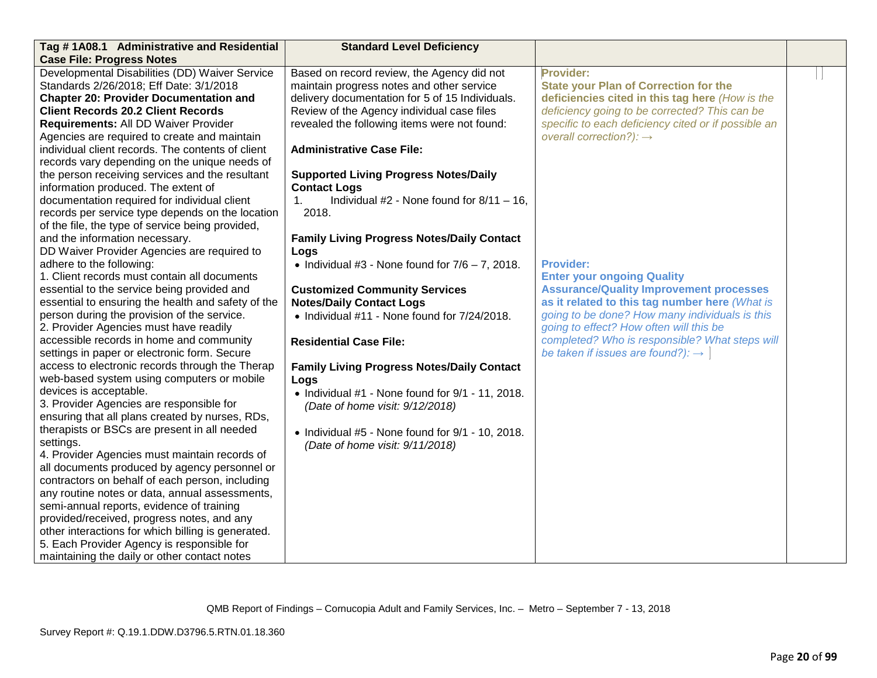| Tag #1A08.1 Administrative and Residential         | <b>Standard Level Deficiency</b>                           |                                                     |  |
|----------------------------------------------------|------------------------------------------------------------|-----------------------------------------------------|--|
| <b>Case File: Progress Notes</b>                   |                                                            |                                                     |  |
| Developmental Disabilities (DD) Waiver Service     | Based on record review, the Agency did not                 | Provider:                                           |  |
| Standards 2/26/2018; Eff Date: 3/1/2018            | maintain progress notes and other service                  | <b>State your Plan of Correction for the</b>        |  |
| <b>Chapter 20: Provider Documentation and</b>      | delivery documentation for 5 of 15 Individuals.            | deficiencies cited in this tag here (How is the     |  |
| <b>Client Records 20.2 Client Records</b>          | Review of the Agency individual case files                 | deficiency going to be corrected? This can be       |  |
| Requirements: All DD Waiver Provider               | revealed the following items were not found:               | specific to each deficiency cited or if possible an |  |
| Agencies are required to create and maintain       |                                                            | overall correction?): $\rightarrow$                 |  |
| individual client records. The contents of client  | <b>Administrative Case File:</b>                           |                                                     |  |
| records vary depending on the unique needs of      |                                                            |                                                     |  |
| the person receiving services and the resultant    | <b>Supported Living Progress Notes/Daily</b>               |                                                     |  |
| information produced. The extent of                | <b>Contact Logs</b>                                        |                                                     |  |
| documentation required for individual client       | Individual #2 - None found for $8/11 - 16$ ,<br>$1_{-}$    |                                                     |  |
| records per service type depends on the location   | 2018.                                                      |                                                     |  |
| of the file, the type of service being provided,   |                                                            |                                                     |  |
| and the information necessary.                     | <b>Family Living Progress Notes/Daily Contact</b>          |                                                     |  |
| DD Waiver Provider Agencies are required to        | Logs                                                       |                                                     |  |
| adhere to the following:                           | • Individual #3 - None found for $7/6 - 7$ , 2018.         | <b>Provider:</b>                                    |  |
| 1. Client records must contain all documents       |                                                            | <b>Enter your ongoing Quality</b>                   |  |
| essential to the service being provided and        | <b>Customized Community Services</b>                       | <b>Assurance/Quality Improvement processes</b>      |  |
| essential to ensuring the health and safety of the | <b>Notes/Daily Contact Logs</b>                            | as it related to this tag number here (What is      |  |
| person during the provision of the service.        | • Individual #11 - None found for 7/24/2018.               | going to be done? How many individuals is this      |  |
| 2. Provider Agencies must have readily             |                                                            | going to effect? How often will this be             |  |
| accessible records in home and community           | <b>Residential Case File:</b>                              | completed? Who is responsible? What steps will      |  |
| settings in paper or electronic form. Secure       |                                                            | be taken if issues are found?): $\rightarrow$       |  |
| access to electronic records through the Therap    | <b>Family Living Progress Notes/Daily Contact</b>          |                                                     |  |
| web-based system using computers or mobile         | Logs                                                       |                                                     |  |
| devices is acceptable.                             | $\bullet$ Individual #1 - None found for $9/1$ - 11, 2018. |                                                     |  |
| 3. Provider Agencies are responsible for           | (Date of home visit: 9/12/2018)                            |                                                     |  |
| ensuring that all plans created by nurses, RDs,    |                                                            |                                                     |  |
| therapists or BSCs are present in all needed       | $\bullet$ Individual #5 - None found for 9/1 - 10, 2018.   |                                                     |  |
| settings.                                          | (Date of home visit: 9/11/2018)                            |                                                     |  |
| 4. Provider Agencies must maintain records of      |                                                            |                                                     |  |
| all documents produced by agency personnel or      |                                                            |                                                     |  |
| contractors on behalf of each person, including    |                                                            |                                                     |  |
| any routine notes or data, annual assessments,     |                                                            |                                                     |  |
| semi-annual reports, evidence of training          |                                                            |                                                     |  |
| provided/received, progress notes, and any         |                                                            |                                                     |  |
| other interactions for which billing is generated. |                                                            |                                                     |  |
| 5. Each Provider Agency is responsible for         |                                                            |                                                     |  |
| maintaining the daily or other contact notes       |                                                            |                                                     |  |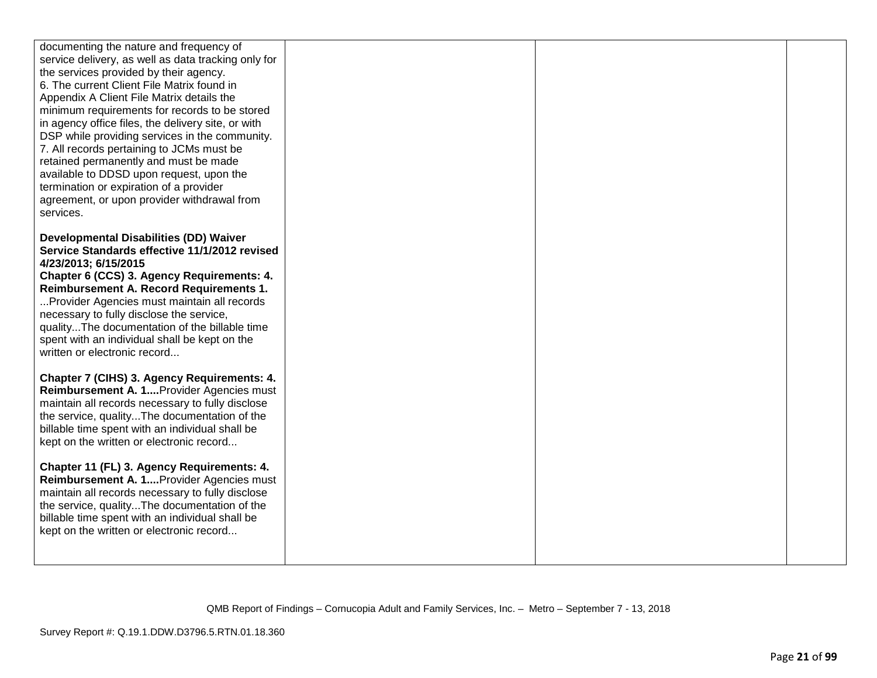| documenting the nature and frequency of                                              |  |  |
|--------------------------------------------------------------------------------------|--|--|
| service delivery, as well as data tracking only for                                  |  |  |
| the services provided by their agency.<br>6. The current Client File Matrix found in |  |  |
| Appendix A Client File Matrix details the                                            |  |  |
| minimum requirements for records to be stored                                        |  |  |
| in agency office files, the delivery site, or with                                   |  |  |
| DSP while providing services in the community.                                       |  |  |
| 7. All records pertaining to JCMs must be                                            |  |  |
| retained permanently and must be made                                                |  |  |
| available to DDSD upon request, upon the                                             |  |  |
| termination or expiration of a provider                                              |  |  |
| agreement, or upon provider withdrawal from                                          |  |  |
| services.                                                                            |  |  |
| <b>Developmental Disabilities (DD) Waiver</b>                                        |  |  |
| Service Standards effective 11/1/2012 revised                                        |  |  |
| 4/23/2013; 6/15/2015                                                                 |  |  |
| Chapter 6 (CCS) 3. Agency Requirements: 4.                                           |  |  |
| Reimbursement A. Record Requirements 1.                                              |  |  |
| Provider Agencies must maintain all records                                          |  |  |
| necessary to fully disclose the service,                                             |  |  |
| qualityThe documentation of the billable time                                        |  |  |
| spent with an individual shall be kept on the<br>written or electronic record        |  |  |
|                                                                                      |  |  |
| Chapter 7 (CIHS) 3. Agency Requirements: 4.                                          |  |  |
| Reimbursement A. 1 Provider Agencies must                                            |  |  |
| maintain all records necessary to fully disclose                                     |  |  |
| the service, qualityThe documentation of the                                         |  |  |
| billable time spent with an individual shall be                                      |  |  |
| kept on the written or electronic record                                             |  |  |
| Chapter 11 (FL) 3. Agency Requirements: 4.                                           |  |  |
| Reimbursement A. 1 Provider Agencies must                                            |  |  |
| maintain all records necessary to fully disclose                                     |  |  |
| the service, qualityThe documentation of the                                         |  |  |
| billable time spent with an individual shall be                                      |  |  |
| kept on the written or electronic record                                             |  |  |
|                                                                                      |  |  |
|                                                                                      |  |  |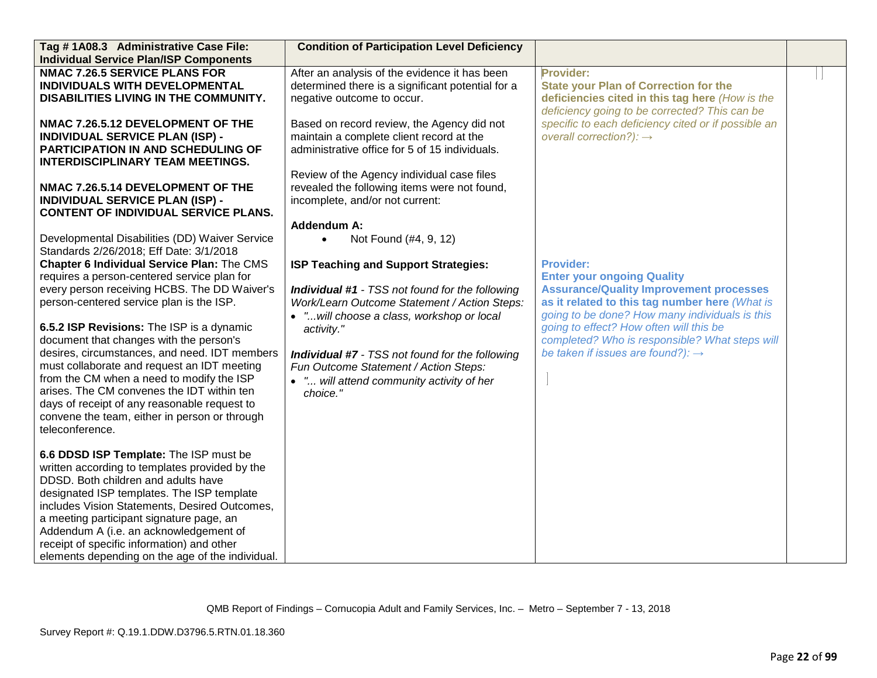| Tag #1A08.3 Administrative Case File:            | <b>Condition of Participation Level Deficiency</b>     |                                                     |  |
|--------------------------------------------------|--------------------------------------------------------|-----------------------------------------------------|--|
| <b>Individual Service Plan/ISP Components</b>    |                                                        |                                                     |  |
| <b>NMAC 7.26.5 SERVICE PLANS FOR</b>             | After an analysis of the evidence it has been          | Provider:                                           |  |
| INDIVIDUALS WITH DEVELOPMENTAL                   | determined there is a significant potential for a      | <b>State your Plan of Correction for the</b>        |  |
| DISABILITIES LIVING IN THE COMMUNITY.            | negative outcome to occur.                             | deficiencies cited in this tag here (How is the     |  |
|                                                  |                                                        | deficiency going to be corrected? This can be       |  |
| NMAC 7.26.5.12 DEVELOPMENT OF THE                | Based on record review, the Agency did not             | specific to each deficiency cited or if possible an |  |
| INDIVIDUAL SERVICE PLAN (ISP) -                  | maintain a complete client record at the               | overall correction?): $\rightarrow$                 |  |
| <b>PARTICIPATION IN AND SCHEDULING OF</b>        | administrative office for 5 of 15 individuals.         |                                                     |  |
| <b>INTERDISCIPLINARY TEAM MEETINGS.</b>          |                                                        |                                                     |  |
|                                                  | Review of the Agency individual case files             |                                                     |  |
| NMAC 7.26.5.14 DEVELOPMENT OF THE                | revealed the following items were not found,           |                                                     |  |
| <b>INDIVIDUAL SERVICE PLAN (ISP) -</b>           | incomplete, and/or not current:                        |                                                     |  |
| <b>CONTENT OF INDIVIDUAL SERVICE PLANS.</b>      |                                                        |                                                     |  |
|                                                  | <b>Addendum A:</b>                                     |                                                     |  |
| Developmental Disabilities (DD) Waiver Service   | Not Found (#4, 9, 12)<br>$\bullet$                     |                                                     |  |
| Standards 2/26/2018; Eff Date: 3/1/2018          |                                                        |                                                     |  |
| Chapter 6 Individual Service Plan: The CMS       | ISP Teaching and Support Strategies:                   | <b>Provider:</b>                                    |  |
| requires a person-centered service plan for      |                                                        | <b>Enter your ongoing Quality</b>                   |  |
| every person receiving HCBS. The DD Waiver's     | <b>Individual #1</b> - TSS not found for the following | <b>Assurance/Quality Improvement processes</b>      |  |
| person-centered service plan is the ISP.         | Work/Learn Outcome Statement / Action Steps:           | as it related to this tag number here (What is      |  |
|                                                  | • " will choose a class, workshop or local             | going to be done? How many individuals is this      |  |
| 6.5.2 ISP Revisions: The ISP is a dynamic        | activity."                                             | going to effect? How often will this be             |  |
| document that changes with the person's          |                                                        | completed? Who is responsible? What steps will      |  |
| desires, circumstances, and need. IDT members    | <b>Individual #7</b> - TSS not found for the following | be taken if issues are found?): $\rightarrow$       |  |
| must collaborate and request an IDT meeting      | Fun Outcome Statement / Action Steps:                  |                                                     |  |
| from the CM when a need to modify the ISP        | • " will attend community activity of her              |                                                     |  |
| arises. The CM convenes the IDT within ten       | choice."                                               |                                                     |  |
| days of receipt of any reasonable request to     |                                                        |                                                     |  |
| convene the team, either in person or through    |                                                        |                                                     |  |
| teleconference.                                  |                                                        |                                                     |  |
|                                                  |                                                        |                                                     |  |
| 6.6 DDSD ISP Template: The ISP must be           |                                                        |                                                     |  |
| written according to templates provided by the   |                                                        |                                                     |  |
| DDSD. Both children and adults have              |                                                        |                                                     |  |
| designated ISP templates. The ISP template       |                                                        |                                                     |  |
| includes Vision Statements, Desired Outcomes,    |                                                        |                                                     |  |
| a meeting participant signature page, an         |                                                        |                                                     |  |
| Addendum A (i.e. an acknowledgement of           |                                                        |                                                     |  |
| receipt of specific information) and other       |                                                        |                                                     |  |
| elements depending on the age of the individual. |                                                        |                                                     |  |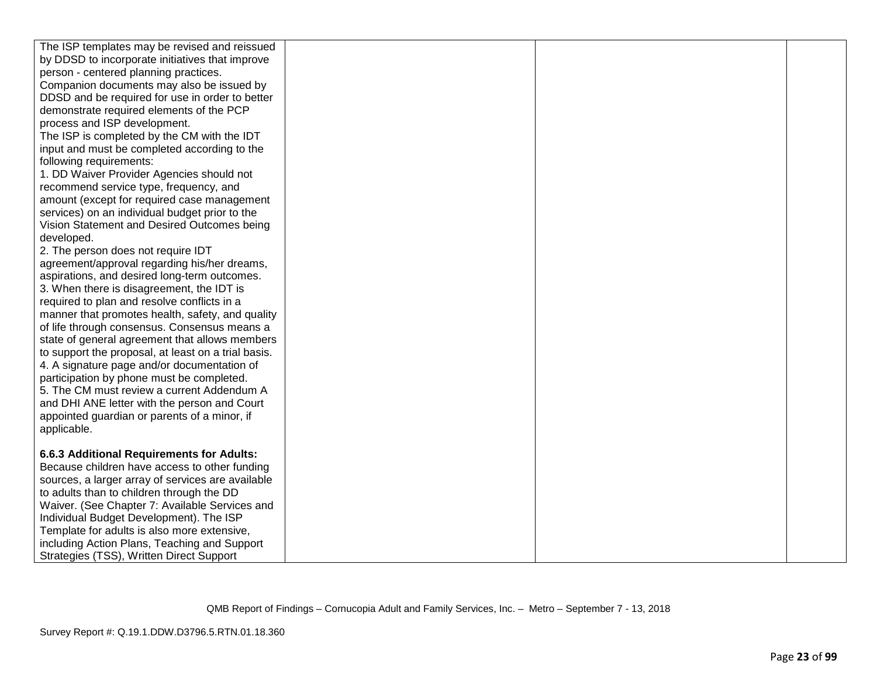| The ISP templates may be revised and reissued                                                  |  |  |
|------------------------------------------------------------------------------------------------|--|--|
| by DDSD to incorporate initiatives that improve                                                |  |  |
| person - centered planning practices.                                                          |  |  |
| Companion documents may also be issued by                                                      |  |  |
| DDSD and be required for use in order to better                                                |  |  |
| demonstrate required elements of the PCP                                                       |  |  |
| process and ISP development.                                                                   |  |  |
| The ISP is completed by the CM with the IDT                                                    |  |  |
| input and must be completed according to the                                                   |  |  |
| following requirements:                                                                        |  |  |
| 1. DD Waiver Provider Agencies should not                                                      |  |  |
| recommend service type, frequency, and                                                         |  |  |
| amount (except for required case management                                                    |  |  |
| services) on an individual budget prior to the                                                 |  |  |
| Vision Statement and Desired Outcomes being                                                    |  |  |
| developed.                                                                                     |  |  |
| 2. The person does not require IDT                                                             |  |  |
| agreement/approval regarding his/her dreams,                                                   |  |  |
| aspirations, and desired long-term outcomes.                                                   |  |  |
| 3. When there is disagreement, the IDT is                                                      |  |  |
| required to plan and resolve conflicts in a                                                    |  |  |
| manner that promotes health, safety, and quality                                               |  |  |
| of life through consensus. Consensus means a                                                   |  |  |
| state of general agreement that allows members                                                 |  |  |
| to support the proposal, at least on a trial basis.                                            |  |  |
| 4. A signature page and/or documentation of                                                    |  |  |
| participation by phone must be completed.                                                      |  |  |
| 5. The CM must review a current Addendum A                                                     |  |  |
| and DHI ANE letter with the person and Court                                                   |  |  |
| appointed guardian or parents of a minor, if                                                   |  |  |
| applicable.                                                                                    |  |  |
|                                                                                                |  |  |
| 6.6.3 Additional Requirements for Adults:<br>Because children have access to other funding     |  |  |
|                                                                                                |  |  |
| sources, a larger array of services are available<br>to adults than to children through the DD |  |  |
| Waiver. (See Chapter 7: Available Services and                                                 |  |  |
| Individual Budget Development). The ISP                                                        |  |  |
| Template for adults is also more extensive,                                                    |  |  |
|                                                                                                |  |  |
|                                                                                                |  |  |
| including Action Plans, Teaching and Support<br>Strategies (TSS), Written Direct Support       |  |  |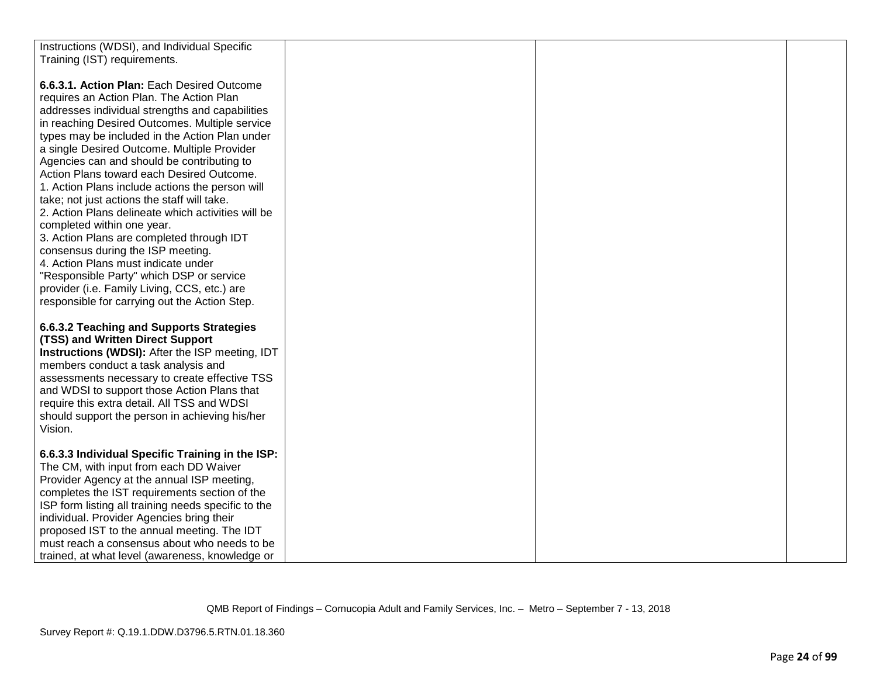| Instructions (WDSI), and Individual Specific        |  |  |
|-----------------------------------------------------|--|--|
| Training (IST) requirements.                        |  |  |
|                                                     |  |  |
| 6.6.3.1. Action Plan: Each Desired Outcome          |  |  |
| requires an Action Plan. The Action Plan            |  |  |
| addresses individual strengths and capabilities     |  |  |
| in reaching Desired Outcomes. Multiple service      |  |  |
| types may be included in the Action Plan under      |  |  |
| a single Desired Outcome. Multiple Provider         |  |  |
| Agencies can and should be contributing to          |  |  |
| Action Plans toward each Desired Outcome.           |  |  |
|                                                     |  |  |
| 1. Action Plans include actions the person will     |  |  |
| take; not just actions the staff will take.         |  |  |
| 2. Action Plans delineate which activities will be  |  |  |
| completed within one year.                          |  |  |
| 3. Action Plans are completed through IDT           |  |  |
| consensus during the ISP meeting.                   |  |  |
| 4. Action Plans must indicate under                 |  |  |
| "Responsible Party" which DSP or service            |  |  |
| provider (i.e. Family Living, CCS, etc.) are        |  |  |
| responsible for carrying out the Action Step.       |  |  |
|                                                     |  |  |
| 6.6.3.2 Teaching and Supports Strategies            |  |  |
| (TSS) and Written Direct Support                    |  |  |
| Instructions (WDSI): After the ISP meeting, IDT     |  |  |
| members conduct a task analysis and                 |  |  |
| assessments necessary to create effective TSS       |  |  |
| and WDSI to support those Action Plans that         |  |  |
| require this extra detail. All TSS and WDSI         |  |  |
| should support the person in achieving his/her      |  |  |
| Vision.                                             |  |  |
|                                                     |  |  |
| 6.6.3.3 Individual Specific Training in the ISP:    |  |  |
| The CM, with input from each DD Waiver              |  |  |
| Provider Agency at the annual ISP meeting,          |  |  |
| completes the IST requirements section of the       |  |  |
| ISP form listing all training needs specific to the |  |  |
| individual. Provider Agencies bring their           |  |  |
| proposed IST to the annual meeting. The IDT         |  |  |
| must reach a consensus about who needs to be        |  |  |
| trained, at what level (awareness, knowledge or     |  |  |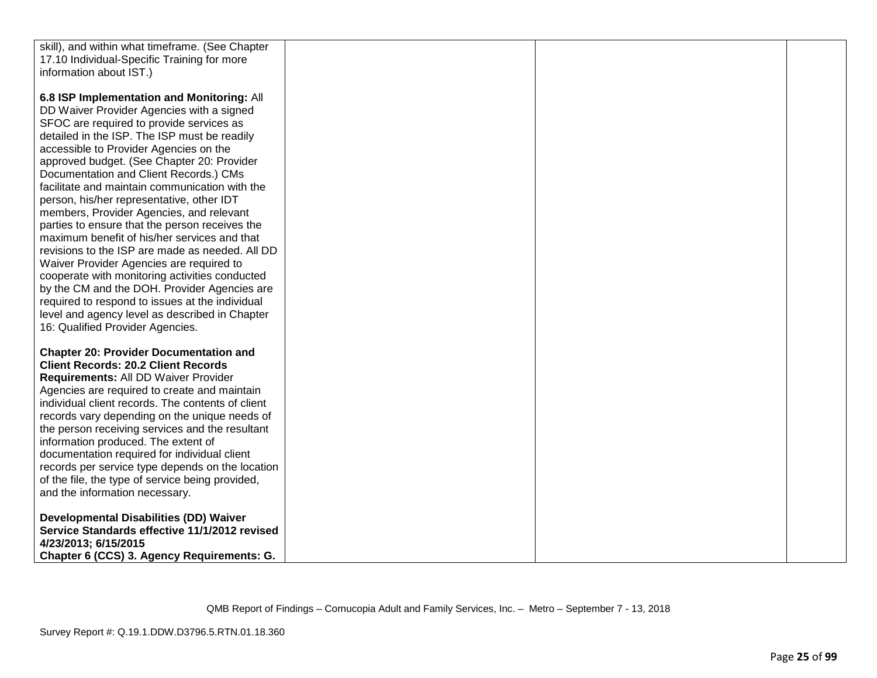| skill), and within what timeframe. (See Chapter   |  |  |
|---------------------------------------------------|--|--|
|                                                   |  |  |
| 17.10 Individual-Specific Training for more       |  |  |
| information about IST.)                           |  |  |
|                                                   |  |  |
| 6.8 ISP Implementation and Monitoring: All        |  |  |
| DD Waiver Provider Agencies with a signed         |  |  |
| SFOC are required to provide services as          |  |  |
| detailed in the ISP. The ISP must be readily      |  |  |
| accessible to Provider Agencies on the            |  |  |
| approved budget. (See Chapter 20: Provider        |  |  |
| Documentation and Client Records.) CMs            |  |  |
| facilitate and maintain communication with the    |  |  |
| person, his/her representative, other IDT         |  |  |
| members, Provider Agencies, and relevant          |  |  |
| parties to ensure that the person receives the    |  |  |
| maximum benefit of his/her services and that      |  |  |
| revisions to the ISP are made as needed. All DD   |  |  |
| Waiver Provider Agencies are required to          |  |  |
| cooperate with monitoring activities conducted    |  |  |
| by the CM and the DOH. Provider Agencies are      |  |  |
| required to respond to issues at the individual   |  |  |
| level and agency level as described in Chapter    |  |  |
| 16: Qualified Provider Agencies.                  |  |  |
|                                                   |  |  |
| <b>Chapter 20: Provider Documentation and</b>     |  |  |
|                                                   |  |  |
| <b>Client Records: 20.2 Client Records</b>        |  |  |
| Requirements: All DD Waiver Provider              |  |  |
| Agencies are required to create and maintain      |  |  |
| individual client records. The contents of client |  |  |
| records vary depending on the unique needs of     |  |  |
| the person receiving services and the resultant   |  |  |
| information produced. The extent of               |  |  |
| documentation required for individual client      |  |  |
| records per service type depends on the location  |  |  |
| of the file, the type of service being provided,  |  |  |
| and the information necessary.                    |  |  |
|                                                   |  |  |
| <b>Developmental Disabilities (DD) Waiver</b>     |  |  |
| Service Standards effective 11/1/2012 revised     |  |  |
| 4/23/2013; 6/15/2015                              |  |  |
| Chapter 6 (CCS) 3. Agency Requirements: G.        |  |  |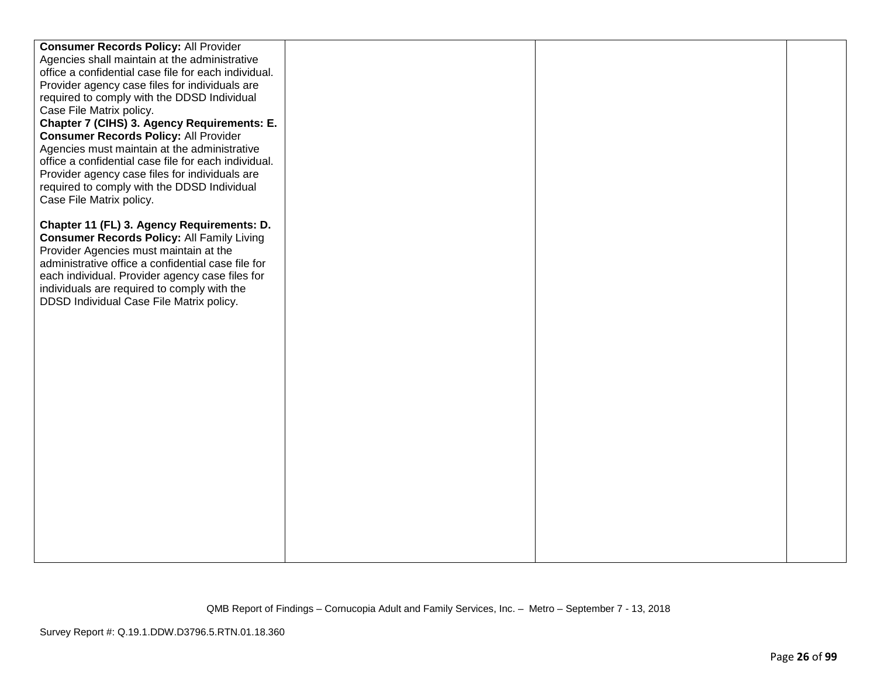| <b>Consumer Records Policy: All Provider</b>         |  |  |
|------------------------------------------------------|--|--|
| Agencies shall maintain at the administrative        |  |  |
| office a confidential case file for each individual. |  |  |
| Provider agency case files for individuals are       |  |  |
| required to comply with the DDSD Individual          |  |  |
| Case File Matrix policy.                             |  |  |
| Chapter 7 (CIHS) 3. Agency Requirements: E.          |  |  |
| <b>Consumer Records Policy: All Provider</b>         |  |  |
| Agencies must maintain at the administrative         |  |  |
| office a confidential case file for each individual. |  |  |
| Provider agency case files for individuals are       |  |  |
| required to comply with the DDSD Individual          |  |  |
| Case File Matrix policy.                             |  |  |
|                                                      |  |  |
| Chapter 11 (FL) 3. Agency Requirements: D.           |  |  |
| <b>Consumer Records Policy: All Family Living</b>    |  |  |
| Provider Agencies must maintain at the               |  |  |
| administrative office a confidential case file for   |  |  |
| each individual. Provider agency case files for      |  |  |
| individuals are required to comply with the          |  |  |
| DDSD Individual Case File Matrix policy.             |  |  |
|                                                      |  |  |
|                                                      |  |  |
|                                                      |  |  |
|                                                      |  |  |
|                                                      |  |  |
|                                                      |  |  |
|                                                      |  |  |
|                                                      |  |  |
|                                                      |  |  |
|                                                      |  |  |
|                                                      |  |  |
|                                                      |  |  |
|                                                      |  |  |
|                                                      |  |  |
|                                                      |  |  |
|                                                      |  |  |
|                                                      |  |  |
|                                                      |  |  |
|                                                      |  |  |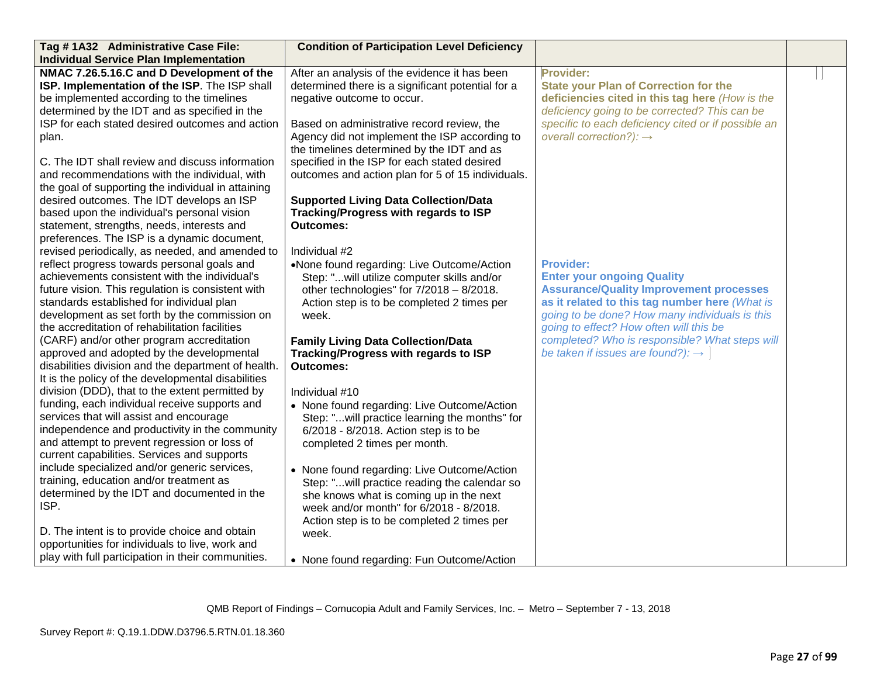| Tag #1A32 Administrative Case File:                                                                                                                                                   | <b>Condition of Participation Level Deficiency</b>                                                                                        |                                                                                                                                       |  |
|---------------------------------------------------------------------------------------------------------------------------------------------------------------------------------------|-------------------------------------------------------------------------------------------------------------------------------------------|---------------------------------------------------------------------------------------------------------------------------------------|--|
| <b>Individual Service Plan Implementation</b>                                                                                                                                         |                                                                                                                                           |                                                                                                                                       |  |
| NMAC 7.26.5.16.C and D Development of the<br>ISP. Implementation of the ISP. The ISP shall<br>be implemented according to the timelines                                               | After an analysis of the evidence it has been<br>determined there is a significant potential for a<br>negative outcome to occur.          | Provider:<br><b>State your Plan of Correction for the</b><br>deficiencies cited in this tag here (How is the                          |  |
| determined by the IDT and as specified in the                                                                                                                                         |                                                                                                                                           | deficiency going to be corrected? This can be                                                                                         |  |
| ISP for each stated desired outcomes and action<br>plan.                                                                                                                              | Based on administrative record review, the<br>Agency did not implement the ISP according to<br>the timelines determined by the IDT and as | specific to each deficiency cited or if possible an<br>overall correction?): $\rightarrow$                                            |  |
| C. The IDT shall review and discuss information<br>and recommendations with the individual, with                                                                                      | specified in the ISP for each stated desired<br>outcomes and action plan for 5 of 15 individuals.                                         |                                                                                                                                       |  |
| the goal of supporting the individual in attaining                                                                                                                                    |                                                                                                                                           |                                                                                                                                       |  |
| desired outcomes. The IDT develops an ISP<br>based upon the individual's personal vision<br>statement, strengths, needs, interests and<br>preferences. The ISP is a dynamic document, | <b>Supported Living Data Collection/Data</b><br>Tracking/Progress with regards to ISP<br><b>Outcomes:</b>                                 |                                                                                                                                       |  |
| revised periodically, as needed, and amended to                                                                                                                                       | Individual #2                                                                                                                             |                                                                                                                                       |  |
| reflect progress towards personal goals and                                                                                                                                           | •None found regarding: Live Outcome/Action                                                                                                | <b>Provider:</b>                                                                                                                      |  |
| achievements consistent with the individual's<br>future vision. This regulation is consistent with<br>standards established for individual plan                                       | Step: "will utilize computer skills and/or<br>other technologies" for $7/2018 - 8/2018$ .<br>Action step is to be completed 2 times per   | <b>Enter your ongoing Quality</b><br><b>Assurance/Quality Improvement processes</b><br>as it related to this tag number here (What is |  |
| development as set forth by the commission on<br>the accreditation of rehabilitation facilities                                                                                       | week.                                                                                                                                     | going to be done? How many individuals is this<br>going to effect? How often will this be                                             |  |
| (CARF) and/or other program accreditation                                                                                                                                             | <b>Family Living Data Collection/Data</b>                                                                                                 | completed? Who is responsible? What steps will                                                                                        |  |
| approved and adopted by the developmental<br>disabilities division and the department of health.                                                                                      | Tracking/Progress with regards to ISP<br><b>Outcomes:</b>                                                                                 | be taken if issues are found?): $\rightarrow$                                                                                         |  |
| It is the policy of the developmental disabilities                                                                                                                                    |                                                                                                                                           |                                                                                                                                       |  |
| division (DDD), that to the extent permitted by                                                                                                                                       | Individual #10                                                                                                                            |                                                                                                                                       |  |
| funding, each individual receive supports and<br>services that will assist and encourage<br>independence and productivity in the community                                            | • None found regarding: Live Outcome/Action<br>Step: "will practice learning the months" for<br>6/2018 - 8/2018. Action step is to be     |                                                                                                                                       |  |
| and attempt to prevent regression or loss of<br>current capabilities. Services and supports                                                                                           | completed 2 times per month.                                                                                                              |                                                                                                                                       |  |
| include specialized and/or generic services,<br>training, education and/or treatment as                                                                                               | • None found regarding: Live Outcome/Action                                                                                               |                                                                                                                                       |  |
| determined by the IDT and documented in the<br>ISP.                                                                                                                                   | Step: "will practice reading the calendar so<br>she knows what is coming up in the next<br>week and/or month" for 6/2018 - 8/2018.        |                                                                                                                                       |  |
|                                                                                                                                                                                       | Action step is to be completed 2 times per                                                                                                |                                                                                                                                       |  |
| D. The intent is to provide choice and obtain<br>opportunities for individuals to live, work and                                                                                      | week.                                                                                                                                     |                                                                                                                                       |  |
| play with full participation in their communities.                                                                                                                                    | • None found regarding: Fun Outcome/Action                                                                                                |                                                                                                                                       |  |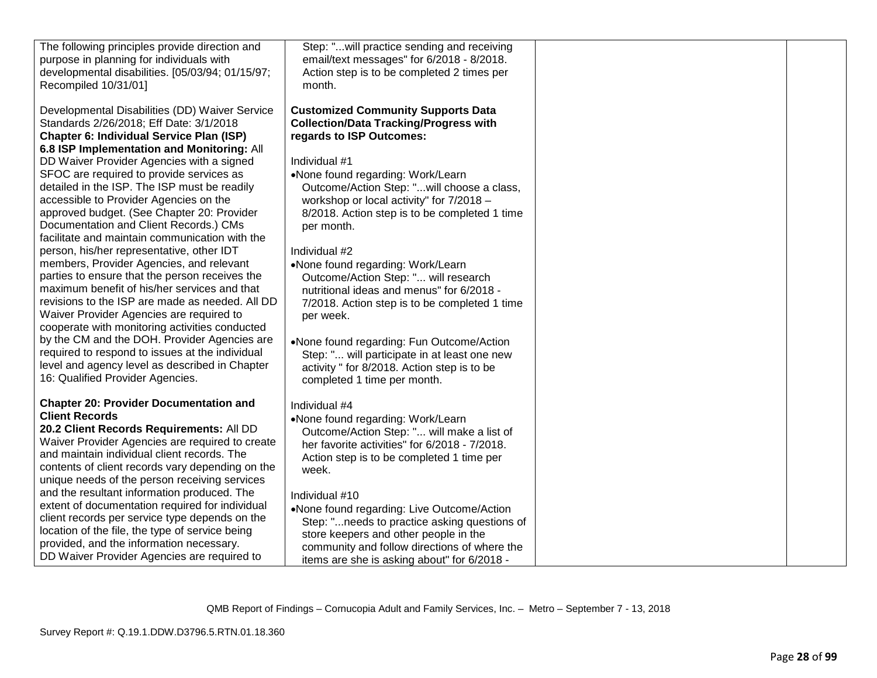| The following principles provide direction and<br>purpose in planning for individuals with<br>developmental disabilities. [05/03/94; 01/15/97;<br>Recompiled 10/31/01]                                                                                                                                                                                                                                                                                                                                                                                        | Step: "will practice sending and receiving<br>email/text messages" for 6/2018 - 8/2018.<br>Action step is to be completed 2 times per<br>month.                                                                                                                                                                                                                  |  |
|---------------------------------------------------------------------------------------------------------------------------------------------------------------------------------------------------------------------------------------------------------------------------------------------------------------------------------------------------------------------------------------------------------------------------------------------------------------------------------------------------------------------------------------------------------------|------------------------------------------------------------------------------------------------------------------------------------------------------------------------------------------------------------------------------------------------------------------------------------------------------------------------------------------------------------------|--|
| Developmental Disabilities (DD) Waiver Service<br>Standards 2/26/2018; Eff Date: 3/1/2018<br>Chapter 6: Individual Service Plan (ISP)<br>6.8 ISP Implementation and Monitoring: All<br>DD Waiver Provider Agencies with a signed<br>SFOC are required to provide services as<br>detailed in the ISP. The ISP must be readily<br>accessible to Provider Agencies on the<br>approved budget. (See Chapter 20: Provider<br>Documentation and Client Records.) CMs<br>facilitate and maintain communication with the<br>person, his/her representative, other IDT | <b>Customized Community Supports Data</b><br><b>Collection/Data Tracking/Progress with</b><br>regards to ISP Outcomes:<br>Individual #1<br>•None found regarding: Work/Learn<br>Outcome/Action Step: "will choose a class,<br>workshop or local activity" for 7/2018 -<br>8/2018. Action step is to be completed 1 time<br>per month.<br>Individual #2           |  |
| members, Provider Agencies, and relevant<br>parties to ensure that the person receives the<br>maximum benefit of his/her services and that<br>revisions to the ISP are made as needed. All DD<br>Waiver Provider Agencies are required to<br>cooperate with monitoring activities conducted<br>by the CM and the DOH. Provider Agencies are<br>required to respond to issues at the individual<br>level and agency level as described in Chapter<br>16: Qualified Provider Agencies.                                                                          | •None found regarding: Work/Learn<br>Outcome/Action Step: " will research<br>nutritional ideas and menus" for 6/2018 -<br>7/2018. Action step is to be completed 1 time<br>per week.<br>•None found regarding: Fun Outcome/Action<br>Step: " will participate in at least one new<br>activity " for 8/2018. Action step is to be<br>completed 1 time per month.  |  |
| <b>Chapter 20: Provider Documentation and</b><br><b>Client Records</b><br>20.2 Client Records Requirements: All DD<br>Waiver Provider Agencies are required to create<br>and maintain individual client records. The<br>contents of client records vary depending on the<br>unique needs of the person receiving services<br>and the resultant information produced. The<br>extent of documentation required for individual<br>client records per service type depends on the<br>location of the file, the type of service being                              | Individual #4<br>•None found regarding: Work/Learn<br>Outcome/Action Step: " will make a list of<br>her favorite activities" for 6/2018 - 7/2018.<br>Action step is to be completed 1 time per<br>week.<br>Individual #10<br>•None found regarding: Live Outcome/Action<br>Step: "needs to practice asking questions of<br>store keepers and other people in the |  |
| provided, and the information necessary.<br>DD Waiver Provider Agencies are required to                                                                                                                                                                                                                                                                                                                                                                                                                                                                       | community and follow directions of where the<br>items are she is asking about" for 6/2018 -                                                                                                                                                                                                                                                                      |  |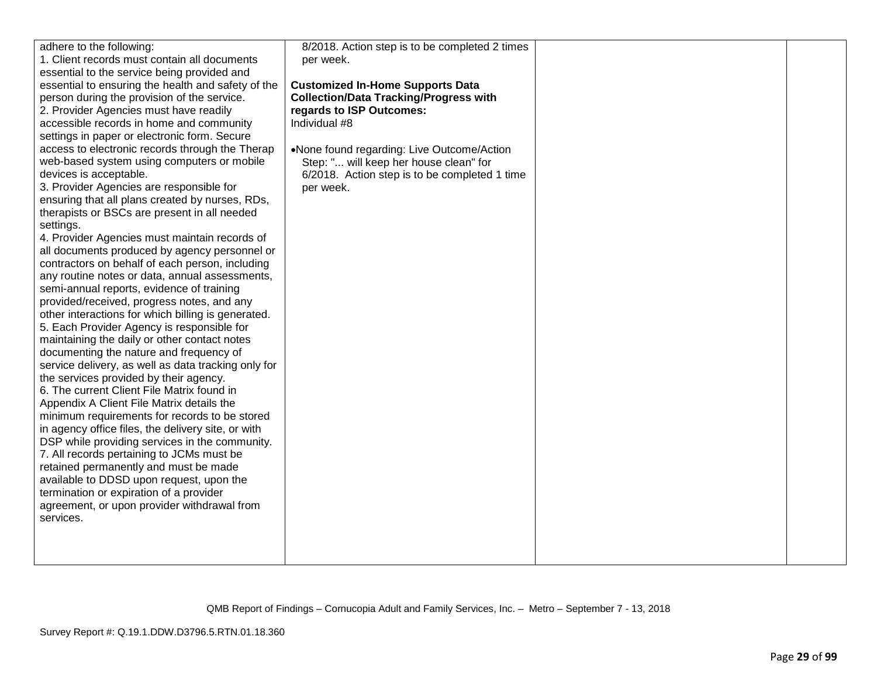| adhere to the following:                                                             | 8/2018. Action step is to be completed 2 times |  |
|--------------------------------------------------------------------------------------|------------------------------------------------|--|
| 1. Client records must contain all documents                                         | per week.                                      |  |
| essential to the service being provided and                                          |                                                |  |
| essential to ensuring the health and safety of the                                   | <b>Customized In-Home Supports Data</b>        |  |
| person during the provision of the service.                                          | <b>Collection/Data Tracking/Progress with</b>  |  |
| 2. Provider Agencies must have readily                                               | regards to ISP Outcomes:                       |  |
| accessible records in home and community                                             | Individual #8                                  |  |
| settings in paper or electronic form. Secure                                         |                                                |  |
| access to electronic records through the Therap                                      | •None found regarding: Live Outcome/Action     |  |
| web-based system using computers or mobile                                           | Step: " will keep her house clean" for         |  |
| devices is acceptable.                                                               | 6/2018. Action step is to be completed 1 time  |  |
| 3. Provider Agencies are responsible for                                             | per week.                                      |  |
| ensuring that all plans created by nurses, RDs,                                      |                                                |  |
| therapists or BSCs are present in all needed                                         |                                                |  |
| settings.                                                                            |                                                |  |
| 4. Provider Agencies must maintain records of                                        |                                                |  |
| all documents produced by agency personnel or                                        |                                                |  |
| contractors on behalf of each person, including                                      |                                                |  |
| any routine notes or data, annual assessments,                                       |                                                |  |
| semi-annual reports, evidence of training                                            |                                                |  |
| provided/received, progress notes, and any                                           |                                                |  |
| other interactions for which billing is generated.                                   |                                                |  |
| 5. Each Provider Agency is responsible for                                           |                                                |  |
| maintaining the daily or other contact notes                                         |                                                |  |
| documenting the nature and frequency of                                              |                                                |  |
| service delivery, as well as data tracking only for                                  |                                                |  |
|                                                                                      |                                                |  |
| the services provided by their agency.<br>6. The current Client File Matrix found in |                                                |  |
|                                                                                      |                                                |  |
| Appendix A Client File Matrix details the                                            |                                                |  |
| minimum requirements for records to be stored                                        |                                                |  |
| in agency office files, the delivery site, or with                                   |                                                |  |
| DSP while providing services in the community.                                       |                                                |  |
| 7. All records pertaining to JCMs must be                                            |                                                |  |
| retained permanently and must be made                                                |                                                |  |
| available to DDSD upon request, upon the                                             |                                                |  |
| termination or expiration of a provider                                              |                                                |  |
| agreement, or upon provider withdrawal from                                          |                                                |  |
| services.                                                                            |                                                |  |
|                                                                                      |                                                |  |
|                                                                                      |                                                |  |
|                                                                                      |                                                |  |
|                                                                                      |                                                |  |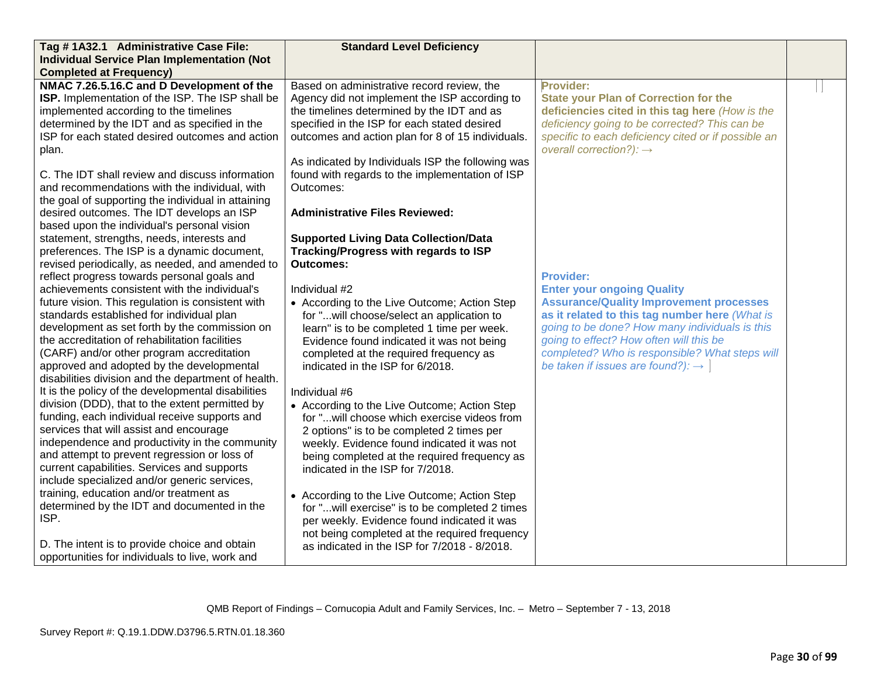| Tag #1A32.1 Administrative Case File:               | <b>Standard Level Deficiency</b>                  |                                                     |  |
|-----------------------------------------------------|---------------------------------------------------|-----------------------------------------------------|--|
| <b>Individual Service Plan Implementation (Not</b>  |                                                   |                                                     |  |
| <b>Completed at Frequency)</b>                      |                                                   |                                                     |  |
| NMAC 7.26.5.16.C and D Development of the           | Based on administrative record review, the        | Provider:                                           |  |
| ISP. Implementation of the ISP. The ISP shall be    | Agency did not implement the ISP according to     | <b>State your Plan of Correction for the</b>        |  |
| implemented according to the timelines              | the timelines determined by the IDT and as        | deficiencies cited in this tag here (How is the     |  |
| determined by the IDT and as specified in the       | specified in the ISP for each stated desired      | deficiency going to be corrected? This can be       |  |
| ISP for each stated desired outcomes and action     | outcomes and action plan for 8 of 15 individuals. | specific to each deficiency cited or if possible an |  |
| plan.                                               |                                                   | overall correction?): $\rightarrow$                 |  |
|                                                     | As indicated by Individuals ISP the following was |                                                     |  |
| C. The IDT shall review and discuss information     | found with regards to the implementation of ISP   |                                                     |  |
| and recommendations with the individual, with       | Outcomes:                                         |                                                     |  |
| the goal of supporting the individual in attaining  |                                                   |                                                     |  |
| desired outcomes. The IDT develops an ISP           | <b>Administrative Files Reviewed:</b>             |                                                     |  |
| based upon the individual's personal vision         |                                                   |                                                     |  |
| statement, strengths, needs, interests and          | <b>Supported Living Data Collection/Data</b>      |                                                     |  |
| preferences. The ISP is a dynamic document,         | Tracking/Progress with regards to ISP             |                                                     |  |
| revised periodically, as needed, and amended to     | <b>Outcomes:</b>                                  |                                                     |  |
| reflect progress towards personal goals and         |                                                   | <b>Provider:</b>                                    |  |
| achievements consistent with the individual's       | Individual #2                                     | <b>Enter your ongoing Quality</b>                   |  |
| future vision. This regulation is consistent with   | • According to the Live Outcome; Action Step      | <b>Assurance/Quality Improvement processes</b>      |  |
| standards established for individual plan           | for "will choose/select an application to         | as it related to this tag number here (What is      |  |
| development as set forth by the commission on       | learn" is to be completed 1 time per week.        | going to be done? How many individuals is this      |  |
| the accreditation of rehabilitation facilities      | Evidence found indicated it was not being         | going to effect? How often will this be             |  |
| (CARF) and/or other program accreditation           | completed at the required frequency as            | completed? Who is responsible? What steps will      |  |
| approved and adopted by the developmental           | indicated in the ISP for 6/2018.                  | be taken if issues are found?): $\rightarrow$       |  |
| disabilities division and the department of health. |                                                   |                                                     |  |
| It is the policy of the developmental disabilities  | Individual #6                                     |                                                     |  |
| division (DDD), that to the extent permitted by     | • According to the Live Outcome; Action Step      |                                                     |  |
| funding, each individual receive supports and       | for "will choose which exercise videos from       |                                                     |  |
| services that will assist and encourage             | 2 options" is to be completed 2 times per         |                                                     |  |
| independence and productivity in the community      | weekly. Evidence found indicated it was not       |                                                     |  |
| and attempt to prevent regression or loss of        | being completed at the required frequency as      |                                                     |  |
| current capabilities. Services and supports         | indicated in the ISP for 7/2018.                  |                                                     |  |
| include specialized and/or generic services,        |                                                   |                                                     |  |
| training, education and/or treatment as             | • According to the Live Outcome; Action Step      |                                                     |  |
| determined by the IDT and documented in the         | for "will exercise" is to be completed 2 times    |                                                     |  |
| ISP.                                                | per weekly. Evidence found indicated it was       |                                                     |  |
|                                                     | not being completed at the required frequency     |                                                     |  |
| D. The intent is to provide choice and obtain       | as indicated in the ISP for 7/2018 - 8/2018.      |                                                     |  |
| opportunities for individuals to live, work and     |                                                   |                                                     |  |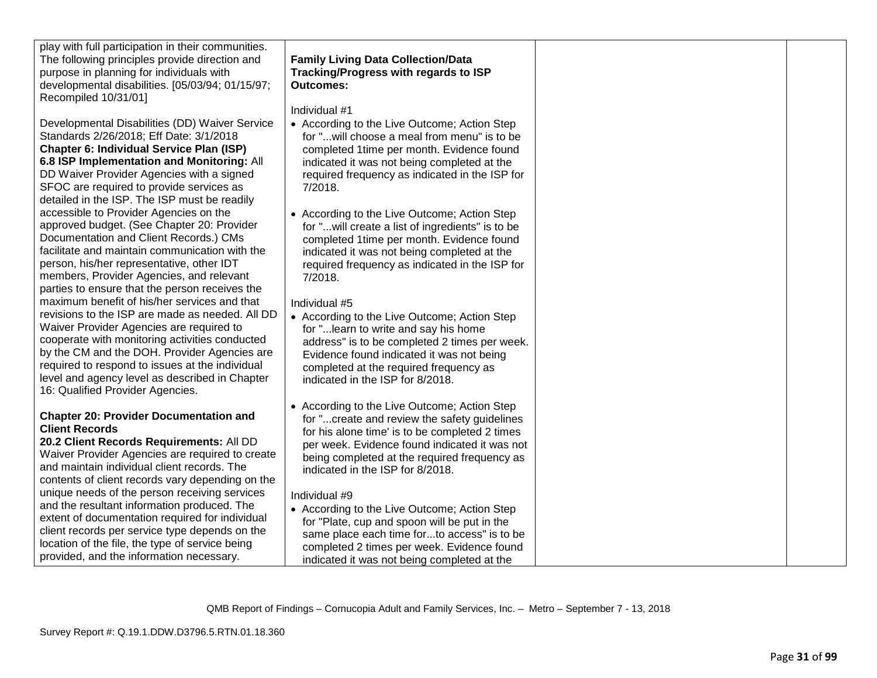play with full participation in their communities. The following principles provide direction and purpose in planning for individuals with developmental disabilities. [05/03/94; 01/15/97; Recompiled 10/31/01]

Developmental Disabilities (DD) Waiver Service Standards 2/26/2018; Eff Date: 3/1/2018 **Chapter 6: Individual Service Plan (ISP) 6.8 ISP Implementation and Monitoring:** All DD Waiver Provider Agencies with a signed SFOC are required to provide services as detailed in the ISP. The ISP must be readily accessible to Provider Agencies on the approved budget. (See Chapter 20: Provider Documentation and Client Records.) CMs facilitate and maintain communication with the person, his/her representative, other IDT members, Provider Agencies, and relevant parties to ensure that the person receives the maximum benefit of his/her services and that revisions to the ISP are made as needed. All DD Waiver Provider Agencies are required to cooperate with monitoring activities conducted by the CM and the DOH. Provider Agencies are required to respond to issues at the individual level and agency level as described in Chapter 16: Qualified Provider Agencies.

# **Chapter 20: Provider Documentation and Client Records**

**20.2 Client Records Requirements:** All DD Waiver Provider Agencies are required to create and maintain individual client records. The contents of client records vary depending on the unique needs of the person receiving services and the resultant information produced. The extent of documentation required for individual client records per service type depends on the location of the file, the type of service being provided, and the information necessary.

# **Family Living Data Collection/Data Tracking/Progress with regards to ISP Outcomes:**

Individual #1

- According to the Live Outcome; Action Step for "...will choose a meal from menu" is to be completed 1time per month. Evidence found indicated it was not being completed at the required frequency as indicated in the ISP for 7/2018.
- According to the Live Outcome; Action Step for "...will create a list of ingredients" is to be completed 1time per month. Evidence found indicated it was not being completed at the required frequency as indicated in the ISP for 7/2018.

Individual #5

- According to the Live Outcome; Action Step for "...learn to write and say his home address" is to be completed 2 times per week. Evidence found indicated it was not being completed at the required frequency as indicated in the ISP for 8/2018.
- According to the Live Outcome; Action Step for "...create and review the safety guidelines for his alone time' is to be completed 2 times per week. Evidence found indicated it was not being completed at the required frequency as indicated in the ISP for 8/2018.

# Individual #9

• According to the Live Outcome; Action Step for "Plate, cup and spoon will be put in the same place each time for...to access" is to be completed 2 times per week. Evidence found indicated it was not being completed at the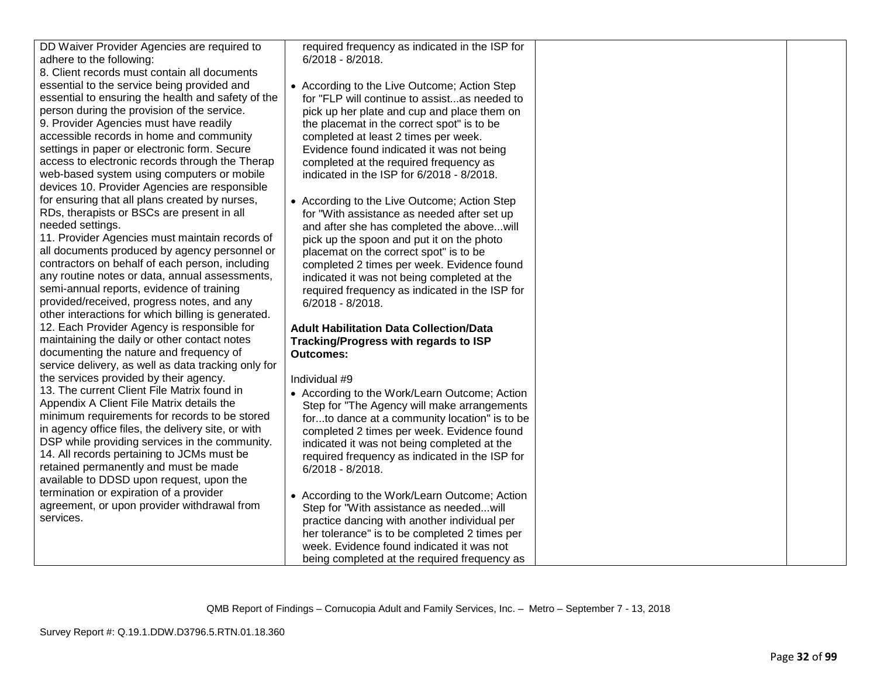DD Waiver Provider Agencies are required to adhere to the following:

8. Client records must contain all documents essential to the service being provided and essential to ensuring the health and safety of the person during the provision of the service. 9. Provider Agencies must have readily accessible records in home and community settings in paper or electronic form. Secure access to electronic records through the Therap web-based system using computers or mobile devices 10. Provider Agencies are responsible for ensuring that all plans created by nurses, RDs, therapists or BSCs are present in all needed settings.

11. Provider Agencies must maintain records of all documents produced by agency personnel or contractors on behalf of each person, including any routine notes or data, annual assessments, semi-annual reports, evidence of training provided/received, progress notes, and any other interactions for which billing is generated. 12. Each Provider Agency is responsible for maintaining the daily or other contact notes documenting the nature and frequency of service delivery, as well as data tracking only for the services provided by their agency. 13. The current Client File Matrix found in Appendix A Client File Matrix details the minimum requirements for records to be stored in agency office files, the delivery site, or with DSP while providing services in the community. 14. All records pertaining to JCMs must be retained permanently and must be made available to DDSD upon request, upon the termination or expiration of a provider agreement, or upon provider withdrawal from services.

required frequency as indicated in the ISP for 6/2018 - 8/2018.

- According to the Live Outcome; Action Step for "FLP will continue to assist...as needed to pick up her plate and cup and place them on the placemat in the correct spot" is to be completed at least 2 times per week. Evidence found indicated it was not being completed at the required frequency as indicated in the ISP for 6/2018 - 8/2018.
- According to the Live Outcome; Action Step for "With assistance as needed after set up and after she has completed the above...will pick up the spoon and put it on the photo placemat on the correct spot" is to be completed 2 times per week. Evidence found indicated it was not being completed at the required frequency as indicated in the ISP for 6/2018 - 8/2018.

# **Adult Habilitation Data Collection/Data Tracking/Progress with regards to ISP Outcomes:**

Individual #9

- According to the Work/Learn Outcome; Action Step for "The Agency will make arrangements for...to dance at a community location" is to be completed 2 times per week. Evidence found indicated it was not being completed at the required frequency as indicated in the ISP for 6/2018 - 8/2018.
- According to the Work/Learn Outcome; Action Step for "With assistance as needed...will practice dancing with another individual per her tolerance" is to be completed 2 times per week. Evidence found indicated it was not being completed at the required frequency as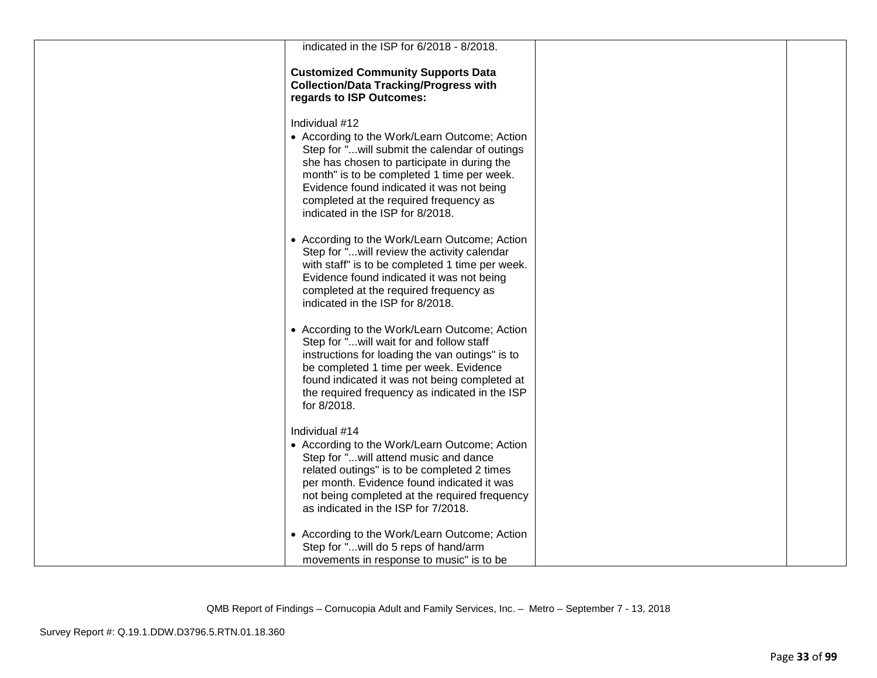| indicated in the ISP for 6/2018 - 8/2018.                                                                                                                                                                                                                                                                                                |  |
|------------------------------------------------------------------------------------------------------------------------------------------------------------------------------------------------------------------------------------------------------------------------------------------------------------------------------------------|--|
| <b>Customized Community Supports Data</b><br><b>Collection/Data Tracking/Progress with</b><br>regards to ISP Outcomes:                                                                                                                                                                                                                   |  |
| Individual #12<br>• According to the Work/Learn Outcome; Action<br>Step for "will submit the calendar of outings<br>she has chosen to participate in during the<br>month" is to be completed 1 time per week.<br>Evidence found indicated it was not being<br>completed at the required frequency as<br>indicated in the ISP for 8/2018. |  |
| • According to the Work/Learn Outcome; Action<br>Step for "will review the activity calendar<br>with staff" is to be completed 1 time per week.<br>Evidence found indicated it was not being<br>completed at the required frequency as<br>indicated in the ISP for 8/2018.                                                               |  |
| • According to the Work/Learn Outcome; Action<br>Step for "will wait for and follow staff<br>instructions for loading the van outings" is to<br>be completed 1 time per week. Evidence<br>found indicated it was not being completed at<br>the required frequency as indicated in the ISP<br>for 8/2018.                                 |  |
| Individual #14<br>• According to the Work/Learn Outcome; Action<br>Step for " will attend music and dance<br>related outings" is to be completed 2 times<br>per month. Evidence found indicated it was<br>not being completed at the required frequency<br>as indicated in the ISP for 7/2018.                                           |  |
| • According to the Work/Learn Outcome; Action<br>Step for "will do 5 reps of hand/arm<br>movements in response to music" is to be                                                                                                                                                                                                        |  |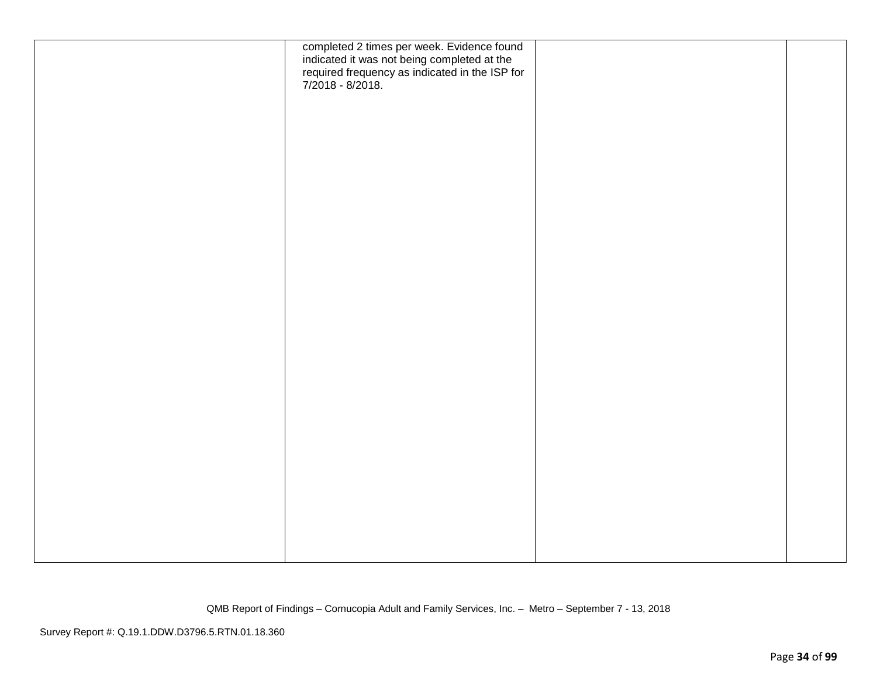| completed 2 times per week. Evidence found<br>indicated it was not being completed at the<br>required frequency as indicated in the ISP for<br>7/2018 - 8/2018. |  |
|-----------------------------------------------------------------------------------------------------------------------------------------------------------------|--|
|                                                                                                                                                                 |  |
|                                                                                                                                                                 |  |
|                                                                                                                                                                 |  |
|                                                                                                                                                                 |  |
|                                                                                                                                                                 |  |
|                                                                                                                                                                 |  |
|                                                                                                                                                                 |  |
|                                                                                                                                                                 |  |
|                                                                                                                                                                 |  |
|                                                                                                                                                                 |  |
|                                                                                                                                                                 |  |
|                                                                                                                                                                 |  |
|                                                                                                                                                                 |  |
|                                                                                                                                                                 |  |
|                                                                                                                                                                 |  |
|                                                                                                                                                                 |  |
|                                                                                                                                                                 |  |
|                                                                                                                                                                 |  |
|                                                                                                                                                                 |  |
|                                                                                                                                                                 |  |
|                                                                                                                                                                 |  |
|                                                                                                                                                                 |  |
|                                                                                                                                                                 |  |
|                                                                                                                                                                 |  |
|                                                                                                                                                                 |  |
|                                                                                                                                                                 |  |
|                                                                                                                                                                 |  |
|                                                                                                                                                                 |  |
|                                                                                                                                                                 |  |
|                                                                                                                                                                 |  |
|                                                                                                                                                                 |  |
|                                                                                                                                                                 |  |
|                                                                                                                                                                 |  |
|                                                                                                                                                                 |  |
|                                                                                                                                                                 |  |
|                                                                                                                                                                 |  |
|                                                                                                                                                                 |  |
|                                                                                                                                                                 |  |
|                                                                                                                                                                 |  |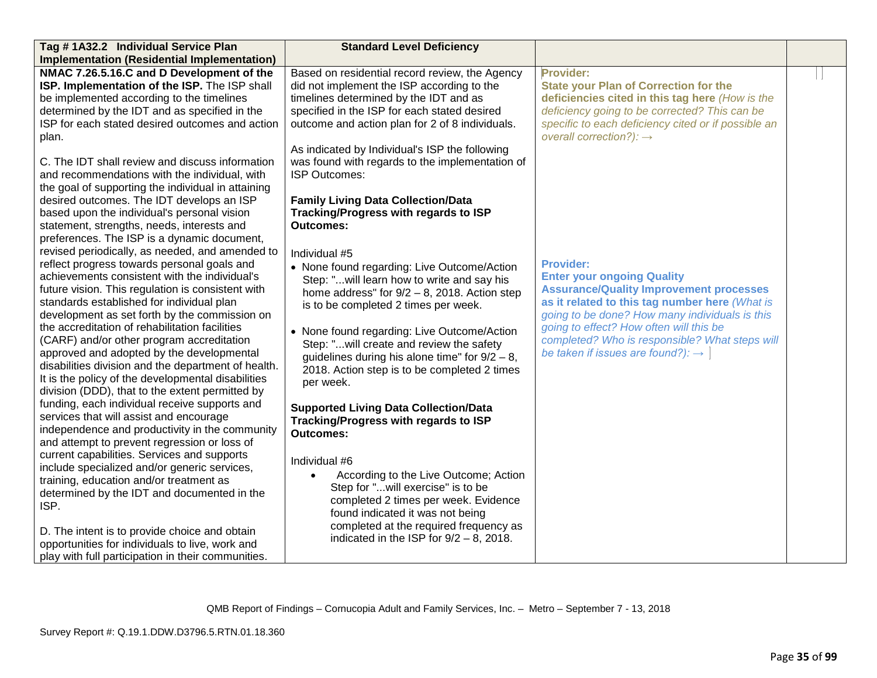| Tag #1A32.2 Individual Service Plan                                                                                                                                                                                                                                                                                                                                                                                                                                                                                                                                                                                                                                                                                                                                                                                                                                                                                                                                                                   | <b>Standard Level Deficiency</b>                                                                                                                                                                                                                                                                                                                                                                                                                                                                                                                                                                                               |                                                                                                                                                                                                                                                                                                                                                           |  |
|-------------------------------------------------------------------------------------------------------------------------------------------------------------------------------------------------------------------------------------------------------------------------------------------------------------------------------------------------------------------------------------------------------------------------------------------------------------------------------------------------------------------------------------------------------------------------------------------------------------------------------------------------------------------------------------------------------------------------------------------------------------------------------------------------------------------------------------------------------------------------------------------------------------------------------------------------------------------------------------------------------|--------------------------------------------------------------------------------------------------------------------------------------------------------------------------------------------------------------------------------------------------------------------------------------------------------------------------------------------------------------------------------------------------------------------------------------------------------------------------------------------------------------------------------------------------------------------------------------------------------------------------------|-----------------------------------------------------------------------------------------------------------------------------------------------------------------------------------------------------------------------------------------------------------------------------------------------------------------------------------------------------------|--|
| <b>Implementation (Residential Implementation)</b>                                                                                                                                                                                                                                                                                                                                                                                                                                                                                                                                                                                                                                                                                                                                                                                                                                                                                                                                                    |                                                                                                                                                                                                                                                                                                                                                                                                                                                                                                                                                                                                                                |                                                                                                                                                                                                                                                                                                                                                           |  |
| NMAC 7.26.5.16.C and D Development of the<br>ISP. Implementation of the ISP. The ISP shall<br>be implemented according to the timelines<br>determined by the IDT and as specified in the<br>ISP for each stated desired outcomes and action<br>plan.<br>C. The IDT shall review and discuss information<br>and recommendations with the individual, with<br>the goal of supporting the individual in attaining<br>desired outcomes. The IDT develops an ISP<br>based upon the individual's personal vision<br>statement, strengths, needs, interests and<br>preferences. The ISP is a dynamic document,                                                                                                                                                                                                                                                                                                                                                                                               | Based on residential record review, the Agency<br>did not implement the ISP according to the<br>timelines determined by the IDT and as<br>specified in the ISP for each stated desired<br>outcome and action plan for 2 of 8 individuals.<br>As indicated by Individual's ISP the following<br>was found with regards to the implementation of<br>ISP Outcomes:<br><b>Family Living Data Collection/Data</b><br>Tracking/Progress with regards to ISP<br><b>Outcomes:</b>                                                                                                                                                      | Provider:<br><b>State your Plan of Correction for the</b><br>deficiencies cited in this tag here (How is the<br>deficiency going to be corrected? This can be<br>specific to each deficiency cited or if possible an<br>overall correction?): $\rightarrow$                                                                                               |  |
| revised periodically, as needed, and amended to<br>reflect progress towards personal goals and<br>achievements consistent with the individual's<br>future vision. This regulation is consistent with<br>standards established for individual plan<br>development as set forth by the commission on<br>the accreditation of rehabilitation facilities<br>(CARF) and/or other program accreditation<br>approved and adopted by the developmental<br>disabilities division and the department of health.<br>It is the policy of the developmental disabilities<br>division (DDD), that to the extent permitted by<br>funding, each individual receive supports and<br>services that will assist and encourage<br>independence and productivity in the community<br>and attempt to prevent regression or loss of<br>current capabilities. Services and supports<br>include specialized and/or generic services,<br>training, education and/or treatment as<br>determined by the IDT and documented in the | Individual #5<br>• None found regarding: Live Outcome/Action<br>Step: "will learn how to write and say his<br>home address" for $9/2 - 8$ , 2018. Action step<br>is to be completed 2 times per week.<br>• None found regarding: Live Outcome/Action<br>Step: "will create and review the safety<br>guidelines during his alone time" for $9/2 - 8$ ,<br>2018. Action step is to be completed 2 times<br>per week.<br><b>Supported Living Data Collection/Data</b><br>Tracking/Progress with regards to ISP<br><b>Outcomes:</b><br>Individual #6<br>According to the Live Outcome; Action<br>Step for "will exercise" is to be | <b>Provider:</b><br><b>Enter your ongoing Quality</b><br><b>Assurance/Quality Improvement processes</b><br>as it related to this tag number here (What is<br>going to be done? How many individuals is this<br>going to effect? How often will this be<br>completed? Who is responsible? What steps will<br>be taken if issues are found?): $\rightarrow$ |  |
| ISP.<br>D. The intent is to provide choice and obtain<br>opportunities for individuals to live, work and<br>play with full participation in their communities.                                                                                                                                                                                                                                                                                                                                                                                                                                                                                                                                                                                                                                                                                                                                                                                                                                        | completed 2 times per week. Evidence<br>found indicated it was not being<br>completed at the required frequency as<br>indicated in the ISP for $9/2 - 8$ , 2018.                                                                                                                                                                                                                                                                                                                                                                                                                                                               |                                                                                                                                                                                                                                                                                                                                                           |  |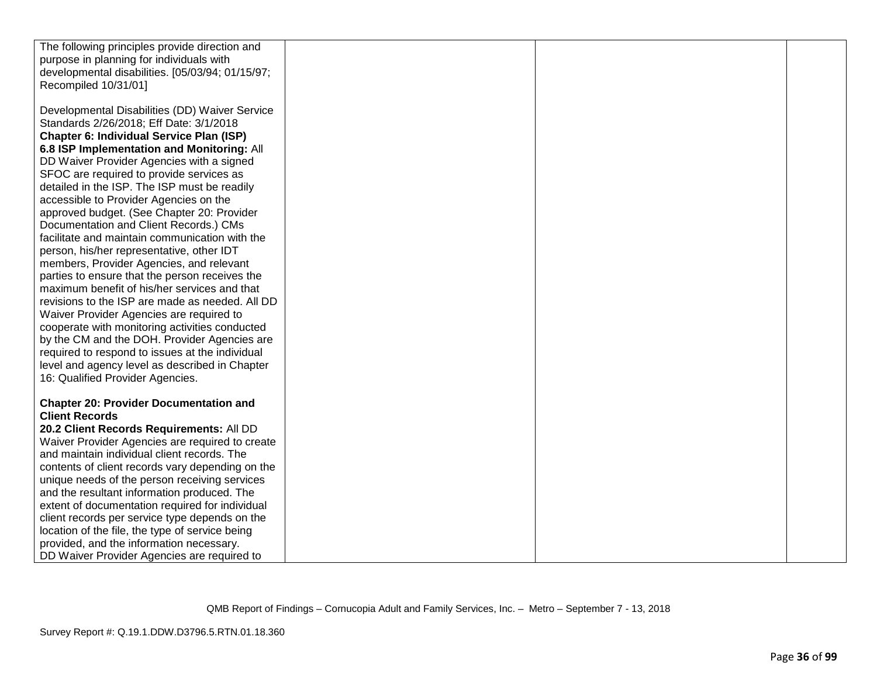| The following principles provide direction and   |  |  |
|--------------------------------------------------|--|--|
| purpose in planning for individuals with         |  |  |
| developmental disabilities. [05/03/94; 01/15/97; |  |  |
| Recompiled 10/31/01]                             |  |  |
|                                                  |  |  |
| Developmental Disabilities (DD) Waiver Service   |  |  |
| Standards 2/26/2018; Eff Date: 3/1/2018          |  |  |
| <b>Chapter 6: Individual Service Plan (ISP)</b>  |  |  |
| 6.8 ISP Implementation and Monitoring: All       |  |  |
| DD Waiver Provider Agencies with a signed        |  |  |
| SFOC are required to provide services as         |  |  |
| detailed in the ISP. The ISP must be readily     |  |  |
| accessible to Provider Agencies on the           |  |  |
| approved budget. (See Chapter 20: Provider       |  |  |
| Documentation and Client Records.) CMs           |  |  |
| facilitate and maintain communication with the   |  |  |
| person, his/her representative, other IDT        |  |  |
| members, Provider Agencies, and relevant         |  |  |
| parties to ensure that the person receives the   |  |  |
| maximum benefit of his/her services and that     |  |  |
| revisions to the ISP are made as needed. All DD  |  |  |
| Waiver Provider Agencies are required to         |  |  |
| cooperate with monitoring activities conducted   |  |  |
| by the CM and the DOH. Provider Agencies are     |  |  |
| required to respond to issues at the individual  |  |  |
| level and agency level as described in Chapter   |  |  |
| 16: Qualified Provider Agencies.                 |  |  |
|                                                  |  |  |
| <b>Chapter 20: Provider Documentation and</b>    |  |  |
| <b>Client Records</b>                            |  |  |
| 20.2 Client Records Requirements: All DD         |  |  |
| Waiver Provider Agencies are required to create  |  |  |
| and maintain individual client records. The      |  |  |
| contents of client records vary depending on the |  |  |
| unique needs of the person receiving services    |  |  |
| and the resultant information produced. The      |  |  |
| extent of documentation required for individual  |  |  |
| client records per service type depends on the   |  |  |
| location of the file, the type of service being  |  |  |
| provided, and the information necessary.         |  |  |
| DD Waiver Provider Agencies are required to      |  |  |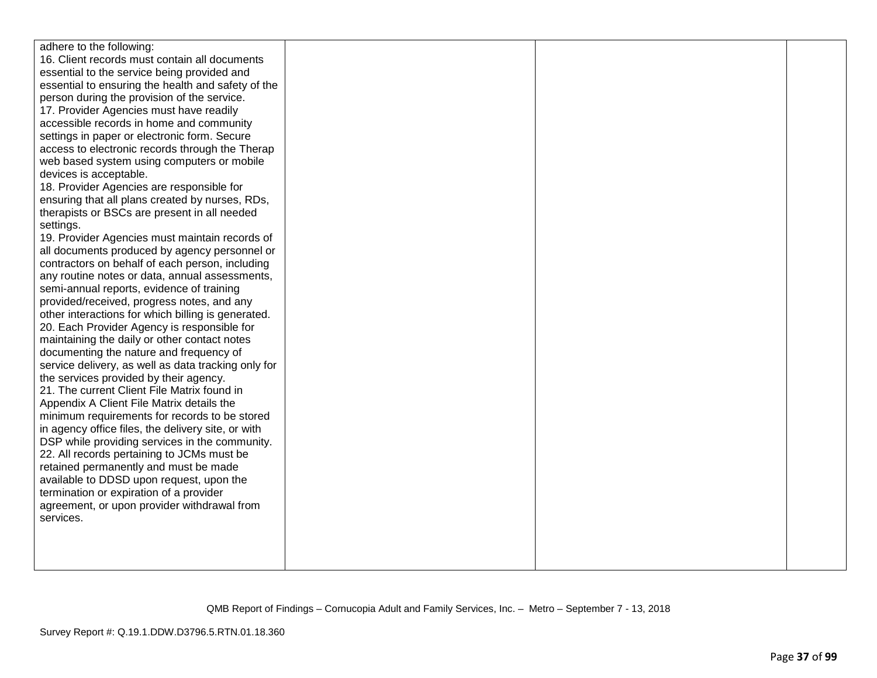| adhere to the following:                            |  |  |
|-----------------------------------------------------|--|--|
| 16. Client records must contain all documents       |  |  |
| essential to the service being provided and         |  |  |
| essential to ensuring the health and safety of the  |  |  |
| person during the provision of the service.         |  |  |
| 17. Provider Agencies must have readily             |  |  |
| accessible records in home and community            |  |  |
| settings in paper or electronic form. Secure        |  |  |
| access to electronic records through the Therap     |  |  |
| web based system using computers or mobile          |  |  |
| devices is acceptable.                              |  |  |
| 18. Provider Agencies are responsible for           |  |  |
| ensuring that all plans created by nurses, RDs,     |  |  |
| therapists or BSCs are present in all needed        |  |  |
| settings.                                           |  |  |
| 19. Provider Agencies must maintain records of      |  |  |
| all documents produced by agency personnel or       |  |  |
| contractors on behalf of each person, including     |  |  |
| any routine notes or data, annual assessments,      |  |  |
| semi-annual reports, evidence of training           |  |  |
| provided/received, progress notes, and any          |  |  |
| other interactions for which billing is generated.  |  |  |
| 20. Each Provider Agency is responsible for         |  |  |
| maintaining the daily or other contact notes        |  |  |
| documenting the nature and frequency of             |  |  |
| service delivery, as well as data tracking only for |  |  |
| the services provided by their agency.              |  |  |
| 21. The current Client File Matrix found in         |  |  |
| Appendix A Client File Matrix details the           |  |  |
| minimum requirements for records to be stored       |  |  |
| in agency office files, the delivery site, or with  |  |  |
| DSP while providing services in the community.      |  |  |
| 22. All records pertaining to JCMs must be          |  |  |
| retained permanently and must be made               |  |  |
| available to DDSD upon request, upon the            |  |  |
| termination or expiration of a provider             |  |  |
| agreement, or upon provider withdrawal from         |  |  |
| services.                                           |  |  |
|                                                     |  |  |
|                                                     |  |  |
|                                                     |  |  |
|                                                     |  |  |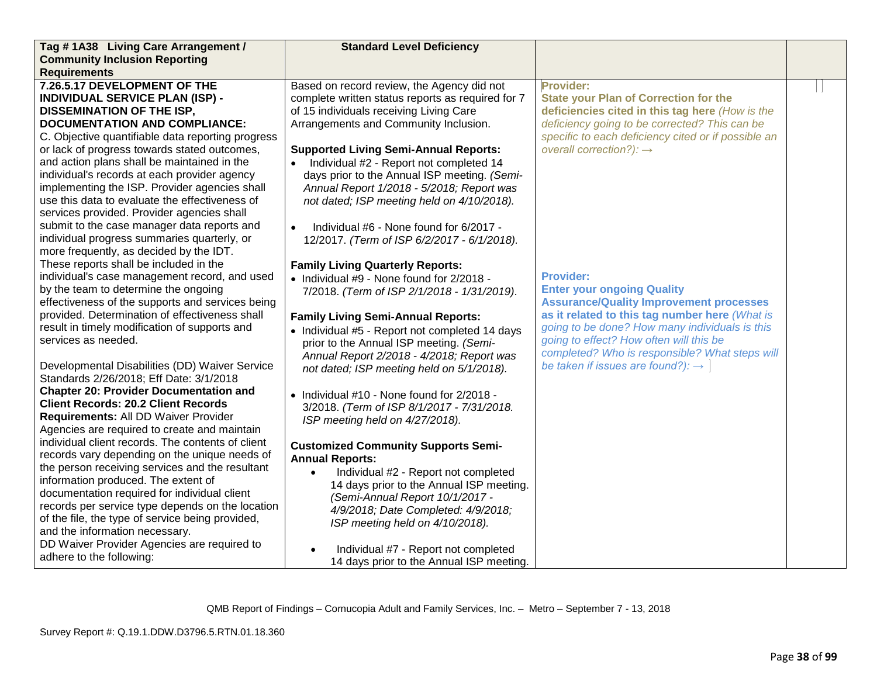| Tag #1A38 Living Care Arrangement /               | <b>Standard Level Deficiency</b>                     |                                                     |  |
|---------------------------------------------------|------------------------------------------------------|-----------------------------------------------------|--|
| <b>Community Inclusion Reporting</b>              |                                                      |                                                     |  |
| <b>Requirements</b>                               |                                                      |                                                     |  |
| 7.26.5.17 DEVELOPMENT OF THE                      | Based on record review, the Agency did not           | <b>Provider:</b>                                    |  |
| <b>INDIVIDUAL SERVICE PLAN (ISP) -</b>            | complete written status reports as required for 7    | <b>State your Plan of Correction for the</b>        |  |
| <b>DISSEMINATION OF THE ISP,</b>                  | of 15 individuals receiving Living Care              | deficiencies cited in this tag here (How is the     |  |
| <b>DOCUMENTATION AND COMPLIANCE:</b>              | Arrangements and Community Inclusion.                | deficiency going to be corrected? This can be       |  |
| C. Objective quantifiable data reporting progress |                                                      | specific to each deficiency cited or if possible an |  |
| or lack of progress towards stated outcomes,      | <b>Supported Living Semi-Annual Reports:</b>         | overall correction?): $\rightarrow$                 |  |
| and action plans shall be maintained in the       | Individual #2 - Report not completed 14<br>$\bullet$ |                                                     |  |
| individual's records at each provider agency      | days prior to the Annual ISP meeting. (Semi-         |                                                     |  |
| implementing the ISP. Provider agencies shall     | Annual Report 1/2018 - 5/2018; Report was            |                                                     |  |
| use this data to evaluate the effectiveness of    | not dated; ISP meeting held on 4/10/2018).           |                                                     |  |
| services provided. Provider agencies shall        |                                                      |                                                     |  |
| submit to the case manager data reports and       | Individual #6 - None found for 6/2017 -<br>$\bullet$ |                                                     |  |
| individual progress summaries quarterly, or       | 12/2017. (Term of ISP 6/2/2017 - 6/1/2018).          |                                                     |  |
| more frequently, as decided by the IDT.           |                                                      |                                                     |  |
| These reports shall be included in the            | <b>Family Living Quarterly Reports:</b>              |                                                     |  |
| individual's case management record, and used     | • Individual #9 - None found for 2/2018 -            | <b>Provider:</b>                                    |  |
| by the team to determine the ongoing              | 7/2018. (Term of ISP 2/1/2018 - 1/31/2019).          | <b>Enter your ongoing Quality</b>                   |  |
| effectiveness of the supports and services being  |                                                      | <b>Assurance/Quality Improvement processes</b>      |  |
| provided. Determination of effectiveness shall    | <b>Family Living Semi-Annual Reports:</b>            | as it related to this tag number here (What is      |  |
| result in timely modification of supports and     | • Individual #5 - Report not completed 14 days       | going to be done? How many individuals is this      |  |
| services as needed.                               | prior to the Annual ISP meeting. (Semi-              | going to effect? How often will this be             |  |
|                                                   | Annual Report 2/2018 - 4/2018; Report was            | completed? Who is responsible? What steps will      |  |
| Developmental Disabilities (DD) Waiver Service    | not dated; ISP meeting held on 5/1/2018).            | be taken if issues are found?): $\rightarrow$       |  |
| Standards 2/26/2018; Eff Date: 3/1/2018           |                                                      |                                                     |  |
| <b>Chapter 20: Provider Documentation and</b>     | • Individual #10 - None found for 2/2018 -           |                                                     |  |
| <b>Client Records: 20.2 Client Records</b>        | 3/2018. (Term of ISP 8/1/2017 - 7/31/2018.           |                                                     |  |
| Requirements: All DD Waiver Provider              | ISP meeting held on 4/27/2018).                      |                                                     |  |
| Agencies are required to create and maintain      |                                                      |                                                     |  |
| individual client records. The contents of client | <b>Customized Community Supports Semi-</b>           |                                                     |  |
| records vary depending on the unique needs of     | <b>Annual Reports:</b>                               |                                                     |  |
| the person receiving services and the resultant   | Individual #2 - Report not completed                 |                                                     |  |
| information produced. The extent of               | 14 days prior to the Annual ISP meeting.             |                                                     |  |
| documentation required for individual client      | (Semi-Annual Report 10/1/2017 -                      |                                                     |  |
| records per service type depends on the location  | 4/9/2018; Date Completed: 4/9/2018;                  |                                                     |  |
| of the file, the type of service being provided,  | ISP meeting held on 4/10/2018).                      |                                                     |  |
| and the information necessary.                    |                                                      |                                                     |  |
| DD Waiver Provider Agencies are required to       | Individual #7 - Report not completed                 |                                                     |  |
| adhere to the following:                          | 14 days prior to the Annual ISP meeting.             |                                                     |  |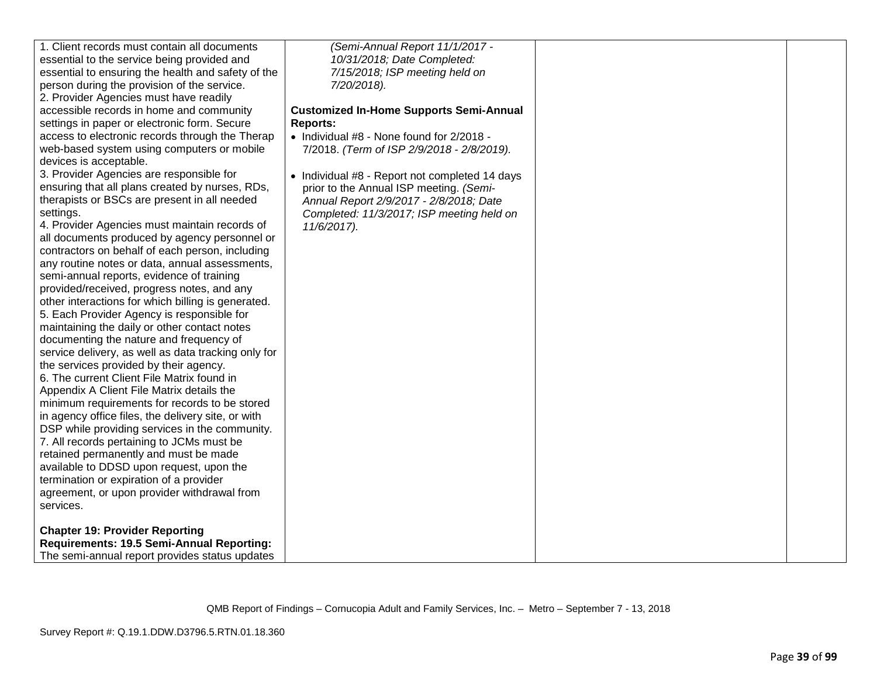| 1. Client records must contain all documents                                       | (Semi-Annual Report 11/1/2017 -                |  |
|------------------------------------------------------------------------------------|------------------------------------------------|--|
| essential to the service being provided and                                        | 10/31/2018; Date Completed:                    |  |
| essential to ensuring the health and safety of the                                 | 7/15/2018; ISP meeting held on                 |  |
| person during the provision of the service.                                        | 7/20/2018).                                    |  |
| 2. Provider Agencies must have readily                                             |                                                |  |
| accessible records in home and community                                           | <b>Customized In-Home Supports Semi-Annual</b> |  |
| settings in paper or electronic form. Secure                                       | <b>Reports:</b>                                |  |
| access to electronic records through the Therap                                    | • Individual #8 - None found for 2/2018 -      |  |
| web-based system using computers or mobile                                         | 7/2018. (Term of ISP 2/9/2018 - 2/8/2019).     |  |
| devices is acceptable.                                                             |                                                |  |
| 3. Provider Agencies are responsible for                                           | • Individual #8 - Report not completed 14 days |  |
| ensuring that all plans created by nurses, RDs,                                    | prior to the Annual ISP meeting. (Semi-        |  |
| therapists or BSCs are present in all needed                                       | Annual Report 2/9/2017 - 2/8/2018; Date        |  |
| settings.                                                                          | Completed: 11/3/2017; ISP meeting held on      |  |
| 4. Provider Agencies must maintain records of                                      | 11/6/2017).                                    |  |
| all documents produced by agency personnel or                                      |                                                |  |
| contractors on behalf of each person, including                                    |                                                |  |
| any routine notes or data, annual assessments,                                     |                                                |  |
| semi-annual reports, evidence of training                                          |                                                |  |
| provided/received, progress notes, and any                                         |                                                |  |
| other interactions for which billing is generated.                                 |                                                |  |
| 5. Each Provider Agency is responsible for                                         |                                                |  |
| maintaining the daily or other contact notes                                       |                                                |  |
| documenting the nature and frequency of                                            |                                                |  |
| service delivery, as well as data tracking only for                                |                                                |  |
| the services provided by their agency.                                             |                                                |  |
| 6. The current Client File Matrix found in                                         |                                                |  |
| Appendix A Client File Matrix details the                                          |                                                |  |
| minimum requirements for records to be stored                                      |                                                |  |
| in agency office files, the delivery site, or with                                 |                                                |  |
| DSP while providing services in the community.                                     |                                                |  |
| 7. All records pertaining to JCMs must be                                          |                                                |  |
| retained permanently and must be made                                              |                                                |  |
| available to DDSD upon request, upon the                                           |                                                |  |
| termination or expiration of a provider                                            |                                                |  |
| agreement, or upon provider withdrawal from                                        |                                                |  |
| services.                                                                          |                                                |  |
|                                                                                    |                                                |  |
| <b>Chapter 19: Provider Reporting</b><br>Requirements: 19.5 Semi-Annual Reporting: |                                                |  |
| The semi-annual report provides status updates                                     |                                                |  |
|                                                                                    |                                                |  |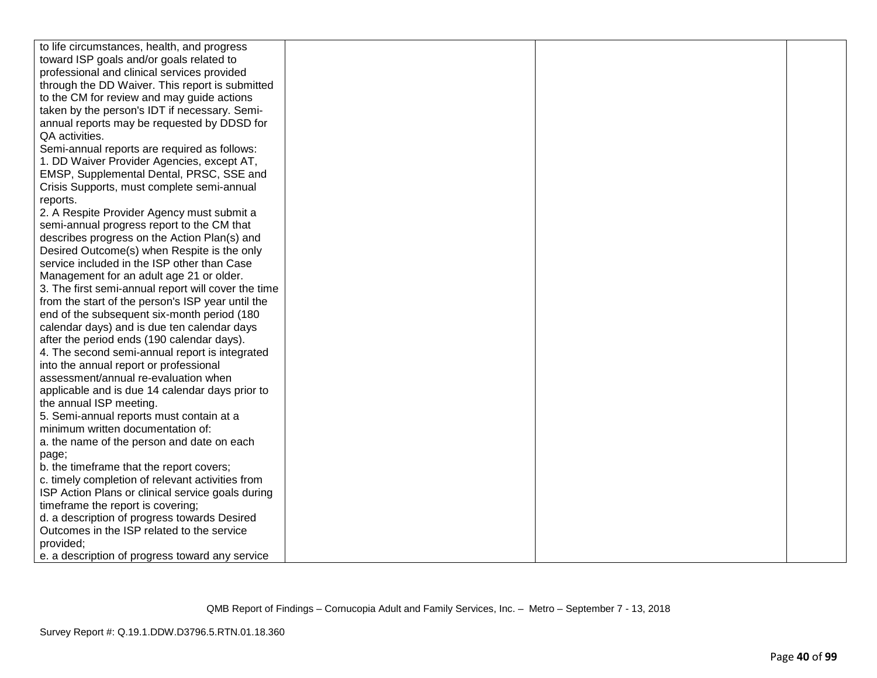| to life circumstances, health, and progress         |  |  |
|-----------------------------------------------------|--|--|
| toward ISP goals and/or goals related to            |  |  |
| professional and clinical services provided         |  |  |
| through the DD Waiver. This report is submitted     |  |  |
| to the CM for review and may guide actions          |  |  |
| taken by the person's IDT if necessary. Semi-       |  |  |
| annual reports may be requested by DDSD for         |  |  |
| QA activities.                                      |  |  |
| Semi-annual reports are required as follows:        |  |  |
| 1. DD Waiver Provider Agencies, except AT,          |  |  |
| EMSP, Supplemental Dental, PRSC, SSE and            |  |  |
| Crisis Supports, must complete semi-annual          |  |  |
| reports.                                            |  |  |
| 2. A Respite Provider Agency must submit a          |  |  |
| semi-annual progress report to the CM that          |  |  |
| describes progress on the Action Plan(s) and        |  |  |
| Desired Outcome(s) when Respite is the only         |  |  |
| service included in the ISP other than Case         |  |  |
| Management for an adult age 21 or older.            |  |  |
| 3. The first semi-annual report will cover the time |  |  |
| from the start of the person's ISP year until the   |  |  |
| end of the subsequent six-month period (180         |  |  |
| calendar days) and is due ten calendar days         |  |  |
| after the period ends (190 calendar days).          |  |  |
| 4. The second semi-annual report is integrated      |  |  |
| into the annual report or professional              |  |  |
| assessment/annual re-evaluation when                |  |  |
| applicable and is due 14 calendar days prior to     |  |  |
| the annual ISP meeting.                             |  |  |
| 5. Semi-annual reports must contain at a            |  |  |
| minimum written documentation of:                   |  |  |
| a. the name of the person and date on each          |  |  |
| page;                                               |  |  |
| b. the timeframe that the report covers;            |  |  |
| c. timely completion of relevant activities from    |  |  |
| ISP Action Plans or clinical service goals during   |  |  |
| timeframe the report is covering;                   |  |  |
| d. a description of progress towards Desired        |  |  |
| Outcomes in the ISP related to the service          |  |  |
| provided;                                           |  |  |
| e. a description of progress toward any service     |  |  |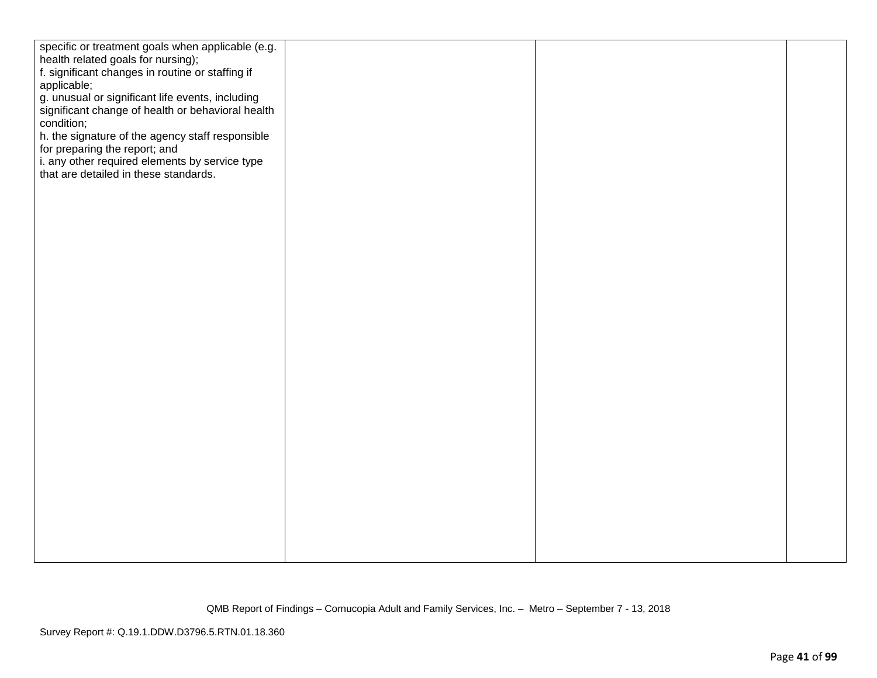| specific or treatment goals when applicable (e.g. |  |  |
|---------------------------------------------------|--|--|
| health related goals for nursing);                |  |  |
| f. significant changes in routine or staffing if  |  |  |
| applicable;                                       |  |  |
| g. unusual or significant life events, including  |  |  |
| significant change of health or behavioral health |  |  |
| condition;                                        |  |  |
|                                                   |  |  |
| h. the signature of the agency staff responsible  |  |  |
| for preparing the report; and                     |  |  |
| i. any other required elements by service type    |  |  |
| that are detailed in these standards.             |  |  |
|                                                   |  |  |
|                                                   |  |  |
|                                                   |  |  |
|                                                   |  |  |
|                                                   |  |  |
|                                                   |  |  |
|                                                   |  |  |
|                                                   |  |  |
|                                                   |  |  |
|                                                   |  |  |
|                                                   |  |  |
|                                                   |  |  |
|                                                   |  |  |
|                                                   |  |  |
|                                                   |  |  |
|                                                   |  |  |
|                                                   |  |  |
|                                                   |  |  |
|                                                   |  |  |
|                                                   |  |  |
|                                                   |  |  |
|                                                   |  |  |
|                                                   |  |  |
|                                                   |  |  |
|                                                   |  |  |
|                                                   |  |  |
|                                                   |  |  |
|                                                   |  |  |
|                                                   |  |  |
|                                                   |  |  |
|                                                   |  |  |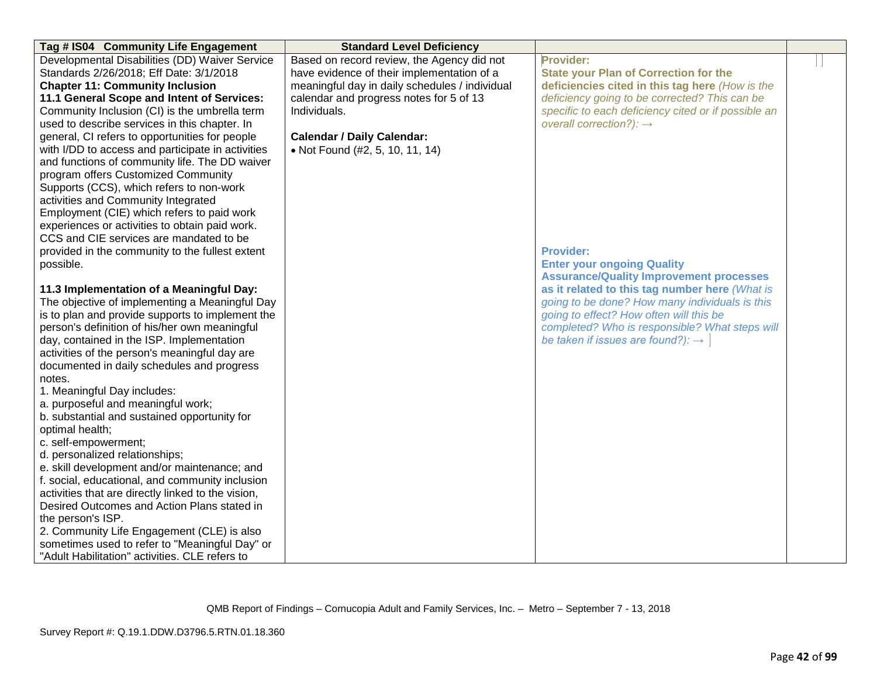| Tag # IS04 Community Life Engagement                                                         | <b>Standard Level Deficiency</b>               |                                                     |  |
|----------------------------------------------------------------------------------------------|------------------------------------------------|-----------------------------------------------------|--|
| Developmental Disabilities (DD) Waiver Service                                               | Based on record review, the Agency did not     | Provider:                                           |  |
| Standards 2/26/2018; Eff Date: 3/1/2018                                                      | have evidence of their implementation of a     | <b>State your Plan of Correction for the</b>        |  |
| <b>Chapter 11: Community Inclusion</b>                                                       | meaningful day in daily schedules / individual | deficiencies cited in this tag here (How is the     |  |
| 11.1 General Scope and Intent of Services:                                                   | calendar and progress notes for 5 of 13        | deficiency going to be corrected? This can be       |  |
| Community Inclusion (CI) is the umbrella term                                                | Individuals.                                   | specific to each deficiency cited or if possible an |  |
| used to describe services in this chapter. In                                                |                                                | overall correction?): $\rightarrow$                 |  |
| general, CI refers to opportunities for people                                               | <b>Calendar / Daily Calendar:</b>              |                                                     |  |
| with I/DD to access and participate in activities                                            | • Not Found (#2, 5, 10, 11, 14)                |                                                     |  |
| and functions of community life. The DD waiver                                               |                                                |                                                     |  |
| program offers Customized Community                                                          |                                                |                                                     |  |
| Supports (CCS), which refers to non-work                                                     |                                                |                                                     |  |
| activities and Community Integrated                                                          |                                                |                                                     |  |
| Employment (CIE) which refers to paid work                                                   |                                                |                                                     |  |
| experiences or activities to obtain paid work.                                               |                                                |                                                     |  |
| CCS and CIE services are mandated to be                                                      |                                                |                                                     |  |
| provided in the community to the fullest extent                                              |                                                | <b>Provider:</b>                                    |  |
| possible.                                                                                    |                                                | <b>Enter your ongoing Quality</b>                   |  |
|                                                                                              |                                                | <b>Assurance/Quality Improvement processes</b>      |  |
| 11.3 Implementation of a Meaningful Day:                                                     |                                                | as it related to this tag number here (What is      |  |
| The objective of implementing a Meaningful Day                                               |                                                | going to be done? How many individuals is this      |  |
| is to plan and provide supports to implement the                                             |                                                | going to effect? How often will this be             |  |
| person's definition of his/her own meaningful                                                |                                                | completed? Who is responsible? What steps will      |  |
| day, contained in the ISP. Implementation                                                    |                                                | be taken if issues are found?): $\rightarrow$       |  |
| activities of the person's meaningful day are                                                |                                                |                                                     |  |
| documented in daily schedules and progress                                                   |                                                |                                                     |  |
| notes.                                                                                       |                                                |                                                     |  |
| 1. Meaningful Day includes:                                                                  |                                                |                                                     |  |
| a. purposeful and meaningful work;                                                           |                                                |                                                     |  |
| b. substantial and sustained opportunity for                                                 |                                                |                                                     |  |
| optimal health;                                                                              |                                                |                                                     |  |
| c. self-empowerment;                                                                         |                                                |                                                     |  |
| d. personalized relationships;                                                               |                                                |                                                     |  |
| e. skill development and/or maintenance; and                                                 |                                                |                                                     |  |
| f. social, educational, and community inclusion                                              |                                                |                                                     |  |
| activities that are directly linked to the vision,                                           |                                                |                                                     |  |
| Desired Outcomes and Action Plans stated in                                                  |                                                |                                                     |  |
| the person's ISP.                                                                            |                                                |                                                     |  |
| 2. Community Life Engagement (CLE) is also<br>sometimes used to refer to "Meaningful Day" or |                                                |                                                     |  |
| "Adult Habilitation" activities. CLE refers to                                               |                                                |                                                     |  |
|                                                                                              |                                                |                                                     |  |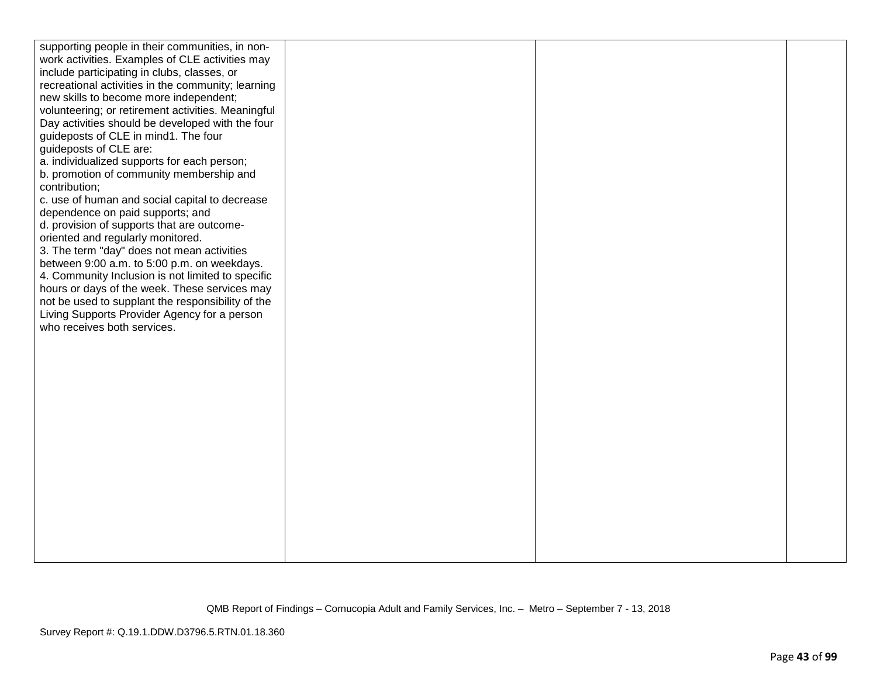| supporting people in their communities, in non-                             |  |  |
|-----------------------------------------------------------------------------|--|--|
| work activities. Examples of CLE activities may                             |  |  |
| include participating in clubs, classes, or                                 |  |  |
| recreational activities in the community; learning                          |  |  |
| new skills to become more independent;                                      |  |  |
| volunteering; or retirement activities. Meaningful                          |  |  |
| Day activities should be developed with the four                            |  |  |
| guideposts of CLE in mind1. The four                                        |  |  |
| guideposts of CLE are:                                                      |  |  |
| a. individualized supports for each person;                                 |  |  |
| b. promotion of community membership and                                    |  |  |
| contribution;                                                               |  |  |
| c. use of human and social capital to decrease                              |  |  |
| dependence on paid supports; and                                            |  |  |
| d. provision of supports that are outcome-                                  |  |  |
| oriented and regularly monitored.                                           |  |  |
| 3. The term "day" does not mean activities                                  |  |  |
| between 9:00 a.m. to 5:00 p.m. on weekdays.                                 |  |  |
| 4. Community Inclusion is not limited to specific                           |  |  |
| hours or days of the week. These services may                               |  |  |
| not be used to supplant the responsibility of the                           |  |  |
| Living Supports Provider Agency for a person<br>who receives both services. |  |  |
|                                                                             |  |  |
|                                                                             |  |  |
|                                                                             |  |  |
|                                                                             |  |  |
|                                                                             |  |  |
|                                                                             |  |  |
|                                                                             |  |  |
|                                                                             |  |  |
|                                                                             |  |  |
|                                                                             |  |  |
|                                                                             |  |  |
|                                                                             |  |  |
|                                                                             |  |  |
|                                                                             |  |  |
|                                                                             |  |  |
|                                                                             |  |  |
|                                                                             |  |  |
|                                                                             |  |  |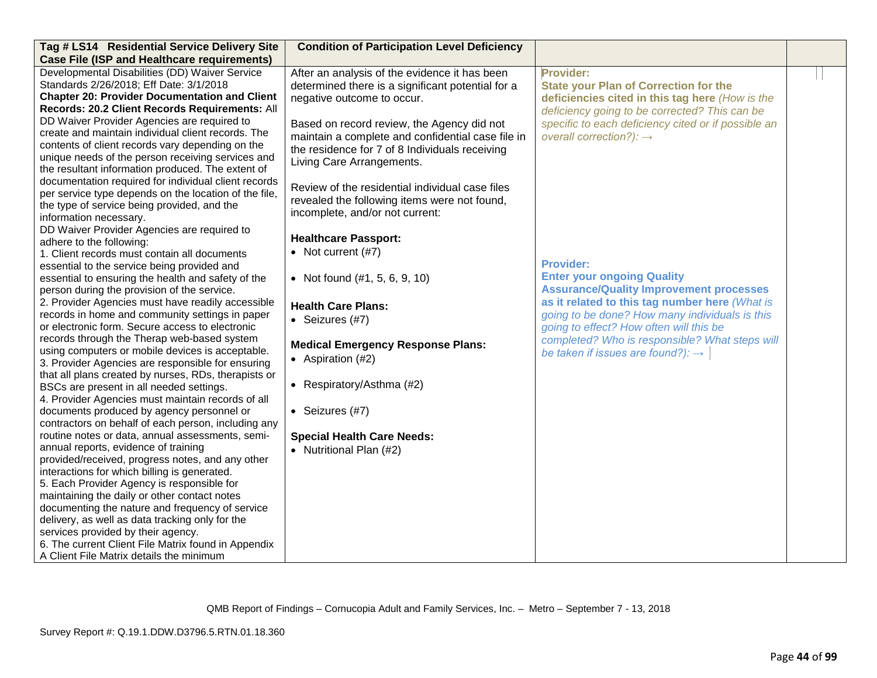| Tag # LS14 Residential Service Delivery Site                                                                                                                                                                                                                                                                                                                                                                                                                                                                                                                                                                                                                                                                                                                                                                                                                                                                                                                                                                                                                                                                                                                                                                                                                                                                                                                                                                                                                                                                                                                                                                                                                                    | <b>Condition of Participation Level Deficiency</b>                                                                                                                                                                                                                                                                                                                                                                                                                                                                                                                                                                                                                                                                                                                                       |                                                                                                                                                                                                                                                                                                                                                                                                                                                                                                                                                                                                                          |  |
|---------------------------------------------------------------------------------------------------------------------------------------------------------------------------------------------------------------------------------------------------------------------------------------------------------------------------------------------------------------------------------------------------------------------------------------------------------------------------------------------------------------------------------------------------------------------------------------------------------------------------------------------------------------------------------------------------------------------------------------------------------------------------------------------------------------------------------------------------------------------------------------------------------------------------------------------------------------------------------------------------------------------------------------------------------------------------------------------------------------------------------------------------------------------------------------------------------------------------------------------------------------------------------------------------------------------------------------------------------------------------------------------------------------------------------------------------------------------------------------------------------------------------------------------------------------------------------------------------------------------------------------------------------------------------------|------------------------------------------------------------------------------------------------------------------------------------------------------------------------------------------------------------------------------------------------------------------------------------------------------------------------------------------------------------------------------------------------------------------------------------------------------------------------------------------------------------------------------------------------------------------------------------------------------------------------------------------------------------------------------------------------------------------------------------------------------------------------------------------|--------------------------------------------------------------------------------------------------------------------------------------------------------------------------------------------------------------------------------------------------------------------------------------------------------------------------------------------------------------------------------------------------------------------------------------------------------------------------------------------------------------------------------------------------------------------------------------------------------------------------|--|
| <b>Case File (ISP and Healthcare requirements)</b>                                                                                                                                                                                                                                                                                                                                                                                                                                                                                                                                                                                                                                                                                                                                                                                                                                                                                                                                                                                                                                                                                                                                                                                                                                                                                                                                                                                                                                                                                                                                                                                                                              |                                                                                                                                                                                                                                                                                                                                                                                                                                                                                                                                                                                                                                                                                                                                                                                          |                                                                                                                                                                                                                                                                                                                                                                                                                                                                                                                                                                                                                          |  |
| Developmental Disabilities (DD) Waiver Service<br>Standards 2/26/2018; Eff Date: 3/1/2018<br><b>Chapter 20: Provider Documentation and Client</b><br>Records: 20.2 Client Records Requirements: All<br>DD Waiver Provider Agencies are required to<br>create and maintain individual client records. The<br>contents of client records vary depending on the<br>unique needs of the person receiving services and<br>the resultant information produced. The extent of<br>documentation required for individual client records<br>per service type depends on the location of the file,<br>the type of service being provided, and the<br>information necessary.<br>DD Waiver Provider Agencies are required to<br>adhere to the following:<br>1. Client records must contain all documents<br>essential to the service being provided and<br>essential to ensuring the health and safety of the<br>person during the provision of the service.<br>2. Provider Agencies must have readily accessible<br>records in home and community settings in paper<br>or electronic form. Secure access to electronic<br>records through the Therap web-based system<br>using computers or mobile devices is acceptable.<br>3. Provider Agencies are responsible for ensuring<br>that all plans created by nurses, RDs, therapists or<br>BSCs are present in all needed settings.<br>4. Provider Agencies must maintain records of all<br>documents produced by agency personnel or<br>contractors on behalf of each person, including any<br>routine notes or data, annual assessments, semi-<br>annual reports, evidence of training<br>provided/received, progress notes, and any other | After an analysis of the evidence it has been<br>determined there is a significant potential for a<br>negative outcome to occur.<br>Based on record review, the Agency did not<br>maintain a complete and confidential case file in<br>the residence for 7 of 8 Individuals receiving<br>Living Care Arrangements.<br>Review of the residential individual case files<br>revealed the following items were not found,<br>incomplete, and/or not current:<br><b>Healthcare Passport:</b><br>• Not current $(#7)$<br>• Not found $(\#1, 5, 6, 9, 10)$<br><b>Health Care Plans:</b><br>• Seizures (#7)<br><b>Medical Emergency Response Plans:</b><br>• Aspiration $(H2)$<br>• Respiratory/Asthma $(H2)$<br>• Seizures (#7)<br><b>Special Health Care Needs:</b><br>• Nutritional Plan (#2) | Provider:<br><b>State your Plan of Correction for the</b><br>deficiencies cited in this tag here (How is the<br>deficiency going to be corrected? This can be<br>specific to each deficiency cited or if possible an<br>overall correction?): $\rightarrow$<br><b>Provider:</b><br><b>Enter your ongoing Quality</b><br><b>Assurance/Quality Improvement processes</b><br>as it related to this tag number here (What is<br>going to be done? How many individuals is this<br>going to effect? How often will this be<br>completed? Who is responsible? What steps will<br>be taken if issues are found?): $\rightarrow$ |  |
| interactions for which billing is generated.<br>5. Each Provider Agency is responsible for                                                                                                                                                                                                                                                                                                                                                                                                                                                                                                                                                                                                                                                                                                                                                                                                                                                                                                                                                                                                                                                                                                                                                                                                                                                                                                                                                                                                                                                                                                                                                                                      |                                                                                                                                                                                                                                                                                                                                                                                                                                                                                                                                                                                                                                                                                                                                                                                          |                                                                                                                                                                                                                                                                                                                                                                                                                                                                                                                                                                                                                          |  |
| maintaining the daily or other contact notes<br>documenting the nature and frequency of service<br>delivery, as well as data tracking only for the<br>services provided by their agency.<br>6. The current Client File Matrix found in Appendix<br>A Client File Matrix details the minimum                                                                                                                                                                                                                                                                                                                                                                                                                                                                                                                                                                                                                                                                                                                                                                                                                                                                                                                                                                                                                                                                                                                                                                                                                                                                                                                                                                                     |                                                                                                                                                                                                                                                                                                                                                                                                                                                                                                                                                                                                                                                                                                                                                                                          |                                                                                                                                                                                                                                                                                                                                                                                                                                                                                                                                                                                                                          |  |

QMB Report of Findings – Cornucopia Adult and Family Services, Inc. – Metro – September 7 - 13, 2018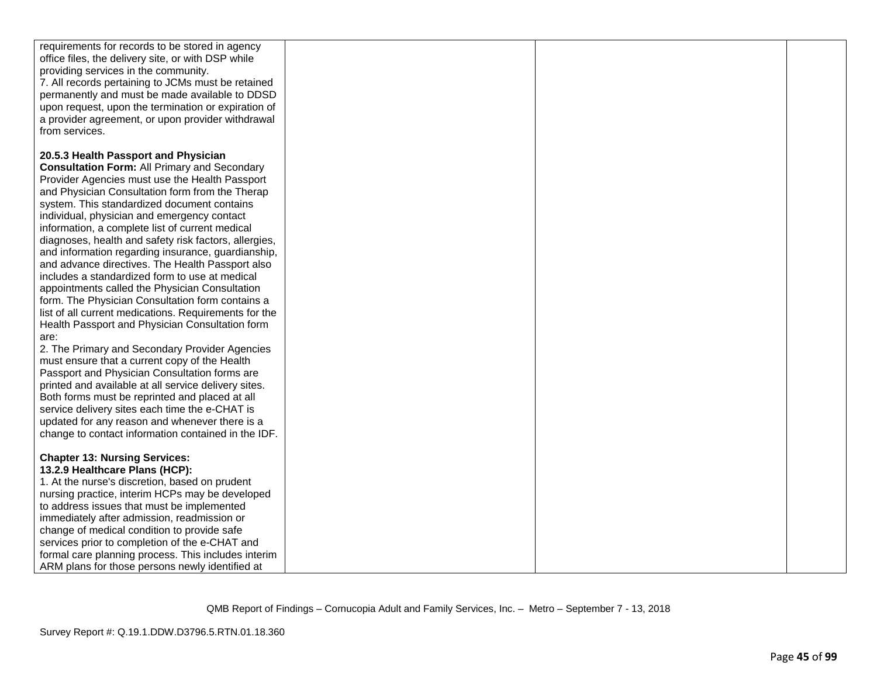| requirements for records to be stored in agency       |  |  |
|-------------------------------------------------------|--|--|
| office files, the delivery site, or with DSP while    |  |  |
| providing services in the community.                  |  |  |
| 7. All records pertaining to JCMs must be retained    |  |  |
| permanently and must be made available to DDSD        |  |  |
| upon request, upon the termination or expiration of   |  |  |
| a provider agreement, or upon provider withdrawal     |  |  |
| from services.                                        |  |  |
|                                                       |  |  |
| 20.5.3 Health Passport and Physician                  |  |  |
| <b>Consultation Form: All Primary and Secondary</b>   |  |  |
| Provider Agencies must use the Health Passport        |  |  |
| and Physician Consultation form from the Therap       |  |  |
| system. This standardized document contains           |  |  |
| individual, physician and emergency contact           |  |  |
| information, a complete list of current medical       |  |  |
| diagnoses, health and safety risk factors, allergies, |  |  |
| and information regarding insurance, guardianship,    |  |  |
| and advance directives. The Health Passport also      |  |  |
| includes a standardized form to use at medical        |  |  |
| appointments called the Physician Consultation        |  |  |
| form. The Physician Consultation form contains a      |  |  |
| list of all current medications. Requirements for the |  |  |
| Health Passport and Physician Consultation form       |  |  |
| are:                                                  |  |  |
| 2. The Primary and Secondary Provider Agencies        |  |  |
| must ensure that a current copy of the Health         |  |  |
| Passport and Physician Consultation forms are         |  |  |
| printed and available at all service delivery sites.  |  |  |
| Both forms must be reprinted and placed at all        |  |  |
| service delivery sites each time the e-CHAT is        |  |  |
| updated for any reason and whenever there is a        |  |  |
| change to contact information contained in the IDF.   |  |  |
|                                                       |  |  |
| <b>Chapter 13: Nursing Services:</b>                  |  |  |
| 13.2.9 Healthcare Plans (HCP):                        |  |  |
| 1. At the nurse's discretion, based on prudent        |  |  |
| nursing practice, interim HCPs may be developed       |  |  |
| to address issues that must be implemented            |  |  |
| immediately after admission, readmission or           |  |  |
| change of medical condition to provide safe           |  |  |
| services prior to completion of the e-CHAT and        |  |  |
| formal care planning process. This includes interim   |  |  |
| ARM plans for those persons newly identified at       |  |  |
|                                                       |  |  |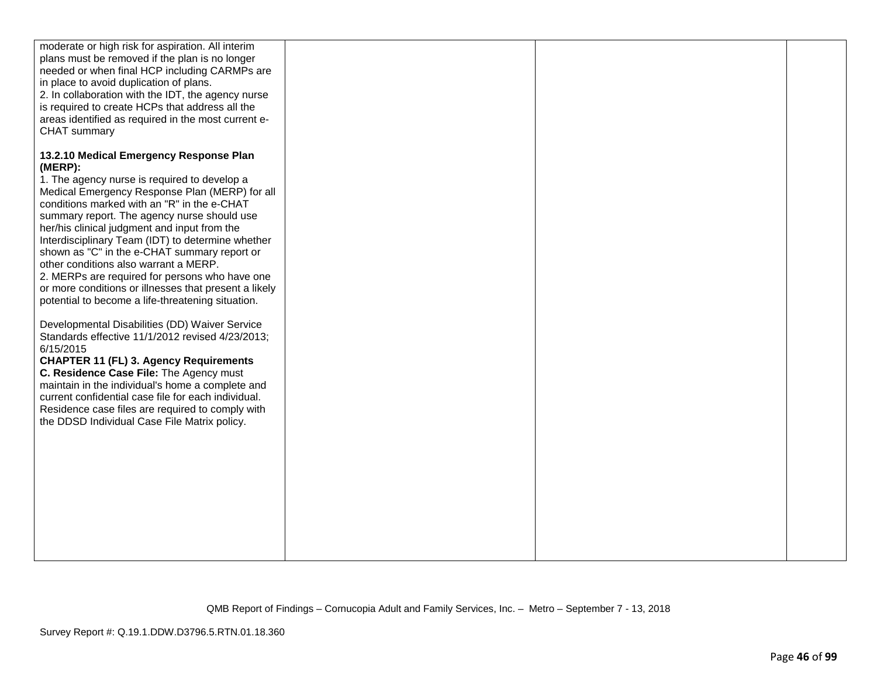| moderate or high risk for aspiration. All interim                                                          |  |  |
|------------------------------------------------------------------------------------------------------------|--|--|
| plans must be removed if the plan is no longer                                                             |  |  |
| needed or when final HCP including CARMPs are                                                              |  |  |
| in place to avoid duplication of plans.                                                                    |  |  |
| 2. In collaboration with the IDT, the agency nurse                                                         |  |  |
| is required to create HCPs that address all the                                                            |  |  |
| areas identified as required in the most current e-                                                        |  |  |
| CHAT summary                                                                                               |  |  |
|                                                                                                            |  |  |
| 13.2.10 Medical Emergency Response Plan                                                                    |  |  |
| (MERP):                                                                                                    |  |  |
| 1. The agency nurse is required to develop a                                                               |  |  |
| Medical Emergency Response Plan (MERP) for all                                                             |  |  |
| conditions marked with an "R" in the e-CHAT                                                                |  |  |
| summary report. The agency nurse should use                                                                |  |  |
| her/his clinical judgment and input from the                                                               |  |  |
| Interdisciplinary Team (IDT) to determine whether                                                          |  |  |
| shown as "C" in the e-CHAT summary report or<br>other conditions also warrant a MERP.                      |  |  |
|                                                                                                            |  |  |
| 2. MERPs are required for persons who have one                                                             |  |  |
| or more conditions or illnesses that present a likely<br>potential to become a life-threatening situation. |  |  |
|                                                                                                            |  |  |
| Developmental Disabilities (DD) Waiver Service                                                             |  |  |
| Standards effective 11/1/2012 revised 4/23/2013;                                                           |  |  |
| 6/15/2015                                                                                                  |  |  |
| <b>CHAPTER 11 (FL) 3. Agency Requirements</b>                                                              |  |  |
| C. Residence Case File: The Agency must                                                                    |  |  |
| maintain in the individual's home a complete and                                                           |  |  |
| current confidential case file for each individual.                                                        |  |  |
| Residence case files are required to comply with                                                           |  |  |
| the DDSD Individual Case File Matrix policy.                                                               |  |  |
|                                                                                                            |  |  |
|                                                                                                            |  |  |
|                                                                                                            |  |  |
|                                                                                                            |  |  |
|                                                                                                            |  |  |
|                                                                                                            |  |  |
|                                                                                                            |  |  |
|                                                                                                            |  |  |
|                                                                                                            |  |  |
|                                                                                                            |  |  |
|                                                                                                            |  |  |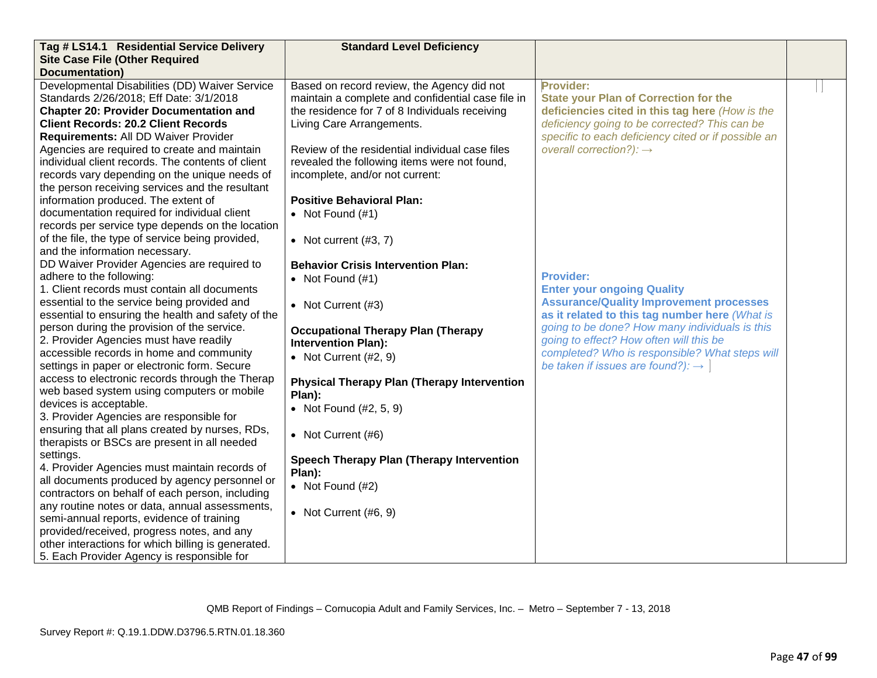| Tag # LS14.1 Residential Service Delivery          | <b>Standard Level Deficiency</b>                   |                                                     |  |
|----------------------------------------------------|----------------------------------------------------|-----------------------------------------------------|--|
| <b>Site Case File (Other Required</b>              |                                                    |                                                     |  |
| <b>Documentation</b> )                             |                                                    |                                                     |  |
| Developmental Disabilities (DD) Waiver Service     | Based on record review, the Agency did not         | Provider:                                           |  |
| Standards 2/26/2018; Eff Date: 3/1/2018            | maintain a complete and confidential case file in  | <b>State your Plan of Correction for the</b>        |  |
| <b>Chapter 20: Provider Documentation and</b>      | the residence for 7 of 8 Individuals receiving     | deficiencies cited in this tag here (How is the     |  |
| <b>Client Records: 20.2 Client Records</b>         | Living Care Arrangements.                          | deficiency going to be corrected? This can be       |  |
| Requirements: All DD Waiver Provider               |                                                    | specific to each deficiency cited or if possible an |  |
| Agencies are required to create and maintain       | Review of the residential individual case files    | overall correction?): $\rightarrow$                 |  |
| individual client records. The contents of client  | revealed the following items were not found,       |                                                     |  |
| records vary depending on the unique needs of      | incomplete, and/or not current:                    |                                                     |  |
| the person receiving services and the resultant    |                                                    |                                                     |  |
| information produced. The extent of                | <b>Positive Behavioral Plan:</b>                   |                                                     |  |
| documentation required for individual client       | • Not Found $(\#1)$                                |                                                     |  |
| records per service type depends on the location   |                                                    |                                                     |  |
| of the file, the type of service being provided,   | • Not current $(#3, 7)$                            |                                                     |  |
| and the information necessary.                     |                                                    |                                                     |  |
| DD Waiver Provider Agencies are required to        | <b>Behavior Crisis Intervention Plan:</b>          |                                                     |  |
| adhere to the following:                           | • Not Found $(\#1)$                                | <b>Provider:</b>                                    |  |
| 1. Client records must contain all documents       |                                                    | <b>Enter your ongoing Quality</b>                   |  |
| essential to the service being provided and        | • Not Current (#3)                                 | <b>Assurance/Quality Improvement processes</b>      |  |
| essential to ensuring the health and safety of the |                                                    | as it related to this tag number here (What is      |  |
| person during the provision of the service.        | <b>Occupational Therapy Plan (Therapy</b>          | going to be done? How many individuals is this      |  |
| 2. Provider Agencies must have readily             | <b>Intervention Plan):</b>                         | going to effect? How often will this be             |  |
| accessible records in home and community           | • Not Current $(H2, 9)$                            | completed? Who is responsible? What steps will      |  |
| settings in paper or electronic form. Secure       |                                                    | be taken if issues are found?): $\rightarrow$       |  |
| access to electronic records through the Therap    | <b>Physical Therapy Plan (Therapy Intervention</b> |                                                     |  |
| web based system using computers or mobile         | Plan):                                             |                                                     |  |
| devices is acceptable.                             | • Not Found $(\#2, 5, 9)$                          |                                                     |  |
| 3. Provider Agencies are responsible for           |                                                    |                                                     |  |
| ensuring that all plans created by nurses, RDs,    | • Not Current (#6)                                 |                                                     |  |
| therapists or BSCs are present in all needed       |                                                    |                                                     |  |
| settings.                                          | Speech Therapy Plan (Therapy Intervention          |                                                     |  |
| 4. Provider Agencies must maintain records of      | Plan):                                             |                                                     |  |
| all documents produced by agency personnel or      | • Not Found $(H2)$                                 |                                                     |  |
| contractors on behalf of each person, including    |                                                    |                                                     |  |
| any routine notes or data, annual assessments,     | • Not Current $(\#6, 9)$                           |                                                     |  |
| semi-annual reports, evidence of training          |                                                    |                                                     |  |
| provided/received, progress notes, and any         |                                                    |                                                     |  |
| other interactions for which billing is generated. |                                                    |                                                     |  |
| 5. Each Provider Agency is responsible for         |                                                    |                                                     |  |

QMB Report of Findings – Cornucopia Adult and Family Services, Inc. – Metro – September 7 - 13, 2018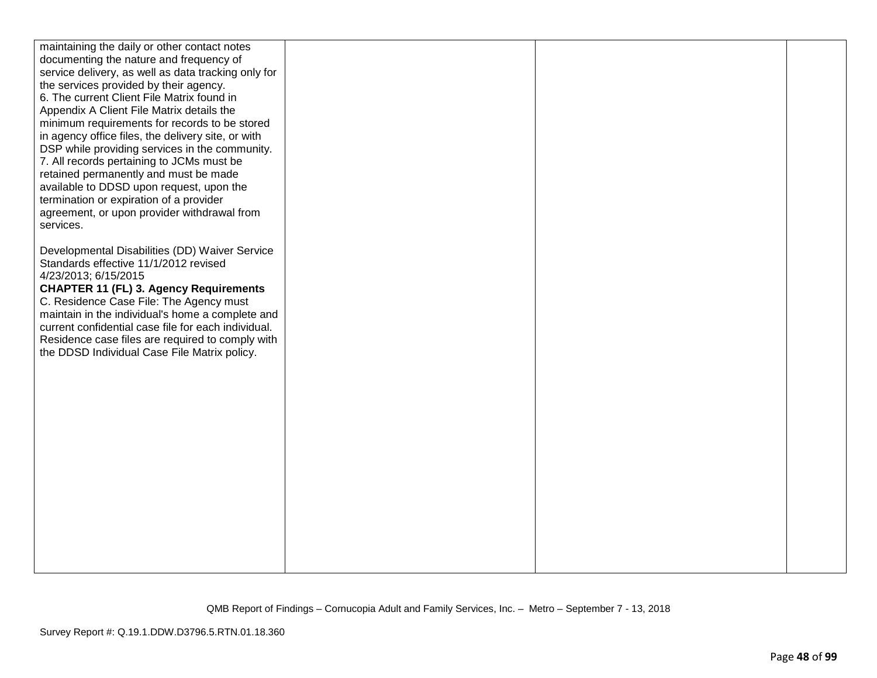| maintaining the daily or other contact notes                  |  |  |
|---------------------------------------------------------------|--|--|
| documenting the nature and frequency of                       |  |  |
| service delivery, as well as data tracking only for           |  |  |
| the services provided by their agency.                        |  |  |
| 6. The current Client File Matrix found in                    |  |  |
| Appendix A Client File Matrix details the                     |  |  |
| minimum requirements for records to be stored                 |  |  |
| in agency office files, the delivery site, or with            |  |  |
| DSP while providing services in the community.                |  |  |
| 7. All records pertaining to JCMs must be                     |  |  |
| retained permanently and must be made                         |  |  |
| available to DDSD upon request, upon the                      |  |  |
| termination or expiration of a provider                       |  |  |
| agreement, or upon provider withdrawal from                   |  |  |
| services.                                                     |  |  |
|                                                               |  |  |
| Developmental Disabilities (DD) Waiver Service                |  |  |
| Standards effective 11/1/2012 revised<br>4/23/2013; 6/15/2015 |  |  |
| <b>CHAPTER 11 (FL) 3. Agency Requirements</b>                 |  |  |
| C. Residence Case File: The Agency must                       |  |  |
| maintain in the individual's home a complete and              |  |  |
| current confidential case file for each individual.           |  |  |
| Residence case files are required to comply with              |  |  |
| the DDSD Individual Case File Matrix policy.                  |  |  |
|                                                               |  |  |
|                                                               |  |  |
|                                                               |  |  |
|                                                               |  |  |
|                                                               |  |  |
|                                                               |  |  |
|                                                               |  |  |
|                                                               |  |  |
|                                                               |  |  |
|                                                               |  |  |
|                                                               |  |  |
|                                                               |  |  |
|                                                               |  |  |
|                                                               |  |  |
|                                                               |  |  |
|                                                               |  |  |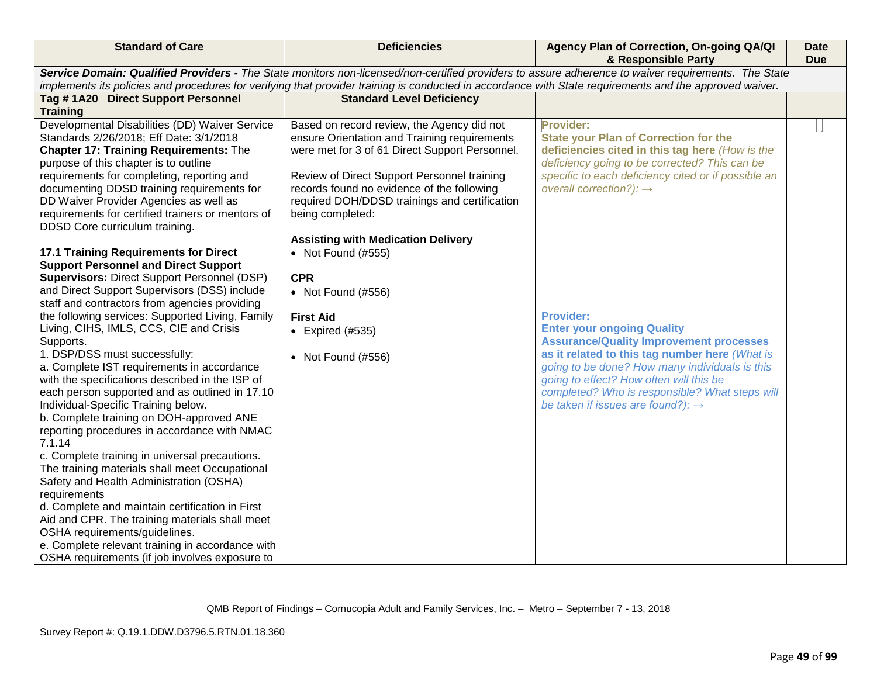| <b>Standard of Care</b>                            | <b>Deficiencies</b>                                                                                                                                     | Agency Plan of Correction, On-going QA/QI<br>& Responsible Party                                                                                    | <b>Date</b><br><b>Due</b> |
|----------------------------------------------------|---------------------------------------------------------------------------------------------------------------------------------------------------------|-----------------------------------------------------------------------------------------------------------------------------------------------------|---------------------------|
|                                                    |                                                                                                                                                         | Service Domain: Qualified Providers - The State monitors non-licensed/non-certified providers to assure adherence to waiver requirements. The State |                           |
|                                                    | implements its policies and procedures for verifying that provider training is conducted in accordance with State requirements and the approved waiver. |                                                                                                                                                     |                           |
| Tag #1A20 Direct Support Personnel                 | <b>Standard Level Deficiency</b>                                                                                                                        |                                                                                                                                                     |                           |
| <b>Training</b>                                    |                                                                                                                                                         |                                                                                                                                                     |                           |
| Developmental Disabilities (DD) Waiver Service     | Based on record review, the Agency did not                                                                                                              | <b>Provider:</b>                                                                                                                                    |                           |
| Standards 2/26/2018; Eff Date: 3/1/2018            | ensure Orientation and Training requirements                                                                                                            | <b>State your Plan of Correction for the</b>                                                                                                        |                           |
| <b>Chapter 17: Training Requirements: The</b>      | were met for 3 of 61 Direct Support Personnel.                                                                                                          | deficiencies cited in this tag here (How is the                                                                                                     |                           |
| purpose of this chapter is to outline              |                                                                                                                                                         | deficiency going to be corrected? This can be                                                                                                       |                           |
| requirements for completing, reporting and         | Review of Direct Support Personnel training                                                                                                             | specific to each deficiency cited or if possible an                                                                                                 |                           |
| documenting DDSD training requirements for         | records found no evidence of the following                                                                                                              | overall correction?): $\rightarrow$                                                                                                                 |                           |
| DD Waiver Provider Agencies as well as             | required DOH/DDSD trainings and certification                                                                                                           |                                                                                                                                                     |                           |
| requirements for certified trainers or mentors of  | being completed:                                                                                                                                        |                                                                                                                                                     |                           |
| DDSD Core curriculum training.                     |                                                                                                                                                         |                                                                                                                                                     |                           |
|                                                    | <b>Assisting with Medication Delivery</b>                                                                                                               |                                                                                                                                                     |                           |
| <b>17.1 Training Requirements for Direct</b>       | • Not Found (#555)                                                                                                                                      |                                                                                                                                                     |                           |
| <b>Support Personnel and Direct Support</b>        |                                                                                                                                                         |                                                                                                                                                     |                           |
| <b>Supervisors: Direct Support Personnel (DSP)</b> | <b>CPR</b>                                                                                                                                              |                                                                                                                                                     |                           |
| and Direct Support Supervisors (DSS) include       | • Not Found (#556)                                                                                                                                      |                                                                                                                                                     |                           |
| staff and contractors from agencies providing      |                                                                                                                                                         |                                                                                                                                                     |                           |
| the following services: Supported Living, Family   | <b>First Aid</b>                                                                                                                                        | <b>Provider:</b>                                                                                                                                    |                           |
| Living, CIHS, IMLS, CCS, CIE and Crisis            | $\bullet$ Expired (#535)                                                                                                                                | <b>Enter your ongoing Quality</b>                                                                                                                   |                           |
| Supports.                                          |                                                                                                                                                         | <b>Assurance/Quality Improvement processes</b>                                                                                                      |                           |
| 1. DSP/DSS must successfully:                      | • Not Found (#556)                                                                                                                                      | as it related to this tag number here (What is                                                                                                      |                           |
| a. Complete IST requirements in accordance         |                                                                                                                                                         | going to be done? How many individuals is this                                                                                                      |                           |
| with the specifications described in the ISP of    |                                                                                                                                                         | going to effect? How often will this be                                                                                                             |                           |
| each person supported and as outlined in 17.10     |                                                                                                                                                         | completed? Who is responsible? What steps will                                                                                                      |                           |
| Individual-Specific Training below.                |                                                                                                                                                         | be taken if issues are found?): $\rightarrow$                                                                                                       |                           |
| b. Complete training on DOH-approved ANE           |                                                                                                                                                         |                                                                                                                                                     |                           |
| reporting procedures in accordance with NMAC       |                                                                                                                                                         |                                                                                                                                                     |                           |
| 7.1.14                                             |                                                                                                                                                         |                                                                                                                                                     |                           |
| c. Complete training in universal precautions.     |                                                                                                                                                         |                                                                                                                                                     |                           |
| The training materials shall meet Occupational     |                                                                                                                                                         |                                                                                                                                                     |                           |
| Safety and Health Administration (OSHA)            |                                                                                                                                                         |                                                                                                                                                     |                           |
| requirements                                       |                                                                                                                                                         |                                                                                                                                                     |                           |
| d. Complete and maintain certification in First    |                                                                                                                                                         |                                                                                                                                                     |                           |
| Aid and CPR. The training materials shall meet     |                                                                                                                                                         |                                                                                                                                                     |                           |
| OSHA requirements/guidelines.                      |                                                                                                                                                         |                                                                                                                                                     |                           |
| e. Complete relevant training in accordance with   |                                                                                                                                                         |                                                                                                                                                     |                           |
| OSHA requirements (if job involves exposure to     |                                                                                                                                                         |                                                                                                                                                     |                           |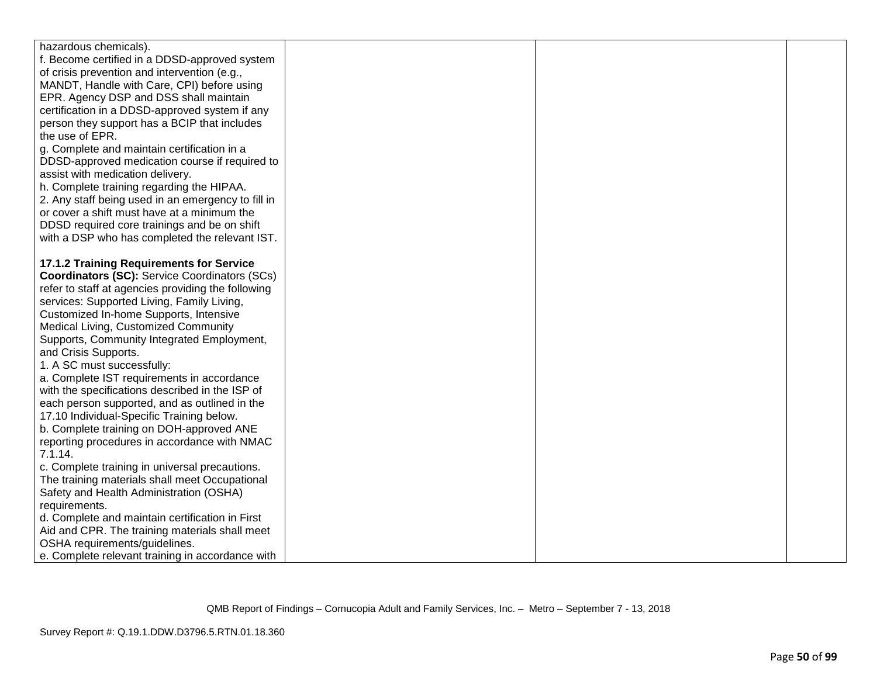| hazardous chemicals).                                |  |  |
|------------------------------------------------------|--|--|
| f. Become certified in a DDSD-approved system        |  |  |
|                                                      |  |  |
| of crisis prevention and intervention (e.g.,         |  |  |
| MANDT, Handle with Care, CPI) before using           |  |  |
| EPR. Agency DSP and DSS shall maintain               |  |  |
| certification in a DDSD-approved system if any       |  |  |
| person they support has a BCIP that includes         |  |  |
| the use of EPR.                                      |  |  |
| g. Complete and maintain certification in a          |  |  |
| DDSD-approved medication course if required to       |  |  |
| assist with medication delivery.                     |  |  |
| h. Complete training regarding the HIPAA.            |  |  |
| 2. Any staff being used in an emergency to fill in   |  |  |
| or cover a shift must have at a minimum the          |  |  |
| DDSD required core trainings and be on shift         |  |  |
| with a DSP who has completed the relevant IST.       |  |  |
|                                                      |  |  |
| 17.1.2 Training Requirements for Service             |  |  |
| <b>Coordinators (SC):</b> Service Coordinators (SCs) |  |  |
| refer to staff at agencies providing the following   |  |  |
| services: Supported Living, Family Living,           |  |  |
| Customized In-home Supports, Intensive               |  |  |
| Medical Living, Customized Community                 |  |  |
| Supports, Community Integrated Employment,           |  |  |
| and Crisis Supports.                                 |  |  |
| 1. A SC must successfully:                           |  |  |
| a. Complete IST requirements in accordance           |  |  |
| with the specifications described in the ISP of      |  |  |
| each person supported, and as outlined in the        |  |  |
| 17.10 Individual-Specific Training below.            |  |  |
| b. Complete training on DOH-approved ANE             |  |  |
| reporting procedures in accordance with NMAC         |  |  |
| 7.1.14.                                              |  |  |
| c. Complete training in universal precautions.       |  |  |
| The training materials shall meet Occupational       |  |  |
| Safety and Health Administration (OSHA)              |  |  |
| requirements.                                        |  |  |
| d. Complete and maintain certification in First      |  |  |
| Aid and CPR. The training materials shall meet       |  |  |
| OSHA requirements/guidelines.                        |  |  |
| e. Complete relevant training in accordance with     |  |  |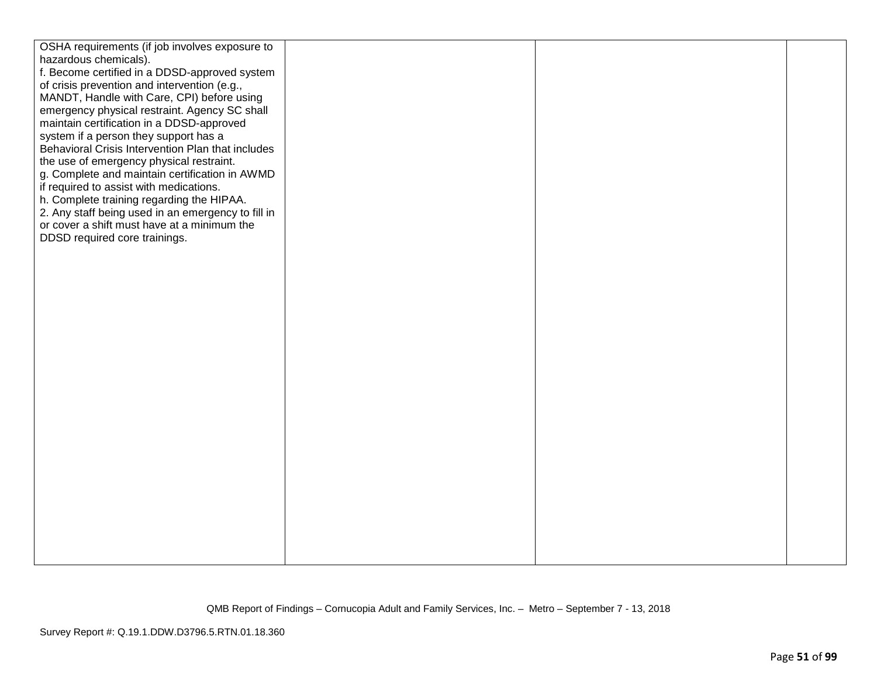| OSHA requirements (if job involves exposure to     |  |  |
|----------------------------------------------------|--|--|
| hazardous chemicals).                              |  |  |
| f. Become certified in a DDSD-approved system      |  |  |
| of crisis prevention and intervention (e.g.,       |  |  |
|                                                    |  |  |
| MANDT, Handle with Care, CPI) before using         |  |  |
| emergency physical restraint. Agency SC shall      |  |  |
| maintain certification in a DDSD-approved          |  |  |
| system if a person they support has a              |  |  |
| Behavioral Crisis Intervention Plan that includes  |  |  |
| the use of emergency physical restraint.           |  |  |
| g. Complete and maintain certification in AWMD     |  |  |
| if required to assist with medications.            |  |  |
| h. Complete training regarding the HIPAA.          |  |  |
| 2. Any staff being used in an emergency to fill in |  |  |
| or cover a shift must have at a minimum the        |  |  |
| DDSD required core trainings.                      |  |  |
|                                                    |  |  |
|                                                    |  |  |
|                                                    |  |  |
|                                                    |  |  |
|                                                    |  |  |
|                                                    |  |  |
|                                                    |  |  |
|                                                    |  |  |
|                                                    |  |  |
|                                                    |  |  |
|                                                    |  |  |
|                                                    |  |  |
|                                                    |  |  |
|                                                    |  |  |
|                                                    |  |  |
|                                                    |  |  |
|                                                    |  |  |
|                                                    |  |  |
|                                                    |  |  |
|                                                    |  |  |
|                                                    |  |  |
|                                                    |  |  |
|                                                    |  |  |
|                                                    |  |  |
|                                                    |  |  |
|                                                    |  |  |
|                                                    |  |  |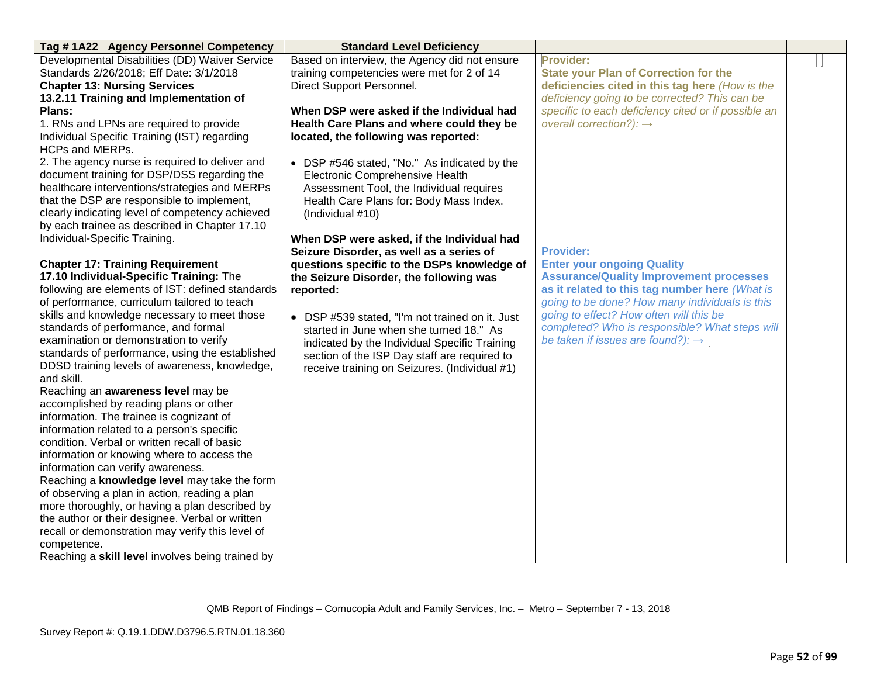| Tag #1A22 Agency Personnel Competency            | <b>Standard Level Deficiency</b>                |                                                     |  |
|--------------------------------------------------|-------------------------------------------------|-----------------------------------------------------|--|
| Developmental Disabilities (DD) Waiver Service   | Based on interview, the Agency did not ensure   | Provider:                                           |  |
| Standards 2/26/2018; Eff Date: 3/1/2018          | training competencies were met for 2 of 14      | <b>State your Plan of Correction for the</b>        |  |
| <b>Chapter 13: Nursing Services</b>              | Direct Support Personnel.                       | deficiencies cited in this tag here (How is the     |  |
| 13.2.11 Training and Implementation of           |                                                 | deficiency going to be corrected? This can be       |  |
| Plans:                                           | When DSP were asked if the Individual had       | specific to each deficiency cited or if possible an |  |
| 1. RNs and LPNs are required to provide          | Health Care Plans and where could they be       | overall correction?): $\rightarrow$                 |  |
| Individual Specific Training (IST) regarding     | located, the following was reported:            |                                                     |  |
| <b>HCPs and MERPs.</b>                           |                                                 |                                                     |  |
| 2. The agency nurse is required to deliver and   | • DSP #546 stated, "No." As indicated by the    |                                                     |  |
| document training for DSP/DSS regarding the      | Electronic Comprehensive Health                 |                                                     |  |
| healthcare interventions/strategies and MERPs    | Assessment Tool, the Individual requires        |                                                     |  |
| that the DSP are responsible to implement,       | Health Care Plans for: Body Mass Index.         |                                                     |  |
| clearly indicating level of competency achieved  | (Individual #10)                                |                                                     |  |
| by each trainee as described in Chapter 17.10    |                                                 |                                                     |  |
| Individual-Specific Training.                    | When DSP were asked, if the Individual had      |                                                     |  |
|                                                  | Seizure Disorder, as well as a series of        | <b>Provider:</b>                                    |  |
| <b>Chapter 17: Training Requirement</b>          | questions specific to the DSPs knowledge of     | <b>Enter your ongoing Quality</b>                   |  |
| 17.10 Individual-Specific Training: The          | the Seizure Disorder, the following was         | <b>Assurance/Quality Improvement processes</b>      |  |
| following are elements of IST: defined standards | reported:                                       | as it related to this tag number here (What is      |  |
| of performance, curriculum tailored to teach     |                                                 | going to be done? How many individuals is this      |  |
| skills and knowledge necessary to meet those     | • DSP #539 stated, "I'm not trained on it. Just | going to effect? How often will this be             |  |
| standards of performance, and formal             | started in June when she turned 18." As         | completed? Who is responsible? What steps will      |  |
| examination or demonstration to verify           | indicated by the Individual Specific Training   | be taken if issues are found?): $\rightarrow$       |  |
| standards of performance, using the established  | section of the ISP Day staff are required to    |                                                     |  |
| DDSD training levels of awareness, knowledge,    | receive training on Seizures. (Individual #1)   |                                                     |  |
| and skill.                                       |                                                 |                                                     |  |
| Reaching an awareness level may be               |                                                 |                                                     |  |
| accomplished by reading plans or other           |                                                 |                                                     |  |
| information. The trainee is cognizant of         |                                                 |                                                     |  |
| information related to a person's specific       |                                                 |                                                     |  |
| condition. Verbal or written recall of basic     |                                                 |                                                     |  |
| information or knowing where to access the       |                                                 |                                                     |  |
| information can verify awareness.                |                                                 |                                                     |  |
| Reaching a knowledge level may take the form     |                                                 |                                                     |  |
| of observing a plan in action, reading a plan    |                                                 |                                                     |  |
| more thoroughly, or having a plan described by   |                                                 |                                                     |  |
| the author or their designee. Verbal or written  |                                                 |                                                     |  |
| recall or demonstration may verify this level of |                                                 |                                                     |  |
| competence.                                      |                                                 |                                                     |  |
| Reaching a skill level involves being trained by |                                                 |                                                     |  |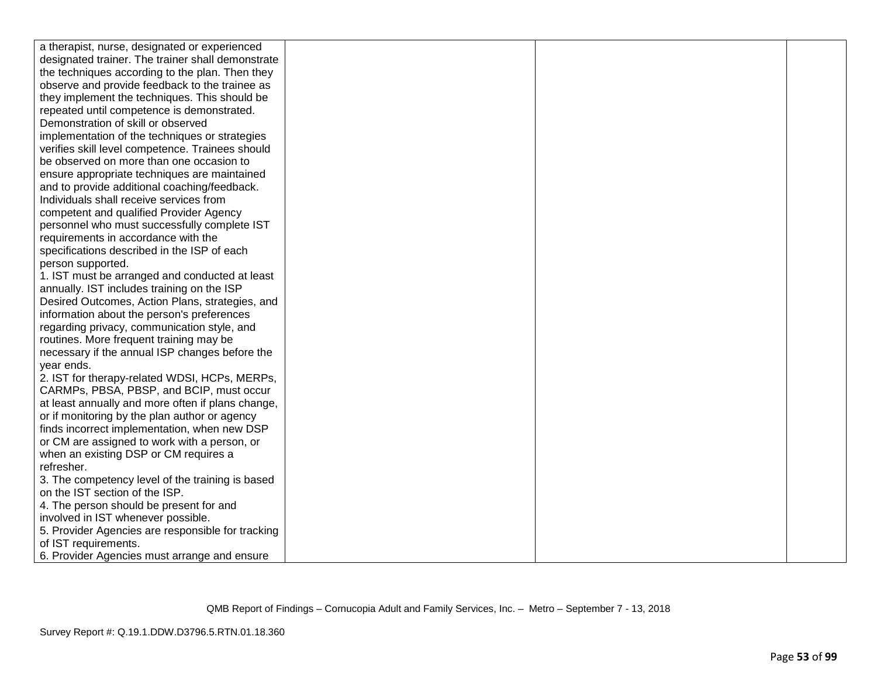| a therapist, nurse, designated or experienced     |  |  |
|---------------------------------------------------|--|--|
| designated trainer. The trainer shall demonstrate |  |  |
| the techniques according to the plan. Then they   |  |  |
| observe and provide feedback to the trainee as    |  |  |
| they implement the techniques. This should be     |  |  |
| repeated until competence is demonstrated.        |  |  |
| Demonstration of skill or observed                |  |  |
| implementation of the techniques or strategies    |  |  |
| verifies skill level competence. Trainees should  |  |  |
| be observed on more than one occasion to          |  |  |
| ensure appropriate techniques are maintained      |  |  |
| and to provide additional coaching/feedback.      |  |  |
| Individuals shall receive services from           |  |  |
| competent and qualified Provider Agency           |  |  |
| personnel who must successfully complete IST      |  |  |
| requirements in accordance with the               |  |  |
| specifications described in the ISP of each       |  |  |
| person supported.                                 |  |  |
| 1. IST must be arranged and conducted at least    |  |  |
| annually. IST includes training on the ISP        |  |  |
| Desired Outcomes, Action Plans, strategies, and   |  |  |
| information about the person's preferences        |  |  |
| regarding privacy, communication style, and       |  |  |
| routines. More frequent training may be           |  |  |
| necessary if the annual ISP changes before the    |  |  |
| year ends.                                        |  |  |
| 2. IST for therapy-related WDSI, HCPs, MERPs,     |  |  |
| CARMPs, PBSA, PBSP, and BCIP, must occur          |  |  |
| at least annually and more often if plans change, |  |  |
| or if monitoring by the plan author or agency     |  |  |
| finds incorrect implementation, when new DSP      |  |  |
| or CM are assigned to work with a person, or      |  |  |
| when an existing DSP or CM requires a             |  |  |
| refresher.                                        |  |  |
| 3. The competency level of the training is based  |  |  |
| on the IST section of the ISP.                    |  |  |
| 4. The person should be present for and           |  |  |
| involved in IST whenever possible.                |  |  |
| 5. Provider Agencies are responsible for tracking |  |  |
| of IST requirements.                              |  |  |
| 6. Provider Agencies must arrange and ensure      |  |  |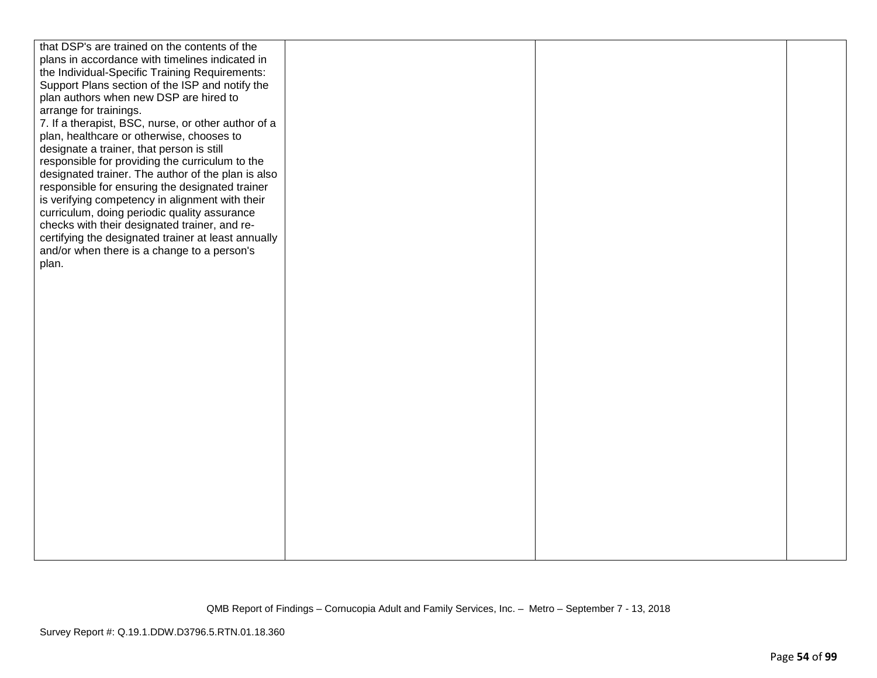| that DSP's are trained on the contents of the       |  |  |
|-----------------------------------------------------|--|--|
| plans in accordance with timelines indicated in     |  |  |
| the Individual-Specific Training Requirements:      |  |  |
| Support Plans section of the ISP and notify the     |  |  |
| plan authors when new DSP are hired to              |  |  |
| arrange for trainings.                              |  |  |
| 7. If a therapist, BSC, nurse, or other author of a |  |  |
| plan, healthcare or otherwise, chooses to           |  |  |
| designate a trainer, that person is still           |  |  |
| responsible for providing the curriculum to the     |  |  |
|                                                     |  |  |
| designated trainer. The author of the plan is also  |  |  |
| responsible for ensuring the designated trainer     |  |  |
| is verifying competency in alignment with their     |  |  |
| curriculum, doing periodic quality assurance        |  |  |
| checks with their designated trainer, and re-       |  |  |
| certifying the designated trainer at least annually |  |  |
| and/or when there is a change to a person's         |  |  |
| plan.                                               |  |  |
|                                                     |  |  |
|                                                     |  |  |
|                                                     |  |  |
|                                                     |  |  |
|                                                     |  |  |
|                                                     |  |  |
|                                                     |  |  |
|                                                     |  |  |
|                                                     |  |  |
|                                                     |  |  |
|                                                     |  |  |
|                                                     |  |  |
|                                                     |  |  |
|                                                     |  |  |
|                                                     |  |  |
|                                                     |  |  |
|                                                     |  |  |
|                                                     |  |  |
|                                                     |  |  |
|                                                     |  |  |
|                                                     |  |  |
|                                                     |  |  |
|                                                     |  |  |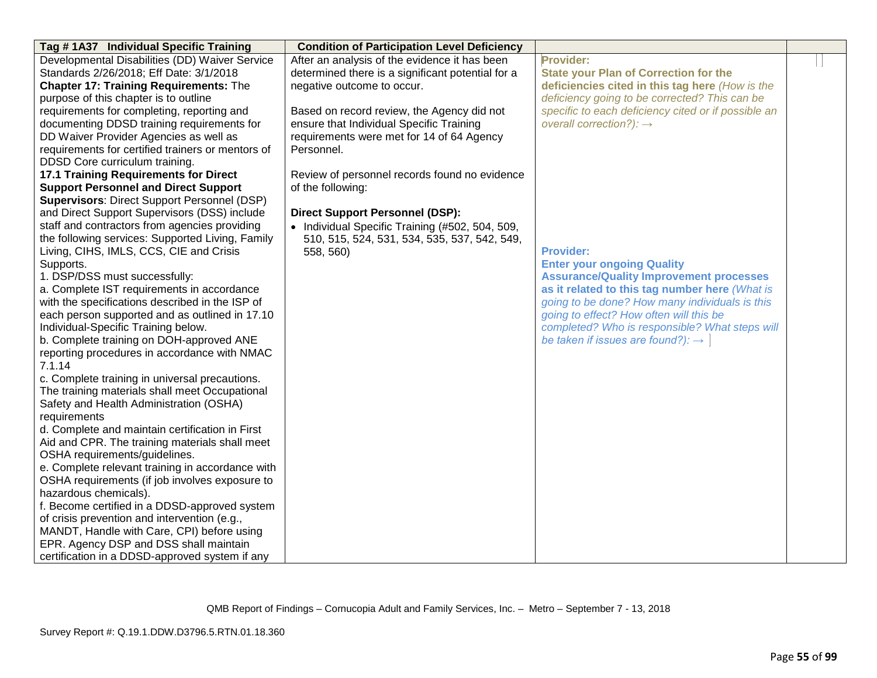| Tag #1A37 Individual Specific Training                                                     | <b>Condition of Participation Level Deficiency</b> |                                                     |  |
|--------------------------------------------------------------------------------------------|----------------------------------------------------|-----------------------------------------------------|--|
| Developmental Disabilities (DD) Waiver Service                                             | After an analysis of the evidence it has been      | Provider:                                           |  |
| Standards 2/26/2018; Eff Date: 3/1/2018                                                    | determined there is a significant potential for a  | <b>State your Plan of Correction for the</b>        |  |
| <b>Chapter 17: Training Requirements: The</b>                                              | negative outcome to occur.                         | deficiencies cited in this tag here (How is the     |  |
| purpose of this chapter is to outline                                                      |                                                    | deficiency going to be corrected? This can be       |  |
| requirements for completing, reporting and                                                 | Based on record review, the Agency did not         | specific to each deficiency cited or if possible an |  |
| documenting DDSD training requirements for                                                 | ensure that Individual Specific Training           | overall correction?): $\rightarrow$                 |  |
| DD Waiver Provider Agencies as well as                                                     | requirements were met for 14 of 64 Agency          |                                                     |  |
| requirements for certified trainers or mentors of                                          | Personnel.                                         |                                                     |  |
| DDSD Core curriculum training.                                                             |                                                    |                                                     |  |
| <b>17.1 Training Requirements for Direct</b>                                               | Review of personnel records found no evidence      |                                                     |  |
| <b>Support Personnel and Direct Support</b>                                                | of the following:                                  |                                                     |  |
| <b>Supervisors: Direct Support Personnel (DSP)</b>                                         |                                                    |                                                     |  |
| and Direct Support Supervisors (DSS) include                                               | <b>Direct Support Personnel (DSP):</b>             |                                                     |  |
| staff and contractors from agencies providing                                              | • Individual Specific Training (#502, 504, 509,    |                                                     |  |
| the following services: Supported Living, Family                                           | 510, 515, 524, 531, 534, 535, 537, 542, 549,       |                                                     |  |
| Living, CIHS, IMLS, CCS, CIE and Crisis                                                    | 558, 560)                                          | <b>Provider:</b>                                    |  |
| Supports.                                                                                  |                                                    | <b>Enter your ongoing Quality</b>                   |  |
| 1. DSP/DSS must successfully:                                                              |                                                    | <b>Assurance/Quality Improvement processes</b>      |  |
| a. Complete IST requirements in accordance                                                 |                                                    | as it related to this tag number here (What is      |  |
| with the specifications described in the ISP of                                            |                                                    | going to be done? How many individuals is this      |  |
| each person supported and as outlined in 17.10                                             |                                                    | going to effect? How often will this be             |  |
| Individual-Specific Training below.                                                        |                                                    | completed? Who is responsible? What steps will      |  |
| b. Complete training on DOH-approved ANE                                                   |                                                    | be taken if issues are found?): $\rightarrow$       |  |
| reporting procedures in accordance with NMAC                                               |                                                    |                                                     |  |
| 7.1.14                                                                                     |                                                    |                                                     |  |
| c. Complete training in universal precautions.                                             |                                                    |                                                     |  |
| The training materials shall meet Occupational                                             |                                                    |                                                     |  |
| Safety and Health Administration (OSHA)                                                    |                                                    |                                                     |  |
| requirements                                                                               |                                                    |                                                     |  |
| d. Complete and maintain certification in First                                            |                                                    |                                                     |  |
| Aid and CPR. The training materials shall meet                                             |                                                    |                                                     |  |
| OSHA requirements/guidelines.                                                              |                                                    |                                                     |  |
| e. Complete relevant training in accordance with                                           |                                                    |                                                     |  |
| OSHA requirements (if job involves exposure to                                             |                                                    |                                                     |  |
| hazardous chemicals).                                                                      |                                                    |                                                     |  |
| f. Become certified in a DDSD-approved system                                              |                                                    |                                                     |  |
| of crisis prevention and intervention (e.g.,<br>MANDT, Handle with Care, CPI) before using |                                                    |                                                     |  |
| EPR. Agency DSP and DSS shall maintain                                                     |                                                    |                                                     |  |
|                                                                                            |                                                    |                                                     |  |
| certification in a DDSD-approved system if any                                             |                                                    |                                                     |  |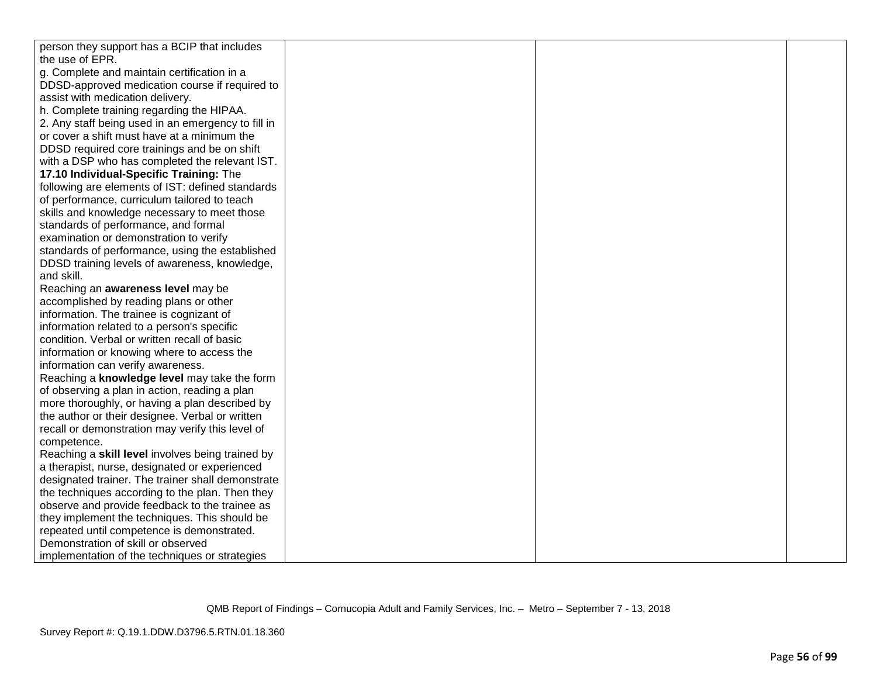| person they support has a BCIP that includes       |  |  |
|----------------------------------------------------|--|--|
| the use of EPR.                                    |  |  |
| g. Complete and maintain certification in a        |  |  |
| DDSD-approved medication course if required to     |  |  |
| assist with medication delivery.                   |  |  |
| h. Complete training regarding the HIPAA.          |  |  |
| 2. Any staff being used in an emergency to fill in |  |  |
| or cover a shift must have at a minimum the        |  |  |
| DDSD required core trainings and be on shift       |  |  |
| with a DSP who has completed the relevant IST.     |  |  |
| 17.10 Individual-Specific Training: The            |  |  |
| following are elements of IST: defined standards   |  |  |
| of performance, curriculum tailored to teach       |  |  |
| skills and knowledge necessary to meet those       |  |  |
| standards of performance, and formal               |  |  |
| examination or demonstration to verify             |  |  |
| standards of performance, using the established    |  |  |
| DDSD training levels of awareness, knowledge,      |  |  |
| and skill.                                         |  |  |
| Reaching an awareness level may be                 |  |  |
| accomplished by reading plans or other             |  |  |
| information. The trainee is cognizant of           |  |  |
| information related to a person's specific         |  |  |
| condition. Verbal or written recall of basic       |  |  |
| information or knowing where to access the         |  |  |
| information can verify awareness.                  |  |  |
| Reaching a knowledge level may take the form       |  |  |
| of observing a plan in action, reading a plan      |  |  |
| more thoroughly, or having a plan described by     |  |  |
| the author or their designee. Verbal or written    |  |  |
| recall or demonstration may verify this level of   |  |  |
| competence.                                        |  |  |
| Reaching a skill level involves being trained by   |  |  |
| a therapist, nurse, designated or experienced      |  |  |
| designated trainer. The trainer shall demonstrate  |  |  |
| the techniques according to the plan. Then they    |  |  |
| observe and provide feedback to the trainee as     |  |  |
| they implement the techniques. This should be      |  |  |
| repeated until competence is demonstrated.         |  |  |
| Demonstration of skill or observed                 |  |  |
| implementation of the techniques or strategies     |  |  |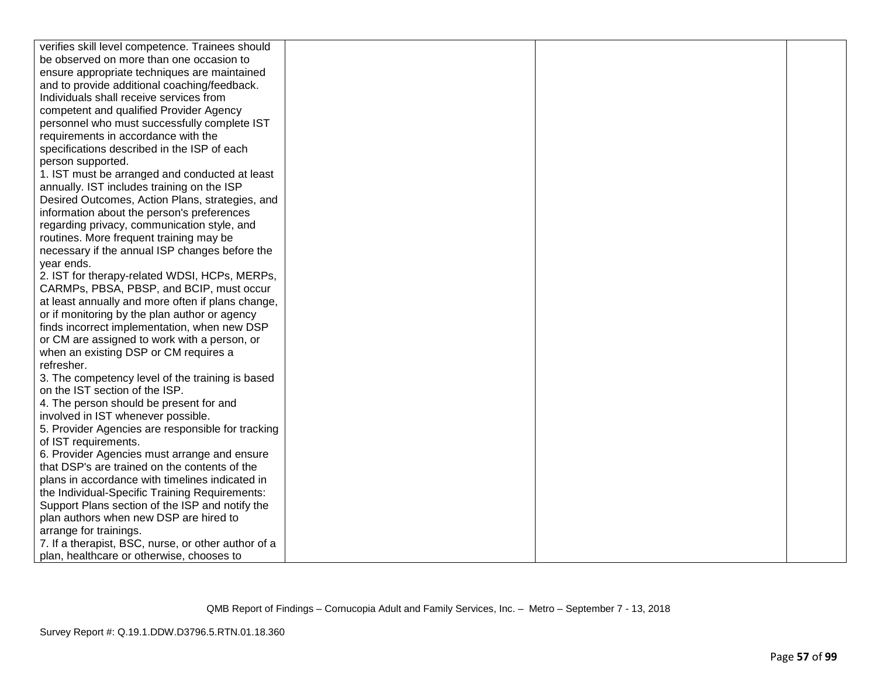| verifies skill level competence. Trainees should    |  |  |
|-----------------------------------------------------|--|--|
| be observed on more than one occasion to            |  |  |
| ensure appropriate techniques are maintained        |  |  |
| and to provide additional coaching/feedback.        |  |  |
| Individuals shall receive services from             |  |  |
| competent and qualified Provider Agency             |  |  |
| personnel who must successfully complete IST        |  |  |
| requirements in accordance with the                 |  |  |
| specifications described in the ISP of each         |  |  |
| person supported.                                   |  |  |
| 1. IST must be arranged and conducted at least      |  |  |
| annually. IST includes training on the ISP          |  |  |
| Desired Outcomes, Action Plans, strategies, and     |  |  |
| information about the person's preferences          |  |  |
| regarding privacy, communication style, and         |  |  |
| routines. More frequent training may be             |  |  |
| necessary if the annual ISP changes before the      |  |  |
| year ends.                                          |  |  |
| 2. IST for therapy-related WDSI, HCPs, MERPs,       |  |  |
| CARMPs, PBSA, PBSP, and BCIP, must occur            |  |  |
| at least annually and more often if plans change,   |  |  |
| or if monitoring by the plan author or agency       |  |  |
| finds incorrect implementation, when new DSP        |  |  |
| or CM are assigned to work with a person, or        |  |  |
| when an existing DSP or CM requires a               |  |  |
| refresher.                                          |  |  |
| 3. The competency level of the training is based    |  |  |
| on the IST section of the ISP.                      |  |  |
| 4. The person should be present for and             |  |  |
| involved in IST whenever possible.                  |  |  |
| 5. Provider Agencies are responsible for tracking   |  |  |
| of IST requirements.                                |  |  |
| 6. Provider Agencies must arrange and ensure        |  |  |
| that DSP's are trained on the contents of the       |  |  |
| plans in accordance with timelines indicated in     |  |  |
| the Individual-Specific Training Requirements:      |  |  |
| Support Plans section of the ISP and notify the     |  |  |
| plan authors when new DSP are hired to              |  |  |
| arrange for trainings.                              |  |  |
| 7. If a therapist, BSC, nurse, or other author of a |  |  |
| plan, healthcare or otherwise, chooses to           |  |  |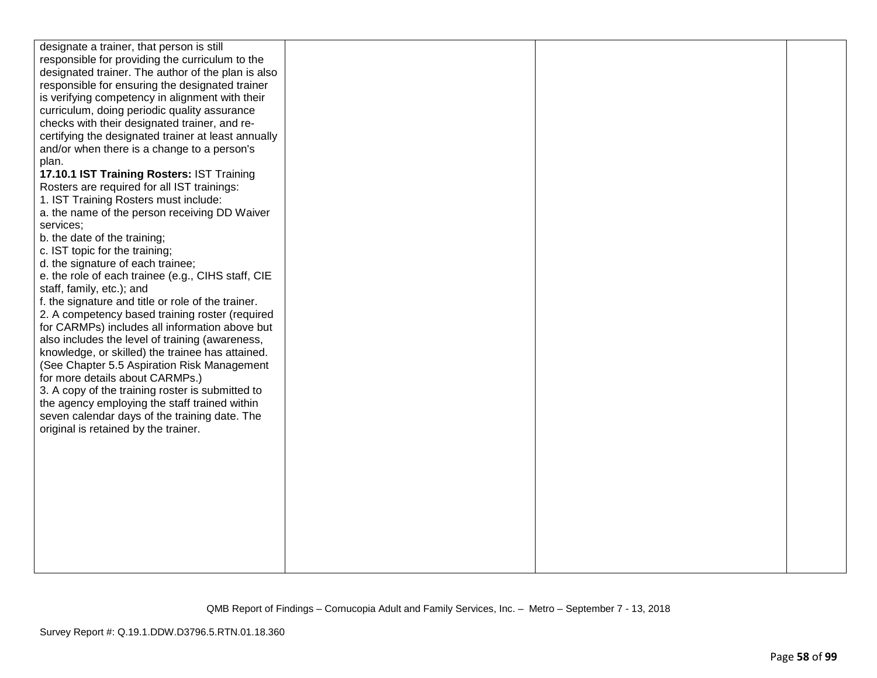| designate a trainer, that person is still                                                           |  |  |
|-----------------------------------------------------------------------------------------------------|--|--|
| responsible for providing the curriculum to the                                                     |  |  |
| designated trainer. The author of the plan is also                                                  |  |  |
| responsible for ensuring the designated trainer                                                     |  |  |
| is verifying competency in alignment with their                                                     |  |  |
| curriculum, doing periodic quality assurance                                                        |  |  |
| checks with their designated trainer, and re-                                                       |  |  |
| certifying the designated trainer at least annually                                                 |  |  |
| and/or when there is a change to a person's                                                         |  |  |
| plan.                                                                                               |  |  |
| 17.10.1 IST Training Rosters: IST Training                                                          |  |  |
| Rosters are required for all IST trainings:                                                         |  |  |
| 1. IST Training Rosters must include:                                                               |  |  |
| a. the name of the person receiving DD Waiver                                                       |  |  |
| services;                                                                                           |  |  |
| b. the date of the training;                                                                        |  |  |
| c. IST topic for the training;                                                                      |  |  |
| d. the signature of each trainee;                                                                   |  |  |
| e. the role of each trainee (e.g., CIHS staff, CIE                                                  |  |  |
| staff, family, etc.); and                                                                           |  |  |
| f. the signature and title or role of the trainer.                                                  |  |  |
| 2. A competency based training roster (required                                                     |  |  |
| for CARMPs) includes all information above but                                                      |  |  |
| also includes the level of training (awareness,<br>knowledge, or skilled) the trainee has attained. |  |  |
| (See Chapter 5.5 Aspiration Risk Management                                                         |  |  |
| for more details about CARMPs.)                                                                     |  |  |
| 3. A copy of the training roster is submitted to                                                    |  |  |
| the agency employing the staff trained within                                                       |  |  |
| seven calendar days of the training date. The                                                       |  |  |
| original is retained by the trainer.                                                                |  |  |
|                                                                                                     |  |  |
|                                                                                                     |  |  |
|                                                                                                     |  |  |
|                                                                                                     |  |  |
|                                                                                                     |  |  |
|                                                                                                     |  |  |
|                                                                                                     |  |  |
|                                                                                                     |  |  |
|                                                                                                     |  |  |
|                                                                                                     |  |  |
|                                                                                                     |  |  |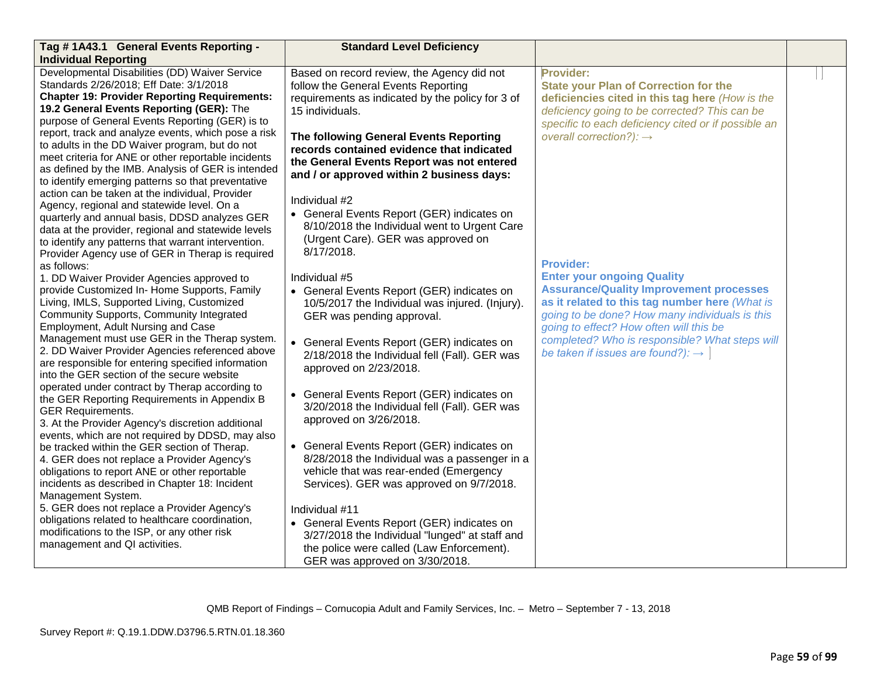| Tag #1A43.1 General Events Reporting -                                                                                                                                                                                                                                                                                      | <b>Standard Level Deficiency</b>                                                                                                                                                              |                                                                                                                                                                                                                                    |  |
|-----------------------------------------------------------------------------------------------------------------------------------------------------------------------------------------------------------------------------------------------------------------------------------------------------------------------------|-----------------------------------------------------------------------------------------------------------------------------------------------------------------------------------------------|------------------------------------------------------------------------------------------------------------------------------------------------------------------------------------------------------------------------------------|--|
| <b>Individual Reporting</b>                                                                                                                                                                                                                                                                                                 |                                                                                                                                                                                               |                                                                                                                                                                                                                                    |  |
| Developmental Disabilities (DD) Waiver Service<br>Standards 2/26/2018; Eff Date: 3/1/2018<br><b>Chapter 19: Provider Reporting Requirements:</b><br>19.2 General Events Reporting (GER): The<br>purpose of General Events Reporting (GER) is to                                                                             | Based on record review, the Agency did not<br>follow the General Events Reporting<br>requirements as indicated by the policy for 3 of<br>15 individuals.                                      | Provider:<br><b>State your Plan of Correction for the</b><br>deficiencies cited in this tag here (How is the<br>deficiency going to be corrected? This can be<br>specific to each deficiency cited or if possible an               |  |
| report, track and analyze events, which pose a risk<br>to adults in the DD Waiver program, but do not<br>meet criteria for ANE or other reportable incidents<br>as defined by the IMB. Analysis of GER is intended<br>to identify emerging patterns so that preventative<br>action can be taken at the individual, Provider | The following General Events Reporting<br>records contained evidence that indicated<br>the General Events Report was not entered<br>and / or approved within 2 business days:                 | overall correction?): $\rightarrow$                                                                                                                                                                                                |  |
| Agency, regional and statewide level. On a<br>quarterly and annual basis, DDSD analyzes GER<br>data at the provider, regional and statewide levels<br>to identify any patterns that warrant intervention.<br>Provider Agency use of GER in Therap is required                                                               | Individual #2<br>• General Events Report (GER) indicates on<br>8/10/2018 the Individual went to Urgent Care<br>(Urgent Care). GER was approved on<br>8/17/2018.                               | <b>Provider:</b>                                                                                                                                                                                                                   |  |
| as follows:<br>1. DD Waiver Provider Agencies approved to<br>provide Customized In- Home Supports, Family<br>Living, IMLS, Supported Living, Customized<br>Community Supports, Community Integrated<br>Employment, Adult Nursing and Case                                                                                   | Individual #5<br>• General Events Report (GER) indicates on<br>10/5/2017 the Individual was injured. (Injury).<br>GER was pending approval.                                                   | <b>Enter your ongoing Quality</b><br><b>Assurance/Quality Improvement processes</b><br>as it related to this tag number here (What is<br>going to be done? How many individuals is this<br>going to effect? How often will this be |  |
| Management must use GER in the Therap system.<br>2. DD Waiver Provider Agencies referenced above<br>are responsible for entering specified information<br>into the GER section of the secure website                                                                                                                        | • General Events Report (GER) indicates on<br>2/18/2018 the Individual fell (Fall). GER was<br>approved on 2/23/2018.                                                                         | completed? Who is responsible? What steps will<br>be taken if issues are found?): $\rightarrow$                                                                                                                                    |  |
| operated under contract by Therap according to<br>the GER Reporting Requirements in Appendix B<br><b>GER Requirements.</b><br>3. At the Provider Agency's discretion additional<br>events, which are not required by DDSD, may also                                                                                         | • General Events Report (GER) indicates on<br>3/20/2018 the Individual fell (Fall). GER was<br>approved on 3/26/2018.                                                                         |                                                                                                                                                                                                                                    |  |
| be tracked within the GER section of Therap.<br>4. GER does not replace a Provider Agency's<br>obligations to report ANE or other reportable<br>incidents as described in Chapter 18: Incident<br>Management System.                                                                                                        | • General Events Report (GER) indicates on<br>8/28/2018 the Individual was a passenger in a<br>vehicle that was rear-ended (Emergency<br>Services). GER was approved on 9/7/2018.             |                                                                                                                                                                                                                                    |  |
| 5. GER does not replace a Provider Agency's<br>obligations related to healthcare coordination,<br>modifications to the ISP, or any other risk<br>management and QI activities.                                                                                                                                              | Individual #11<br>• General Events Report (GER) indicates on<br>3/27/2018 the Individual "lunged" at staff and<br>the police were called (Law Enforcement).<br>GER was approved on 3/30/2018. |                                                                                                                                                                                                                                    |  |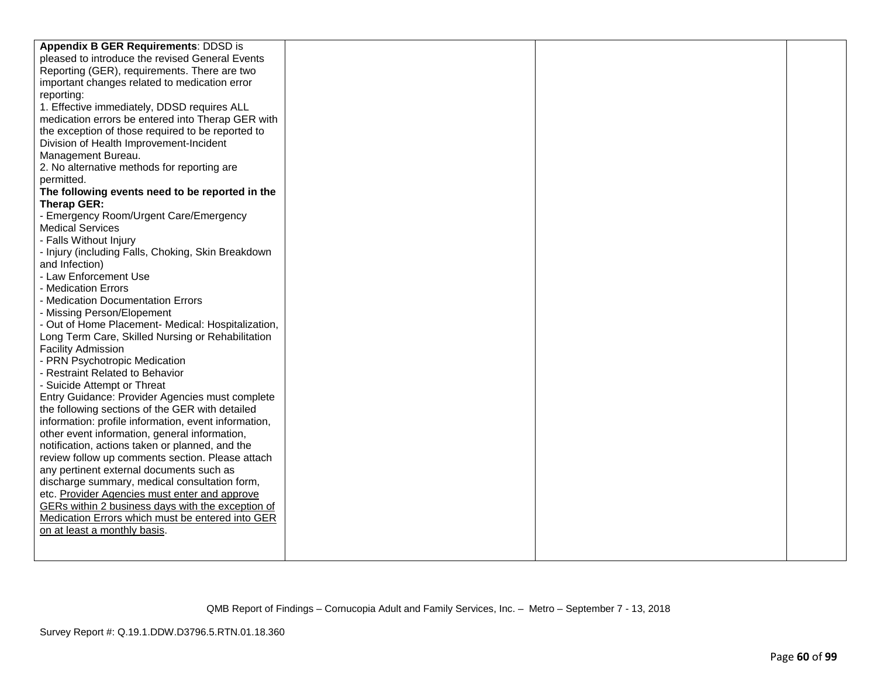| Appendix B GER Requirements: DDSD is                 |  |  |
|------------------------------------------------------|--|--|
| pleased to introduce the revised General Events      |  |  |
| Reporting (GER), requirements. There are two         |  |  |
| important changes related to medication error        |  |  |
| reporting:                                           |  |  |
| 1. Effective immediately, DDSD requires ALL          |  |  |
| medication errors be entered into Therap GER with    |  |  |
| the exception of those required to be reported to    |  |  |
| Division of Health Improvement-Incident              |  |  |
| Management Bureau.                                   |  |  |
| 2. No alternative methods for reporting are          |  |  |
| permitted.                                           |  |  |
| The following events need to be reported in the      |  |  |
| Therap GER:                                          |  |  |
| - Emergency Room/Urgent Care/Emergency               |  |  |
| <b>Medical Services</b>                              |  |  |
| - Falls Without Injury                               |  |  |
| - Injury (including Falls, Choking, Skin Breakdown   |  |  |
| and Infection)                                       |  |  |
| - Law Enforcement Use                                |  |  |
| - Medication Errors                                  |  |  |
| - Medication Documentation Errors                    |  |  |
| - Missing Person/Elopement                           |  |  |
| - Out of Home Placement- Medical: Hospitalization,   |  |  |
| Long Term Care, Skilled Nursing or Rehabilitation    |  |  |
| <b>Facility Admission</b>                            |  |  |
| - PRN Psychotropic Medication                        |  |  |
| - Restraint Related to Behavior                      |  |  |
| - Suicide Attempt or Threat                          |  |  |
| Entry Guidance: Provider Agencies must complete      |  |  |
| the following sections of the GER with detailed      |  |  |
| information: profile information, event information, |  |  |
| other event information, general information,        |  |  |
| notification, actions taken or planned, and the      |  |  |
| review follow up comments section. Please attach     |  |  |
| any pertinent external documents such as             |  |  |
| discharge summary, medical consultation form,        |  |  |
| etc. Provider Agencies must enter and approve        |  |  |
| GERs within 2 business days with the exception of    |  |  |
| Medication Errors which must be entered into GER     |  |  |
| on at least a monthly basis.                         |  |  |
|                                                      |  |  |
|                                                      |  |  |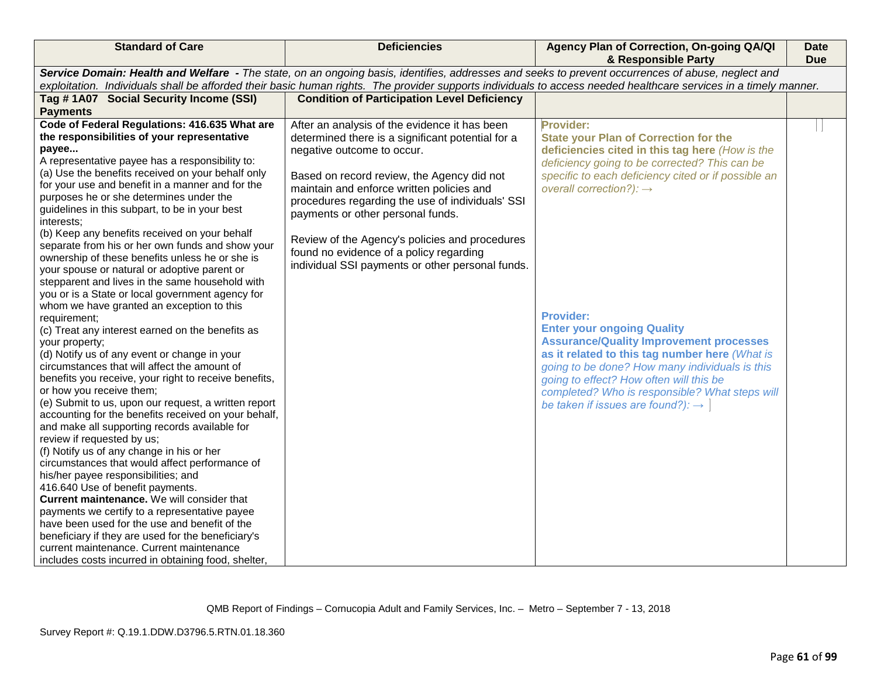| <b>Standard of Care</b>                                                                                                                                                                                                                                                                                                                                                                                                                                                                                                                                                                                                                                                                                                                                                                                                                                                                                                                                                                                                                                                                                       | <b>Deficiencies</b>                                                                                                                                                                                                                                                                                                                                                                                                                                                   | Agency Plan of Correction, On-going QA/QI<br>& Responsible Party                                                                                                                                                                                                                                                                                          | <b>Date</b><br><b>Due</b> |
|---------------------------------------------------------------------------------------------------------------------------------------------------------------------------------------------------------------------------------------------------------------------------------------------------------------------------------------------------------------------------------------------------------------------------------------------------------------------------------------------------------------------------------------------------------------------------------------------------------------------------------------------------------------------------------------------------------------------------------------------------------------------------------------------------------------------------------------------------------------------------------------------------------------------------------------------------------------------------------------------------------------------------------------------------------------------------------------------------------------|-----------------------------------------------------------------------------------------------------------------------------------------------------------------------------------------------------------------------------------------------------------------------------------------------------------------------------------------------------------------------------------------------------------------------------------------------------------------------|-----------------------------------------------------------------------------------------------------------------------------------------------------------------------------------------------------------------------------------------------------------------------------------------------------------------------------------------------------------|---------------------------|
|                                                                                                                                                                                                                                                                                                                                                                                                                                                                                                                                                                                                                                                                                                                                                                                                                                                                                                                                                                                                                                                                                                               | Service Domain: Health and Welfare - The state, on an ongoing basis, identifies, addresses and seeks to prevent occurrences of abuse, neglect and                                                                                                                                                                                                                                                                                                                     |                                                                                                                                                                                                                                                                                                                                                           |                           |
|                                                                                                                                                                                                                                                                                                                                                                                                                                                                                                                                                                                                                                                                                                                                                                                                                                                                                                                                                                                                                                                                                                               |                                                                                                                                                                                                                                                                                                                                                                                                                                                                       | exploitation. Individuals shall be afforded their basic human rights. The provider supports individuals to access needed healthcare services in a timely manner.                                                                                                                                                                                          |                           |
| Tag # 1A07 Social Security Income (SSI)<br><b>Payments</b>                                                                                                                                                                                                                                                                                                                                                                                                                                                                                                                                                                                                                                                                                                                                                                                                                                                                                                                                                                                                                                                    | <b>Condition of Participation Level Deficiency</b>                                                                                                                                                                                                                                                                                                                                                                                                                    |                                                                                                                                                                                                                                                                                                                                                           |                           |
| Code of Federal Regulations: 416.635 What are<br>the responsibilities of your representative<br>payee<br>A representative payee has a responsibility to:<br>(a) Use the benefits received on your behalf only<br>for your use and benefit in a manner and for the<br>purposes he or she determines under the<br>guidelines in this subpart, to be in your best<br>interests:<br>(b) Keep any benefits received on your behalf<br>separate from his or her own funds and show your<br>ownership of these benefits unless he or she is<br>your spouse or natural or adoptive parent or                                                                                                                                                                                                                                                                                                                                                                                                                                                                                                                          | After an analysis of the evidence it has been<br>determined there is a significant potential for a<br>negative outcome to occur.<br>Based on record review, the Agency did not<br>maintain and enforce written policies and<br>procedures regarding the use of individuals' SSI<br>payments or other personal funds.<br>Review of the Agency's policies and procedures<br>found no evidence of a policy regarding<br>individual SSI payments or other personal funds. | <b>Provider:</b><br><b>State your Plan of Correction for the</b><br>deficiencies cited in this tag here (How is the<br>deficiency going to be corrected? This can be<br>specific to each deficiency cited or if possible an<br>overall correction?): $\rightarrow$                                                                                        |                           |
| stepparent and lives in the same household with<br>you or is a State or local government agency for<br>whom we have granted an exception to this<br>requirement;<br>(c) Treat any interest earned on the benefits as<br>your property;<br>(d) Notify us of any event or change in your<br>circumstances that will affect the amount of<br>benefits you receive, your right to receive benefits,<br>or how you receive them;<br>(e) Submit to us, upon our request, a written report<br>accounting for the benefits received on your behalf,<br>and make all supporting records available for<br>review if requested by us;<br>(f) Notify us of any change in his or her<br>circumstances that would affect performance of<br>his/her payee responsibilities; and<br>416.640 Use of benefit payments.<br>Current maintenance. We will consider that<br>payments we certify to a representative payee<br>have been used for the use and benefit of the<br>beneficiary if they are used for the beneficiary's<br>current maintenance. Current maintenance<br>includes costs incurred in obtaining food, shelter, |                                                                                                                                                                                                                                                                                                                                                                                                                                                                       | <b>Provider:</b><br><b>Enter your ongoing Quality</b><br><b>Assurance/Quality Improvement processes</b><br>as it related to this tag number here (What is<br>going to be done? How many individuals is this<br>going to effect? How often will this be<br>completed? Who is responsible? What steps will<br>be taken if issues are found?): $\rightarrow$ |                           |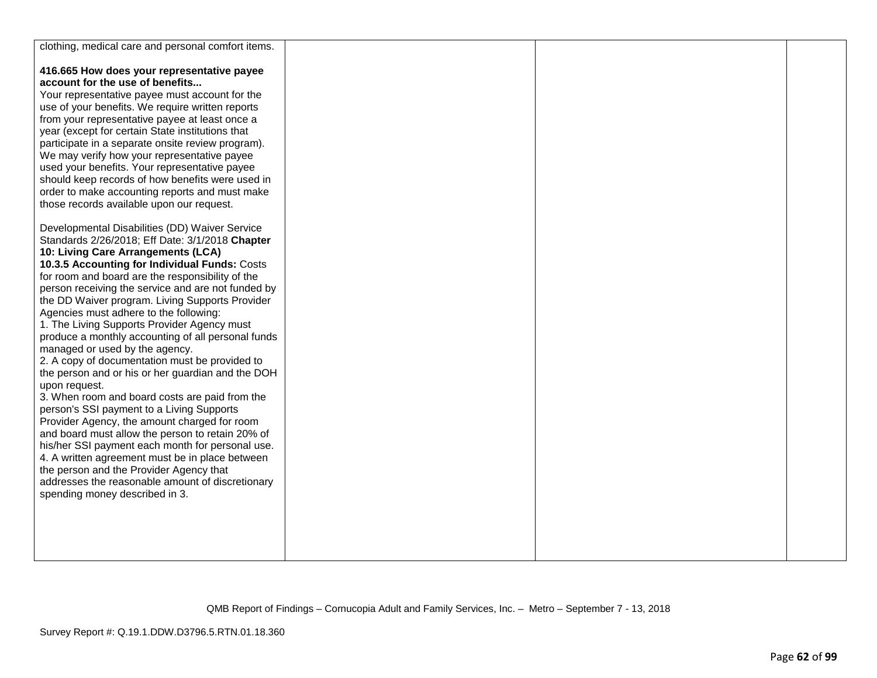| clothing, medical care and personal comfort items.              |  |  |
|-----------------------------------------------------------------|--|--|
| 416.665 How does your representative payee                      |  |  |
| account for the use of benefits                                 |  |  |
| Your representative payee must account for the                  |  |  |
| use of your benefits. We require written reports                |  |  |
| from your representative payee at least once a                  |  |  |
| year (except for certain State institutions that                |  |  |
| participate in a separate onsite review program).               |  |  |
| We may verify how your representative payee                     |  |  |
| used your benefits. Your representative payee                   |  |  |
| should keep records of how benefits were used in                |  |  |
| order to make accounting reports and must make                  |  |  |
| those records available upon our request.                       |  |  |
| Developmental Disabilities (DD) Waiver Service                  |  |  |
| Standards 2/26/2018; Eff Date: 3/1/2018 Chapter                 |  |  |
| 10: Living Care Arrangements (LCA)                              |  |  |
| 10.3.5 Accounting for Individual Funds: Costs                   |  |  |
| for room and board are the responsibility of the                |  |  |
| person receiving the service and are not funded by              |  |  |
| the DD Waiver program. Living Supports Provider                 |  |  |
| Agencies must adhere to the following:                          |  |  |
| 1. The Living Supports Provider Agency must                     |  |  |
| produce a monthly accounting of all personal funds              |  |  |
| managed or used by the agency.                                  |  |  |
| 2. A copy of documentation must be provided to                  |  |  |
| the person and or his or her guardian and the DOH               |  |  |
| upon request.<br>3. When room and board costs are paid from the |  |  |
| person's SSI payment to a Living Supports                       |  |  |
| Provider Agency, the amount charged for room                    |  |  |
| and board must allow the person to retain 20% of                |  |  |
| his/her SSI payment each month for personal use.                |  |  |
| 4. A written agreement must be in place between                 |  |  |
| the person and the Provider Agency that                         |  |  |
| addresses the reasonable amount of discretionary                |  |  |
| spending money described in 3.                                  |  |  |
|                                                                 |  |  |
|                                                                 |  |  |
|                                                                 |  |  |
|                                                                 |  |  |
|                                                                 |  |  |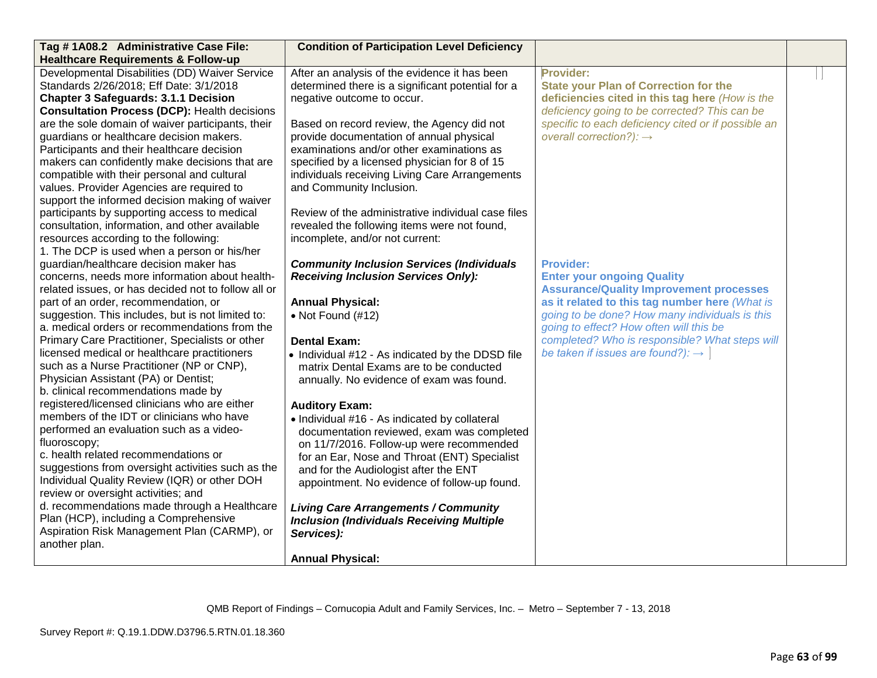| Tag # 1A08.2 Administrative Case File:                                                             | <b>Condition of Participation Level Deficiency</b>                                          |                                                                                                  |  |
|----------------------------------------------------------------------------------------------------|---------------------------------------------------------------------------------------------|--------------------------------------------------------------------------------------------------|--|
| <b>Healthcare Requirements &amp; Follow-up</b>                                                     |                                                                                             |                                                                                                  |  |
| Developmental Disabilities (DD) Waiver Service                                                     | After an analysis of the evidence it has been                                               | Provider:                                                                                        |  |
| Standards 2/26/2018; Eff Date: 3/1/2018                                                            | determined there is a significant potential for a                                           | <b>State your Plan of Correction for the</b>                                                     |  |
| <b>Chapter 3 Safeguards: 3.1.1 Decision</b>                                                        | negative outcome to occur.                                                                  | deficiencies cited in this tag here (How is the                                                  |  |
| <b>Consultation Process (DCP): Health decisions</b>                                                |                                                                                             | deficiency going to be corrected? This can be                                                    |  |
| are the sole domain of waiver participants, their                                                  | Based on record review, the Agency did not                                                  | specific to each deficiency cited or if possible an                                              |  |
| guardians or healthcare decision makers.                                                           | provide documentation of annual physical                                                    | overall correction?): $\rightarrow$                                                              |  |
| Participants and their healthcare decision                                                         | examinations and/or other examinations as                                                   |                                                                                                  |  |
| makers can confidently make decisions that are                                                     | specified by a licensed physician for 8 of 15                                               |                                                                                                  |  |
| compatible with their personal and cultural                                                        | individuals receiving Living Care Arrangements                                              |                                                                                                  |  |
| values. Provider Agencies are required to                                                          | and Community Inclusion.                                                                    |                                                                                                  |  |
| support the informed decision making of waiver                                                     |                                                                                             |                                                                                                  |  |
| participants by supporting access to medical                                                       | Review of the administrative individual case files                                          |                                                                                                  |  |
| consultation, information, and other available                                                     | revealed the following items were not found,                                                |                                                                                                  |  |
| resources according to the following:                                                              | incomplete, and/or not current:                                                             |                                                                                                  |  |
| 1. The DCP is used when a person or his/her                                                        |                                                                                             |                                                                                                  |  |
| guardian/healthcare decision maker has                                                             | <b>Community Inclusion Services (Individuals</b>                                            | <b>Provider:</b>                                                                                 |  |
| concerns, needs more information about health-                                                     | <b>Receiving Inclusion Services Only):</b>                                                  | <b>Enter your ongoing Quality</b>                                                                |  |
| related issues, or has decided not to follow all or<br>part of an order, recommendation, or        |                                                                                             | <b>Assurance/Quality Improvement processes</b><br>as it related to this tag number here (What is |  |
|                                                                                                    | <b>Annual Physical:</b>                                                                     | going to be done? How many individuals is this                                                   |  |
| suggestion. This includes, but is not limited to:<br>a. medical orders or recommendations from the | $\bullet$ Not Found (#12)                                                                   | going to effect? How often will this be                                                          |  |
| Primary Care Practitioner, Specialists or other                                                    | <b>Dental Exam:</b>                                                                         | completed? Who is responsible? What steps will                                                   |  |
| licensed medical or healthcare practitioners                                                       |                                                                                             | be taken if issues are found?): $\rightarrow$                                                    |  |
| such as a Nurse Practitioner (NP or CNP),                                                          | • Individual #12 - As indicated by the DDSD file<br>matrix Dental Exams are to be conducted |                                                                                                  |  |
| Physician Assistant (PA) or Dentist;                                                               | annually. No evidence of exam was found.                                                    |                                                                                                  |  |
| b. clinical recommendations made by                                                                |                                                                                             |                                                                                                  |  |
| registered/licensed clinicians who are either                                                      | <b>Auditory Exam:</b>                                                                       |                                                                                                  |  |
| members of the IDT or clinicians who have                                                          | • Individual #16 - As indicated by collateral                                               |                                                                                                  |  |
| performed an evaluation such as a video-                                                           | documentation reviewed, exam was completed                                                  |                                                                                                  |  |
| fluoroscopy;                                                                                       | on 11/7/2016. Follow-up were recommended                                                    |                                                                                                  |  |
| c. health related recommendations or                                                               | for an Ear, Nose and Throat (ENT) Specialist                                                |                                                                                                  |  |
| suggestions from oversight activities such as the                                                  | and for the Audiologist after the ENT                                                       |                                                                                                  |  |
| Individual Quality Review (IQR) or other DOH                                                       | appointment. No evidence of follow-up found.                                                |                                                                                                  |  |
| review or oversight activities; and                                                                |                                                                                             |                                                                                                  |  |
| d. recommendations made through a Healthcare                                                       | <b>Living Care Arrangements / Community</b>                                                 |                                                                                                  |  |
| Plan (HCP), including a Comprehensive                                                              | <b>Inclusion (Individuals Receiving Multiple</b>                                            |                                                                                                  |  |
| Aspiration Risk Management Plan (CARMP), or                                                        | Services):                                                                                  |                                                                                                  |  |
| another plan.                                                                                      |                                                                                             |                                                                                                  |  |
|                                                                                                    | <b>Annual Physical:</b>                                                                     |                                                                                                  |  |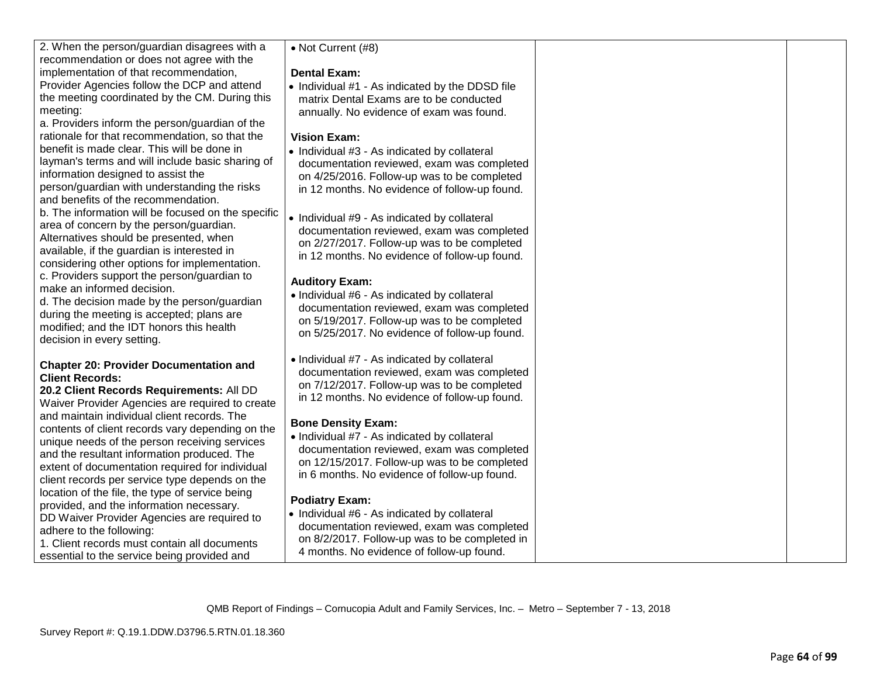| 2. When the person/guardian disagrees with a<br>recommendation or does not agree with the | • Not Current (#8)                              |  |
|-------------------------------------------------------------------------------------------|-------------------------------------------------|--|
| implementation of that recommendation,                                                    | <b>Dental Exam:</b>                             |  |
| Provider Agencies follow the DCP and attend                                               | • Individual #1 - As indicated by the DDSD file |  |
| the meeting coordinated by the CM. During this                                            | matrix Dental Exams are to be conducted         |  |
| meeting:                                                                                  | annually. No evidence of exam was found.        |  |
| a. Providers inform the person/guardian of the                                            |                                                 |  |
| rationale for that recommendation, so that the                                            | <b>Vision Exam:</b>                             |  |
| benefit is made clear. This will be done in                                               | • Individual #3 - As indicated by collateral    |  |
| layman's terms and will include basic sharing of                                          | documentation reviewed, exam was completed      |  |
| information designed to assist the                                                        | on 4/25/2016. Follow-up was to be completed     |  |
| person/guardian with understanding the risks                                              | in 12 months. No evidence of follow-up found.   |  |
| and benefits of the recommendation.                                                       |                                                 |  |
| b. The information will be focused on the specific                                        |                                                 |  |
| area of concern by the person/guardian.                                                   | • Individual #9 - As indicated by collateral    |  |
| Alternatives should be presented, when                                                    | documentation reviewed, exam was completed      |  |
| available, if the guardian is interested in                                               | on 2/27/2017. Follow-up was to be completed     |  |
| considering other options for implementation.                                             | in 12 months. No evidence of follow-up found.   |  |
| c. Providers support the person/guardian to                                               |                                                 |  |
| make an informed decision.                                                                | <b>Auditory Exam:</b>                           |  |
| d. The decision made by the person/guardian                                               | • Individual #6 - As indicated by collateral    |  |
| during the meeting is accepted; plans are                                                 | documentation reviewed, exam was completed      |  |
| modified; and the IDT honors this health                                                  | on 5/19/2017. Follow-up was to be completed     |  |
| decision in every setting.                                                                | on 5/25/2017. No evidence of follow-up found.   |  |
|                                                                                           |                                                 |  |
| <b>Chapter 20: Provider Documentation and</b>                                             | • Individual #7 - As indicated by collateral    |  |
| <b>Client Records:</b>                                                                    | documentation reviewed, exam was completed      |  |
| 20.2 Client Records Requirements: All DD                                                  | on 7/12/2017. Follow-up was to be completed     |  |
| Waiver Provider Agencies are required to create                                           | in 12 months. No evidence of follow-up found.   |  |
| and maintain individual client records. The                                               |                                                 |  |
| contents of client records vary depending on the                                          | <b>Bone Density Exam:</b>                       |  |
| unique needs of the person receiving services                                             | · Individual #7 - As indicated by collateral    |  |
| and the resultant information produced. The                                               | documentation reviewed, exam was completed      |  |
| extent of documentation required for individual                                           | on 12/15/2017. Follow-up was to be completed    |  |
| client records per service type depends on the                                            | in 6 months. No evidence of follow-up found.    |  |
| location of the file, the type of service being                                           |                                                 |  |
| provided, and the information necessary.                                                  | <b>Podiatry Exam:</b>                           |  |
| DD Waiver Provider Agencies are required to                                               | • Individual #6 - As indicated by collateral    |  |
| adhere to the following:                                                                  | documentation reviewed, exam was completed      |  |
| 1. Client records must contain all documents                                              | on 8/2/2017. Follow-up was to be completed in   |  |
| essential to the service being provided and                                               | 4 months. No evidence of follow-up found.       |  |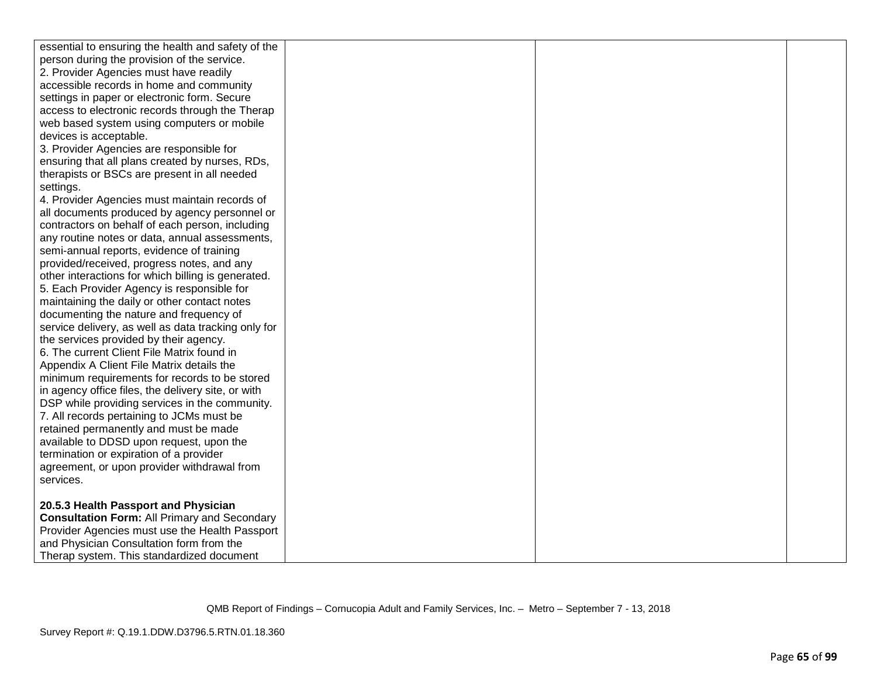| essential to ensuring the health and safety of the  |  |  |
|-----------------------------------------------------|--|--|
| person during the provision of the service.         |  |  |
| 2. Provider Agencies must have readily              |  |  |
| accessible records in home and community            |  |  |
| settings in paper or electronic form. Secure        |  |  |
| access to electronic records through the Therap     |  |  |
| web based system using computers or mobile          |  |  |
| devices is acceptable.                              |  |  |
| 3. Provider Agencies are responsible for            |  |  |
| ensuring that all plans created by nurses, RDs,     |  |  |
| therapists or BSCs are present in all needed        |  |  |
| settings.                                           |  |  |
| 4. Provider Agencies must maintain records of       |  |  |
| all documents produced by agency personnel or       |  |  |
| contractors on behalf of each person, including     |  |  |
| any routine notes or data, annual assessments,      |  |  |
| semi-annual reports, evidence of training           |  |  |
| provided/received, progress notes, and any          |  |  |
| other interactions for which billing is generated.  |  |  |
| 5. Each Provider Agency is responsible for          |  |  |
| maintaining the daily or other contact notes        |  |  |
| documenting the nature and frequency of             |  |  |
| service delivery, as well as data tracking only for |  |  |
| the services provided by their agency.              |  |  |
| 6. The current Client File Matrix found in          |  |  |
| Appendix A Client File Matrix details the           |  |  |
| minimum requirements for records to be stored       |  |  |
| in agency office files, the delivery site, or with  |  |  |
| DSP while providing services in the community.      |  |  |
| 7. All records pertaining to JCMs must be           |  |  |
| retained permanently and must be made               |  |  |
| available to DDSD upon request, upon the            |  |  |
| termination or expiration of a provider             |  |  |
| agreement, or upon provider withdrawal from         |  |  |
| services.                                           |  |  |
|                                                     |  |  |
| 20.5.3 Health Passport and Physician                |  |  |
| <b>Consultation Form: All Primary and Secondary</b> |  |  |
| Provider Agencies must use the Health Passport      |  |  |
| and Physician Consultation form from the            |  |  |
| Therap system. This standardized document           |  |  |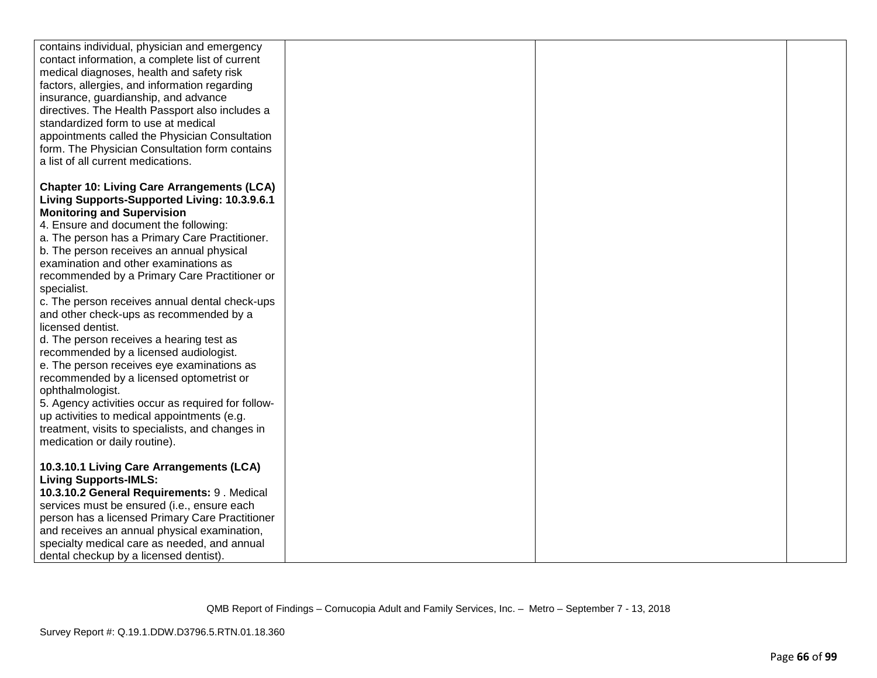| contains individual, physician and emergency       |  |  |
|----------------------------------------------------|--|--|
|                                                    |  |  |
| contact information, a complete list of current    |  |  |
| medical diagnoses, health and safety risk          |  |  |
| factors, allergies, and information regarding      |  |  |
| insurance, guardianship, and advance               |  |  |
| directives. The Health Passport also includes a    |  |  |
| standardized form to use at medical                |  |  |
| appointments called the Physician Consultation     |  |  |
| form. The Physician Consultation form contains     |  |  |
| a list of all current medications.                 |  |  |
|                                                    |  |  |
| <b>Chapter 10: Living Care Arrangements (LCA)</b>  |  |  |
| Living Supports-Supported Living: 10.3.9.6.1       |  |  |
|                                                    |  |  |
| <b>Monitoring and Supervision</b>                  |  |  |
| 4. Ensure and document the following:              |  |  |
| a. The person has a Primary Care Practitioner.     |  |  |
| b. The person receives an annual physical          |  |  |
| examination and other examinations as              |  |  |
| recommended by a Primary Care Practitioner or      |  |  |
| specialist.                                        |  |  |
| c. The person receives annual dental check-ups     |  |  |
| and other check-ups as recommended by a            |  |  |
| licensed dentist.                                  |  |  |
| d. The person receives a hearing test as           |  |  |
| recommended by a licensed audiologist.             |  |  |
| e. The person receives eye examinations as         |  |  |
| recommended by a licensed optometrist or           |  |  |
| ophthalmologist.                                   |  |  |
| 5. Agency activities occur as required for follow- |  |  |
| up activities to medical appointments (e.g.        |  |  |
| treatment, visits to specialists, and changes in   |  |  |
| medication or daily routine).                      |  |  |
|                                                    |  |  |
| 10.3.10.1 Living Care Arrangements (LCA)           |  |  |
| <b>Living Supports-IMLS:</b>                       |  |  |
|                                                    |  |  |
| 10.3.10.2 General Requirements: 9. Medical         |  |  |
| services must be ensured (i.e., ensure each        |  |  |
| person has a licensed Primary Care Practitioner    |  |  |
| and receives an annual physical examination,       |  |  |
| specialty medical care as needed, and annual       |  |  |
| dental checkup by a licensed dentist).             |  |  |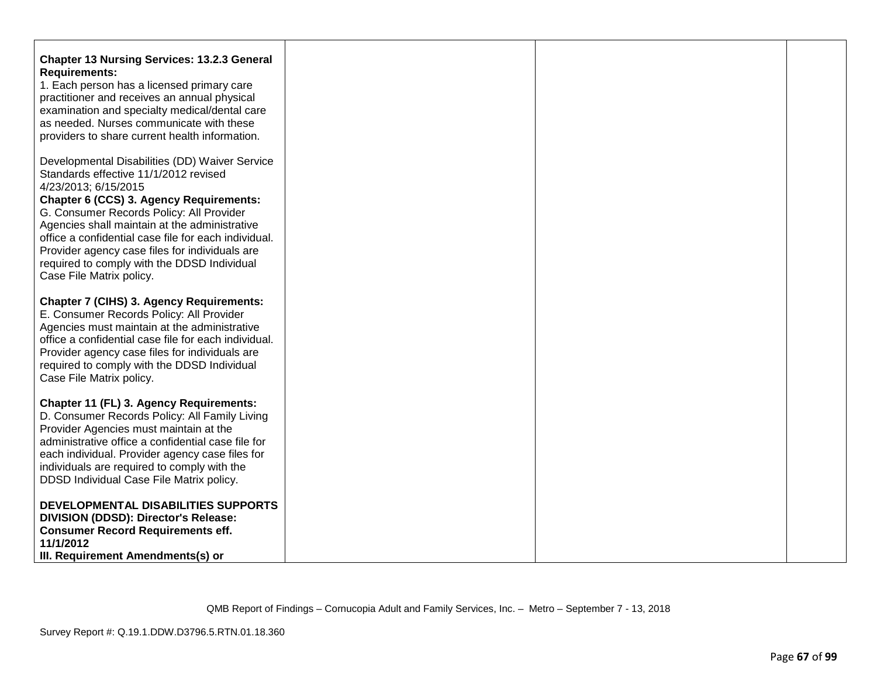| <b>Chapter 13 Nursing Services: 13.2.3 General</b><br><b>Requirements:</b><br>1. Each person has a licensed primary care<br>practitioner and receives an annual physical<br>examination and specialty medical/dental care<br>as needed. Nurses communicate with these<br>providers to share current health information.                                                                                                                      |  |  |
|----------------------------------------------------------------------------------------------------------------------------------------------------------------------------------------------------------------------------------------------------------------------------------------------------------------------------------------------------------------------------------------------------------------------------------------------|--|--|
| Developmental Disabilities (DD) Waiver Service<br>Standards effective 11/1/2012 revised<br>4/23/2013; 6/15/2015<br>Chapter 6 (CCS) 3. Agency Requirements:<br>G. Consumer Records Policy: All Provider<br>Agencies shall maintain at the administrative<br>office a confidential case file for each individual.<br>Provider agency case files for individuals are<br>required to comply with the DDSD Individual<br>Case File Matrix policy. |  |  |
| <b>Chapter 7 (CIHS) 3. Agency Requirements:</b><br>E. Consumer Records Policy: All Provider<br>Agencies must maintain at the administrative<br>office a confidential case file for each individual.<br>Provider agency case files for individuals are<br>required to comply with the DDSD Individual<br>Case File Matrix policy.                                                                                                             |  |  |
| Chapter 11 (FL) 3. Agency Requirements:<br>D. Consumer Records Policy: All Family Living<br>Provider Agencies must maintain at the<br>administrative office a confidential case file for<br>each individual. Provider agency case files for<br>individuals are required to comply with the<br>DDSD Individual Case File Matrix policy.                                                                                                       |  |  |
| DEVELOPMENTAL DISABILITIES SUPPORTS<br>DIVISION (DDSD): Director's Release:<br><b>Consumer Record Requirements eff.</b><br>11/1/2012<br>III. Requirement Amendments(s) or                                                                                                                                                                                                                                                                    |  |  |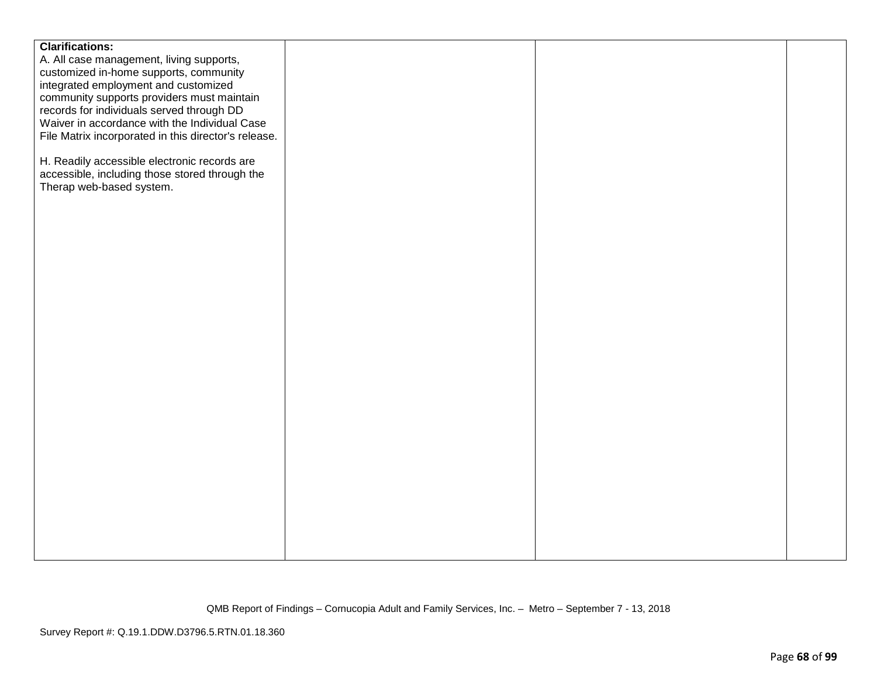| <b>Clarifications:</b>                               |  |  |
|------------------------------------------------------|--|--|
| A. All case management, living supports,             |  |  |
|                                                      |  |  |
| customized in-home supports, community               |  |  |
| integrated employment and customized                 |  |  |
| community supports providers must maintain           |  |  |
| records for individuals served through DD            |  |  |
| Waiver in accordance with the Individual Case        |  |  |
| File Matrix incorporated in this director's release. |  |  |
|                                                      |  |  |
| H. Readily accessible electronic records are         |  |  |
| accessible, including those stored through the       |  |  |
| Therap web-based system.                             |  |  |
|                                                      |  |  |
|                                                      |  |  |
|                                                      |  |  |
|                                                      |  |  |
|                                                      |  |  |
|                                                      |  |  |
|                                                      |  |  |
|                                                      |  |  |
|                                                      |  |  |
|                                                      |  |  |
|                                                      |  |  |
|                                                      |  |  |
|                                                      |  |  |
|                                                      |  |  |
|                                                      |  |  |
|                                                      |  |  |
|                                                      |  |  |
|                                                      |  |  |
|                                                      |  |  |
|                                                      |  |  |
|                                                      |  |  |
|                                                      |  |  |
|                                                      |  |  |
|                                                      |  |  |
|                                                      |  |  |
|                                                      |  |  |
|                                                      |  |  |
|                                                      |  |  |
|                                                      |  |  |
|                                                      |  |  |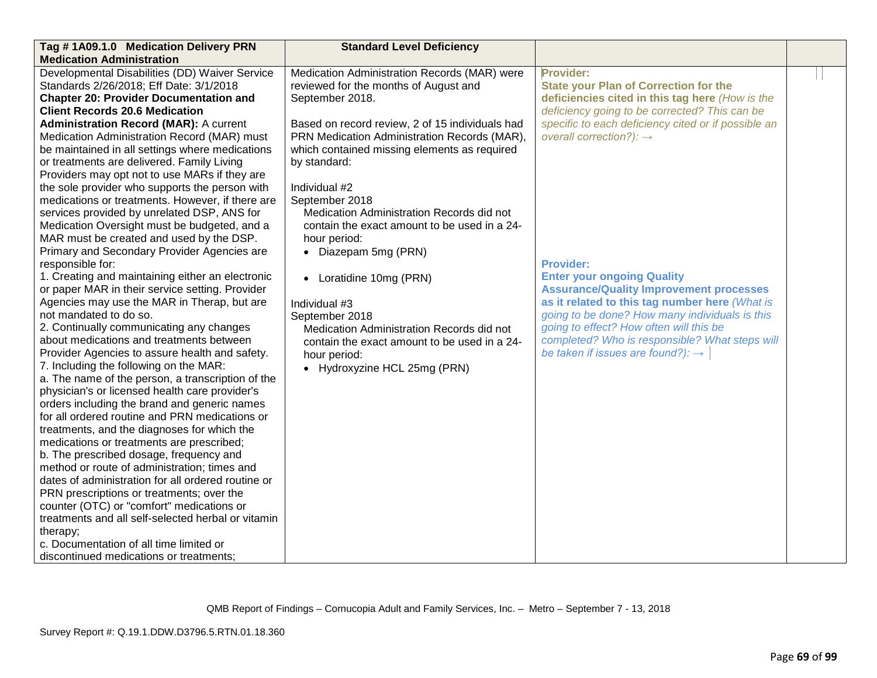| Tag #1A09.1.0 Medication Delivery PRN              | <b>Standard Level Deficiency</b>                |                                                     |  |
|----------------------------------------------------|-------------------------------------------------|-----------------------------------------------------|--|
| <b>Medication Administration</b>                   |                                                 |                                                     |  |
| Developmental Disabilities (DD) Waiver Service     | Medication Administration Records (MAR) were    | Provider:                                           |  |
| Standards 2/26/2018; Eff Date: 3/1/2018            | reviewed for the months of August and           | <b>State your Plan of Correction for the</b>        |  |
| <b>Chapter 20: Provider Documentation and</b>      | September 2018.                                 | deficiencies cited in this tag here (How is the     |  |
| <b>Client Records 20.6 Medication</b>              |                                                 | deficiency going to be corrected? This can be       |  |
| <b>Administration Record (MAR): A current</b>      | Based on record review, 2 of 15 individuals had | specific to each deficiency cited or if possible an |  |
| Medication Administration Record (MAR) must        | PRN Medication Administration Records (MAR),    | overall correction?): $\rightarrow$                 |  |
| be maintained in all settings where medications    | which contained missing elements as required    |                                                     |  |
| or treatments are delivered. Family Living         | by standard:                                    |                                                     |  |
| Providers may opt not to use MARs if they are      |                                                 |                                                     |  |
| the sole provider who supports the person with     | Individual #2                                   |                                                     |  |
| medications or treatments. However, if there are   | September 2018                                  |                                                     |  |
| services provided by unrelated DSP, ANS for        | Medication Administration Records did not       |                                                     |  |
| Medication Oversight must be budgeted, and a       | contain the exact amount to be used in a 24-    |                                                     |  |
| MAR must be created and used by the DSP.           | hour period:                                    |                                                     |  |
| Primary and Secondary Provider Agencies are        | • Diazepam 5mg (PRN)                            |                                                     |  |
| responsible for:                                   |                                                 | <b>Provider:</b>                                    |  |
| 1. Creating and maintaining either an electronic   | Loratidine 10mg (PRN)<br>$\bullet$              | <b>Enter your ongoing Quality</b>                   |  |
| or paper MAR in their service setting. Provider    |                                                 | <b>Assurance/Quality Improvement processes</b>      |  |
| Agencies may use the MAR in Therap, but are        | Individual #3                                   | as it related to this tag number here (What is      |  |
| not mandated to do so.                             | September 2018                                  | going to be done? How many individuals is this      |  |
| 2. Continually communicating any changes           | Medication Administration Records did not       | going to effect? How often will this be             |  |
| about medications and treatments between           | contain the exact amount to be used in a 24-    | completed? Who is responsible? What steps will      |  |
| Provider Agencies to assure health and safety.     | hour period:                                    | be taken if issues are found?): $\rightarrow$       |  |
| 7. Including the following on the MAR:             | • Hydroxyzine HCL 25mg (PRN)                    |                                                     |  |
| a. The name of the person, a transcription of the  |                                                 |                                                     |  |
| physician's or licensed health care provider's     |                                                 |                                                     |  |
| orders including the brand and generic names       |                                                 |                                                     |  |
| for all ordered routine and PRN medications or     |                                                 |                                                     |  |
| treatments, and the diagnoses for which the        |                                                 |                                                     |  |
| medications or treatments are prescribed;          |                                                 |                                                     |  |
| b. The prescribed dosage, frequency and            |                                                 |                                                     |  |
| method or route of administration; times and       |                                                 |                                                     |  |
| dates of administration for all ordered routine or |                                                 |                                                     |  |
| PRN prescriptions or treatments; over the          |                                                 |                                                     |  |
| counter (OTC) or "comfort" medications or          |                                                 |                                                     |  |
| treatments and all self-selected herbal or vitamin |                                                 |                                                     |  |
| therapy;                                           |                                                 |                                                     |  |
| c. Documentation of all time limited or            |                                                 |                                                     |  |
| discontinued medications or treatments;            |                                                 |                                                     |  |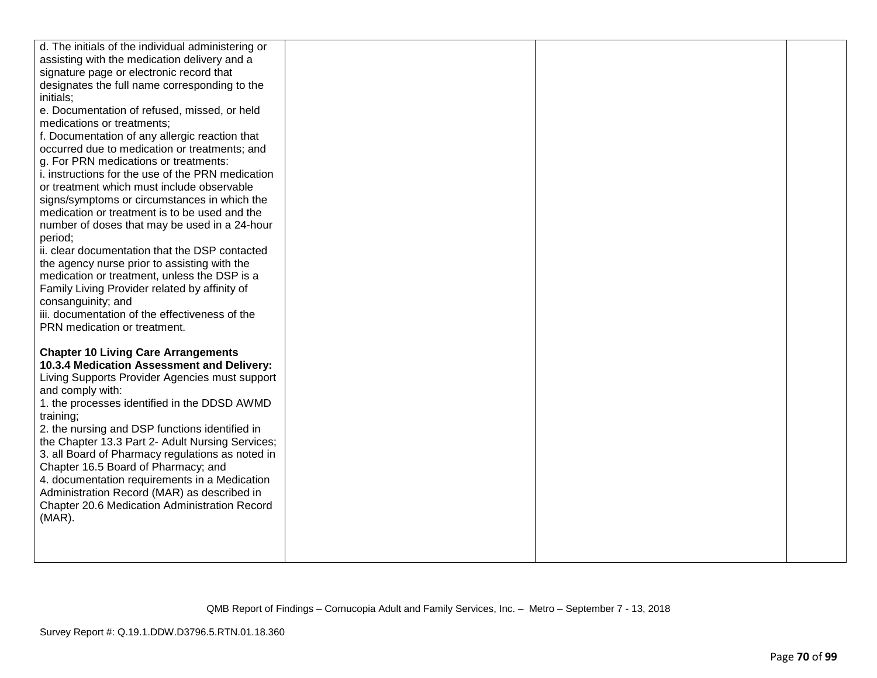| d. The initials of the individual administering or                   |  |  |
|----------------------------------------------------------------------|--|--|
| assisting with the medication delivery and a                         |  |  |
| signature page or electronic record that                             |  |  |
| designates the full name corresponding to the                        |  |  |
| initials;                                                            |  |  |
| e. Documentation of refused, missed, or held                         |  |  |
| medications or treatments;                                           |  |  |
| f. Documentation of any allergic reaction that                       |  |  |
| occurred due to medication or treatments; and                        |  |  |
| g. For PRN medications or treatments:                                |  |  |
| i. instructions for the use of the PRN medication                    |  |  |
| or treatment which must include observable                           |  |  |
| signs/symptoms or circumstances in which the                         |  |  |
| medication or treatment is to be used and the                        |  |  |
| number of doses that may be used in a 24-hour                        |  |  |
| period;                                                              |  |  |
| ii. clear documentation that the DSP contacted                       |  |  |
| the agency nurse prior to assisting with the                         |  |  |
| medication or treatment, unless the DSP is a                         |  |  |
| Family Living Provider related by affinity of                        |  |  |
| consanguinity; and<br>iii. documentation of the effectiveness of the |  |  |
| PRN medication or treatment.                                         |  |  |
|                                                                      |  |  |
| <b>Chapter 10 Living Care Arrangements</b>                           |  |  |
| 10.3.4 Medication Assessment and Delivery:                           |  |  |
| Living Supports Provider Agencies must support                       |  |  |
| and comply with:                                                     |  |  |
| 1. the processes identified in the DDSD AWMD                         |  |  |
| training;                                                            |  |  |
| 2. the nursing and DSP functions identified in                       |  |  |
| the Chapter 13.3 Part 2- Adult Nursing Services;                     |  |  |
| 3. all Board of Pharmacy regulations as noted in                     |  |  |
| Chapter 16.5 Board of Pharmacy; and                                  |  |  |
| 4. documentation requirements in a Medication                        |  |  |
| Administration Record (MAR) as described in                          |  |  |
| Chapter 20.6 Medication Administration Record                        |  |  |
| $(MAR)$ .                                                            |  |  |
|                                                                      |  |  |
|                                                                      |  |  |
|                                                                      |  |  |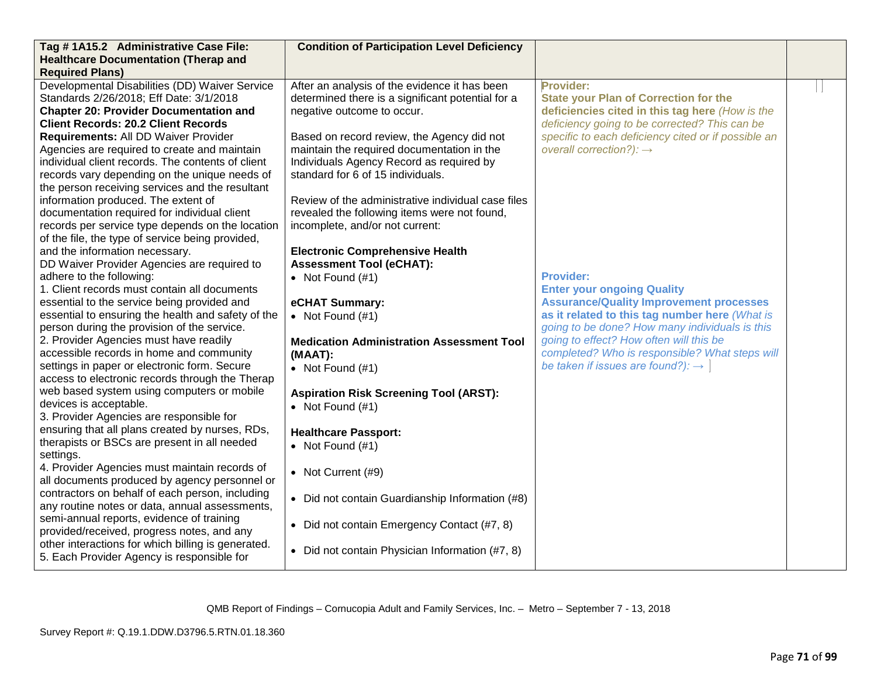| Tag #1A15.2 Administrative Case File:                                                         | <b>Condition of Participation Level Deficiency</b> |                                                     |  |
|-----------------------------------------------------------------------------------------------|----------------------------------------------------|-----------------------------------------------------|--|
| <b>Healthcare Documentation (Therap and</b>                                                   |                                                    |                                                     |  |
| <b>Required Plans)</b>                                                                        |                                                    |                                                     |  |
| Developmental Disabilities (DD) Waiver Service                                                | After an analysis of the evidence it has been      | Provider:                                           |  |
| Standards 2/26/2018; Eff Date: 3/1/2018                                                       | determined there is a significant potential for a  | <b>State your Plan of Correction for the</b>        |  |
| <b>Chapter 20: Provider Documentation and</b>                                                 | negative outcome to occur.                         | deficiencies cited in this tag here (How is the     |  |
| <b>Client Records: 20.2 Client Records</b>                                                    |                                                    | deficiency going to be corrected? This can be       |  |
| Requirements: All DD Waiver Provider                                                          | Based on record review, the Agency did not         | specific to each deficiency cited or if possible an |  |
| Agencies are required to create and maintain                                                  | maintain the required documentation in the         | overall correction?): $\rightarrow$                 |  |
| individual client records. The contents of client                                             | Individuals Agency Record as required by           |                                                     |  |
| records vary depending on the unique needs of                                                 | standard for 6 of 15 individuals.                  |                                                     |  |
| the person receiving services and the resultant                                               |                                                    |                                                     |  |
| information produced. The extent of                                                           | Review of the administrative individual case files |                                                     |  |
| documentation required for individual client                                                  | revealed the following items were not found,       |                                                     |  |
| records per service type depends on the location                                              | incomplete, and/or not current:                    |                                                     |  |
| of the file, the type of service being provided,                                              |                                                    |                                                     |  |
| and the information necessary.                                                                | <b>Electronic Comprehensive Health</b>             |                                                     |  |
| DD Waiver Provider Agencies are required to                                                   | <b>Assessment Tool (eCHAT):</b>                    |                                                     |  |
| adhere to the following:                                                                      | • Not Found $(#1)$                                 | <b>Provider:</b>                                    |  |
| 1. Client records must contain all documents                                                  |                                                    | <b>Enter your ongoing Quality</b>                   |  |
| essential to the service being provided and                                                   | eCHAT Summary:                                     | <b>Assurance/Quality Improvement processes</b>      |  |
| essential to ensuring the health and safety of the                                            | • Not Found $(#1)$                                 | as it related to this tag number here (What is      |  |
| person during the provision of the service.                                                   |                                                    | going to be done? How many individuals is this      |  |
| 2. Provider Agencies must have readily                                                        | <b>Medication Administration Assessment Tool</b>   | going to effect? How often will this be             |  |
| accessible records in home and community                                                      | (MAAT):                                            | completed? Who is responsible? What steps will      |  |
| settings in paper or electronic form. Secure                                                  | • Not Found $(#1)$                                 | be taken if issues are found?): $\rightarrow$       |  |
| access to electronic records through the Therap<br>web based system using computers or mobile |                                                    |                                                     |  |
| devices is acceptable.                                                                        | <b>Aspiration Risk Screening Tool (ARST):</b>      |                                                     |  |
| 3. Provider Agencies are responsible for                                                      | • Not Found $(#1)$                                 |                                                     |  |
| ensuring that all plans created by nurses, RDs,                                               |                                                    |                                                     |  |
| therapists or BSCs are present in all needed                                                  | <b>Healthcare Passport:</b>                        |                                                     |  |
| settings.                                                                                     | • Not Found $(\#1)$                                |                                                     |  |
| 4. Provider Agencies must maintain records of                                                 |                                                    |                                                     |  |
| all documents produced by agency personnel or                                                 | • Not Current (#9)                                 |                                                     |  |
| contractors on behalf of each person, including                                               |                                                    |                                                     |  |
| any routine notes or data, annual assessments,                                                | • Did not contain Guardianship Information (#8)    |                                                     |  |
| semi-annual reports, evidence of training                                                     |                                                    |                                                     |  |
| provided/received, progress notes, and any                                                    | • Did not contain Emergency Contact (#7, 8)        |                                                     |  |
| other interactions for which billing is generated.                                            |                                                    |                                                     |  |
| 5. Each Provider Agency is responsible for                                                    | • Did not contain Physician Information (#7, 8)    |                                                     |  |
|                                                                                               |                                                    |                                                     |  |

QMB Report of Findings – Cornucopia Adult and Family Services, Inc. – Metro – September 7 - 13, 2018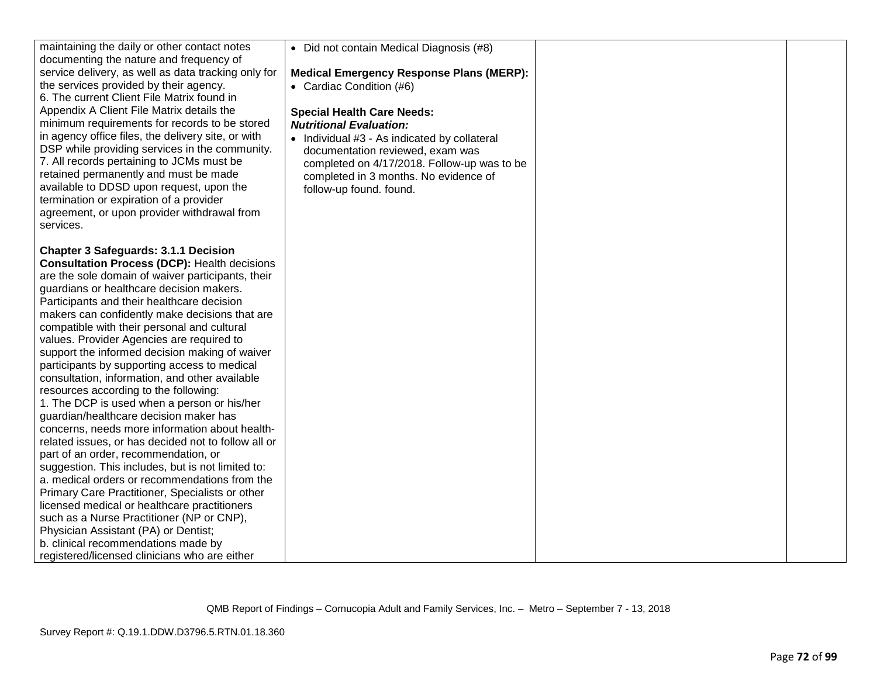| maintaining the daily or other contact notes<br>documenting the nature and frequency of | • Did not contain Medical Diagnosis (#8)                            |  |
|-----------------------------------------------------------------------------------------|---------------------------------------------------------------------|--|
| service delivery, as well as data tracking only for                                     | <b>Medical Emergency Response Plans (MERP):</b>                     |  |
| the services provided by their agency.                                                  |                                                                     |  |
| 6. The current Client File Matrix found in                                              | • Cardiac Condition (#6)                                            |  |
| Appendix A Client File Matrix details the                                               |                                                                     |  |
| minimum requirements for records to be stored                                           | <b>Special Health Care Needs:</b><br><b>Nutritional Evaluation:</b> |  |
| in agency office files, the delivery site, or with                                      |                                                                     |  |
| DSP while providing services in the community.                                          | • Individual #3 - As indicated by collateral                        |  |
| 7. All records pertaining to JCMs must be                                               | documentation reviewed, exam was                                    |  |
| retained permanently and must be made                                                   | completed on 4/17/2018. Follow-up was to be                         |  |
| available to DDSD upon request, upon the                                                | completed in 3 months. No evidence of<br>follow-up found. found.    |  |
| termination or expiration of a provider                                                 |                                                                     |  |
| agreement, or upon provider withdrawal from                                             |                                                                     |  |
| services.                                                                               |                                                                     |  |
|                                                                                         |                                                                     |  |
| <b>Chapter 3 Safeguards: 3.1.1 Decision</b>                                             |                                                                     |  |
| <b>Consultation Process (DCP): Health decisions</b>                                     |                                                                     |  |
| are the sole domain of waiver participants, their                                       |                                                                     |  |
| guardians or healthcare decision makers.                                                |                                                                     |  |
| Participants and their healthcare decision                                              |                                                                     |  |
| makers can confidently make decisions that are                                          |                                                                     |  |
| compatible with their personal and cultural                                             |                                                                     |  |
| values. Provider Agencies are required to                                               |                                                                     |  |
| support the informed decision making of waiver                                          |                                                                     |  |
| participants by supporting access to medical                                            |                                                                     |  |
| consultation, information, and other available                                          |                                                                     |  |
| resources according to the following:                                                   |                                                                     |  |
| 1. The DCP is used when a person or his/her                                             |                                                                     |  |
| guardian/healthcare decision maker has                                                  |                                                                     |  |
| concerns, needs more information about health-                                          |                                                                     |  |
| related issues, or has decided not to follow all or                                     |                                                                     |  |
| part of an order, recommendation, or                                                    |                                                                     |  |
| suggestion. This includes, but is not limited to:                                       |                                                                     |  |
| a. medical orders or recommendations from the                                           |                                                                     |  |
| Primary Care Practitioner, Specialists or other                                         |                                                                     |  |
| licensed medical or healthcare practitioners                                            |                                                                     |  |
| such as a Nurse Practitioner (NP or CNP),                                               |                                                                     |  |
| Physician Assistant (PA) or Dentist;                                                    |                                                                     |  |
| b. clinical recommendations made by                                                     |                                                                     |  |
| registered/licensed clinicians who are either                                           |                                                                     |  |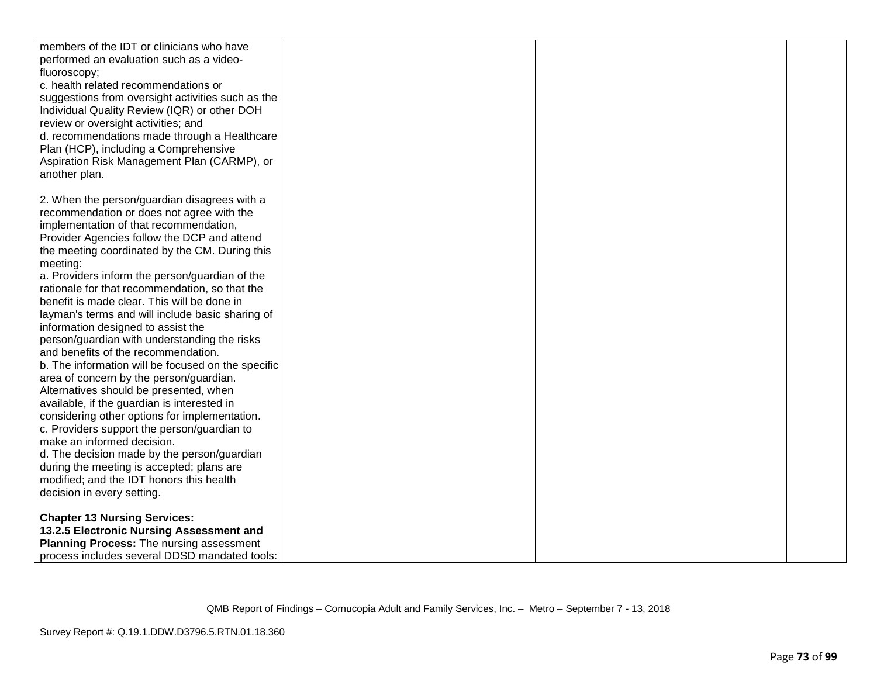| members of the IDT or clinicians who have          |  |  |
|----------------------------------------------------|--|--|
| performed an evaluation such as a video-           |  |  |
| fluoroscopy;                                       |  |  |
| c. health related recommendations or               |  |  |
| suggestions from oversight activities such as the  |  |  |
| Individual Quality Review (IQR) or other DOH       |  |  |
| review or oversight activities; and                |  |  |
| d. recommendations made through a Healthcare       |  |  |
| Plan (HCP), including a Comprehensive              |  |  |
| Aspiration Risk Management Plan (CARMP), or        |  |  |
| another plan.                                      |  |  |
|                                                    |  |  |
| 2. When the person/guardian disagrees with a       |  |  |
| recommendation or does not agree with the          |  |  |
| implementation of that recommendation,             |  |  |
| Provider Agencies follow the DCP and attend        |  |  |
| the meeting coordinated by the CM. During this     |  |  |
| meeting:                                           |  |  |
| a. Providers inform the person/guardian of the     |  |  |
| rationale for that recommendation, so that the     |  |  |
| benefit is made clear. This will be done in        |  |  |
| layman's terms and will include basic sharing of   |  |  |
| information designed to assist the                 |  |  |
| person/guardian with understanding the risks       |  |  |
| and benefits of the recommendation.                |  |  |
| b. The information will be focused on the specific |  |  |
| area of concern by the person/guardian.            |  |  |
| Alternatives should be presented, when             |  |  |
| available, if the guardian is interested in        |  |  |
| considering other options for implementation.      |  |  |
| c. Providers support the person/guardian to        |  |  |
| make an informed decision.                         |  |  |
| d. The decision made by the person/guardian        |  |  |
| during the meeting is accepted; plans are          |  |  |
| modified; and the IDT honors this health           |  |  |
| decision in every setting.                         |  |  |
|                                                    |  |  |
| <b>Chapter 13 Nursing Services:</b>                |  |  |
| 13.2.5 Electronic Nursing Assessment and           |  |  |
| Planning Process: The nursing assessment           |  |  |
| process includes several DDSD mandated tools:      |  |  |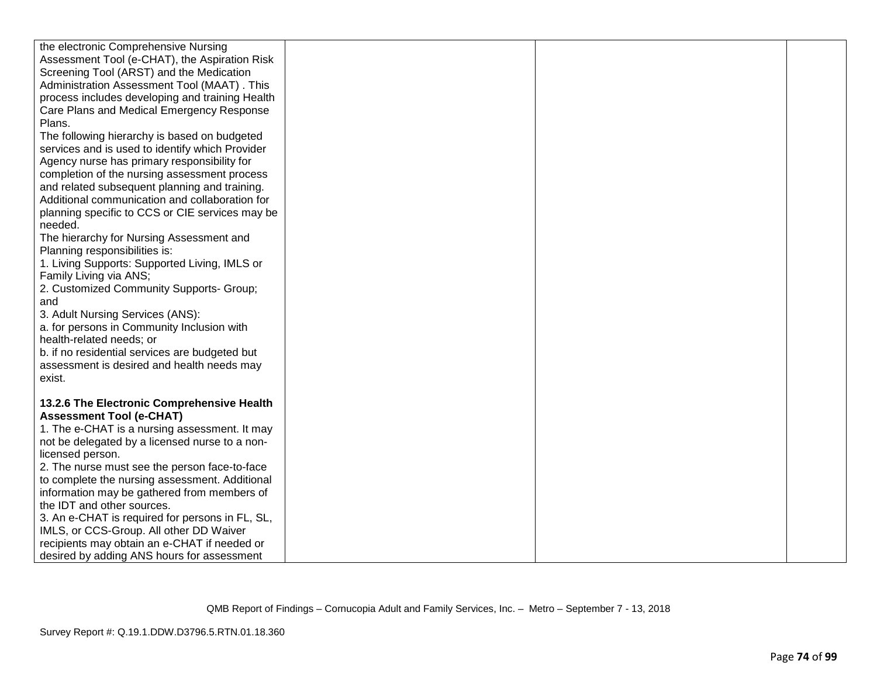| the electronic Comprehensive Nursing            |  |  |
|-------------------------------------------------|--|--|
| Assessment Tool (e-CHAT), the Aspiration Risk   |  |  |
| Screening Tool (ARST) and the Medication        |  |  |
| Administration Assessment Tool (MAAT). This     |  |  |
| process includes developing and training Health |  |  |
| Care Plans and Medical Emergency Response       |  |  |
| Plans.                                          |  |  |
| The following hierarchy is based on budgeted    |  |  |
| services and is used to identify which Provider |  |  |
| Agency nurse has primary responsibility for     |  |  |
| completion of the nursing assessment process    |  |  |
| and related subsequent planning and training.   |  |  |
| Additional communication and collaboration for  |  |  |
| planning specific to CCS or CIE services may be |  |  |
| needed.                                         |  |  |
| The hierarchy for Nursing Assessment and        |  |  |
| Planning responsibilities is:                   |  |  |
| 1. Living Supports: Supported Living, IMLS or   |  |  |
| Family Living via ANS;                          |  |  |
| 2. Customized Community Supports- Group;        |  |  |
| and                                             |  |  |
| 3. Adult Nursing Services (ANS):                |  |  |
| a. for persons in Community Inclusion with      |  |  |
| health-related needs; or                        |  |  |
| b. if no residential services are budgeted but  |  |  |
| assessment is desired and health needs may      |  |  |
| exist.                                          |  |  |
|                                                 |  |  |
| 13.2.6 The Electronic Comprehensive Health      |  |  |
| <b>Assessment Tool (e-CHAT)</b>                 |  |  |
| 1. The e-CHAT is a nursing assessment. It may   |  |  |
| not be delegated by a licensed nurse to a non-  |  |  |
| licensed person.                                |  |  |
| 2. The nurse must see the person face-to-face   |  |  |
| to complete the nursing assessment. Additional  |  |  |
| information may be gathered from members of     |  |  |
| the IDT and other sources.                      |  |  |
| 3. An e-CHAT is required for persons in FL, SL, |  |  |
| IMLS, or CCS-Group. All other DD Waiver         |  |  |
| recipients may obtain an e-CHAT if needed or    |  |  |
| desired by adding ANS hours for assessment      |  |  |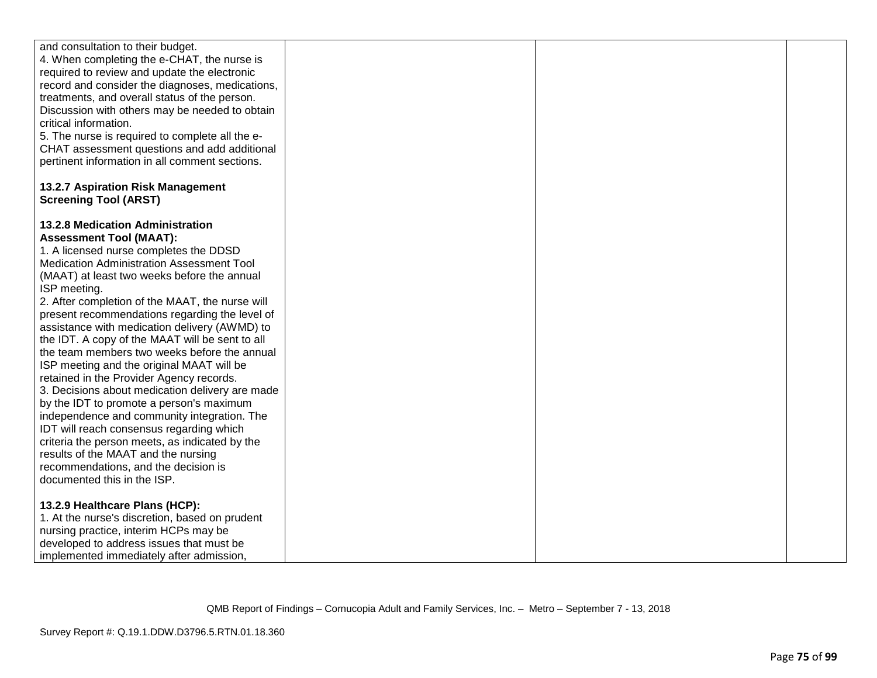| and consultation to their budget.                                                               |  |  |
|-------------------------------------------------------------------------------------------------|--|--|
| 4. When completing the e-CHAT, the nurse is                                                     |  |  |
| required to review and update the electronic                                                    |  |  |
| record and consider the diagnoses, medications,                                                 |  |  |
| treatments, and overall status of the person.                                                   |  |  |
| Discussion with others may be needed to obtain<br>critical information.                         |  |  |
|                                                                                                 |  |  |
| 5. The nurse is required to complete all the e-<br>CHAT assessment questions and add additional |  |  |
| pertinent information in all comment sections.                                                  |  |  |
|                                                                                                 |  |  |
| 13.2.7 Aspiration Risk Management                                                               |  |  |
| <b>Screening Tool (ARST)</b>                                                                    |  |  |
|                                                                                                 |  |  |
| <b>13.2.8 Medication Administration</b>                                                         |  |  |
| <b>Assessment Tool (MAAT):</b>                                                                  |  |  |
| 1. A licensed nurse completes the DDSD                                                          |  |  |
| Medication Administration Assessment Tool                                                       |  |  |
| (MAAT) at least two weeks before the annual                                                     |  |  |
| ISP meeting.                                                                                    |  |  |
| 2. After completion of the MAAT, the nurse will                                                 |  |  |
| present recommendations regarding the level of                                                  |  |  |
| assistance with medication delivery (AWMD) to                                                   |  |  |
| the IDT. A copy of the MAAT will be sent to all                                                 |  |  |
| the team members two weeks before the annual                                                    |  |  |
| ISP meeting and the original MAAT will be                                                       |  |  |
| retained in the Provider Agency records.                                                        |  |  |
| 3. Decisions about medication delivery are made                                                 |  |  |
| by the IDT to promote a person's maximum                                                        |  |  |
| independence and community integration. The                                                     |  |  |
| IDT will reach consensus regarding which                                                        |  |  |
| criteria the person meets, as indicated by the                                                  |  |  |
| results of the MAAT and the nursing                                                             |  |  |
| recommendations, and the decision is                                                            |  |  |
| documented this in the ISP.                                                                     |  |  |
|                                                                                                 |  |  |
| 13.2.9 Healthcare Plans (HCP):                                                                  |  |  |
| 1. At the nurse's discretion, based on prudent                                                  |  |  |
| nursing practice, interim HCPs may be                                                           |  |  |
| developed to address issues that must be                                                        |  |  |
| implemented immediately after admission,                                                        |  |  |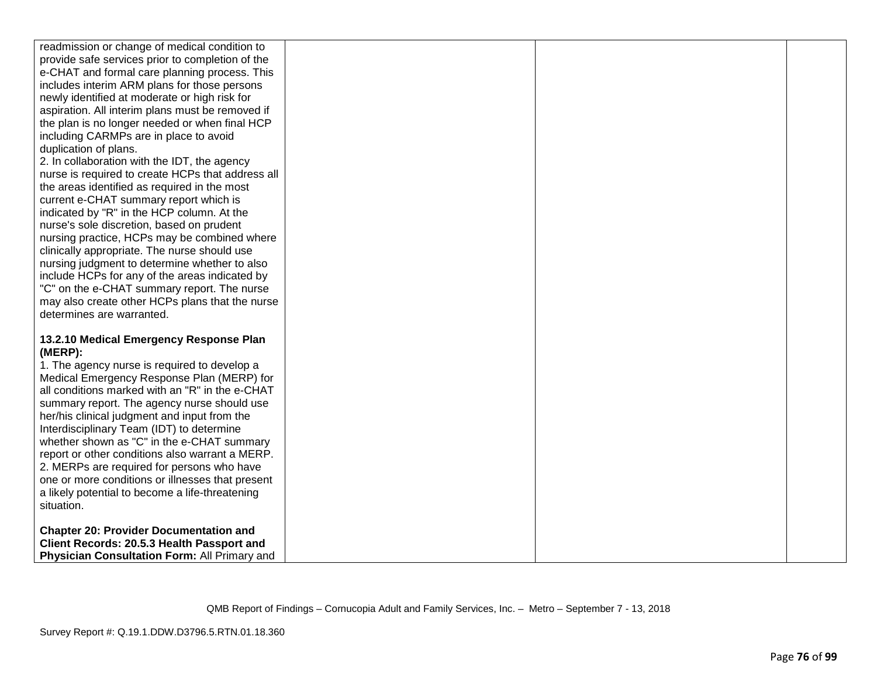| readmission or change of medical condition to     |  |  |
|---------------------------------------------------|--|--|
| provide safe services prior to completion of the  |  |  |
| e-CHAT and formal care planning process. This     |  |  |
| includes interim ARM plans for those persons      |  |  |
| newly identified at moderate or high risk for     |  |  |
| aspiration. All interim plans must be removed if  |  |  |
| the plan is no longer needed or when final HCP    |  |  |
| including CARMPs are in place to avoid            |  |  |
| duplication of plans.                             |  |  |
| 2. In collaboration with the IDT, the agency      |  |  |
| nurse is required to create HCPs that address all |  |  |
| the areas identified as required in the most      |  |  |
| current e-CHAT summary report which is            |  |  |
| indicated by "R" in the HCP column. At the        |  |  |
| nurse's sole discretion, based on prudent         |  |  |
| nursing practice, HCPs may be combined where      |  |  |
| clinically appropriate. The nurse should use      |  |  |
| nursing judgment to determine whether to also     |  |  |
| include HCPs for any of the areas indicated by    |  |  |
| "C" on the e-CHAT summary report. The nurse       |  |  |
| may also create other HCPs plans that the nurse   |  |  |
| determines are warranted.                         |  |  |
|                                                   |  |  |
| 13.2.10 Medical Emergency Response Plan           |  |  |
| (MERP):                                           |  |  |
| 1. The agency nurse is required to develop a      |  |  |
| Medical Emergency Response Plan (MERP) for        |  |  |
| all conditions marked with an "R" in the e-CHAT   |  |  |
| summary report. The agency nurse should use       |  |  |
| her/his clinical judgment and input from the      |  |  |
| Interdisciplinary Team (IDT) to determine         |  |  |
| whether shown as "C" in the e-CHAT summary        |  |  |
| report or other conditions also warrant a MERP.   |  |  |
| 2. MERPs are required for persons who have        |  |  |
| one or more conditions or illnesses that present  |  |  |
| a likely potential to become a life-threatening   |  |  |
| situation.                                        |  |  |
|                                                   |  |  |
| <b>Chapter 20: Provider Documentation and</b>     |  |  |
| Client Records: 20.5.3 Health Passport and        |  |  |
| Physician Consultation Form: All Primary and      |  |  |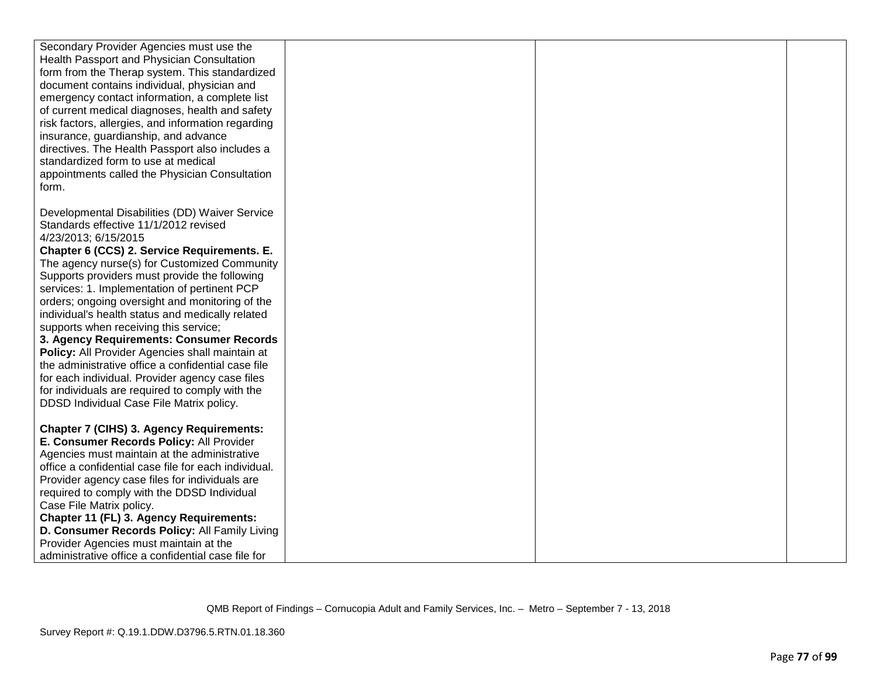| Secondary Provider Agencies must use the             |  |  |
|------------------------------------------------------|--|--|
| Health Passport and Physician Consultation           |  |  |
| form from the Therap system. This standardized       |  |  |
| document contains individual, physician and          |  |  |
| emergency contact information, a complete list       |  |  |
| of current medical diagnoses, health and safety      |  |  |
| risk factors, allergies, and information regarding   |  |  |
| insurance, guardianship, and advance                 |  |  |
| directives. The Health Passport also includes a      |  |  |
| standardized form to use at medical                  |  |  |
| appointments called the Physician Consultation       |  |  |
| form.                                                |  |  |
|                                                      |  |  |
| Developmental Disabilities (DD) Waiver Service       |  |  |
| Standards effective 11/1/2012 revised                |  |  |
| 4/23/2013; 6/15/2015                                 |  |  |
| Chapter 6 (CCS) 2. Service Requirements. E.          |  |  |
| The agency nurse(s) for Customized Community         |  |  |
| Supports providers must provide the following        |  |  |
| services: 1. Implementation of pertinent PCP         |  |  |
| orders; ongoing oversight and monitoring of the      |  |  |
| individual's health status and medically related     |  |  |
| supports when receiving this service;                |  |  |
| 3. Agency Requirements: Consumer Records             |  |  |
| Policy: All Provider Agencies shall maintain at      |  |  |
| the administrative office a confidential case file   |  |  |
| for each individual. Provider agency case files      |  |  |
| for individuals are required to comply with the      |  |  |
| DDSD Individual Case File Matrix policy.             |  |  |
|                                                      |  |  |
| <b>Chapter 7 (CIHS) 3. Agency Requirements:</b>      |  |  |
| E. Consumer Records Policy: All Provider             |  |  |
| Agencies must maintain at the administrative         |  |  |
| office a confidential case file for each individual. |  |  |
| Provider agency case files for individuals are       |  |  |
| required to comply with the DDSD Individual          |  |  |
| Case File Matrix policy.                             |  |  |
| Chapter 11 (FL) 3. Agency Requirements:              |  |  |
| D. Consumer Records Policy: All Family Living        |  |  |
| Provider Agencies must maintain at the               |  |  |
| administrative office a confidential case file for   |  |  |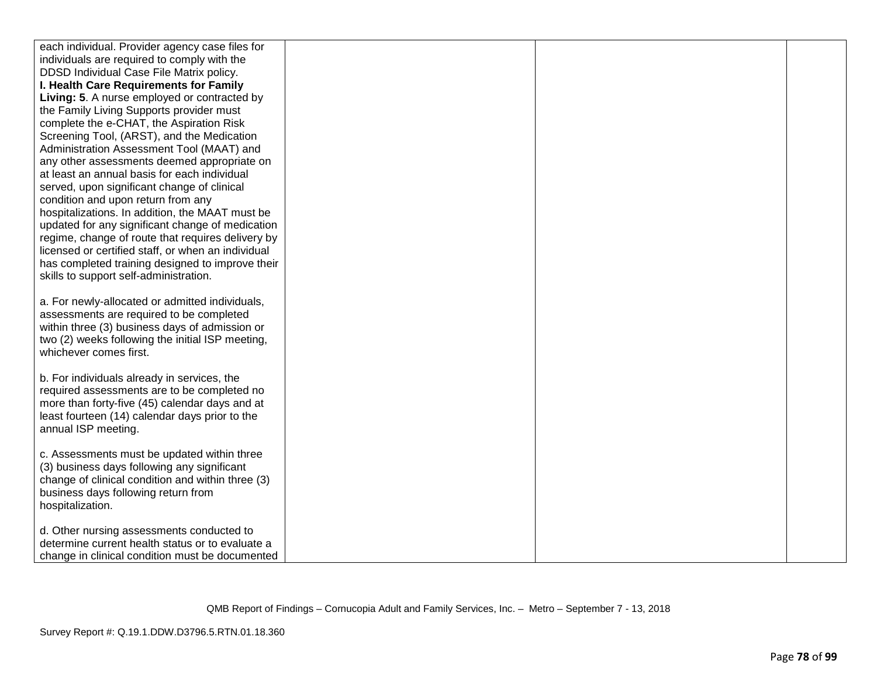| each individual. Provider agency case files for    |  |  |
|----------------------------------------------------|--|--|
| individuals are required to comply with the        |  |  |
| DDSD Individual Case File Matrix policy.           |  |  |
| I. Health Care Requirements for Family             |  |  |
| Living: 5. A nurse employed or contracted by       |  |  |
| the Family Living Supports provider must           |  |  |
| complete the e-CHAT, the Aspiration Risk           |  |  |
| Screening Tool, (ARST), and the Medication         |  |  |
| Administration Assessment Tool (MAAT) and          |  |  |
| any other assessments deemed appropriate on        |  |  |
| at least an annual basis for each individual       |  |  |
| served, upon significant change of clinical        |  |  |
| condition and upon return from any                 |  |  |
| hospitalizations. In addition, the MAAT must be    |  |  |
| updated for any significant change of medication   |  |  |
| regime, change of route that requires delivery by  |  |  |
| licensed or certified staff, or when an individual |  |  |
| has completed training designed to improve their   |  |  |
| skills to support self-administration.             |  |  |
|                                                    |  |  |
| a. For newly-allocated or admitted individuals,    |  |  |
| assessments are required to be completed           |  |  |
| within three (3) business days of admission or     |  |  |
| two (2) weeks following the initial ISP meeting,   |  |  |
| whichever comes first.                             |  |  |
|                                                    |  |  |
| b. For individuals already in services, the        |  |  |
| required assessments are to be completed no        |  |  |
| more than forty-five (45) calendar days and at     |  |  |
| least fourteen (14) calendar days prior to the     |  |  |
| annual ISP meeting.                                |  |  |
|                                                    |  |  |
| c. Assessments must be updated within three        |  |  |
| (3) business days following any significant        |  |  |
| change of clinical condition and within three (3)  |  |  |
| business days following return from                |  |  |
| hospitalization.                                   |  |  |
|                                                    |  |  |
| d. Other nursing assessments conducted to          |  |  |
| determine current health status or to evaluate a   |  |  |
| change in clinical condition must be documented    |  |  |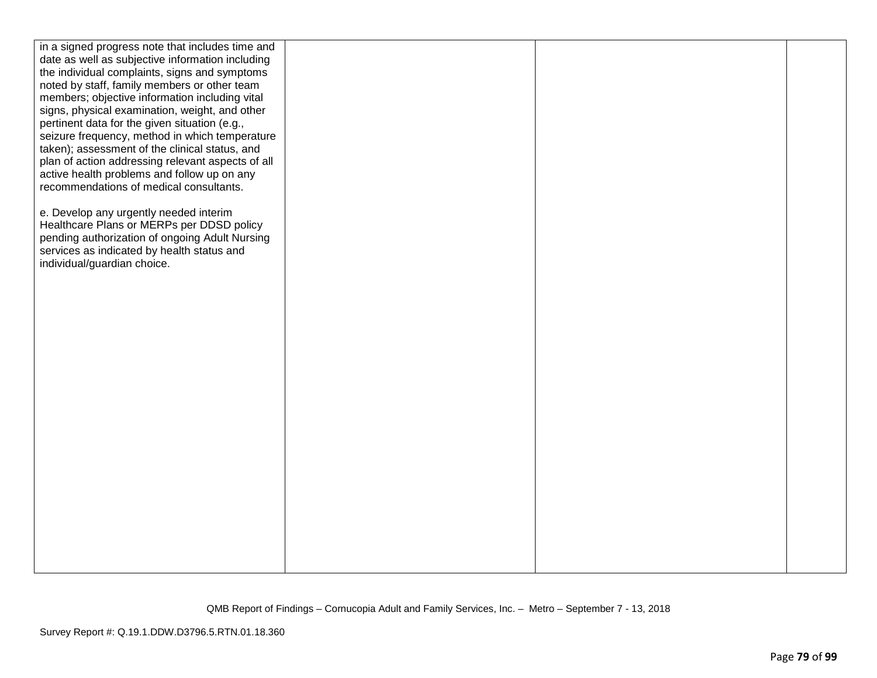| in a signed progress note that includes time and  |  |  |
|---------------------------------------------------|--|--|
| date as well as subjective information including  |  |  |
| the individual complaints, signs and symptoms     |  |  |
| noted by staff, family members or other team      |  |  |
| members; objective information including vital    |  |  |
| signs, physical examination, weight, and other    |  |  |
| pertinent data for the given situation (e.g.,     |  |  |
| seizure frequency, method in which temperature    |  |  |
| taken); assessment of the clinical status, and    |  |  |
| plan of action addressing relevant aspects of all |  |  |
| active health problems and follow up on any       |  |  |
| recommendations of medical consultants.           |  |  |
|                                                   |  |  |
| e. Develop any urgently needed interim            |  |  |
| Healthcare Plans or MERPs per DDSD policy         |  |  |
| pending authorization of ongoing Adult Nursing    |  |  |
| services as indicated by health status and        |  |  |
| individual/guardian choice.                       |  |  |
|                                                   |  |  |
|                                                   |  |  |
|                                                   |  |  |
|                                                   |  |  |
|                                                   |  |  |
|                                                   |  |  |
|                                                   |  |  |
|                                                   |  |  |
|                                                   |  |  |
|                                                   |  |  |
|                                                   |  |  |
|                                                   |  |  |
|                                                   |  |  |
|                                                   |  |  |
|                                                   |  |  |
|                                                   |  |  |
|                                                   |  |  |
|                                                   |  |  |
|                                                   |  |  |
|                                                   |  |  |
|                                                   |  |  |
|                                                   |  |  |
|                                                   |  |  |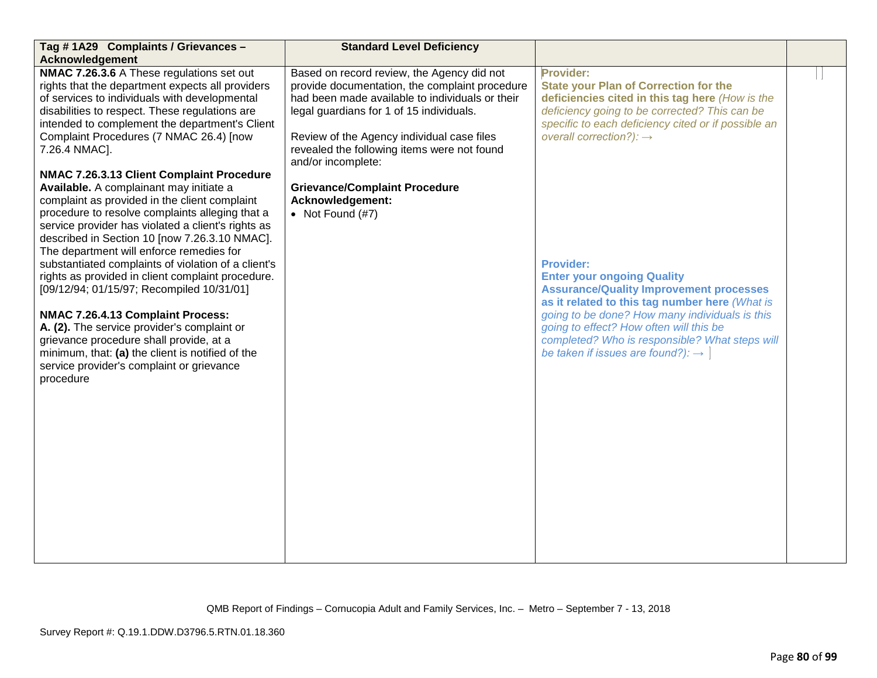| Tag #1A29 Complaints / Grievances -                                                                                                                                                                                                                                                                                                                                                                                                                                                                                                                                                                                                                                                                                                                                                                                                                                                                                                                                                                                                                                                           | <b>Standard Level Deficiency</b>                                                                                                                                                                                                                                                                                                                                                                 |                                                                                                                                                                                                                                                                                                                                                                                                                                                                                                                                                                                                                          |  |
|-----------------------------------------------------------------------------------------------------------------------------------------------------------------------------------------------------------------------------------------------------------------------------------------------------------------------------------------------------------------------------------------------------------------------------------------------------------------------------------------------------------------------------------------------------------------------------------------------------------------------------------------------------------------------------------------------------------------------------------------------------------------------------------------------------------------------------------------------------------------------------------------------------------------------------------------------------------------------------------------------------------------------------------------------------------------------------------------------|--------------------------------------------------------------------------------------------------------------------------------------------------------------------------------------------------------------------------------------------------------------------------------------------------------------------------------------------------------------------------------------------------|--------------------------------------------------------------------------------------------------------------------------------------------------------------------------------------------------------------------------------------------------------------------------------------------------------------------------------------------------------------------------------------------------------------------------------------------------------------------------------------------------------------------------------------------------------------------------------------------------------------------------|--|
|                                                                                                                                                                                                                                                                                                                                                                                                                                                                                                                                                                                                                                                                                                                                                                                                                                                                                                                                                                                                                                                                                               |                                                                                                                                                                                                                                                                                                                                                                                                  |                                                                                                                                                                                                                                                                                                                                                                                                                                                                                                                                                                                                                          |  |
| <b>Acknowledgement</b><br>NMAC 7.26.3.6 A These regulations set out<br>rights that the department expects all providers<br>of services to individuals with developmental<br>disabilities to respect. These regulations are<br>intended to complement the department's Client<br>Complaint Procedures (7 NMAC 26.4) [now<br>7.26.4 NMAC].<br>NMAC 7.26.3.13 Client Complaint Procedure<br>Available. A complainant may initiate a<br>complaint as provided in the client complaint<br>procedure to resolve complaints alleging that a<br>service provider has violated a client's rights as<br>described in Section 10 [now 7.26.3.10 NMAC].<br>The department will enforce remedies for<br>substantiated complaints of violation of a client's<br>rights as provided in client complaint procedure.<br>[09/12/94; 01/15/97; Recompiled 10/31/01]<br>NMAC 7.26.4.13 Complaint Process:<br>A. (2). The service provider's complaint or<br>grievance procedure shall provide, at a<br>minimum, that: (a) the client is notified of the<br>service provider's complaint or grievance<br>procedure | Based on record review, the Agency did not<br>provide documentation, the complaint procedure<br>had been made available to individuals or their<br>legal guardians for 1 of 15 individuals.<br>Review of the Agency individual case files<br>revealed the following items were not found<br>and/or incomplete:<br><b>Grievance/Complaint Procedure</b><br>Acknowledgement:<br>• Not Found $(H7)$ | Provider:<br><b>State your Plan of Correction for the</b><br>deficiencies cited in this tag here (How is the<br>deficiency going to be corrected? This can be<br>specific to each deficiency cited or if possible an<br>overall correction?): $\rightarrow$<br><b>Provider:</b><br><b>Enter your ongoing Quality</b><br><b>Assurance/Quality Improvement processes</b><br>as it related to this tag number here (What is<br>going to be done? How many individuals is this<br>going to effect? How often will this be<br>completed? Who is responsible? What steps will<br>be taken if issues are found?): $\rightarrow$ |  |
|                                                                                                                                                                                                                                                                                                                                                                                                                                                                                                                                                                                                                                                                                                                                                                                                                                                                                                                                                                                                                                                                                               |                                                                                                                                                                                                                                                                                                                                                                                                  |                                                                                                                                                                                                                                                                                                                                                                                                                                                                                                                                                                                                                          |  |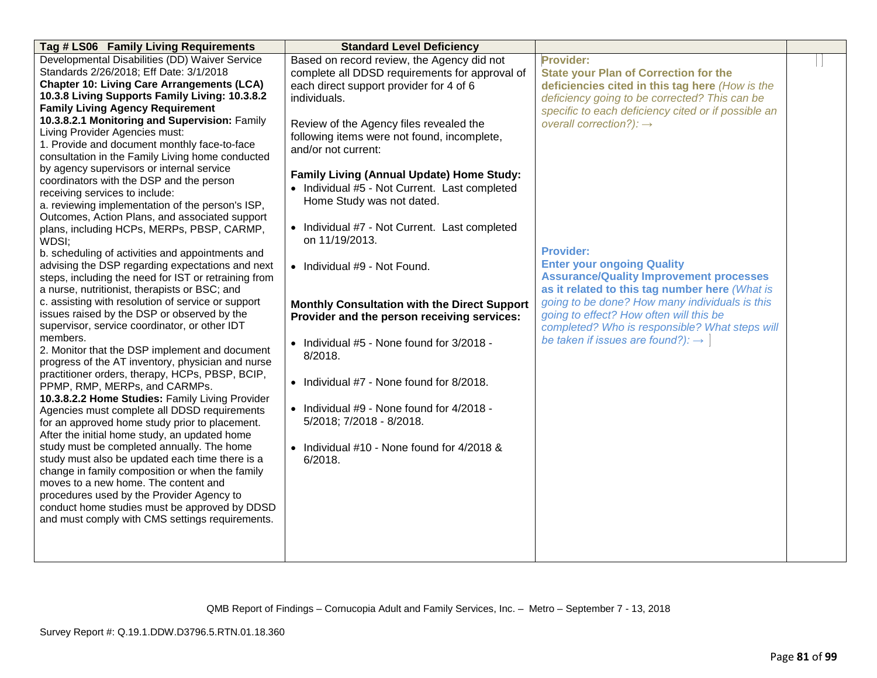| Tag # LS06 Family Living Requirements                                            | <b>Standard Level Deficiency</b>                    |                                                     |  |
|----------------------------------------------------------------------------------|-----------------------------------------------------|-----------------------------------------------------|--|
| Developmental Disabilities (DD) Waiver Service                                   | Based on record review, the Agency did not          | Provider:                                           |  |
| Standards 2/26/2018; Eff Date: 3/1/2018                                          | complete all DDSD requirements for approval of      | <b>State your Plan of Correction for the</b>        |  |
| <b>Chapter 10: Living Care Arrangements (LCA)</b>                                | each direct support provider for 4 of 6             | deficiencies cited in this tag here (How is the     |  |
| 10.3.8 Living Supports Family Living: 10.3.8.2                                   | individuals.                                        | deficiency going to be corrected? This can be       |  |
| <b>Family Living Agency Requirement</b>                                          |                                                     | specific to each deficiency cited or if possible an |  |
| 10.3.8.2.1 Monitoring and Supervision: Family                                    | Review of the Agency files revealed the             | overall correction?): $\rightarrow$                 |  |
| Living Provider Agencies must:                                                   | following items were not found, incomplete,         |                                                     |  |
| 1. Provide and document monthly face-to-face                                     | and/or not current:                                 |                                                     |  |
| consultation in the Family Living home conducted                                 |                                                     |                                                     |  |
| by agency supervisors or internal service                                        | Family Living (Annual Update) Home Study:           |                                                     |  |
| coordinators with the DSP and the person                                         | • Individual #5 - Not Current. Last completed       |                                                     |  |
| receiving services to include:                                                   |                                                     |                                                     |  |
| a. reviewing implementation of the person's ISP,                                 | Home Study was not dated.                           |                                                     |  |
| Outcomes, Action Plans, and associated support                                   |                                                     |                                                     |  |
| plans, including HCPs, MERPs, PBSP, CARMP,                                       | • Individual #7 - Not Current. Last completed       |                                                     |  |
| WDSI;                                                                            | on 11/19/2013.                                      |                                                     |  |
| b. scheduling of activities and appointments and                                 |                                                     | <b>Provider:</b>                                    |  |
| advising the DSP regarding expectations and next                                 | • Individual #9 - Not Found.                        | <b>Enter your ongoing Quality</b>                   |  |
| steps, including the need for IST or retraining from                             |                                                     | <b>Assurance/Quality Improvement processes</b>      |  |
| a nurse, nutritionist, therapists or BSC; and                                    |                                                     | as it related to this tag number here (What is      |  |
| c. assisting with resolution of service or support                               | <b>Monthly Consultation with the Direct Support</b> | going to be done? How many individuals is this      |  |
| issues raised by the DSP or observed by the                                      | Provider and the person receiving services:         | going to effect? How often will this be             |  |
| supervisor, service coordinator, or other IDT                                    |                                                     | completed? Who is responsible? What steps will      |  |
| members.                                                                         | • Individual #5 - None found for 3/2018 -           | be taken if issues are found?): $\rightarrow$       |  |
| 2. Monitor that the DSP implement and document                                   | 8/2018.                                             |                                                     |  |
| progress of the AT inventory, physician and nurse                                |                                                     |                                                     |  |
| practitioner orders, therapy, HCPs, PBSP, BCIP,<br>PPMP, RMP, MERPs, and CARMPs. | • Individual #7 - None found for 8/2018.            |                                                     |  |
| 10.3.8.2.2 Home Studies: Family Living Provider                                  |                                                     |                                                     |  |
| Agencies must complete all DDSD requirements                                     | • Individual #9 - None found for 4/2018 -           |                                                     |  |
| for an approved home study prior to placement.                                   | 5/2018; 7/2018 - 8/2018.                            |                                                     |  |
| After the initial home study, an updated home                                    |                                                     |                                                     |  |
| study must be completed annually. The home                                       | • Individual #10 - None found for 4/2018 &          |                                                     |  |
| study must also be updated each time there is a                                  | 6/2018.                                             |                                                     |  |
| change in family composition or when the family                                  |                                                     |                                                     |  |
| moves to a new home. The content and                                             |                                                     |                                                     |  |
| procedures used by the Provider Agency to                                        |                                                     |                                                     |  |
| conduct home studies must be approved by DDSD                                    |                                                     |                                                     |  |
| and must comply with CMS settings requirements.                                  |                                                     |                                                     |  |
|                                                                                  |                                                     |                                                     |  |
|                                                                                  |                                                     |                                                     |  |
|                                                                                  |                                                     |                                                     |  |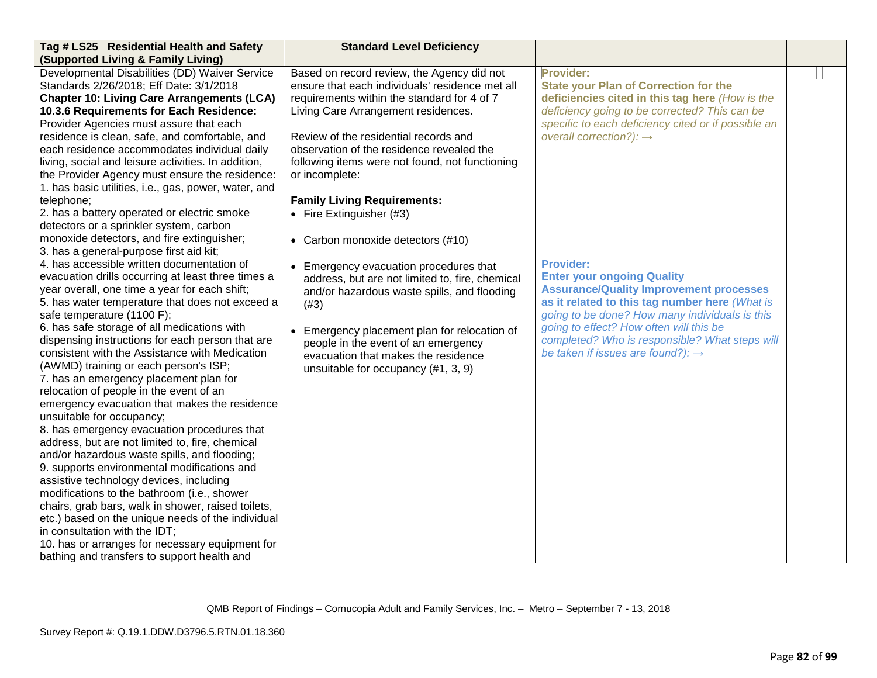| Tag # LS25 Residential Health and Safety                                                                                                                                                                                                                                                                                                                                                                                                                                                                                                                                                                                                                                                                                                                                                                                                                                                                                                                                                                                                                                                                                                                                                                                                                                                                                                                                                              | <b>Standard Level Deficiency</b>                                                                                                                                                                                                                                                                                                                                                                                               |                                                                                                                                                                                                                                                                                                                                                           |  |
|-------------------------------------------------------------------------------------------------------------------------------------------------------------------------------------------------------------------------------------------------------------------------------------------------------------------------------------------------------------------------------------------------------------------------------------------------------------------------------------------------------------------------------------------------------------------------------------------------------------------------------------------------------------------------------------------------------------------------------------------------------------------------------------------------------------------------------------------------------------------------------------------------------------------------------------------------------------------------------------------------------------------------------------------------------------------------------------------------------------------------------------------------------------------------------------------------------------------------------------------------------------------------------------------------------------------------------------------------------------------------------------------------------|--------------------------------------------------------------------------------------------------------------------------------------------------------------------------------------------------------------------------------------------------------------------------------------------------------------------------------------------------------------------------------------------------------------------------------|-----------------------------------------------------------------------------------------------------------------------------------------------------------------------------------------------------------------------------------------------------------------------------------------------------------------------------------------------------------|--|
| (Supported Living & Family Living)                                                                                                                                                                                                                                                                                                                                                                                                                                                                                                                                                                                                                                                                                                                                                                                                                                                                                                                                                                                                                                                                                                                                                                                                                                                                                                                                                                    |                                                                                                                                                                                                                                                                                                                                                                                                                                |                                                                                                                                                                                                                                                                                                                                                           |  |
| Developmental Disabilities (DD) Waiver Service<br>Standards 2/26/2018; Eff Date: 3/1/2018<br><b>Chapter 10: Living Care Arrangements (LCA)</b><br>10.3.6 Requirements for Each Residence:<br>Provider Agencies must assure that each<br>residence is clean, safe, and comfortable, and<br>each residence accommodates individual daily<br>living, social and leisure activities. In addition,<br>the Provider Agency must ensure the residence:                                                                                                                                                                                                                                                                                                                                                                                                                                                                                                                                                                                                                                                                                                                                                                                                                                                                                                                                                       | Based on record review, the Agency did not<br>ensure that each individuals' residence met all<br>requirements within the standard for 4 of 7<br>Living Care Arrangement residences.<br>Review of the residential records and<br>observation of the residence revealed the<br>following items were not found, not functioning<br>or incomplete:                                                                                 | <b>Provider:</b><br><b>State your Plan of Correction for the</b><br>deficiencies cited in this tag here (How is the<br>deficiency going to be corrected? This can be<br>specific to each deficiency cited or if possible an<br>overall correction?): $\rightarrow$                                                                                        |  |
| 1. has basic utilities, i.e., gas, power, water, and<br>telephone;<br>2. has a battery operated or electric smoke<br>detectors or a sprinkler system, carbon<br>monoxide detectors, and fire extinguisher;<br>3. has a general-purpose first aid kit;<br>4. has accessible written documentation of<br>evacuation drills occurring at least three times a<br>year overall, one time a year for each shift;<br>5. has water temperature that does not exceed a<br>safe temperature (1100 F);<br>6. has safe storage of all medications with<br>dispensing instructions for each person that are<br>consistent with the Assistance with Medication<br>(AWMD) training or each person's ISP;<br>7. has an emergency placement plan for<br>relocation of people in the event of an<br>emergency evacuation that makes the residence<br>unsuitable for occupancy;<br>8. has emergency evacuation procedures that<br>address, but are not limited to, fire, chemical<br>and/or hazardous waste spills, and flooding;<br>9. supports environmental modifications and<br>assistive technology devices, including<br>modifications to the bathroom (i.e., shower<br>chairs, grab bars, walk in shower, raised toilets,<br>etc.) based on the unique needs of the individual<br>in consultation with the IDT;<br>10. has or arranges for necessary equipment for<br>bathing and transfers to support health and | <b>Family Living Requirements:</b><br>• Fire Extinguisher $(#3)$<br>• Carbon monoxide detectors (#10)<br>• Emergency evacuation procedures that<br>address, but are not limited to, fire, chemical<br>and/or hazardous waste spills, and flooding<br>(#3)<br>• Emergency placement plan for relocation of<br>people in the event of an emergency<br>evacuation that makes the residence<br>unsuitable for occupancy (#1, 3, 9) | <b>Provider:</b><br><b>Enter your ongoing Quality</b><br><b>Assurance/Quality Improvement processes</b><br>as it related to this tag number here (What is<br>going to be done? How many individuals is this<br>going to effect? How often will this be<br>completed? Who is responsible? What steps will<br>be taken if issues are found?): $\rightarrow$ |  |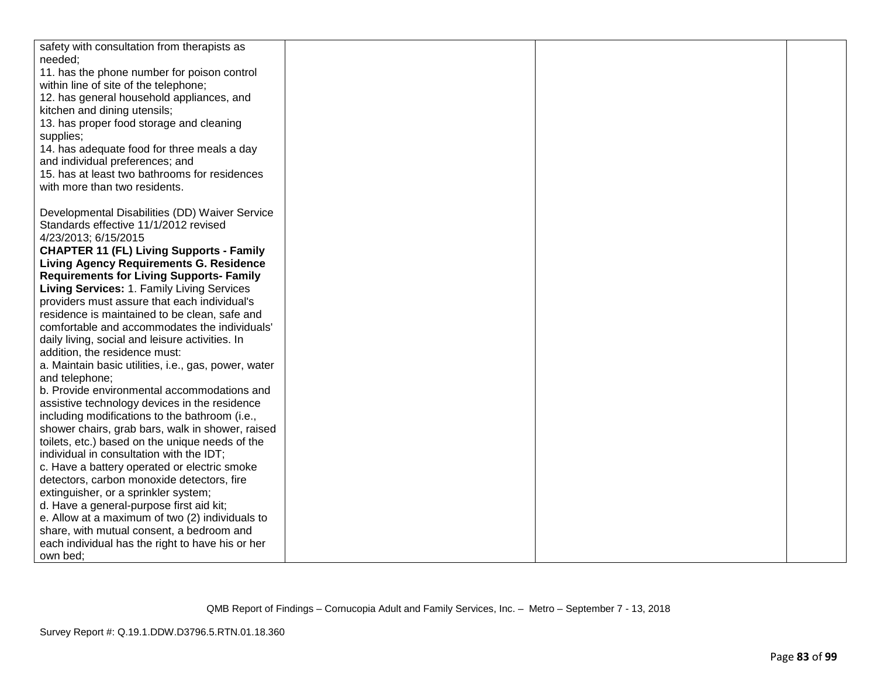| safety with consultation from therapists as          |  |  |
|------------------------------------------------------|--|--|
| needed;                                              |  |  |
| 11. has the phone number for poison control          |  |  |
| within line of site of the telephone;                |  |  |
| 12. has general household appliances, and            |  |  |
| kitchen and dining utensils;                         |  |  |
| 13. has proper food storage and cleaning             |  |  |
| supplies;                                            |  |  |
| 14. has adequate food for three meals a day          |  |  |
| and individual preferences; and                      |  |  |
| 15. has at least two bathrooms for residences        |  |  |
| with more than two residents.                        |  |  |
|                                                      |  |  |
| Developmental Disabilities (DD) Waiver Service       |  |  |
| Standards effective 11/1/2012 revised                |  |  |
| 4/23/2013; 6/15/2015                                 |  |  |
| <b>CHAPTER 11 (FL) Living Supports - Family</b>      |  |  |
| <b>Living Agency Requirements G. Residence</b>       |  |  |
| <b>Requirements for Living Supports- Family</b>      |  |  |
| Living Services: 1. Family Living Services           |  |  |
| providers must assure that each individual's         |  |  |
| residence is maintained to be clean, safe and        |  |  |
| comfortable and accommodates the individuals'        |  |  |
| daily living, social and leisure activities. In      |  |  |
| addition, the residence must:                        |  |  |
| a. Maintain basic utilities, i.e., gas, power, water |  |  |
| and telephone;                                       |  |  |
| b. Provide environmental accommodations and          |  |  |
| assistive technology devices in the residence        |  |  |
| including modifications to the bathroom (i.e.,       |  |  |
| shower chairs, grab bars, walk in shower, raised     |  |  |
| toilets, etc.) based on the unique needs of the      |  |  |
| individual in consultation with the IDT;             |  |  |
| c. Have a battery operated or electric smoke         |  |  |
| detectors, carbon monoxide detectors, fire           |  |  |
| extinguisher, or a sprinkler system;                 |  |  |
| d. Have a general-purpose first aid kit;             |  |  |
| e. Allow at a maximum of two (2) individuals to      |  |  |
| share, with mutual consent, a bedroom and            |  |  |
| each individual has the right to have his or her     |  |  |
| own bed;                                             |  |  |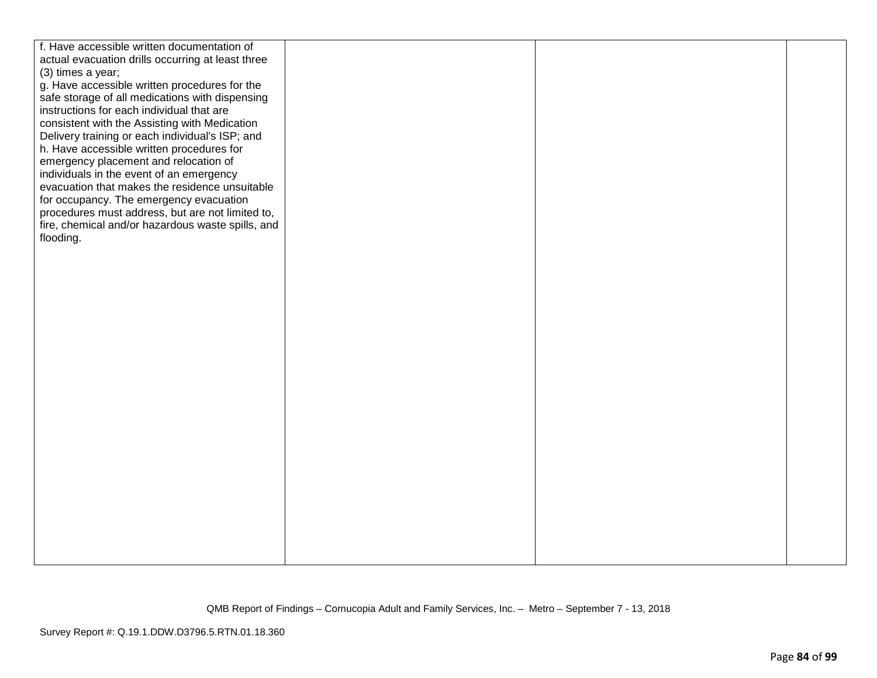| f. Have accessible written documentation of       |  |  |
|---------------------------------------------------|--|--|
| actual evacuation drills occurring at least three |  |  |
| (3) times a year;                                 |  |  |
| g. Have accessible written procedures for the     |  |  |
| safe storage of all medications with dispensing   |  |  |
| instructions for each individual that are         |  |  |
| consistent with the Assisting with Medication     |  |  |
| Delivery training or each individual's ISP; and   |  |  |
| h. Have accessible written procedures for         |  |  |
| emergency placement and relocation of             |  |  |
| individuals in the event of an emergency          |  |  |
| evacuation that makes the residence unsuitable    |  |  |
|                                                   |  |  |
| for occupancy. The emergency evacuation           |  |  |
| procedures must address, but are not limited to,  |  |  |
| fire, chemical and/or hazardous waste spills, and |  |  |
| flooding.                                         |  |  |
|                                                   |  |  |
|                                                   |  |  |
|                                                   |  |  |
|                                                   |  |  |
|                                                   |  |  |
|                                                   |  |  |
|                                                   |  |  |
|                                                   |  |  |
|                                                   |  |  |
|                                                   |  |  |
|                                                   |  |  |
|                                                   |  |  |
|                                                   |  |  |
|                                                   |  |  |
|                                                   |  |  |
|                                                   |  |  |
|                                                   |  |  |
|                                                   |  |  |
|                                                   |  |  |
|                                                   |  |  |
|                                                   |  |  |
|                                                   |  |  |
|                                                   |  |  |
|                                                   |  |  |
|                                                   |  |  |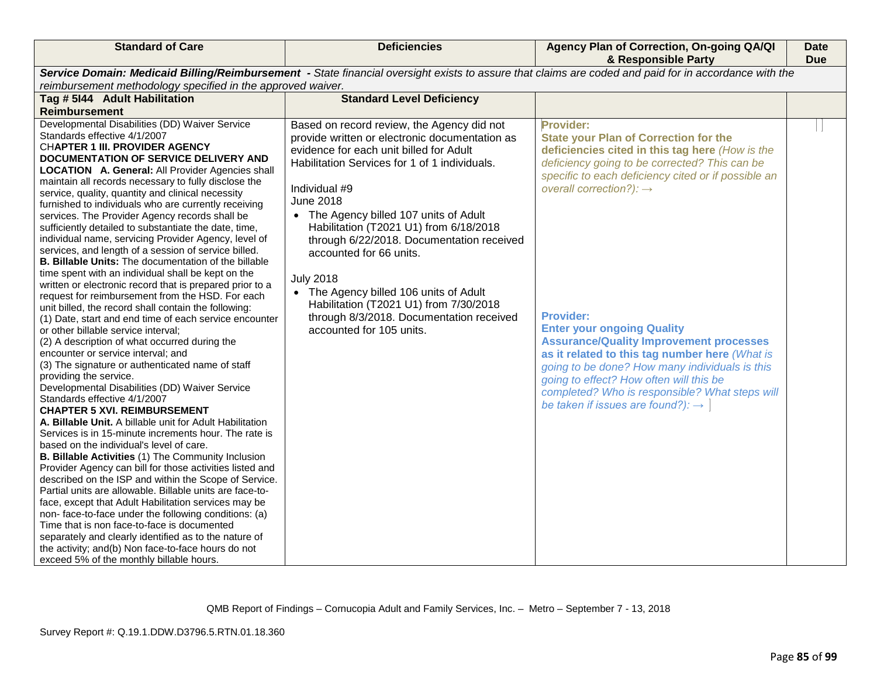| <b>Standard of Care</b>                                                                                                                                                                                                                                                                                                                                                                                                                                                                                                                                                                                                                                                                                                                                                                                                                                                                                                                                                                                                                                                                                                                                                                                                                                                                                                                                                                                                                                                                                                                                                                                                                                                                                                                                                                                                                                                                                                                                                                                                                                   | <b>Deficiencies</b>                                                                                                                                                                                                                                                                                                                                                                                                                                                                                                                                                       | Agency Plan of Correction, On-going QA/QI<br>& Responsible Party                                                                                                                                                                                                                                                                                                                                                                                                                                                                                                                                                                | <b>Date</b><br><b>Due</b> |  |
|-----------------------------------------------------------------------------------------------------------------------------------------------------------------------------------------------------------------------------------------------------------------------------------------------------------------------------------------------------------------------------------------------------------------------------------------------------------------------------------------------------------------------------------------------------------------------------------------------------------------------------------------------------------------------------------------------------------------------------------------------------------------------------------------------------------------------------------------------------------------------------------------------------------------------------------------------------------------------------------------------------------------------------------------------------------------------------------------------------------------------------------------------------------------------------------------------------------------------------------------------------------------------------------------------------------------------------------------------------------------------------------------------------------------------------------------------------------------------------------------------------------------------------------------------------------------------------------------------------------------------------------------------------------------------------------------------------------------------------------------------------------------------------------------------------------------------------------------------------------------------------------------------------------------------------------------------------------------------------------------------------------------------------------------------------------|---------------------------------------------------------------------------------------------------------------------------------------------------------------------------------------------------------------------------------------------------------------------------------------------------------------------------------------------------------------------------------------------------------------------------------------------------------------------------------------------------------------------------------------------------------------------------|---------------------------------------------------------------------------------------------------------------------------------------------------------------------------------------------------------------------------------------------------------------------------------------------------------------------------------------------------------------------------------------------------------------------------------------------------------------------------------------------------------------------------------------------------------------------------------------------------------------------------------|---------------------------|--|
| Service Domain: Medicaid Billing/Reimbursement - State financial oversight exists to assure that claims are coded and paid for in accordance with the<br>reimbursement methodology specified in the approved waiver.                                                                                                                                                                                                                                                                                                                                                                                                                                                                                                                                                                                                                                                                                                                                                                                                                                                                                                                                                                                                                                                                                                                                                                                                                                                                                                                                                                                                                                                                                                                                                                                                                                                                                                                                                                                                                                      |                                                                                                                                                                                                                                                                                                                                                                                                                                                                                                                                                                           |                                                                                                                                                                                                                                                                                                                                                                                                                                                                                                                                                                                                                                 |                           |  |
| Tag # 5144 Adult Habilitation                                                                                                                                                                                                                                                                                                                                                                                                                                                                                                                                                                                                                                                                                                                                                                                                                                                                                                                                                                                                                                                                                                                                                                                                                                                                                                                                                                                                                                                                                                                                                                                                                                                                                                                                                                                                                                                                                                                                                                                                                             | <b>Standard Level Deficiency</b>                                                                                                                                                                                                                                                                                                                                                                                                                                                                                                                                          |                                                                                                                                                                                                                                                                                                                                                                                                                                                                                                                                                                                                                                 |                           |  |
| <b>Reimbursement</b>                                                                                                                                                                                                                                                                                                                                                                                                                                                                                                                                                                                                                                                                                                                                                                                                                                                                                                                                                                                                                                                                                                                                                                                                                                                                                                                                                                                                                                                                                                                                                                                                                                                                                                                                                                                                                                                                                                                                                                                                                                      |                                                                                                                                                                                                                                                                                                                                                                                                                                                                                                                                                                           |                                                                                                                                                                                                                                                                                                                                                                                                                                                                                                                                                                                                                                 |                           |  |
| Developmental Disabilities (DD) Waiver Service<br>Standards effective 4/1/2007<br><b>CHAPTER 1 III. PROVIDER AGENCY</b><br>DOCUMENTATION OF SERVICE DELIVERY AND<br><b>LOCATION A. General: All Provider Agencies shall</b><br>maintain all records necessary to fully disclose the<br>service, quality, quantity and clinical necessity<br>furnished to individuals who are currently receiving<br>services. The Provider Agency records shall be<br>sufficiently detailed to substantiate the date, time,<br>individual name, servicing Provider Agency, level of<br>services, and length of a session of service billed.<br><b>B. Billable Units:</b> The documentation of the billable<br>time spent with an individual shall be kept on the<br>written or electronic record that is prepared prior to a<br>request for reimbursement from the HSD. For each<br>unit billed, the record shall contain the following:<br>(1) Date, start and end time of each service encounter<br>or other billable service interval;<br>(2) A description of what occurred during the<br>encounter or service interval; and<br>(3) The signature or authenticated name of staff<br>providing the service.<br>Developmental Disabilities (DD) Waiver Service<br>Standards effective 4/1/2007<br><b>CHAPTER 5 XVI. REIMBURSEMENT</b><br>A. Billable Unit. A billable unit for Adult Habilitation<br>Services is in 15-minute increments hour. The rate is<br>based on the individual's level of care.<br>B. Billable Activities (1) The Community Inclusion<br>Provider Agency can bill for those activities listed and<br>described on the ISP and within the Scope of Service.<br>Partial units are allowable. Billable units are face-to-<br>face, except that Adult Habilitation services may be<br>non-face-to-face under the following conditions: (a)<br>Time that is non face-to-face is documented<br>separately and clearly identified as to the nature of<br>the activity; and(b) Non face-to-face hours do not<br>exceed 5% of the monthly billable hours. | Based on record review, the Agency did not<br>provide written or electronic documentation as<br>evidence for each unit billed for Adult<br>Habilitation Services for 1 of 1 individuals.<br>Individual #9<br><b>June 2018</b><br>• The Agency billed 107 units of Adult<br>Habilitation (T2021 U1) from 6/18/2018<br>through 6/22/2018. Documentation received<br>accounted for 66 units.<br><b>July 2018</b><br>• The Agency billed 106 units of Adult<br>Habilitation (T2021 U1) from 7/30/2018<br>through 8/3/2018. Documentation received<br>accounted for 105 units. | <b>Provider:</b><br><b>State your Plan of Correction for the</b><br>deficiencies cited in this tag here (How is the<br>deficiency going to be corrected? This can be<br>specific to each deficiency cited or if possible an<br>overall correction?): $\rightarrow$<br><b>Provider:</b><br><b>Enter your ongoing Quality</b><br><b>Assurance/Quality Improvement processes</b><br>as it related to this tag number here (What is<br>going to be done? How many individuals is this<br>going to effect? How often will this be<br>completed? Who is responsible? What steps will<br>be taken if issues are found?): $\rightarrow$ |                           |  |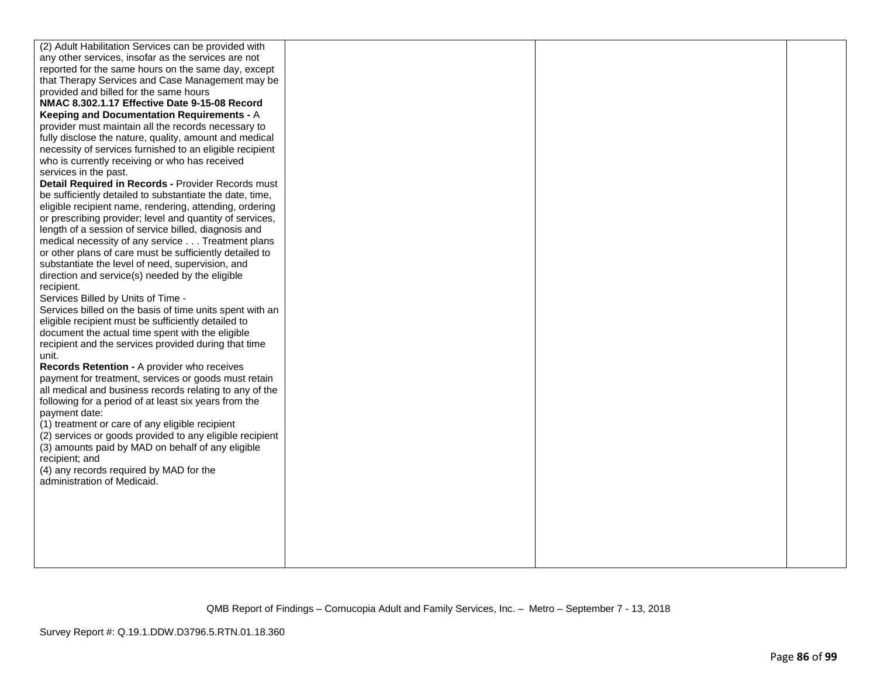| (2) Adult Habilitation Services can be provided with     |  |  |
|----------------------------------------------------------|--|--|
| any other services, insofar as the services are not      |  |  |
| reported for the same hours on the same day, except      |  |  |
| that Therapy Services and Case Management may be         |  |  |
| provided and billed for the same hours                   |  |  |
| NMAC 8.302.1.17 Effective Date 9-15-08 Record            |  |  |
| Keeping and Documentation Requirements - A               |  |  |
| provider must maintain all the records necessary to      |  |  |
| fully disclose the nature, quality, amount and medical   |  |  |
| necessity of services furnished to an eligible recipient |  |  |
| who is currently receiving or who has received           |  |  |
|                                                          |  |  |
| services in the past.                                    |  |  |
| Detail Required in Records - Provider Records must       |  |  |
| be sufficiently detailed to substantiate the date, time, |  |  |
| eligible recipient name, rendering, attending, ordering  |  |  |
| or prescribing provider; level and quantity of services, |  |  |
| length of a session of service billed, diagnosis and     |  |  |
| medical necessity of any service Treatment plans         |  |  |
| or other plans of care must be sufficiently detailed to  |  |  |
| substantiate the level of need, supervision, and         |  |  |
| direction and service(s) needed by the eligible          |  |  |
| recipient.                                               |  |  |
| Services Billed by Units of Time -                       |  |  |
| Services billed on the basis of time units spent with an |  |  |
| eligible recipient must be sufficiently detailed to      |  |  |
| document the actual time spent with the eligible         |  |  |
| recipient and the services provided during that time     |  |  |
| unit.                                                    |  |  |
| Records Retention - A provider who receives              |  |  |
| payment for treatment, services or goods must retain     |  |  |
| all medical and business records relating to any of the  |  |  |
| following for a period of at least six years from the    |  |  |
| payment date:                                            |  |  |
| (1) treatment or care of any eligible recipient          |  |  |
| (2) services or goods provided to any eligible recipient |  |  |
| (3) amounts paid by MAD on behalf of any eligible        |  |  |
| recipient; and                                           |  |  |
| (4) any records required by MAD for the                  |  |  |
| administration of Medicaid.                              |  |  |
|                                                          |  |  |
|                                                          |  |  |
|                                                          |  |  |
|                                                          |  |  |
|                                                          |  |  |
|                                                          |  |  |
|                                                          |  |  |
|                                                          |  |  |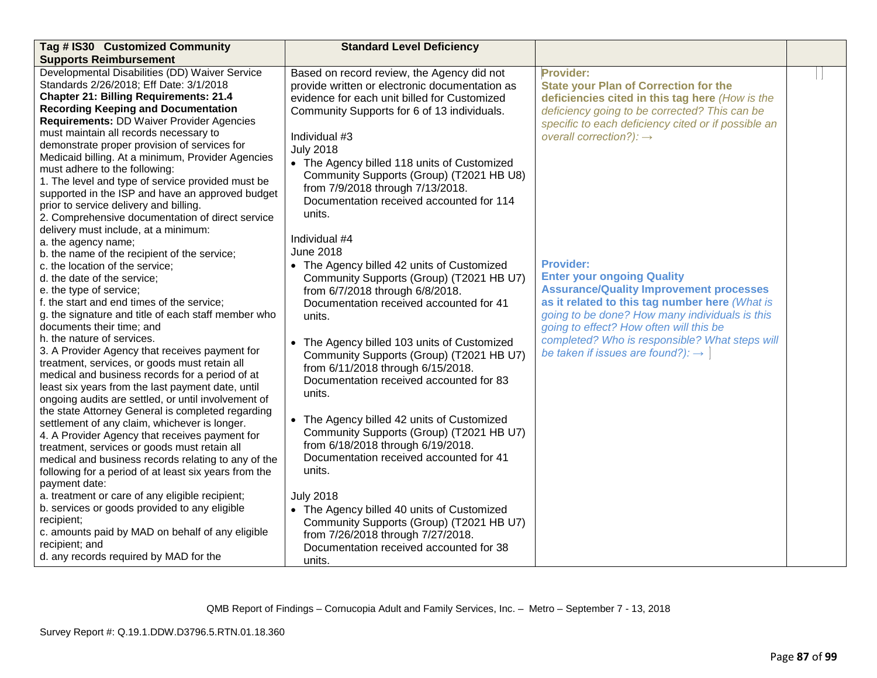| <b>Supports Reimbursement</b><br>Developmental Disabilities (DD) Waiver Service<br>Based on record review, the Agency did not<br>Provider:<br>Standards 2/26/2018; Eff Date: 3/1/2018<br>provide written or electronic documentation as<br><b>State your Plan of Correction for the</b><br><b>Chapter 21: Billing Requirements: 21.4</b><br>evidence for each unit billed for Customized<br>deficiencies cited in this tag here (How is the<br><b>Recording Keeping and Documentation</b><br>Community Supports for 6 of 13 individuals.<br>deficiency going to be corrected? This can be<br><b>Requirements: DD Waiver Provider Agencies</b><br>specific to each deficiency cited or if possible an<br>must maintain all records necessary to<br>Individual #3<br>overall correction?): $\rightarrow$<br>demonstrate proper provision of services for<br><b>July 2018</b><br>Medicaid billing. At a minimum, Provider Agencies<br>• The Agency billed 118 units of Customized<br>must adhere to the following:<br>Community Supports (Group) (T2021 HB U8)<br>1. The level and type of service provided must be<br>from 7/9/2018 through 7/13/2018.<br>supported in the ISP and have an approved budget<br>Documentation received accounted for 114<br>prior to service delivery and billing.<br>units.<br>2. Comprehensive documentation of direct service<br>delivery must include, at a minimum:<br>Individual #4<br>a. the agency name;<br><b>June 2018</b><br>b. the name of the recipient of the service;<br><b>Provider:</b><br>• The Agency billed 42 units of Customized<br>c. the location of the service; |
|-----------------------------------------------------------------------------------------------------------------------------------------------------------------------------------------------------------------------------------------------------------------------------------------------------------------------------------------------------------------------------------------------------------------------------------------------------------------------------------------------------------------------------------------------------------------------------------------------------------------------------------------------------------------------------------------------------------------------------------------------------------------------------------------------------------------------------------------------------------------------------------------------------------------------------------------------------------------------------------------------------------------------------------------------------------------------------------------------------------------------------------------------------------------------------------------------------------------------------------------------------------------------------------------------------------------------------------------------------------------------------------------------------------------------------------------------------------------------------------------------------------------------------------------------------------------------------------------------------------------------|
|                                                                                                                                                                                                                                                                                                                                                                                                                                                                                                                                                                                                                                                                                                                                                                                                                                                                                                                                                                                                                                                                                                                                                                                                                                                                                                                                                                                                                                                                                                                                                                                                                       |
|                                                                                                                                                                                                                                                                                                                                                                                                                                                                                                                                                                                                                                                                                                                                                                                                                                                                                                                                                                                                                                                                                                                                                                                                                                                                                                                                                                                                                                                                                                                                                                                                                       |
|                                                                                                                                                                                                                                                                                                                                                                                                                                                                                                                                                                                                                                                                                                                                                                                                                                                                                                                                                                                                                                                                                                                                                                                                                                                                                                                                                                                                                                                                                                                                                                                                                       |
|                                                                                                                                                                                                                                                                                                                                                                                                                                                                                                                                                                                                                                                                                                                                                                                                                                                                                                                                                                                                                                                                                                                                                                                                                                                                                                                                                                                                                                                                                                                                                                                                                       |
|                                                                                                                                                                                                                                                                                                                                                                                                                                                                                                                                                                                                                                                                                                                                                                                                                                                                                                                                                                                                                                                                                                                                                                                                                                                                                                                                                                                                                                                                                                                                                                                                                       |
|                                                                                                                                                                                                                                                                                                                                                                                                                                                                                                                                                                                                                                                                                                                                                                                                                                                                                                                                                                                                                                                                                                                                                                                                                                                                                                                                                                                                                                                                                                                                                                                                                       |
|                                                                                                                                                                                                                                                                                                                                                                                                                                                                                                                                                                                                                                                                                                                                                                                                                                                                                                                                                                                                                                                                                                                                                                                                                                                                                                                                                                                                                                                                                                                                                                                                                       |
|                                                                                                                                                                                                                                                                                                                                                                                                                                                                                                                                                                                                                                                                                                                                                                                                                                                                                                                                                                                                                                                                                                                                                                                                                                                                                                                                                                                                                                                                                                                                                                                                                       |
|                                                                                                                                                                                                                                                                                                                                                                                                                                                                                                                                                                                                                                                                                                                                                                                                                                                                                                                                                                                                                                                                                                                                                                                                                                                                                                                                                                                                                                                                                                                                                                                                                       |
|                                                                                                                                                                                                                                                                                                                                                                                                                                                                                                                                                                                                                                                                                                                                                                                                                                                                                                                                                                                                                                                                                                                                                                                                                                                                                                                                                                                                                                                                                                                                                                                                                       |
|                                                                                                                                                                                                                                                                                                                                                                                                                                                                                                                                                                                                                                                                                                                                                                                                                                                                                                                                                                                                                                                                                                                                                                                                                                                                                                                                                                                                                                                                                                                                                                                                                       |
|                                                                                                                                                                                                                                                                                                                                                                                                                                                                                                                                                                                                                                                                                                                                                                                                                                                                                                                                                                                                                                                                                                                                                                                                                                                                                                                                                                                                                                                                                                                                                                                                                       |
|                                                                                                                                                                                                                                                                                                                                                                                                                                                                                                                                                                                                                                                                                                                                                                                                                                                                                                                                                                                                                                                                                                                                                                                                                                                                                                                                                                                                                                                                                                                                                                                                                       |
|                                                                                                                                                                                                                                                                                                                                                                                                                                                                                                                                                                                                                                                                                                                                                                                                                                                                                                                                                                                                                                                                                                                                                                                                                                                                                                                                                                                                                                                                                                                                                                                                                       |
|                                                                                                                                                                                                                                                                                                                                                                                                                                                                                                                                                                                                                                                                                                                                                                                                                                                                                                                                                                                                                                                                                                                                                                                                                                                                                                                                                                                                                                                                                                                                                                                                                       |
|                                                                                                                                                                                                                                                                                                                                                                                                                                                                                                                                                                                                                                                                                                                                                                                                                                                                                                                                                                                                                                                                                                                                                                                                                                                                                                                                                                                                                                                                                                                                                                                                                       |
|                                                                                                                                                                                                                                                                                                                                                                                                                                                                                                                                                                                                                                                                                                                                                                                                                                                                                                                                                                                                                                                                                                                                                                                                                                                                                                                                                                                                                                                                                                                                                                                                                       |
| <b>Enter your ongoing Quality</b><br>Community Supports (Group) (T2021 HB U7)<br>d. the date of the service;                                                                                                                                                                                                                                                                                                                                                                                                                                                                                                                                                                                                                                                                                                                                                                                                                                                                                                                                                                                                                                                                                                                                                                                                                                                                                                                                                                                                                                                                                                          |
| <b>Assurance/Quality Improvement processes</b><br>e. the type of service;<br>from 6/7/2018 through 6/8/2018.                                                                                                                                                                                                                                                                                                                                                                                                                                                                                                                                                                                                                                                                                                                                                                                                                                                                                                                                                                                                                                                                                                                                                                                                                                                                                                                                                                                                                                                                                                          |
| as it related to this tag number here (What is<br>f. the start and end times of the service;<br>Documentation received accounted for 41                                                                                                                                                                                                                                                                                                                                                                                                                                                                                                                                                                                                                                                                                                                                                                                                                                                                                                                                                                                                                                                                                                                                                                                                                                                                                                                                                                                                                                                                               |
| g. the signature and title of each staff member who<br>going to be done? How many individuals is this<br>units.                                                                                                                                                                                                                                                                                                                                                                                                                                                                                                                                                                                                                                                                                                                                                                                                                                                                                                                                                                                                                                                                                                                                                                                                                                                                                                                                                                                                                                                                                                       |
| documents their time; and<br>going to effect? How often will this be                                                                                                                                                                                                                                                                                                                                                                                                                                                                                                                                                                                                                                                                                                                                                                                                                                                                                                                                                                                                                                                                                                                                                                                                                                                                                                                                                                                                                                                                                                                                                  |
| h, the nature of services.<br>completed? Who is responsible? What steps will<br>• The Agency billed 103 units of Customized                                                                                                                                                                                                                                                                                                                                                                                                                                                                                                                                                                                                                                                                                                                                                                                                                                                                                                                                                                                                                                                                                                                                                                                                                                                                                                                                                                                                                                                                                           |
| 3. A Provider Agency that receives payment for<br>be taken if issues are found?): $\rightarrow$<br>Community Supports (Group) (T2021 HB U7)                                                                                                                                                                                                                                                                                                                                                                                                                                                                                                                                                                                                                                                                                                                                                                                                                                                                                                                                                                                                                                                                                                                                                                                                                                                                                                                                                                                                                                                                           |
| treatment, services, or goods must retain all<br>from 6/11/2018 through 6/15/2018.                                                                                                                                                                                                                                                                                                                                                                                                                                                                                                                                                                                                                                                                                                                                                                                                                                                                                                                                                                                                                                                                                                                                                                                                                                                                                                                                                                                                                                                                                                                                    |
| medical and business records for a period of at<br>Documentation received accounted for 83                                                                                                                                                                                                                                                                                                                                                                                                                                                                                                                                                                                                                                                                                                                                                                                                                                                                                                                                                                                                                                                                                                                                                                                                                                                                                                                                                                                                                                                                                                                            |
| least six years from the last payment date, until<br>units.                                                                                                                                                                                                                                                                                                                                                                                                                                                                                                                                                                                                                                                                                                                                                                                                                                                                                                                                                                                                                                                                                                                                                                                                                                                                                                                                                                                                                                                                                                                                                           |
| ongoing audits are settled, or until involvement of                                                                                                                                                                                                                                                                                                                                                                                                                                                                                                                                                                                                                                                                                                                                                                                                                                                                                                                                                                                                                                                                                                                                                                                                                                                                                                                                                                                                                                                                                                                                                                   |
| the state Attorney General is completed regarding<br>• The Agency billed 42 units of Customized                                                                                                                                                                                                                                                                                                                                                                                                                                                                                                                                                                                                                                                                                                                                                                                                                                                                                                                                                                                                                                                                                                                                                                                                                                                                                                                                                                                                                                                                                                                       |
| settlement of any claim, whichever is longer.<br>Community Supports (Group) (T2021 HB U7)                                                                                                                                                                                                                                                                                                                                                                                                                                                                                                                                                                                                                                                                                                                                                                                                                                                                                                                                                                                                                                                                                                                                                                                                                                                                                                                                                                                                                                                                                                                             |
| 4. A Provider Agency that receives payment for<br>from 6/18/2018 through 6/19/2018.                                                                                                                                                                                                                                                                                                                                                                                                                                                                                                                                                                                                                                                                                                                                                                                                                                                                                                                                                                                                                                                                                                                                                                                                                                                                                                                                                                                                                                                                                                                                   |
| treatment, services or goods must retain all<br>Documentation received accounted for 41<br>medical and business records relating to any of the                                                                                                                                                                                                                                                                                                                                                                                                                                                                                                                                                                                                                                                                                                                                                                                                                                                                                                                                                                                                                                                                                                                                                                                                                                                                                                                                                                                                                                                                        |
| units.<br>following for a period of at least six years from the                                                                                                                                                                                                                                                                                                                                                                                                                                                                                                                                                                                                                                                                                                                                                                                                                                                                                                                                                                                                                                                                                                                                                                                                                                                                                                                                                                                                                                                                                                                                                       |
| payment date:                                                                                                                                                                                                                                                                                                                                                                                                                                                                                                                                                                                                                                                                                                                                                                                                                                                                                                                                                                                                                                                                                                                                                                                                                                                                                                                                                                                                                                                                                                                                                                                                         |
| a. treatment or care of any eligible recipient;<br><b>July 2018</b>                                                                                                                                                                                                                                                                                                                                                                                                                                                                                                                                                                                                                                                                                                                                                                                                                                                                                                                                                                                                                                                                                                                                                                                                                                                                                                                                                                                                                                                                                                                                                   |
| b. services or goods provided to any eligible<br>• The Agency billed 40 units of Customized                                                                                                                                                                                                                                                                                                                                                                                                                                                                                                                                                                                                                                                                                                                                                                                                                                                                                                                                                                                                                                                                                                                                                                                                                                                                                                                                                                                                                                                                                                                           |
| recipient;<br>Community Supports (Group) (T2021 HB U7)                                                                                                                                                                                                                                                                                                                                                                                                                                                                                                                                                                                                                                                                                                                                                                                                                                                                                                                                                                                                                                                                                                                                                                                                                                                                                                                                                                                                                                                                                                                                                                |
| c. amounts paid by MAD on behalf of any eligible<br>from 7/26/2018 through 7/27/2018.                                                                                                                                                                                                                                                                                                                                                                                                                                                                                                                                                                                                                                                                                                                                                                                                                                                                                                                                                                                                                                                                                                                                                                                                                                                                                                                                                                                                                                                                                                                                 |
| recipient; and<br>Documentation received accounted for 38                                                                                                                                                                                                                                                                                                                                                                                                                                                                                                                                                                                                                                                                                                                                                                                                                                                                                                                                                                                                                                                                                                                                                                                                                                                                                                                                                                                                                                                                                                                                                             |
| d. any records required by MAD for the<br>units.                                                                                                                                                                                                                                                                                                                                                                                                                                                                                                                                                                                                                                                                                                                                                                                                                                                                                                                                                                                                                                                                                                                                                                                                                                                                                                                                                                                                                                                                                                                                                                      |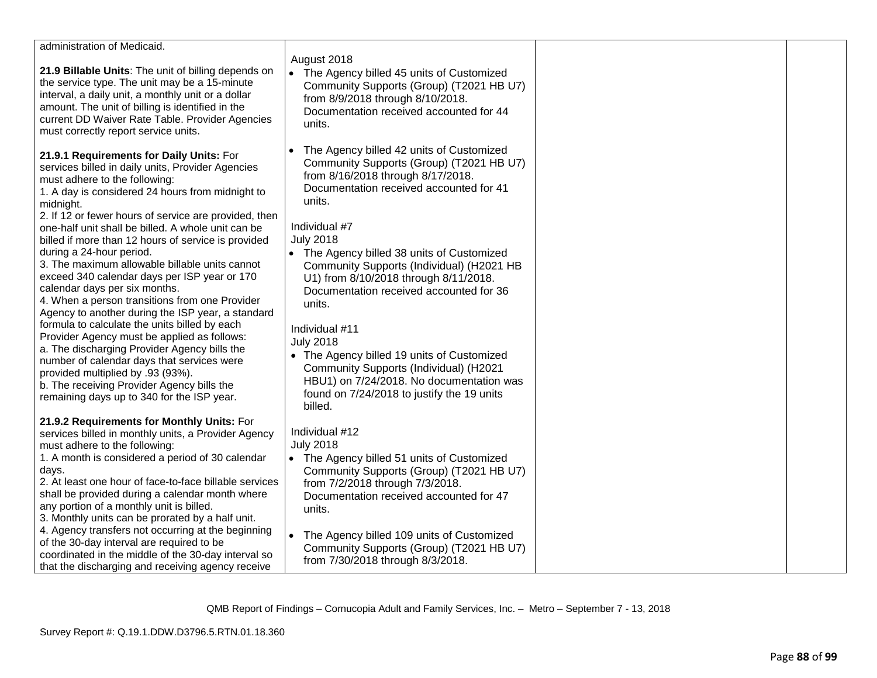| administration of Medicaid.                                                                                                                                                                                                                                                                                                                                                                                  |                                                                                                                                                                                                                                                                   |  |
|--------------------------------------------------------------------------------------------------------------------------------------------------------------------------------------------------------------------------------------------------------------------------------------------------------------------------------------------------------------------------------------------------------------|-------------------------------------------------------------------------------------------------------------------------------------------------------------------------------------------------------------------------------------------------------------------|--|
| 21.9 Billable Units: The unit of billing depends on<br>the service type. The unit may be a 15-minute<br>interval, a daily unit, a monthly unit or a dollar<br>amount. The unit of billing is identified in the<br>current DD Waiver Rate Table. Provider Agencies<br>must correctly report service units.                                                                                                    | August 2018<br>The Agency billed 45 units of Customized<br>Community Supports (Group) (T2021 HB U7)<br>from 8/9/2018 through 8/10/2018.<br>Documentation received accounted for 44<br>units.                                                                      |  |
| 21.9.1 Requirements for Daily Units: For<br>services billed in daily units, Provider Agencies<br>must adhere to the following:<br>1. A day is considered 24 hours from midnight to<br>midnight.<br>2. If 12 or fewer hours of service are provided, then<br>one-half unit shall be billed. A whole unit can be<br>billed if more than 12 hours of service is provided<br>during a 24-hour period.            | The Agency billed 42 units of Customized<br>Community Supports (Group) (T2021 HB U7)<br>from 8/16/2018 through 8/17/2018.<br>Documentation received accounted for 41<br>units.<br>Individual #7<br><b>July 2018</b><br>• The Agency billed 38 units of Customized |  |
| 3. The maximum allowable billable units cannot<br>exceed 340 calendar days per ISP year or 170<br>calendar days per six months.<br>4. When a person transitions from one Provider<br>Agency to another during the ISP year, a standard                                                                                                                                                                       | Community Supports (Individual) (H2021 HB<br>U1) from 8/10/2018 through 8/11/2018.<br>Documentation received accounted for 36<br>units.                                                                                                                           |  |
| formula to calculate the units billed by each<br>Provider Agency must be applied as follows:<br>a. The discharging Provider Agency bills the<br>number of calendar days that services were<br>provided multiplied by .93 (93%).<br>b. The receiving Provider Agency bills the<br>remaining days up to 340 for the ISP year.                                                                                  | Individual #11<br><b>July 2018</b><br>• The Agency billed 19 units of Customized<br>Community Supports (Individual) (H2021<br>HBU1) on 7/24/2018. No documentation was<br>found on 7/24/2018 to justify the 19 units<br>billed.                                   |  |
| 21.9.2 Requirements for Monthly Units: For<br>services billed in monthly units, a Provider Agency<br>must adhere to the following:<br>1. A month is considered a period of 30 calendar<br>days.<br>2. At least one hour of face-to-face billable services<br>shall be provided during a calendar month where<br>any portion of a monthly unit is billed.<br>3. Monthly units can be prorated by a half unit. | Individual #12<br><b>July 2018</b><br>• The Agency billed 51 units of Customized<br>Community Supports (Group) (T2021 HB U7)<br>from 7/2/2018 through 7/3/2018.<br>Documentation received accounted for 47<br>units.                                              |  |
| 4. Agency transfers not occurring at the beginning<br>of the 30-day interval are required to be<br>coordinated in the middle of the 30-day interval so<br>that the discharging and receiving agency receive                                                                                                                                                                                                  | The Agency billed 109 units of Customized<br>$\bullet$<br>Community Supports (Group) (T2021 HB U7)<br>from 7/30/2018 through 8/3/2018.                                                                                                                            |  |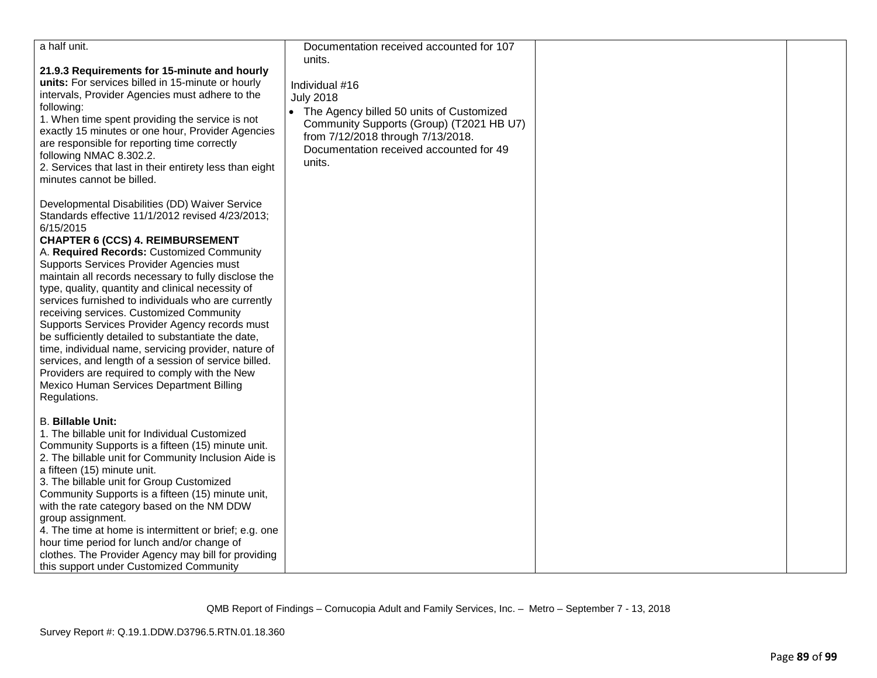| a half unit.                                                                                                                                                                                                                                                                                                                                                                                                                                                                                                                                                                                                                                                                                                                                                                                             | Documentation received accounted for 107                                                                                                                                                                                         |  |
|----------------------------------------------------------------------------------------------------------------------------------------------------------------------------------------------------------------------------------------------------------------------------------------------------------------------------------------------------------------------------------------------------------------------------------------------------------------------------------------------------------------------------------------------------------------------------------------------------------------------------------------------------------------------------------------------------------------------------------------------------------------------------------------------------------|----------------------------------------------------------------------------------------------------------------------------------------------------------------------------------------------------------------------------------|--|
| 21.9.3 Requirements for 15-minute and hourly<br>units: For services billed in 15-minute or hourly<br>intervals, Provider Agencies must adhere to the<br>following:<br>1. When time spent providing the service is not<br>exactly 15 minutes or one hour, Provider Agencies<br>are responsible for reporting time correctly<br>following NMAC 8.302.2.<br>2. Services that last in their entirety less than eight<br>minutes cannot be billed.                                                                                                                                                                                                                                                                                                                                                            | units.<br>Individual #16<br><b>July 2018</b><br>• The Agency billed 50 units of Customized<br>Community Supports (Group) (T2021 HB U7)<br>from 7/12/2018 through 7/13/2018.<br>Documentation received accounted for 49<br>units. |  |
| Developmental Disabilities (DD) Waiver Service<br>Standards effective 11/1/2012 revised 4/23/2013;<br>6/15/2015<br><b>CHAPTER 6 (CCS) 4. REIMBURSEMENT</b><br>A. Required Records: Customized Community<br>Supports Services Provider Agencies must<br>maintain all records necessary to fully disclose the<br>type, quality, quantity and clinical necessity of<br>services furnished to individuals who are currently<br>receiving services. Customized Community<br>Supports Services Provider Agency records must<br>be sufficiently detailed to substantiate the date,<br>time, individual name, servicing provider, nature of<br>services, and length of a session of service billed.<br>Providers are required to comply with the New<br>Mexico Human Services Department Billing<br>Regulations. |                                                                                                                                                                                                                                  |  |
| <b>B. Billable Unit:</b><br>1. The billable unit for Individual Customized<br>Community Supports is a fifteen (15) minute unit.<br>2. The billable unit for Community Inclusion Aide is<br>a fifteen (15) minute unit.<br>3. The billable unit for Group Customized<br>Community Supports is a fifteen (15) minute unit,<br>with the rate category based on the NM DDW<br>group assignment.<br>4. The time at home is intermittent or brief; e.g. one<br>hour time period for lunch and/or change of<br>clothes. The Provider Agency may bill for providing<br>this support under Customized Community                                                                                                                                                                                                   |                                                                                                                                                                                                                                  |  |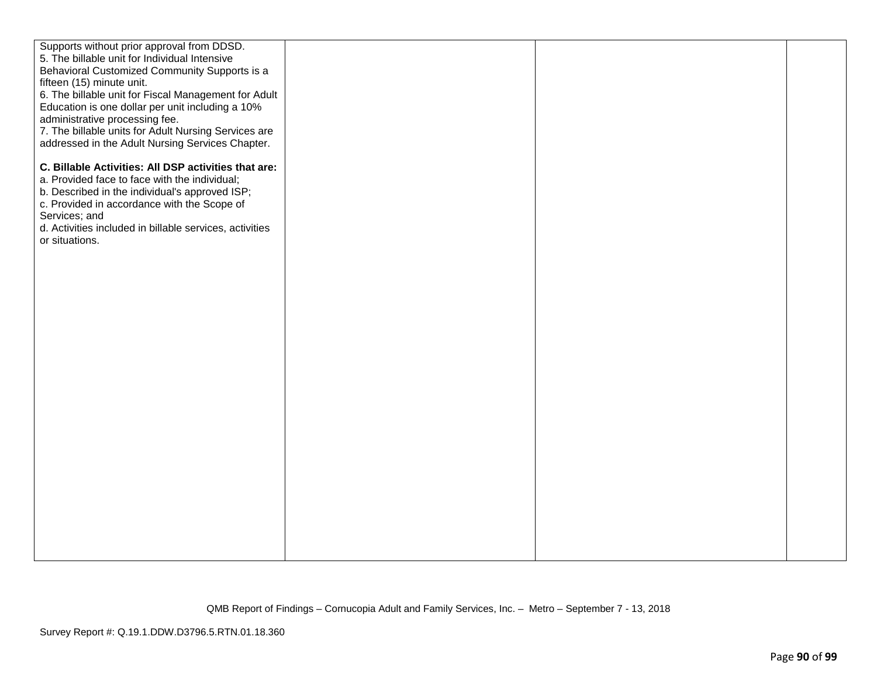| Supports without prior approval from DDSD.              |  |  |
|---------------------------------------------------------|--|--|
| 5. The billable unit for Individual Intensive           |  |  |
| Behavioral Customized Community Supports is a           |  |  |
| fifteen (15) minute unit.                               |  |  |
|                                                         |  |  |
| 6. The billable unit for Fiscal Management for Adult    |  |  |
| Education is one dollar per unit including a 10%        |  |  |
| administrative processing fee.                          |  |  |
| 7. The billable units for Adult Nursing Services are    |  |  |
| addressed in the Adult Nursing Services Chapter.        |  |  |
|                                                         |  |  |
| C. Billable Activities: All DSP activities that are:    |  |  |
| a. Provided face to face with the individual;           |  |  |
| b. Described in the individual's approved ISP;          |  |  |
| c. Provided in accordance with the Scope of             |  |  |
| Services; and                                           |  |  |
| d. Activities included in billable services, activities |  |  |
|                                                         |  |  |
| or situations.                                          |  |  |
|                                                         |  |  |
|                                                         |  |  |
|                                                         |  |  |
|                                                         |  |  |
|                                                         |  |  |
|                                                         |  |  |
|                                                         |  |  |
|                                                         |  |  |
|                                                         |  |  |
|                                                         |  |  |
|                                                         |  |  |
|                                                         |  |  |
|                                                         |  |  |
|                                                         |  |  |
|                                                         |  |  |
|                                                         |  |  |
|                                                         |  |  |
|                                                         |  |  |
|                                                         |  |  |
|                                                         |  |  |
|                                                         |  |  |
|                                                         |  |  |
|                                                         |  |  |
|                                                         |  |  |
|                                                         |  |  |
|                                                         |  |  |
|                                                         |  |  |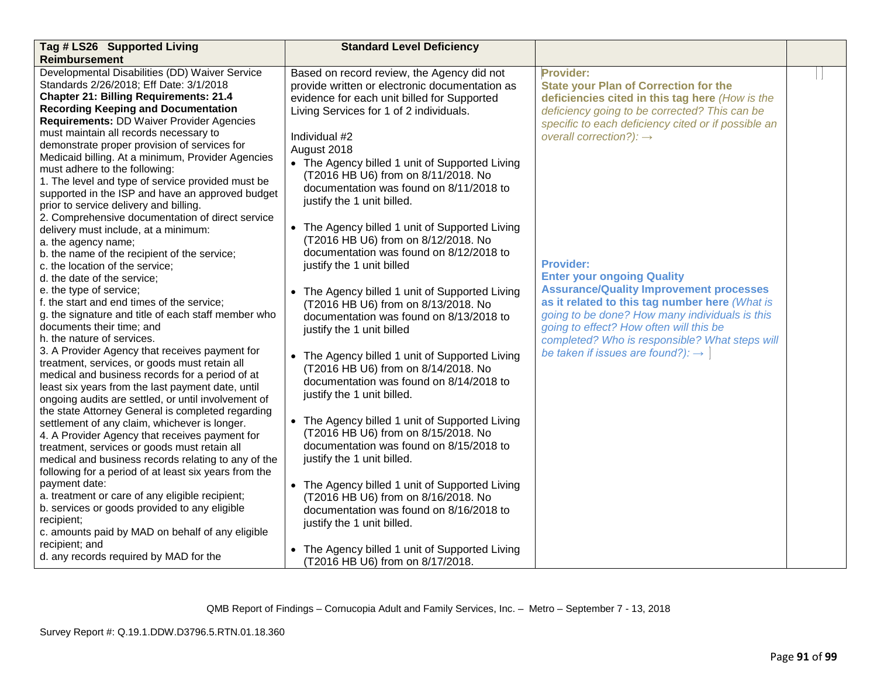| Tag # LS26 Supported Living                                                                          | <b>Standard Level Deficiency</b>                                                             |                                                                  |  |
|------------------------------------------------------------------------------------------------------|----------------------------------------------------------------------------------------------|------------------------------------------------------------------|--|
| <b>Reimbursement</b>                                                                                 |                                                                                              |                                                                  |  |
| Developmental Disabilities (DD) Waiver Service<br>Standards 2/26/2018; Eff Date: 3/1/2018            | Based on record review, the Agency did not<br>provide written or electronic documentation as | <b>Provider:</b><br><b>State your Plan of Correction for the</b> |  |
| <b>Chapter 21: Billing Requirements: 21.4</b>                                                        | evidence for each unit billed for Supported                                                  | deficiencies cited in this tag here (How is the                  |  |
| <b>Recording Keeping and Documentation</b>                                                           | Living Services for 1 of 2 individuals.                                                      | deficiency going to be corrected? This can be                    |  |
| <b>Requirements: DD Waiver Provider Agencies</b>                                                     |                                                                                              | specific to each deficiency cited or if possible an              |  |
| must maintain all records necessary to                                                               | Individual #2                                                                                | overall correction?): $\rightarrow$                              |  |
| demonstrate proper provision of services for                                                         | August 2018                                                                                  |                                                                  |  |
| Medicaid billing. At a minimum, Provider Agencies                                                    | • The Agency billed 1 unit of Supported Living                                               |                                                                  |  |
| must adhere to the following:<br>1. The level and type of service provided must be                   | (T2016 HB U6) from on 8/11/2018. No                                                          |                                                                  |  |
| supported in the ISP and have an approved budget                                                     | documentation was found on 8/11/2018 to                                                      |                                                                  |  |
| prior to service delivery and billing.                                                               | justify the 1 unit billed.                                                                   |                                                                  |  |
| 2. Comprehensive documentation of direct service                                                     |                                                                                              |                                                                  |  |
| delivery must include, at a minimum:                                                                 | • The Agency billed 1 unit of Supported Living                                               |                                                                  |  |
| a. the agency name;                                                                                  | (T2016 HB U6) from on 8/12/2018. No                                                          |                                                                  |  |
| b. the name of the recipient of the service;                                                         | documentation was found on 8/12/2018 to                                                      |                                                                  |  |
| c. the location of the service;                                                                      | justify the 1 unit billed                                                                    | <b>Provider:</b>                                                 |  |
| d. the date of the service;                                                                          |                                                                                              | <b>Enter your ongoing Quality</b>                                |  |
| e. the type of service;                                                                              | • The Agency billed 1 unit of Supported Living                                               | <b>Assurance/Quality Improvement processes</b>                   |  |
| f. the start and end times of the service;                                                           | (T2016 HB U6) from on 8/13/2018. No                                                          | as it related to this tag number here (What is                   |  |
| g. the signature and title of each staff member who                                                  | documentation was found on 8/13/2018 to                                                      | going to be done? How many individuals is this                   |  |
| documents their time; and                                                                            | justify the 1 unit billed                                                                    | going to effect? How often will this be                          |  |
| h, the nature of services.                                                                           |                                                                                              | completed? Who is responsible? What steps will                   |  |
| 3. A Provider Agency that receives payment for                                                       | • The Agency billed 1 unit of Supported Living                                               | be taken if issues are found?): $\rightarrow$                    |  |
| treatment, services, or goods must retain all                                                        | (T2016 HB U6) from on 8/14/2018. No                                                          |                                                                  |  |
| medical and business records for a period of at<br>least six years from the last payment date, until | documentation was found on 8/14/2018 to                                                      |                                                                  |  |
| ongoing audits are settled, or until involvement of                                                  | justify the 1 unit billed.                                                                   |                                                                  |  |
| the state Attorney General is completed regarding                                                    |                                                                                              |                                                                  |  |
| settlement of any claim, whichever is longer.                                                        | • The Agency billed 1 unit of Supported Living                                               |                                                                  |  |
| 4. A Provider Agency that receives payment for                                                       | (T2016 HB U6) from on 8/15/2018. No                                                          |                                                                  |  |
| treatment, services or goods must retain all                                                         | documentation was found on 8/15/2018 to                                                      |                                                                  |  |
| medical and business records relating to any of the                                                  | justify the 1 unit billed.                                                                   |                                                                  |  |
| following for a period of at least six years from the                                                |                                                                                              |                                                                  |  |
| payment date:                                                                                        | • The Agency billed 1 unit of Supported Living                                               |                                                                  |  |
| a. treatment or care of any eligible recipient;                                                      | (T2016 HB U6) from on 8/16/2018. No                                                          |                                                                  |  |
| b. services or goods provided to any eligible                                                        | documentation was found on 8/16/2018 to                                                      |                                                                  |  |
| recipient;                                                                                           | justify the 1 unit billed.                                                                   |                                                                  |  |
| c. amounts paid by MAD on behalf of any eligible                                                     |                                                                                              |                                                                  |  |
| recipient; and                                                                                       | • The Agency billed 1 unit of Supported Living                                               |                                                                  |  |
| d. any records required by MAD for the                                                               | (T2016 HB U6) from on 8/17/2018.                                                             |                                                                  |  |

QMB Report of Findings – Cornucopia Adult and Family Services, Inc. – Metro – September 7 - 13, 2018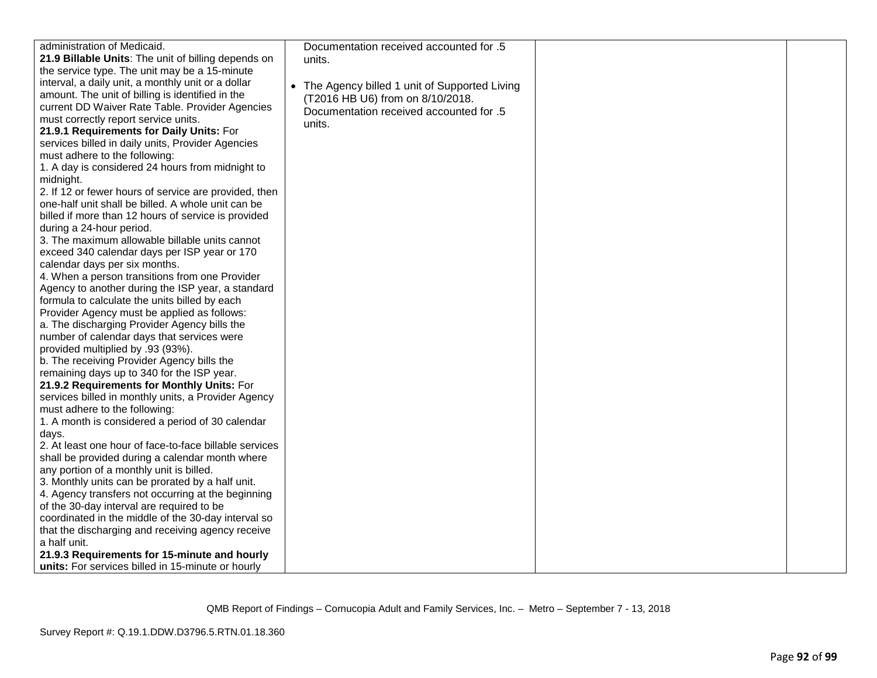| administration of Medicaid.                            | Documentation received accounted for .5        |  |
|--------------------------------------------------------|------------------------------------------------|--|
| 21.9 Billable Units: The unit of billing depends on    | units.                                         |  |
| the service type. The unit may be a 15-minute          |                                                |  |
| interval, a daily unit, a monthly unit or a dollar     |                                                |  |
| amount. The unit of billing is identified in the       | • The Agency billed 1 unit of Supported Living |  |
| current DD Waiver Rate Table. Provider Agencies        | (T2016 HB U6) from on 8/10/2018.               |  |
| must correctly report service units.                   | Documentation received accounted for .5        |  |
| 21.9.1 Requirements for Daily Units: For               | units.                                         |  |
| services billed in daily units, Provider Agencies      |                                                |  |
| must adhere to the following:                          |                                                |  |
| 1. A day is considered 24 hours from midnight to       |                                                |  |
| midnight.                                              |                                                |  |
| 2. If 12 or fewer hours of service are provided, then  |                                                |  |
| one-half unit shall be billed. A whole unit can be     |                                                |  |
| billed if more than 12 hours of service is provided    |                                                |  |
| during a 24-hour period.                               |                                                |  |
| 3. The maximum allowable billable units cannot         |                                                |  |
| exceed 340 calendar days per ISP year or 170           |                                                |  |
| calendar days per six months.                          |                                                |  |
| 4. When a person transitions from one Provider         |                                                |  |
| Agency to another during the ISP year, a standard      |                                                |  |
| formula to calculate the units billed by each          |                                                |  |
| Provider Agency must be applied as follows:            |                                                |  |
| a. The discharging Provider Agency bills the           |                                                |  |
| number of calendar days that services were             |                                                |  |
| provided multiplied by .93 (93%).                      |                                                |  |
| b. The receiving Provider Agency bills the             |                                                |  |
| remaining days up to 340 for the ISP year.             |                                                |  |
| 21.9.2 Requirements for Monthly Units: For             |                                                |  |
| services billed in monthly units, a Provider Agency    |                                                |  |
| must adhere to the following:                          |                                                |  |
| 1. A month is considered a period of 30 calendar       |                                                |  |
| days.                                                  |                                                |  |
| 2. At least one hour of face-to-face billable services |                                                |  |
| shall be provided during a calendar month where        |                                                |  |
| any portion of a monthly unit is billed.               |                                                |  |
| 3. Monthly units can be prorated by a half unit.       |                                                |  |
| 4. Agency transfers not occurring at the beginning     |                                                |  |
| of the 30-day interval are required to be              |                                                |  |
| coordinated in the middle of the 30-day interval so    |                                                |  |
| that the discharging and receiving agency receive      |                                                |  |
| a half unit.                                           |                                                |  |
| 21.9.3 Requirements for 15-minute and hourly           |                                                |  |
| units: For services billed in 15-minute or hourly      |                                                |  |

QMB Report of Findings – Cornucopia Adult and Family Services, Inc. – Metro – September 7 - 13, 2018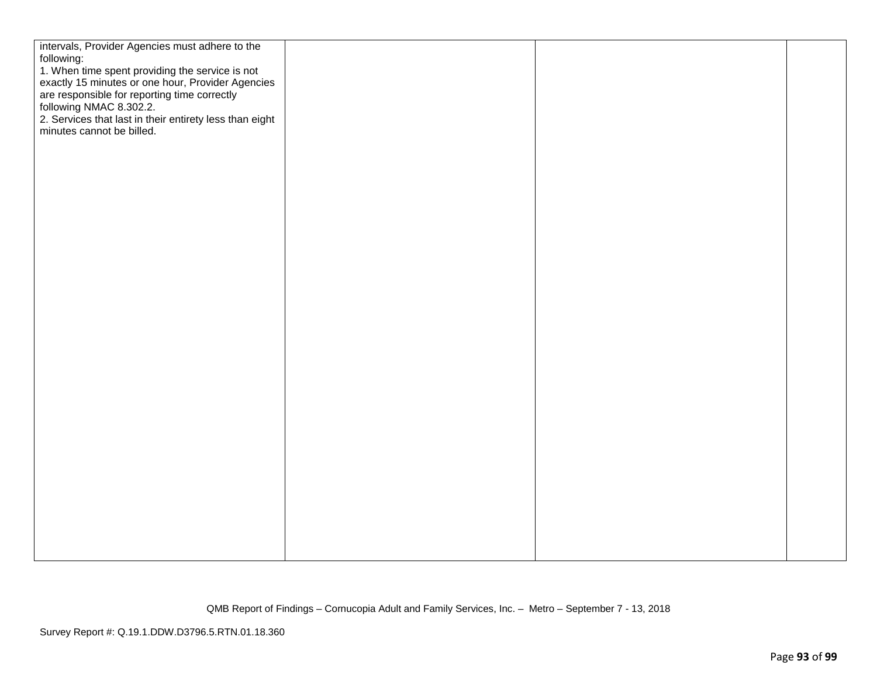| intervals, Provider Agencies must adhere to the                                                                              |  |  |
|------------------------------------------------------------------------------------------------------------------------------|--|--|
| following:                                                                                                                   |  |  |
|                                                                                                                              |  |  |
| 1. When time spent providing the service is not                                                                              |  |  |
|                                                                                                                              |  |  |
|                                                                                                                              |  |  |
| exactly 15 minutes or one hour, Provider Agencies<br>are responsible for reporting time correctly<br>following NMAC 8.302.2. |  |  |
| 2. Services that last in their entirety less than eight                                                                      |  |  |
| minutes cannot be billed.                                                                                                    |  |  |
|                                                                                                                              |  |  |
|                                                                                                                              |  |  |
|                                                                                                                              |  |  |
|                                                                                                                              |  |  |
|                                                                                                                              |  |  |
|                                                                                                                              |  |  |
|                                                                                                                              |  |  |
|                                                                                                                              |  |  |
|                                                                                                                              |  |  |
|                                                                                                                              |  |  |
|                                                                                                                              |  |  |
|                                                                                                                              |  |  |
|                                                                                                                              |  |  |
|                                                                                                                              |  |  |
|                                                                                                                              |  |  |
|                                                                                                                              |  |  |
|                                                                                                                              |  |  |
|                                                                                                                              |  |  |
|                                                                                                                              |  |  |
|                                                                                                                              |  |  |
|                                                                                                                              |  |  |
|                                                                                                                              |  |  |
|                                                                                                                              |  |  |
|                                                                                                                              |  |  |
|                                                                                                                              |  |  |
|                                                                                                                              |  |  |
|                                                                                                                              |  |  |
|                                                                                                                              |  |  |
|                                                                                                                              |  |  |
|                                                                                                                              |  |  |
|                                                                                                                              |  |  |
|                                                                                                                              |  |  |
|                                                                                                                              |  |  |
|                                                                                                                              |  |  |
|                                                                                                                              |  |  |
|                                                                                                                              |  |  |
|                                                                                                                              |  |  |
|                                                                                                                              |  |  |
|                                                                                                                              |  |  |
|                                                                                                                              |  |  |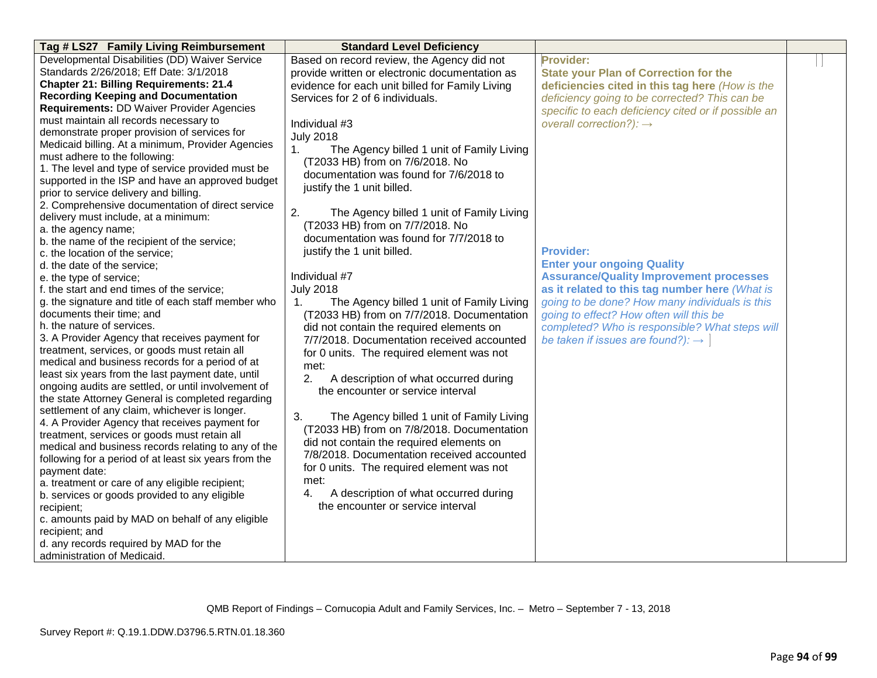| Tag # LS27 Family Living Reimbursement                                                          | <b>Standard Level Deficiency</b>                |                                                     |  |
|-------------------------------------------------------------------------------------------------|-------------------------------------------------|-----------------------------------------------------|--|
| Developmental Disabilities (DD) Waiver Service                                                  | Based on record review, the Agency did not      | <b>Provider:</b>                                    |  |
| Standards 2/26/2018; Eff Date: 3/1/2018                                                         | provide written or electronic documentation as  | <b>State your Plan of Correction for the</b>        |  |
| <b>Chapter 21: Billing Requirements: 21.4</b>                                                   | evidence for each unit billed for Family Living | deficiencies cited in this tag here (How is the     |  |
| <b>Recording Keeping and Documentation</b>                                                      | Services for 2 of 6 individuals.                | deficiency going to be corrected? This can be       |  |
| Requirements: DD Waiver Provider Agencies                                                       |                                                 | specific to each deficiency cited or if possible an |  |
| must maintain all records necessary to                                                          | Individual #3                                   | overall correction?): $\rightarrow$                 |  |
| demonstrate proper provision of services for                                                    | <b>July 2018</b>                                |                                                     |  |
| Medicaid billing. At a minimum, Provider Agencies                                               | 1.<br>The Agency billed 1 unit of Family Living |                                                     |  |
| must adhere to the following:                                                                   | (T2033 HB) from on 7/6/2018. No                 |                                                     |  |
| 1. The level and type of service provided must be                                               | documentation was found for 7/6/2018 to         |                                                     |  |
| supported in the ISP and have an approved budget                                                | justify the 1 unit billed.                      |                                                     |  |
| prior to service delivery and billing.                                                          |                                                 |                                                     |  |
| 2. Comprehensive documentation of direct service                                                | 2.                                              |                                                     |  |
| delivery must include, at a minimum:                                                            | The Agency billed 1 unit of Family Living       |                                                     |  |
| a. the agency name;                                                                             | (T2033 HB) from on 7/7/2018. No                 |                                                     |  |
| b. the name of the recipient of the service;                                                    | documentation was found for 7/7/2018 to         |                                                     |  |
| c. the location of the service;                                                                 | justify the 1 unit billed.                      | <b>Provider:</b>                                    |  |
| d. the date of the service;                                                                     |                                                 | <b>Enter your ongoing Quality</b>                   |  |
| e. the type of service;                                                                         | Individual #7                                   | <b>Assurance/Quality Improvement processes</b>      |  |
| f. the start and end times of the service;                                                      | <b>July 2018</b>                                | as it related to this tag number here (What is      |  |
| g. the signature and title of each staff member who                                             | The Agency billed 1 unit of Family Living<br>1. | going to be done? How many individuals is this      |  |
| documents their time; and                                                                       | (T2033 HB) from on 7/7/2018. Documentation      | going to effect? How often will this be             |  |
| h. the nature of services.                                                                      | did not contain the required elements on        | completed? Who is responsible? What steps will      |  |
| 3. A Provider Agency that receives payment for                                                  | 7/7/2018. Documentation received accounted      | be taken if issues are found?): $\rightarrow$       |  |
| treatment, services, or goods must retain all                                                   | for 0 units. The required element was not       |                                                     |  |
| medical and business records for a period of at                                                 | met:                                            |                                                     |  |
| least six years from the last payment date, until                                               | A description of what occurred during<br>2.     |                                                     |  |
| ongoing audits are settled, or until involvement of                                             | the encounter or service interval               |                                                     |  |
| the state Attorney General is completed regarding                                               |                                                 |                                                     |  |
| settlement of any claim, whichever is longer.<br>4. A Provider Agency that receives payment for | 3.<br>The Agency billed 1 unit of Family Living |                                                     |  |
| treatment, services or goods must retain all                                                    | (T2033 HB) from on 7/8/2018. Documentation      |                                                     |  |
| medical and business records relating to any of the                                             | did not contain the required elements on        |                                                     |  |
| following for a period of at least six years from the                                           | 7/8/2018. Documentation received accounted      |                                                     |  |
| payment date:                                                                                   | for 0 units. The required element was not       |                                                     |  |
| a. treatment or care of any eligible recipient;                                                 | met:                                            |                                                     |  |
| b. services or goods provided to any eligible                                                   | 4.<br>A description of what occurred during     |                                                     |  |
| recipient;                                                                                      | the encounter or service interval               |                                                     |  |
| c. amounts paid by MAD on behalf of any eligible                                                |                                                 |                                                     |  |
| recipient; and                                                                                  |                                                 |                                                     |  |
| d. any records required by MAD for the                                                          |                                                 |                                                     |  |
| administration of Medicaid.                                                                     |                                                 |                                                     |  |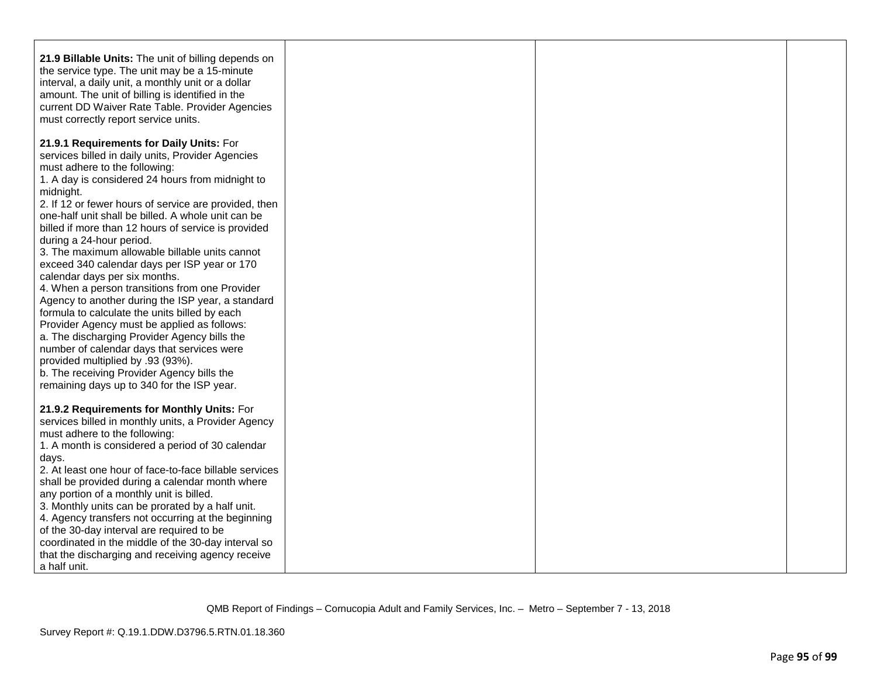| 21.9 Billable Units: The unit of billing depends on<br>the service type. The unit may be a 15-minute<br>interval, a daily unit, a monthly unit or a dollar<br>amount. The unit of billing is identified in the<br>current DD Waiver Rate Table. Provider Agencies<br>must correctly report service units.                                                                                                                                                                                                               |  |  |
|-------------------------------------------------------------------------------------------------------------------------------------------------------------------------------------------------------------------------------------------------------------------------------------------------------------------------------------------------------------------------------------------------------------------------------------------------------------------------------------------------------------------------|--|--|
| 21.9.1 Requirements for Daily Units: For<br>services billed in daily units, Provider Agencies<br>must adhere to the following:<br>1. A day is considered 24 hours from midnight to<br>midnight.<br>2. If 12 or fewer hours of service are provided, then<br>one-half unit shall be billed. A whole unit can be<br>billed if more than 12 hours of service is provided<br>during a 24-hour period.                                                                                                                       |  |  |
| 3. The maximum allowable billable units cannot<br>exceed 340 calendar days per ISP year or 170<br>calendar days per six months.<br>4. When a person transitions from one Provider<br>Agency to another during the ISP year, a standard<br>formula to calculate the units billed by each<br>Provider Agency must be applied as follows:<br>a. The discharging Provider Agency bills the<br>number of calendar days that services were<br>provided multiplied by .93 (93%).<br>b. The receiving Provider Agency bills the |  |  |
| remaining days up to 340 for the ISP year.<br>21.9.2 Requirements for Monthly Units: For<br>services billed in monthly units, a Provider Agency<br>must adhere to the following:<br>1. A month is considered a period of 30 calendar<br>days.<br>2. At least one hour of face-to-face billable services<br>shall be provided during a calendar month where<br>any portion of a monthly unit is billed.                                                                                                                  |  |  |
| 3. Monthly units can be prorated by a half unit.<br>4. Agency transfers not occurring at the beginning<br>of the 30-day interval are required to be<br>coordinated in the middle of the 30-day interval so<br>that the discharging and receiving agency receive<br>a half unit.                                                                                                                                                                                                                                         |  |  |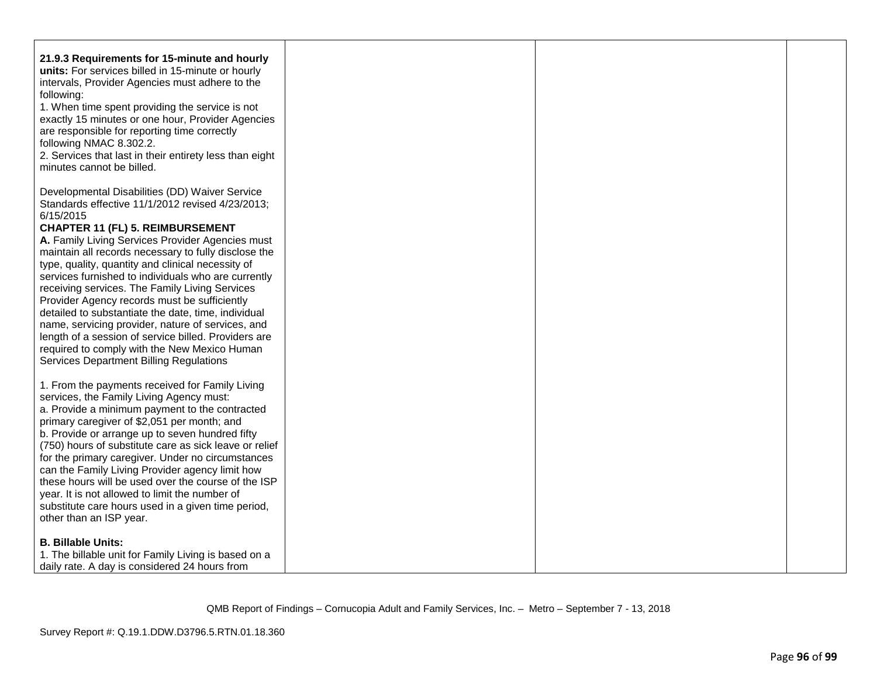| 21.9.3 Requirements for 15-minute and hourly<br>units: For services billed in 15-minute or hourly<br>intervals, Provider Agencies must adhere to the<br>following:<br>1. When time spent providing the service is not<br>exactly 15 minutes or one hour, Provider Agencies<br>are responsible for reporting time correctly<br>following NMAC 8.302.2.<br>2. Services that last in their entirety less than eight<br>minutes cannot be billed. |  |  |
|-----------------------------------------------------------------------------------------------------------------------------------------------------------------------------------------------------------------------------------------------------------------------------------------------------------------------------------------------------------------------------------------------------------------------------------------------|--|--|
| Developmental Disabilities (DD) Waiver Service<br>Standards effective 11/1/2012 revised 4/23/2013;<br>6/15/2015<br><b>CHAPTER 11 (FL) 5. REIMBURSEMENT</b><br>A. Family Living Services Provider Agencies must<br>maintain all records necessary to fully disclose the                                                                                                                                                                        |  |  |
| type, quality, quantity and clinical necessity of<br>services furnished to individuals who are currently<br>receiving services. The Family Living Services<br>Provider Agency records must be sufficiently<br>detailed to substantiate the date, time, individual<br>name, servicing provider, nature of services, and                                                                                                                        |  |  |
| length of a session of service billed. Providers are<br>required to comply with the New Mexico Human<br><b>Services Department Billing Regulations</b>                                                                                                                                                                                                                                                                                        |  |  |
| 1. From the payments received for Family Living<br>services, the Family Living Agency must:<br>a. Provide a minimum payment to the contracted<br>primary caregiver of \$2,051 per month; and<br>b. Provide or arrange up to seven hundred fifty<br>(750) hours of substitute care as sick leave or relief                                                                                                                                     |  |  |
| for the primary caregiver. Under no circumstances<br>can the Family Living Provider agency limit how<br>these hours will be used over the course of the ISP<br>year. It is not allowed to limit the number of<br>substitute care hours used in a given time period,<br>other than an ISP year.                                                                                                                                                |  |  |
| <b>B. Billable Units:</b><br>1. The billable unit for Family Living is based on a<br>daily rate. A day is considered 24 hours from                                                                                                                                                                                                                                                                                                            |  |  |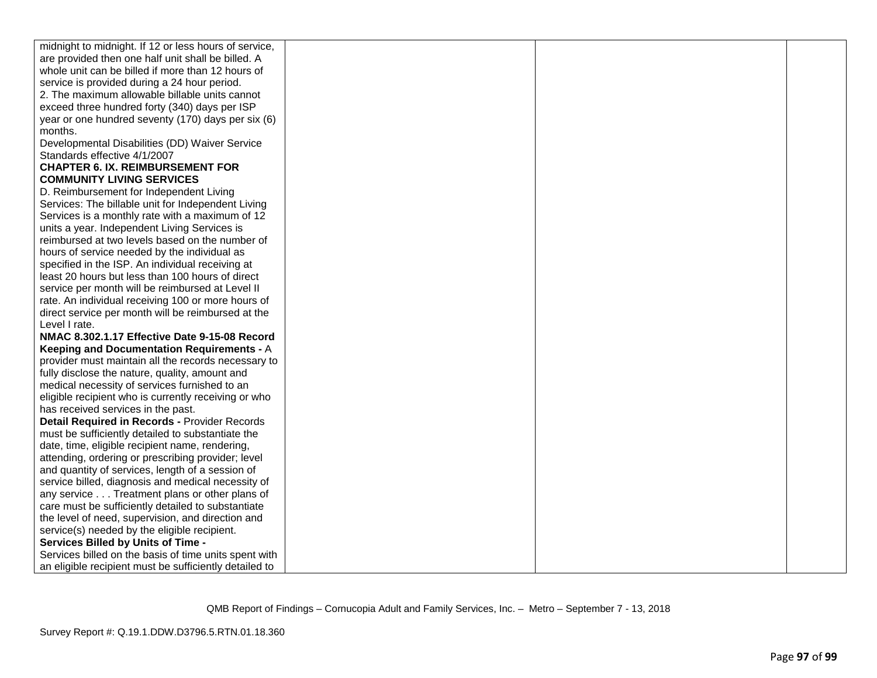| midnight to midnight. If 12 or less hours of service,  |  |  |
|--------------------------------------------------------|--|--|
| are provided then one half unit shall be billed. A     |  |  |
| whole unit can be billed if more than 12 hours of      |  |  |
| service is provided during a 24 hour period.           |  |  |
| 2. The maximum allowable billable units cannot         |  |  |
| exceed three hundred forty (340) days per ISP          |  |  |
| year or one hundred seventy (170) days per six (6)     |  |  |
| months.                                                |  |  |
| Developmental Disabilities (DD) Waiver Service         |  |  |
| Standards effective 4/1/2007                           |  |  |
| <b>CHAPTER 6. IX. REIMBURSEMENT FOR</b>                |  |  |
| <b>COMMUNITY LIVING SERVICES</b>                       |  |  |
| D. Reimbursement for Independent Living                |  |  |
| Services: The billable unit for Independent Living     |  |  |
| Services is a monthly rate with a maximum of 12        |  |  |
| units a year. Independent Living Services is           |  |  |
| reimbursed at two levels based on the number of        |  |  |
| hours of service needed by the individual as           |  |  |
| specified in the ISP. An individual receiving at       |  |  |
| least 20 hours but less than 100 hours of direct       |  |  |
| service per month will be reimbursed at Level II       |  |  |
| rate. An individual receiving 100 or more hours of     |  |  |
| direct service per month will be reimbursed at the     |  |  |
| Level I rate.                                          |  |  |
| NMAC 8.302.1.17 Effective Date 9-15-08 Record          |  |  |
| Keeping and Documentation Requirements - A             |  |  |
| provider must maintain all the records necessary to    |  |  |
| fully disclose the nature, quality, amount and         |  |  |
| medical necessity of services furnished to an          |  |  |
| eligible recipient who is currently receiving or who   |  |  |
| has received services in the past.                     |  |  |
| Detail Required in Records - Provider Records          |  |  |
| must be sufficiently detailed to substantiate the      |  |  |
| date, time, eligible recipient name, rendering,        |  |  |
| attending, ordering or prescribing provider; level     |  |  |
| and quantity of services, length of a session of       |  |  |
| service billed, diagnosis and medical necessity of     |  |  |
| any service Treatment plans or other plans of          |  |  |
| care must be sufficiently detailed to substantiate     |  |  |
| the level of need, supervision, and direction and      |  |  |
| service(s) needed by the eligible recipient.           |  |  |
| Services Billed by Units of Time -                     |  |  |
| Services billed on the basis of time units spent with  |  |  |
| an eligible recipient must be sufficiently detailed to |  |  |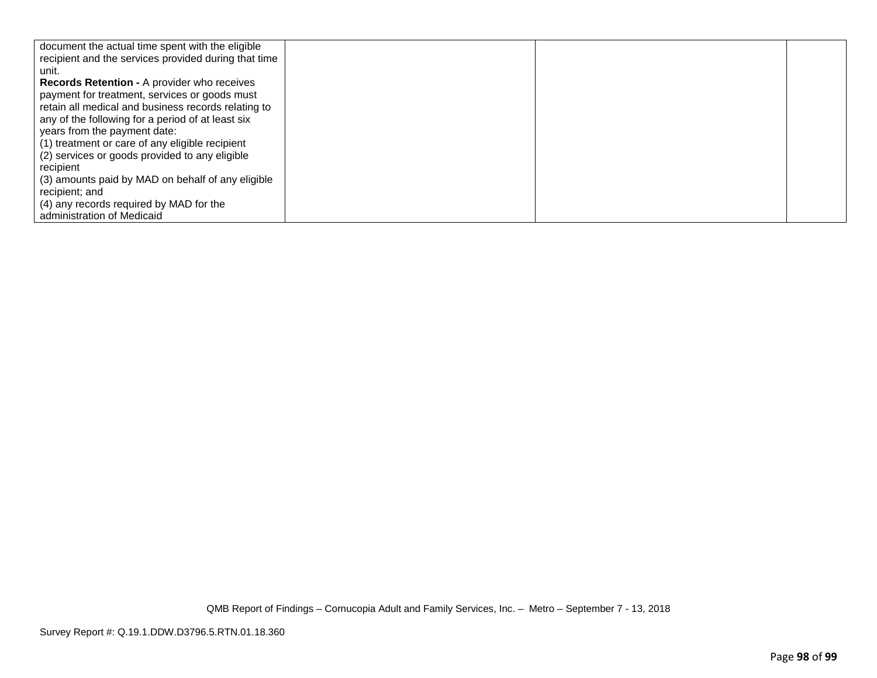| document the actual time spent with the eligible     |  |  |
|------------------------------------------------------|--|--|
| recipient and the services provided during that time |  |  |
| unit.                                                |  |  |
| <b>Records Retention - A provider who receives</b>   |  |  |
| payment for treatment, services or goods must        |  |  |
| retain all medical and business records relating to  |  |  |
| any of the following for a period of at least six    |  |  |
| years from the payment date:                         |  |  |
| (1) treatment or care of any eligible recipient      |  |  |
| (2) services or goods provided to any eligible       |  |  |
| recipient                                            |  |  |
| (3) amounts paid by MAD on behalf of any eligible    |  |  |
| recipient; and                                       |  |  |
| (4) any records required by MAD for the              |  |  |
| administration of Medicaid                           |  |  |